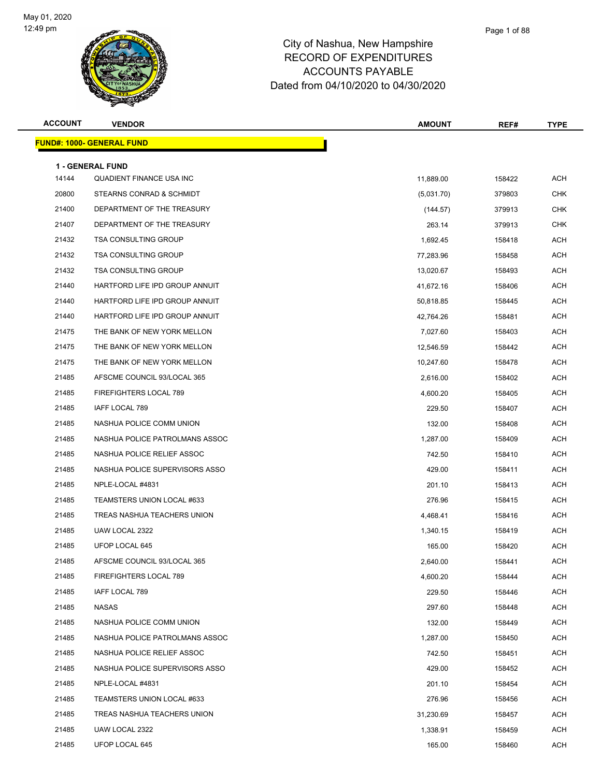

| <b>ACCOUNT</b> | <b>VENDOR</b>                     | <b>AMOUNT</b> | REF#   | <b>TYPE</b> |
|----------------|-----------------------------------|---------------|--------|-------------|
|                | <u> FUND#: 1000- GENERAL FUND</u> |               |        |             |
|                | <b>1 - GENERAL FUND</b>           |               |        |             |
| 14144          | <b>QUADIENT FINANCE USA INC</b>   | 11,889.00     | 158422 | <b>ACH</b>  |
| 20800          | STEARNS CONRAD & SCHMIDT          | (5,031.70)    | 379803 | <b>CHK</b>  |
| 21400          | DEPARTMENT OF THE TREASURY        | (144.57)      | 379913 | <b>CHK</b>  |
| 21407          | DEPARTMENT OF THE TREASURY        | 263.14        | 379913 | <b>CHK</b>  |
| 21432          | <b>TSA CONSULTING GROUP</b>       | 1,692.45      | 158418 | <b>ACH</b>  |
| 21432          | <b>TSA CONSULTING GROUP</b>       | 77,283.96     | 158458 | <b>ACH</b>  |
| 21432          | <b>TSA CONSULTING GROUP</b>       | 13,020.67     | 158493 | <b>ACH</b>  |
| 21440          | HARTFORD LIFE IPD GROUP ANNUIT    | 41,672.16     | 158406 | ACH         |
| 21440          | HARTFORD LIFE IPD GROUP ANNUIT    | 50,818.85     | 158445 | <b>ACH</b>  |
| 21440          | HARTFORD LIFE IPD GROUP ANNUIT    | 42,764.26     | 158481 | <b>ACH</b>  |
| 21475          | THE BANK OF NEW YORK MELLON       | 7,027.60      | 158403 | <b>ACH</b>  |
| 21475          | THE BANK OF NEW YORK MELLON       | 12,546.59     | 158442 | <b>ACH</b>  |
| 21475          | THE BANK OF NEW YORK MELLON       | 10,247.60     | 158478 | <b>ACH</b>  |
| 21485          | AFSCME COUNCIL 93/LOCAL 365       | 2,616.00      | 158402 | <b>ACH</b>  |
| 21485          | FIREFIGHTERS LOCAL 789            | 4,600.20      | 158405 | <b>ACH</b>  |
| 21485          | IAFF LOCAL 789                    | 229.50        | 158407 | <b>ACH</b>  |
| 21485          | NASHUA POLICE COMM UNION          | 132.00        | 158408 | <b>ACH</b>  |
| 21485          | NASHUA POLICE PATROLMANS ASSOC    | 1,287.00      | 158409 | <b>ACH</b>  |
| 21485          | NASHUA POLICE RELIEF ASSOC        | 742.50        | 158410 | <b>ACH</b>  |
| 21485          | NASHUA POLICE SUPERVISORS ASSO    | 429.00        | 158411 | <b>ACH</b>  |
| 21485          | NPLE-LOCAL #4831                  | 201.10        | 158413 | <b>ACH</b>  |
| 21485          | TEAMSTERS UNION LOCAL #633        | 276.96        | 158415 | <b>ACH</b>  |
| 21485          | TREAS NASHUA TEACHERS UNION       | 4,468.41      | 158416 | <b>ACH</b>  |
| 21485          | UAW LOCAL 2322                    | 1,340.15      | 158419 | <b>ACH</b>  |
| 21485          | UFOP LOCAL 645                    | 165.00        | 158420 | <b>ACH</b>  |
| 21485          | AFSCME COUNCIL 93/LOCAL 365       | 2,640.00      | 158441 | ACH         |
| 21485          | FIREFIGHTERS LOCAL 789            | 4,600.20      | 158444 | <b>ACH</b>  |
| 21485          | IAFF LOCAL 789                    | 229.50        | 158446 | ACH         |
| 21485          | NASAS                             | 297.60        | 158448 | ACH         |
| 21485          | NASHUA POLICE COMM UNION          | 132.00        | 158449 | <b>ACH</b>  |
| 21485          | NASHUA POLICE PATROLMANS ASSOC    | 1,287.00      | 158450 | <b>ACH</b>  |
| 21485          | NASHUA POLICE RELIEF ASSOC        | 742.50        | 158451 | ACH         |
| 21485          | NASHUA POLICE SUPERVISORS ASSO    | 429.00        | 158452 | ACH         |
| 21485          | NPLE-LOCAL #4831                  | 201.10        | 158454 | <b>ACH</b>  |
| 21485          | TEAMSTERS UNION LOCAL #633        | 276.96        | 158456 | ACH         |
| 21485          | TREAS NASHUA TEACHERS UNION       | 31,230.69     | 158457 | ACH         |
| 21485          | UAW LOCAL 2322                    | 1,338.91      | 158459 | <b>ACH</b>  |
| 21485          | UFOP LOCAL 645                    | 165.00        | 158460 | ACH         |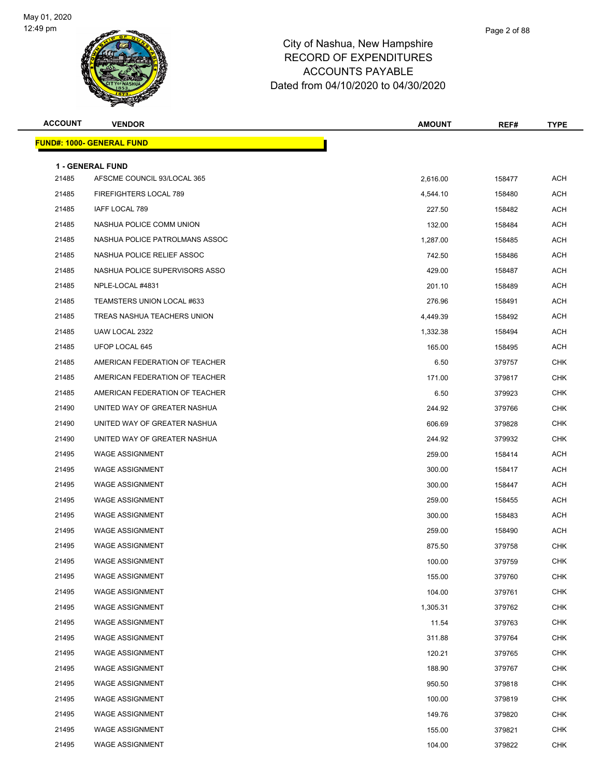

|      | Page 2 of 88 |
|------|--------------|
| hire |              |
| ס בי |              |

| <b>ACCOUNT</b> | <b>VENDOR</b>                                          | <b>AMOUNT</b> | REF#   | <b>TYPE</b> |
|----------------|--------------------------------------------------------|---------------|--------|-------------|
|                | <u> FUND#: 1000- GENERAL FUND</u>                      |               |        |             |
|                |                                                        |               |        |             |
| 21485          | <b>1 - GENERAL FUND</b><br>AFSCME COUNCIL 93/LOCAL 365 | 2,616.00      | 158477 | <b>ACH</b>  |
| 21485          | FIREFIGHTERS LOCAL 789                                 | 4,544.10      | 158480 | ACH         |
| 21485          | IAFF LOCAL 789                                         | 227.50        | 158482 | <b>ACH</b>  |
| 21485          | NASHUA POLICE COMM UNION                               | 132.00        | 158484 | ACH         |
| 21485          | NASHUA POLICE PATROLMANS ASSOC                         | 1.287.00      | 158485 | <b>ACH</b>  |
| 21485          | NASHUA POLICE RELIEF ASSOC                             | 742.50        | 158486 | ACH         |
| 21485          | NASHUA POLICE SUPERVISORS ASSO                         | 429.00        | 158487 | ACH         |
| 21485          | NPLE-LOCAL #4831                                       | 201.10        | 158489 | <b>ACH</b>  |
| 21485          | TEAMSTERS UNION LOCAL #633                             | 276.96        | 158491 | ACH         |
| 21485          | TREAS NASHUA TEACHERS UNION                            | 4,449.39      | 158492 | <b>ACH</b>  |
| 21485          | UAW LOCAL 2322                                         | 1,332.38      | 158494 | ACH         |
| 21485          | UFOP LOCAL 645                                         | 165.00        | 158495 | ACH         |
| 21485          | AMERICAN FEDERATION OF TEACHER                         | 6.50          | 379757 | <b>CHK</b>  |
| 21485          | AMERICAN FEDERATION OF TEACHER                         | 171.00        | 379817 | <b>CHK</b>  |
| 21485          | AMERICAN FEDERATION OF TEACHER                         | 6.50          | 379923 | <b>CHK</b>  |
| 21490          | UNITED WAY OF GREATER NASHUA                           | 244.92        | 379766 | <b>CHK</b>  |
| 21490          | UNITED WAY OF GREATER NASHUA                           | 606.69        | 379828 | <b>CHK</b>  |
| 21490          | UNITED WAY OF GREATER NASHUA                           | 244.92        | 379932 | <b>CHK</b>  |
| 21495          | <b>WAGE ASSIGNMENT</b>                                 | 259.00        | 158414 | ACH         |
| 21495          | <b>WAGE ASSIGNMENT</b>                                 | 300.00        | 158417 | <b>ACH</b>  |
| 21495          | <b>WAGE ASSIGNMENT</b>                                 | 300.00        | 158447 | ACH         |
| 21495          | <b>WAGE ASSIGNMENT</b>                                 | 259.00        | 158455 | ACH         |
| 21495          | <b>WAGE ASSIGNMENT</b>                                 | 300.00        | 158483 | <b>ACH</b>  |
| 21495          | <b>WAGE ASSIGNMENT</b>                                 | 259.00        | 158490 | ACH         |
| 21495          | <b>WAGE ASSIGNMENT</b>                                 | 875.50        | 379758 | <b>CHK</b>  |
| 21495          | WAGE ASSIGNMENT                                        | 100.00        | 379759 | <b>CHK</b>  |
| 21495          | <b>WAGE ASSIGNMENT</b>                                 | 155.00        | 379760 | <b>CHK</b>  |
| 21495          | <b>WAGE ASSIGNMENT</b>                                 | 104.00        | 379761 | <b>CHK</b>  |
| 21495          | <b>WAGE ASSIGNMENT</b>                                 | 1,305.31      | 379762 | <b>CHK</b>  |
| 21495          | <b>WAGE ASSIGNMENT</b>                                 | 11.54         | 379763 | <b>CHK</b>  |
| 21495          | <b>WAGE ASSIGNMENT</b>                                 | 311.88        | 379764 | <b>CHK</b>  |
| 21495          | <b>WAGE ASSIGNMENT</b>                                 | 120.21        | 379765 | <b>CHK</b>  |
| 21495          | <b>WAGE ASSIGNMENT</b>                                 | 188.90        | 379767 | <b>CHK</b>  |
| 21495          | <b>WAGE ASSIGNMENT</b>                                 | 950.50        | 379818 | <b>CHK</b>  |
| 21495          | <b>WAGE ASSIGNMENT</b>                                 | 100.00        | 379819 | <b>CHK</b>  |
| 21495          | <b>WAGE ASSIGNMENT</b>                                 | 149.76        | 379820 | <b>CHK</b>  |
| 21495          | <b>WAGE ASSIGNMENT</b>                                 | 155.00        | 379821 | <b>CHK</b>  |
| 21495          | <b>WAGE ASSIGNMENT</b>                                 | 104.00        | 379822 | <b>CHK</b>  |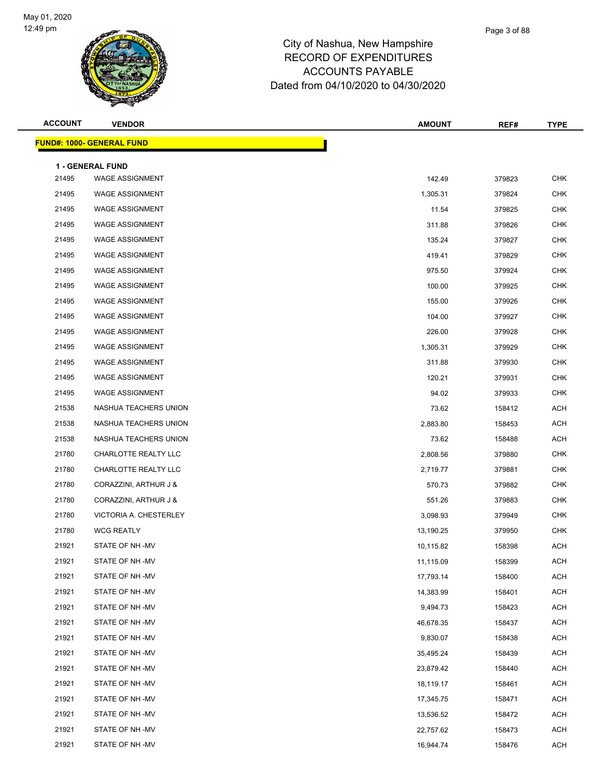

| <b>ACCOUNT</b> | <b>VENDOR</b>                    | <b>AMOUNT</b> | REF#   | <b>TYPE</b> |
|----------------|----------------------------------|---------------|--------|-------------|
|                | <b>FUND#: 1000- GENERAL FUND</b> |               |        |             |
|                | <b>1 - GENERAL FUND</b>          |               |        |             |
| 21495          | <b>WAGE ASSIGNMENT</b>           | 142.49        | 379823 | <b>CHK</b>  |
| 21495          | <b>WAGE ASSIGNMENT</b>           | 1,305.31      | 379824 | <b>CHK</b>  |
| 21495          | <b>WAGE ASSIGNMENT</b>           | 11.54         | 379825 | <b>CHK</b>  |
| 21495          | <b>WAGE ASSIGNMENT</b>           | 311.88        | 379826 | <b>CHK</b>  |
| 21495          | <b>WAGE ASSIGNMENT</b>           | 135.24        | 379827 | <b>CHK</b>  |
| 21495          | <b>WAGE ASSIGNMENT</b>           | 419.41        | 379829 | <b>CHK</b>  |
| 21495          | <b>WAGE ASSIGNMENT</b>           | 975.50        | 379924 | <b>CHK</b>  |
| 21495          | <b>WAGE ASSIGNMENT</b>           | 100.00        | 379925 | <b>CHK</b>  |
| 21495          | <b>WAGE ASSIGNMENT</b>           | 155.00        | 379926 | <b>CHK</b>  |
| 21495          | <b>WAGE ASSIGNMENT</b>           | 104.00        | 379927 | <b>CHK</b>  |
| 21495          | <b>WAGE ASSIGNMENT</b>           | 226.00        | 379928 | <b>CHK</b>  |
| 21495          | <b>WAGE ASSIGNMENT</b>           | 1,305.31      | 379929 | <b>CHK</b>  |
| 21495          | <b>WAGE ASSIGNMENT</b>           | 311.88        | 379930 | <b>CHK</b>  |
| 21495          | <b>WAGE ASSIGNMENT</b>           | 120.21        | 379931 | <b>CHK</b>  |
| 21495          | <b>WAGE ASSIGNMENT</b>           | 94.02         | 379933 | <b>CHK</b>  |
| 21538          | NASHUA TEACHERS UNION            | 73.62         | 158412 | <b>ACH</b>  |
| 21538          | NASHUA TEACHERS UNION            | 2,883.80      | 158453 | <b>ACH</b>  |
| 21538          | NASHUA TEACHERS UNION            | 73.62         | 158488 | <b>ACH</b>  |
| 21780          | CHARLOTTE REALTY LLC             | 2,808.56      | 379880 | <b>CHK</b>  |
| 21780          | CHARLOTTE REALTY LLC             | 2,719.77      | 379881 | <b>CHK</b>  |
| 21780          | CORAZZINI, ARTHUR J &            | 570.73        | 379882 | <b>CHK</b>  |
| 21780          | CORAZZINI, ARTHUR J &            | 551.26        | 379883 | <b>CHK</b>  |
| 21780          | VICTORIA A. CHESTERLEY           | 3,098.93      | 379949 | <b>CHK</b>  |
| 21780          | <b>WCG REATLY</b>                | 13,190.25     | 379950 | <b>CHK</b>  |
| 21921          | STATE OF NH -MV                  | 10,115.82     | 158398 | <b>ACH</b>  |
| 21921          | STATE OF NH -MV                  | 11,115.09     | 158399 | ACH         |
| 21921          | STATE OF NH -MV                  | 17,793.14     | 158400 | <b>ACH</b>  |
| 21921          | STATE OF NH -MV                  | 14,383.99     | 158401 | ACH         |
| 21921          | STATE OF NH-MV                   | 9,494.73      | 158423 | <b>ACH</b>  |
| 21921          | STATE OF NH-MV                   | 46,678.35     | 158437 | <b>ACH</b>  |
| 21921          | STATE OF NH-MV                   | 9,830.07      | 158438 | <b>ACH</b>  |
| 21921          | STATE OF NH-MV                   | 35,495.24     | 158439 | ACH         |
| 21921          | STATE OF NH-MV                   | 23,879.42     | 158440 | ACH         |
| 21921          | STATE OF NH-MV                   | 18,119.17     | 158461 | <b>ACH</b>  |
| 21921          | STATE OF NH-MV                   | 17,345.75     | 158471 | ACH         |
| 21921          | STATE OF NH-MV                   | 13,536.52     | 158472 | ACH         |
| 21921          | STATE OF NH -MV                  | 22,757.62     | 158473 | ACH         |
| 21921          | STATE OF NH -MV                  | 16,944.74     | 158476 | <b>ACH</b>  |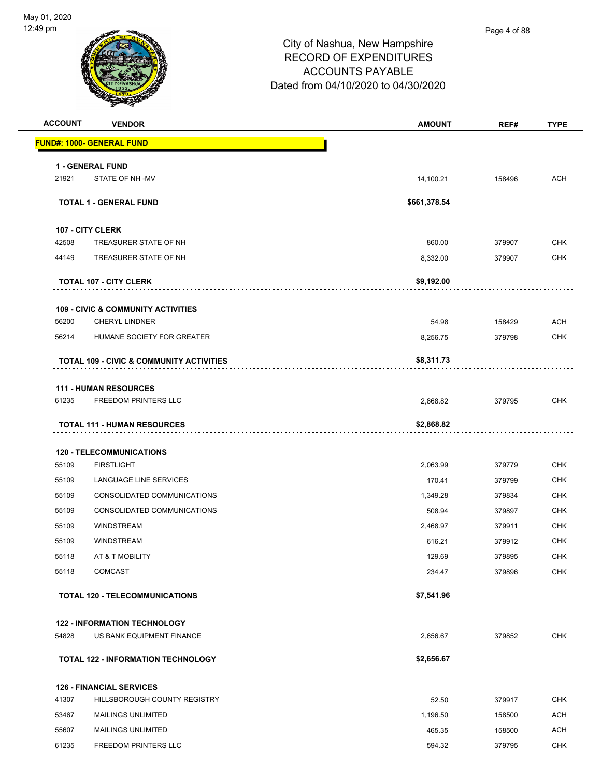#### Page 4 of 88

| <b>ACCOUNT</b> | <b>VENDOR</b>                                                    | <b>AMOUNT</b>      | REF#   | <b>TYPE</b> |
|----------------|------------------------------------------------------------------|--------------------|--------|-------------|
|                | <u> FUND#: 1000- GENERAL FUND</u>                                |                    |        |             |
|                | 1 - GENERAL FUND                                                 |                    |        |             |
| 21921          | STATE OF NH -MV                                                  | 14,100.21          | 158496 | ACH         |
|                | .<br><b>TOTAL 1 - GENERAL FUND</b>                               | \$661,378.54       |        |             |
|                | 107 - CITY CLERK                                                 |                    |        |             |
| 42508          | TREASURER STATE OF NH                                            | 860.00             | 379907 | <b>CHK</b>  |
| 44149          | TREASURER STATE OF NH                                            | 8,332.00           | 379907 | <b>CHK</b>  |
|                | <b>TOTAL 107 - CITY CLERK</b>                                    | \$9,192.00         | .      |             |
|                | <b>109 - CIVIC &amp; COMMUNITY ACTIVITIES</b>                    |                    |        |             |
| 56200          | <b>CHERYL LINDNER</b>                                            | 54.98              | 158429 | ACH         |
| 56214          | HUMANE SOCIETY FOR GREATER                                       | 8,256.75           | 379798 | <b>CHK</b>  |
|                | TOTAL 109 - CIVIC & COMMUNITY ACTIVITIES                         | \$8,311.73         |        |             |
|                |                                                                  |                    |        |             |
| 61235          | <b>111 - HUMAN RESOURCES</b><br><b>FREEDOM PRINTERS LLC</b>      | 2,868.82           | 379795 | <b>CHK</b>  |
|                | .<br><b>TOTAL 111 - HUMAN RESOURCES</b>                          | \$2,868.82         |        |             |
|                |                                                                  |                    |        |             |
| 55109          | <b>120 - TELECOMMUNICATIONS</b><br><b>FIRSTLIGHT</b>             |                    | 379779 | CHK         |
| 55109          | LANGUAGE LINE SERVICES                                           | 2,063.99<br>170.41 | 379799 | <b>CHK</b>  |
| 55109          | CONSOLIDATED COMMUNICATIONS                                      | 1,349.28           | 379834 | <b>CHK</b>  |
| 55109          | CONSOLIDATED COMMUNICATIONS                                      | 508.94             | 379897 | <b>CHK</b>  |
| 55109          | <b>WINDSTREAM</b>                                                | 2,468.97           | 379911 | <b>CHK</b>  |
| 55109          | <b>WINDSTREAM</b>                                                | 616.21             | 379912 | <b>CHK</b>  |
| 55118          | AT & T MOBILITY                                                  | 129.69             | 379895 | <b>CHK</b>  |
| 55118          | <b>COMCAST</b>                                                   | 234.47             | 379896 | CHK         |
|                | <b>TOTAL 120 - TELECOMMUNICATIONS</b>                            | \$7,541.96         |        |             |
|                |                                                                  |                    |        |             |
| 54828          | <b>122 - INFORMATION TECHNOLOGY</b><br>US BANK EQUIPMENT FINANCE | 2,656.67           | 379852 | <b>CHK</b>  |
|                |                                                                  |                    |        |             |
|                | <b>TOTAL 122 - INFORMATION TECHNOLOGY</b>                        | \$2,656.67         |        |             |
|                | <b>126 - FINANCIAL SERVICES</b>                                  |                    |        |             |
| 41307          | HILLSBOROUGH COUNTY REGISTRY                                     | 52.50              | 379917 | <b>CHK</b>  |
| 53467          | <b>MAILINGS UNLIMITED</b>                                        | 1,196.50           | 158500 | <b>ACH</b>  |
| 55607          | <b>MAILINGS UNLIMITED</b>                                        | 465.35             | 158500 | <b>ACH</b>  |
| 61235          | <b>FREEDOM PRINTERS LLC</b>                                      | 594.32             | 379795 | <b>CHK</b>  |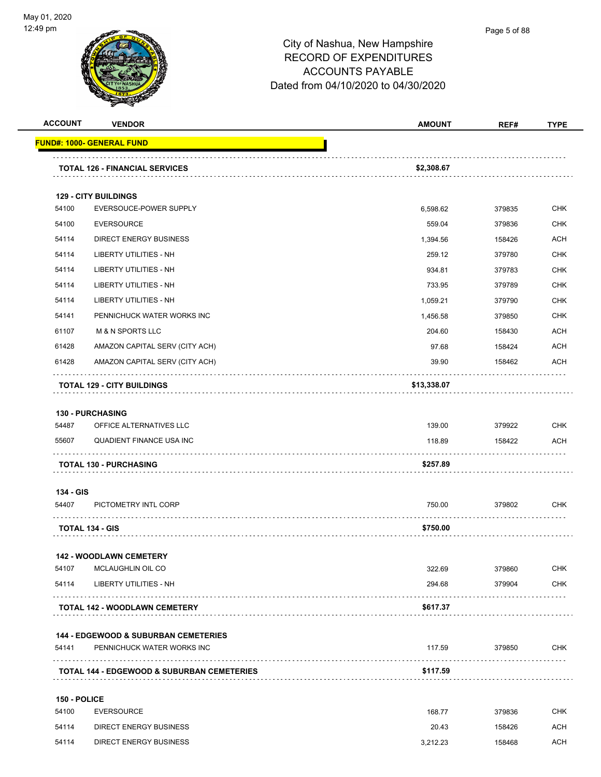

| <b>ACCOUNT</b> | <b>VENDOR</b>                                                                 | <b>AMOUNT</b> | REF#   | <b>TYPE</b> |
|----------------|-------------------------------------------------------------------------------|---------------|--------|-------------|
|                | <u> FUND#: 1000- GENERAL FUND</u>                                             |               |        |             |
|                | <b>TOTAL 126 - FINANCIAL SERVICES</b>                                         | \$2,308.67    |        |             |
|                | <b>129 - CITY BUILDINGS</b>                                                   |               |        |             |
| 54100          | EVERSOUCE-POWER SUPPLY                                                        | 6,598.62      | 379835 | <b>CHK</b>  |
| 54100          | <b>EVERSOURCE</b>                                                             | 559.04        | 379836 | <b>CHK</b>  |
| 54114          | <b>DIRECT ENERGY BUSINESS</b>                                                 | 1,394.56      | 158426 | <b>ACH</b>  |
| 54114          | <b>LIBERTY UTILITIES - NH</b>                                                 | 259.12        | 379780 | <b>CHK</b>  |
| 54114          | LIBERTY UTILITIES - NH                                                        | 934.81        | 379783 | <b>CHK</b>  |
| 54114          | LIBERTY UTILITIES - NH                                                        | 733.95        | 379789 | <b>CHK</b>  |
| 54114          | <b>LIBERTY UTILITIES - NH</b>                                                 | 1,059.21      | 379790 | <b>CHK</b>  |
| 54141          | PENNICHUCK WATER WORKS INC                                                    | 1,456.58      | 379850 | <b>CHK</b>  |
| 61107          | <b>M &amp; N SPORTS LLC</b>                                                   | 204.60        | 158430 | <b>ACH</b>  |
| 61428          | AMAZON CAPITAL SERV (CITY ACH)                                                | 97.68         | 158424 | <b>ACH</b>  |
| 61428          | AMAZON CAPITAL SERV (CITY ACH)                                                | 39.90         | 158462 | <b>ACH</b>  |
|                | <b>TOTAL 129 - CITY BUILDINGS</b>                                             | \$13,338.07   |        |             |
|                |                                                                               |               |        |             |
|                | <b>130 - PURCHASING</b>                                                       |               |        |             |
| 54487          | OFFICE ALTERNATIVES LLC                                                       | 139.00        | 379922 | <b>CHK</b>  |
| 55607          | QUADIENT FINANCE USA INC                                                      | 118.89        | 158422 | <b>ACH</b>  |
|                | <b>TOTAL 130 - PURCHASING</b>                                                 | \$257.89      |        |             |
| 134 - GIS      |                                                                               |               |        |             |
| 54407          | PICTOMETRY INTL CORP                                                          | 750.00        | 379802 | <b>CHK</b>  |
|                | <b>TOTAL 134 - GIS</b>                                                        | \$750.00      |        |             |
|                | <b>142 - WOODLAWN CEMETERY</b>                                                |               |        |             |
| 54107          | MCLAUGHLIN OIL CO                                                             | 322.69        | 379860 | <b>CHK</b>  |
| 54114          | <b>LIBERTY UTILITIES - NH</b>                                                 | 294.68        | 379904 | <b>CHK</b>  |
|                | <b>TOTAL 142 - WOODLAWN CEMETERY</b>                                          | \$617.37      |        |             |
|                |                                                                               |               |        |             |
| 54141          | <b>144 - EDGEWOOD &amp; SUBURBAN CEMETERIES</b><br>PENNICHUCK WATER WORKS INC | 117.59        | 379850 | <b>CHK</b>  |
|                | <b>TOTAL 144 - EDGEWOOD &amp; SUBURBAN CEMETERIES</b>                         | \$117.59      |        |             |
|                |                                                                               |               |        |             |
| 150 - POLICE   |                                                                               |               |        |             |
| 54100          | <b>EVERSOURCE</b>                                                             | 168.77        | 379836 | <b>CHK</b>  |
| 54114          | <b>DIRECT ENERGY BUSINESS</b>                                                 | 20.43         | 158426 | ACH         |
| 54114          | DIRECT ENERGY BUSINESS                                                        | 3,212.23      | 158468 | <b>ACH</b>  |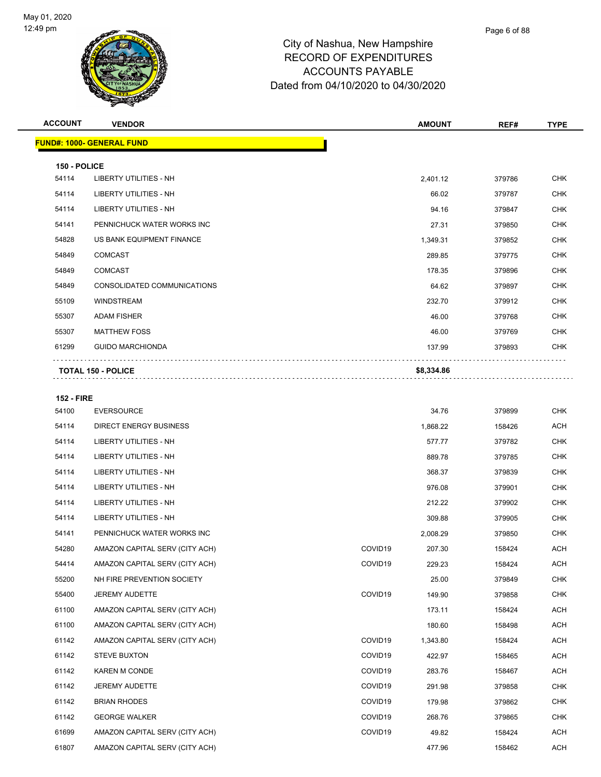

**ACCOUNT VENDOR AMOUNT REF# TYPE**

|                   | <u> FUND#: 1000- GENERAL FUND</u>                  |                     |            |        |            |
|-------------------|----------------------------------------------------|---------------------|------------|--------|------------|
| 150 - POLICE      |                                                    |                     |            |        |            |
| 54114             | LIBERTY UTILITIES - NH                             |                     | 2,401.12   | 379786 | <b>CHK</b> |
| 54114             | LIBERTY UTILITIES - NH                             |                     | 66.02      | 379787 | <b>CHK</b> |
| 54114             | <b>LIBERTY UTILITIES - NH</b>                      |                     | 94.16      | 379847 | <b>CHK</b> |
| 54141             | PENNICHUCK WATER WORKS INC                         |                     | 27.31      | 379850 | <b>CHK</b> |
| 54828             | US BANK EQUIPMENT FINANCE                          |                     | 1,349.31   | 379852 | <b>CHK</b> |
| 54849             | <b>COMCAST</b>                                     |                     | 289.85     | 379775 | <b>CHK</b> |
| 54849             | <b>COMCAST</b>                                     |                     | 178.35     | 379896 | <b>CHK</b> |
| 54849             | CONSOLIDATED COMMUNICATIONS                        |                     | 64.62      | 379897 | <b>CHK</b> |
| 55109             | <b>WINDSTREAM</b>                                  |                     | 232.70     | 379912 | <b>CHK</b> |
| 55307             | <b>ADAM FISHER</b>                                 |                     | 46.00      | 379768 | <b>CHK</b> |
| 55307             | <b>MATTHEW FOSS</b>                                |                     | 46.00      | 379769 | <b>CHK</b> |
| 61299             | <b>GUIDO MARCHIONDA</b>                            |                     | 137.99     | 379893 | <b>CHK</b> |
|                   | <b>TOTAL 150 - POLICE</b>                          |                     | \$8,334.86 |        |            |
|                   |                                                    |                     |            |        |            |
| <b>152 - FIRE</b> |                                                    |                     |            |        |            |
| 54100<br>54114    | <b>EVERSOURCE</b><br><b>DIRECT ENERGY BUSINESS</b> |                     | 34.76      | 379899 | <b>CHK</b> |
|                   |                                                    |                     | 1,868.22   | 158426 | <b>ACH</b> |
| 54114             | LIBERTY UTILITIES - NH                             |                     | 577.77     | 379782 | <b>CHK</b> |
| 54114             | LIBERTY UTILITIES - NH                             |                     | 889.78     | 379785 | <b>CHK</b> |
| 54114             | LIBERTY UTILITIES - NH                             |                     | 368.37     | 379839 | <b>CHK</b> |
| 54114             | LIBERTY UTILITIES - NH                             |                     | 976.08     | 379901 | <b>CHK</b> |
| 54114             | LIBERTY UTILITIES - NH                             |                     | 212.22     | 379902 | <b>CHK</b> |
| 54114             | LIBERTY UTILITIES - NH                             |                     | 309.88     | 379905 | <b>CHK</b> |
| 54141             | PENNICHUCK WATER WORKS INC                         |                     | 2,008.29   | 379850 | <b>CHK</b> |
| 54280             | AMAZON CAPITAL SERV (CITY ACH)                     | COVID19             | 207.30     | 158424 | ACH        |
| 54414             | AMAZON CAPITAL SERV (CITY ACH)                     | COVID19             | 229.23     | 158424 | <b>ACH</b> |
| 55200             | NH FIRE PREVENTION SOCIETY                         |                     | 25.00      | 379849 | <b>CHK</b> |
| 55400             | <b>JEREMY AUDETTE</b>                              | COVID19             | 149.90     | 379858 | <b>CHK</b> |
| 61100             | AMAZON CAPITAL SERV (CITY ACH)                     |                     | 173.11     | 158424 | ACH        |
| 61100             | AMAZON CAPITAL SERV (CITY ACH)                     |                     | 180.60     | 158498 | <b>ACH</b> |
| 61142             | AMAZON CAPITAL SERV (CITY ACH)                     | COVID19             | 1,343.80   | 158424 | ACH        |
| 61142             | <b>STEVE BUXTON</b>                                | COVID19             | 422.97     | 158465 | <b>ACH</b> |
| 61142             | KAREN M CONDE                                      | COVID <sub>19</sub> | 283.76     | 158467 | ACH        |
| 61142             | <b>JEREMY AUDETTE</b>                              | COVID19             | 291.98     | 379858 | <b>CHK</b> |
| 61142             | <b>BRIAN RHODES</b>                                | COVID19             | 179.98     | 379862 | <b>CHK</b> |
| 61142             | <b>GEORGE WALKER</b>                               | COVID19             | 268.76     | 379865 | <b>CHK</b> |
| 61699             | AMAZON CAPITAL SERV (CITY ACH)                     | COVID19             | 49.82      | 158424 | ACH        |
| 61807             | AMAZON CAPITAL SERV (CITY ACH)                     |                     | 477.96     | 158462 | <b>ACH</b> |
|                   |                                                    |                     |            |        |            |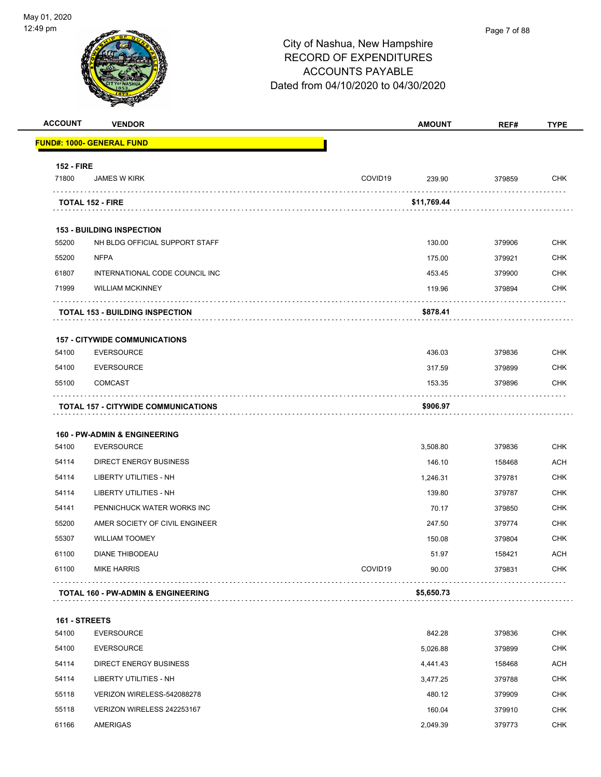

| <b>ACCOUNT</b>    | <b>VENDOR</b>                                 |         | <b>AMOUNT</b> | REF#   | <b>TYPE</b>                    |
|-------------------|-----------------------------------------------|---------|---------------|--------|--------------------------------|
|                   | FUND#: 1000- GENERAL FUND                     |         |               |        |                                |
| <b>152 - FIRE</b> |                                               |         |               |        |                                |
| 71800             | <b>JAMES W KIRK</b>                           | COVID19 | 239.90        | 379859 | <b>CHK</b>                     |
|                   | <b>TOTAL 152 - FIRE</b>                       |         | \$11,769.44   |        |                                |
|                   | <b>153 - BUILDING INSPECTION</b>              |         |               |        |                                |
| 55200             | NH BLDG OFFICIAL SUPPORT STAFF                |         | 130.00        | 379906 | <b>CHK</b>                     |
| 55200             | <b>NFPA</b>                                   |         | 175.00        | 379921 | CHK                            |
| 61807             | INTERNATIONAL CODE COUNCIL INC                |         | 453.45        | 379900 | <b>CHK</b>                     |
| 71999             | <b>WILLIAM MCKINNEY</b>                       |         | 119.96        | 379894 | CHK                            |
|                   | <b>TOTAL 153 - BUILDING INSPECTION</b>        |         | \$878.41      |        |                                |
|                   | <b>157 - CITYWIDE COMMUNICATIONS</b>          |         |               |        |                                |
| 54100             | <b>EVERSOURCE</b>                             |         | 436.03        | 379836 | <b>CHK</b>                     |
| 54100             | <b>EVERSOURCE</b>                             |         | 317.59        | 379899 | <b>CHK</b>                     |
| 55100             | <b>COMCAST</b>                                |         | 153.35        | 379896 | CHK                            |
|                   | <b>TOTAL 157 - CITYWIDE COMMUNICATIONS</b>    |         | \$906.97      |        |                                |
|                   | <b>160 - PW-ADMIN &amp; ENGINEERING</b>       |         |               |        |                                |
| 54100             | <b>EVERSOURCE</b>                             |         | 3,508.80      | 379836 | <b>CHK</b>                     |
| 54114             | DIRECT ENERGY BUSINESS                        |         | 146.10        | 158468 | ACH                            |
| 54114             | LIBERTY UTILITIES - NH                        |         | 1,246.31      | 379781 | <b>CHK</b>                     |
| 54114             | <b>LIBERTY UTILITIES - NH</b>                 |         | 139.80        | 379787 | <b>CHK</b>                     |
| 54141             | PENNICHUCK WATER WORKS INC                    |         | 70.17         | 379850 | <b>CHK</b>                     |
| 55200             | AMER SOCIETY OF CIVIL ENGINEER                |         | 247.50        | 379774 | <b>CHK</b>                     |
| 55307             | <b>WILLIAM TOOMEY</b>                         |         | 150.08        | 379804 | <b>CHK</b>                     |
| 61100             | DIANE THIBODEAU                               |         | 51.97         | 158421 | <b>ACH</b>                     |
| 61100             | <b>MIKE HARRIS</b>                            | COVID19 | 90.00         | 379831 | <b>CHK</b>                     |
|                   | <b>TOTAL 160 - PW-ADMIN &amp; ENGINEERING</b> |         | \$5,650.73    | .      | $\alpha$ , $\alpha$ , $\alpha$ |
| 161 - STREETS     |                                               |         |               |        |                                |
| 54100             | <b>EVERSOURCE</b>                             |         | 842.28        | 379836 | <b>CHK</b>                     |
| 54100             | <b>EVERSOURCE</b>                             |         | 5,026.88      | 379899 | CHK                            |
| 54114             | DIRECT ENERGY BUSINESS                        |         | 4,441.43      | 158468 | ACH                            |
| 54114             | LIBERTY UTILITIES - NH                        |         | 3,477.25      | 379788 | <b>CHK</b>                     |
| 55118             | VERIZON WIRELESS-542088278                    |         | 480.12        | 379909 | <b>CHK</b>                     |
| 55118             | VERIZON WIRELESS 242253167                    |         | 160.04        | 379910 | <b>CHK</b>                     |
| 61166             | AMERIGAS                                      |         | 2,049.39      | 379773 | <b>CHK</b>                     |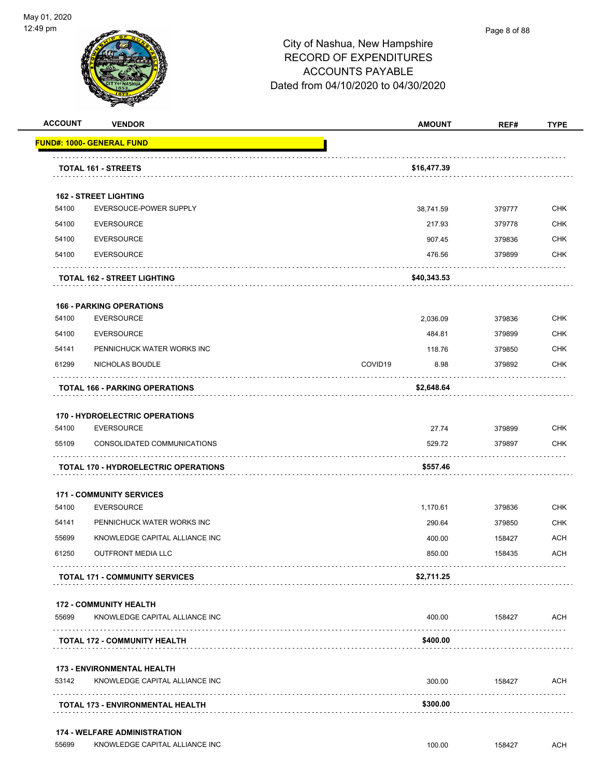

| <u> FUND#: 1000- GENERAL FUND</u><br><b>TOTAL 161 - STREETS</b> |                                                                                                                                                                                                                                                                                                                                                                                                                                                                                                                                                                                                                                                                                                                                                                                                                                                     |        |            |
|-----------------------------------------------------------------|-----------------------------------------------------------------------------------------------------------------------------------------------------------------------------------------------------------------------------------------------------------------------------------------------------------------------------------------------------------------------------------------------------------------------------------------------------------------------------------------------------------------------------------------------------------------------------------------------------------------------------------------------------------------------------------------------------------------------------------------------------------------------------------------------------------------------------------------------------|--------|------------|
|                                                                 |                                                                                                                                                                                                                                                                                                                                                                                                                                                                                                                                                                                                                                                                                                                                                                                                                                                     |        |            |
|                                                                 | \$16,477.39                                                                                                                                                                                                                                                                                                                                                                                                                                                                                                                                                                                                                                                                                                                                                                                                                                         |        |            |
| <b>162 - STREET LIGHTING</b>                                    |                                                                                                                                                                                                                                                                                                                                                                                                                                                                                                                                                                                                                                                                                                                                                                                                                                                     |        |            |
| EVERSOUCE-POWER SUPPLY                                          | 38,741.59                                                                                                                                                                                                                                                                                                                                                                                                                                                                                                                                                                                                                                                                                                                                                                                                                                           | 379777 | <b>CHK</b> |
|                                                                 | 217.93                                                                                                                                                                                                                                                                                                                                                                                                                                                                                                                                                                                                                                                                                                                                                                                                                                              | 379778 | <b>CHK</b> |
|                                                                 | 907.45                                                                                                                                                                                                                                                                                                                                                                                                                                                                                                                                                                                                                                                                                                                                                                                                                                              | 379836 | <b>CHK</b> |
|                                                                 | 476.56                                                                                                                                                                                                                                                                                                                                                                                                                                                                                                                                                                                                                                                                                                                                                                                                                                              | 379899 | <b>CHK</b> |
|                                                                 | \$40,343.53                                                                                                                                                                                                                                                                                                                                                                                                                                                                                                                                                                                                                                                                                                                                                                                                                                         |        |            |
|                                                                 |                                                                                                                                                                                                                                                                                                                                                                                                                                                                                                                                                                                                                                                                                                                                                                                                                                                     |        |            |
|                                                                 | 2,036.09                                                                                                                                                                                                                                                                                                                                                                                                                                                                                                                                                                                                                                                                                                                                                                                                                                            | 379836 | <b>CHK</b> |
|                                                                 | 484.81                                                                                                                                                                                                                                                                                                                                                                                                                                                                                                                                                                                                                                                                                                                                                                                                                                              | 379899 | <b>CHK</b> |
|                                                                 | 118.76                                                                                                                                                                                                                                                                                                                                                                                                                                                                                                                                                                                                                                                                                                                                                                                                                                              | 379850 | <b>CHK</b> |
|                                                                 | COVID19<br>8.98                                                                                                                                                                                                                                                                                                                                                                                                                                                                                                                                                                                                                                                                                                                                                                                                                                     | 379892 | <b>CHK</b> |
|                                                                 | \$2,648.64                                                                                                                                                                                                                                                                                                                                                                                                                                                                                                                                                                                                                                                                                                                                                                                                                                          |        |            |
|                                                                 |                                                                                                                                                                                                                                                                                                                                                                                                                                                                                                                                                                                                                                                                                                                                                                                                                                                     |        |            |
|                                                                 | 27.74                                                                                                                                                                                                                                                                                                                                                                                                                                                                                                                                                                                                                                                                                                                                                                                                                                               | 379899 | <b>CHK</b> |
|                                                                 | 529.72                                                                                                                                                                                                                                                                                                                                                                                                                                                                                                                                                                                                                                                                                                                                                                                                                                              | 379897 | CHK        |
|                                                                 | \$557.46                                                                                                                                                                                                                                                                                                                                                                                                                                                                                                                                                                                                                                                                                                                                                                                                                                            |        |            |
|                                                                 |                                                                                                                                                                                                                                                                                                                                                                                                                                                                                                                                                                                                                                                                                                                                                                                                                                                     |        |            |
|                                                                 | 1,170.61                                                                                                                                                                                                                                                                                                                                                                                                                                                                                                                                                                                                                                                                                                                                                                                                                                            | 379836 | <b>CHK</b> |
|                                                                 | 290.64                                                                                                                                                                                                                                                                                                                                                                                                                                                                                                                                                                                                                                                                                                                                                                                                                                              | 379850 | <b>CHK</b> |
|                                                                 | 400.00                                                                                                                                                                                                                                                                                                                                                                                                                                                                                                                                                                                                                                                                                                                                                                                                                                              | 158427 | <b>ACH</b> |
|                                                                 | 850.00                                                                                                                                                                                                                                                                                                                                                                                                                                                                                                                                                                                                                                                                                                                                                                                                                                              | 158435 | <b>ACH</b> |
|                                                                 | \$2,711.25                                                                                                                                                                                                                                                                                                                                                                                                                                                                                                                                                                                                                                                                                                                                                                                                                                          |        |            |
|                                                                 |                                                                                                                                                                                                                                                                                                                                                                                                                                                                                                                                                                                                                                                                                                                                                                                                                                                     |        |            |
|                                                                 | 400.00                                                                                                                                                                                                                                                                                                                                                                                                                                                                                                                                                                                                                                                                                                                                                                                                                                              | 158427 | <b>ACH</b> |
|                                                                 | \$400.00                                                                                                                                                                                                                                                                                                                                                                                                                                                                                                                                                                                                                                                                                                                                                                                                                                            |        |            |
|                                                                 |                                                                                                                                                                                                                                                                                                                                                                                                                                                                                                                                                                                                                                                                                                                                                                                                                                                     |        |            |
|                                                                 | 300.00                                                                                                                                                                                                                                                                                                                                                                                                                                                                                                                                                                                                                                                                                                                                                                                                                                              | 158427 | ACH        |
|                                                                 | \$300.00                                                                                                                                                                                                                                                                                                                                                                                                                                                                                                                                                                                                                                                                                                                                                                                                                                            |        |            |
|                                                                 | <b>EVERSOURCE</b><br><b>EVERSOURCE</b><br><b>EVERSOURCE</b><br><b>TOTAL 162 - STREET LIGHTING</b><br><b>166 - PARKING OPERATIONS</b><br><b>EVERSOURCE</b><br><b>EVERSOURCE</b><br>PENNICHUCK WATER WORKS INC<br>NICHOLAS BOUDLE<br><b>TOTAL 166 - PARKING OPERATIONS</b><br><b>170 - HYDROELECTRIC OPERATIONS</b><br><b>EVERSOURCE</b><br>CONSOLIDATED COMMUNICATIONS<br><b>TOTAL 170 - HYDROELECTRIC OPERATIONS</b><br><b>171 - COMMUNITY SERVICES</b><br><b>EVERSOURCE</b><br>PENNICHUCK WATER WORKS INC<br>KNOWLEDGE CAPITAL ALLIANCE INC<br><b>OUTFRONT MEDIA LLC</b><br>.<br><b>TOTAL 171 - COMMUNITY SERVICES</b><br><b>172 - COMMUNITY HEALTH</b><br>KNOWLEDGE CAPITAL ALLIANCE INC<br><b>TOTAL 172 - COMMUNITY HEALTH</b><br><b>173 - ENVIRONMENTAL HEALTH</b><br>KNOWLEDGE CAPITAL ALLIANCE INC<br><b>TOTAL 173 - ENVIRONMENTAL HEALTH</b> |        |            |

55699 KNOWLEDGE CAPITAL ALLIANCE INC<br>
456699 KNOWLEDGE CAPITAL ALLIANCE INC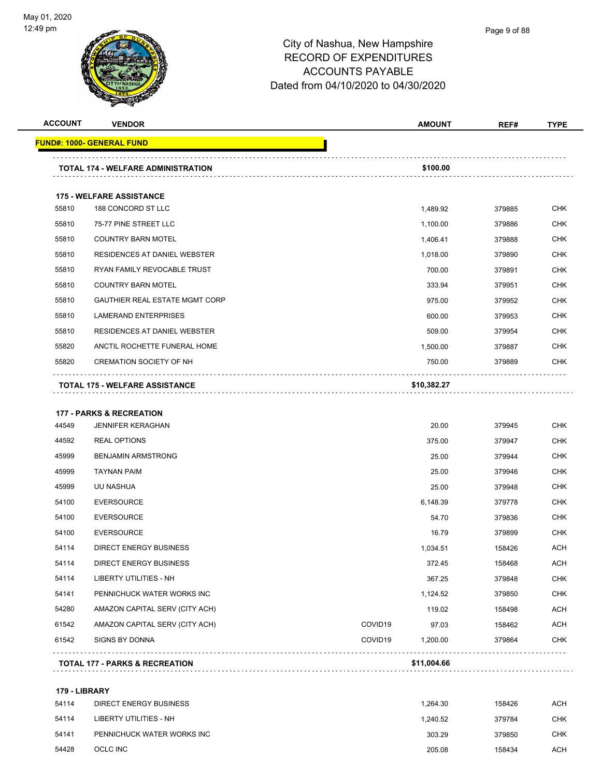

| <b>ACCOUNT</b> | <b>VENDOR</b>                             |         | <b>AMOUNT</b> | REF#   | <b>TYPE</b> |
|----------------|-------------------------------------------|---------|---------------|--------|-------------|
|                | <u> FUND#: 1000- GENERAL FUND</u>         |         |               |        |             |
|                | <b>TOTAL 174 - WELFARE ADMINISTRATION</b> |         | \$100.00      |        |             |
|                | <b>175 - WELFARE ASSISTANCE</b>           |         |               |        |             |
| 55810          | 188 CONCORD ST LLC                        |         | 1,489.92      | 379885 | <b>CHK</b>  |
| 55810          | 75-77 PINE STREET LLC                     |         | 1,100.00      | 379886 | <b>CHK</b>  |
| 55810          | <b>COUNTRY BARN MOTEL</b>                 |         | 1,406.41      | 379888 | <b>CHK</b>  |
| 55810          | <b>RESIDENCES AT DANIEL WEBSTER</b>       |         | 1,018.00      | 379890 | <b>CHK</b>  |
| 55810          | RYAN FAMILY REVOCABLE TRUST               |         | 700.00        | 379891 | <b>CHK</b>  |
| 55810          | <b>COUNTRY BARN MOTEL</b>                 |         | 333.94        | 379951 | <b>CHK</b>  |
| 55810          | <b>GAUTHIER REAL ESTATE MGMT CORP</b>     |         | 975.00        | 379952 | <b>CHK</b>  |
| 55810          | <b>LAMERAND ENTERPRISES</b>               |         | 600.00        | 379953 | <b>CHK</b>  |
| 55810          | RESIDENCES AT DANIEL WEBSTER              |         | 509.00        | 379954 | <b>CHK</b>  |
| 55820          | ANCTIL ROCHETTE FUNERAL HOME              |         | 1,500.00      | 379887 | <b>CHK</b>  |
| 55820          | <b>CREMATION SOCIETY OF NH</b>            |         | 750.00        | 379889 | CHK         |
|                | TOTAL 175 - WELFARE ASSISTANCE            |         | \$10,382.27   |        |             |
|                |                                           |         |               |        |             |
|                | <b>177 - PARKS &amp; RECREATION</b>       |         |               |        |             |
| 44549          | <b>JENNIFER KERAGHAN</b>                  |         | 20.00         | 379945 | <b>CHK</b>  |
| 44592          | <b>REAL OPTIONS</b>                       |         | 375.00        | 379947 | <b>CHK</b>  |
| 45999          | <b>BENJAMIN ARMSTRONG</b>                 |         | 25.00         | 379944 | <b>CHK</b>  |
| 45999          | <b>TAYNAN PAIM</b>                        |         | 25.00         | 379946 | <b>CHK</b>  |
| 45999          | UU NASHUA                                 |         | 25.00         | 379948 | <b>CHK</b>  |
| 54100          | <b>EVERSOURCE</b>                         |         | 6,148.39      | 379778 | <b>CHK</b>  |
| 54100          | <b>EVERSOURCE</b>                         |         | 54.70         | 379836 | <b>CHK</b>  |
| 54100          | <b>EVERSOURCE</b>                         |         | 16.79         | 379899 | <b>CHK</b>  |
| 54114          | <b>DIRECT ENERGY BUSINESS</b>             |         | 1,034.51      | 158426 | <b>ACH</b>  |
| 54114          | DIRECT ENERGY BUSINESS                    |         | 372.45        | 158468 | ACH         |
| 54114          | <b>LIBERTY UTILITIES - NH</b>             |         | 367.25        | 379848 | <b>CHK</b>  |
| 54141          | PENNICHUCK WATER WORKS INC                |         | 1,124.52      | 379850 | <b>CHK</b>  |
| 54280          | AMAZON CAPITAL SERV (CITY ACH)            |         | 119.02        | 158498 | <b>ACH</b>  |
| 61542          | AMAZON CAPITAL SERV (CITY ACH)            | COVID19 | 97.03         | 158462 | ACH         |
| 61542          | <b>SIGNS BY DONNA</b>                     | COVID19 | 1,200.00      | 379864 | <b>CHK</b>  |
|                | TOTAL 177 - PARKS & RECREATION            |         | \$11,004.66   |        |             |
| 179 - LIBRARY  |                                           |         |               |        |             |
| 54114          | <b>DIRECT ENERGY BUSINESS</b>             |         | 1,264.30      | 158426 | <b>ACH</b>  |
| 54114          | LIBERTY UTILITIES - NH                    |         | 1,240.52      | 379784 | CHK         |
| 54141          | PENNICHUCK WATER WORKS INC                |         | 303.29        | 379850 | <b>CHK</b>  |
|                |                                           |         |               |        |             |

OCLC INC 205.08 158434 ACH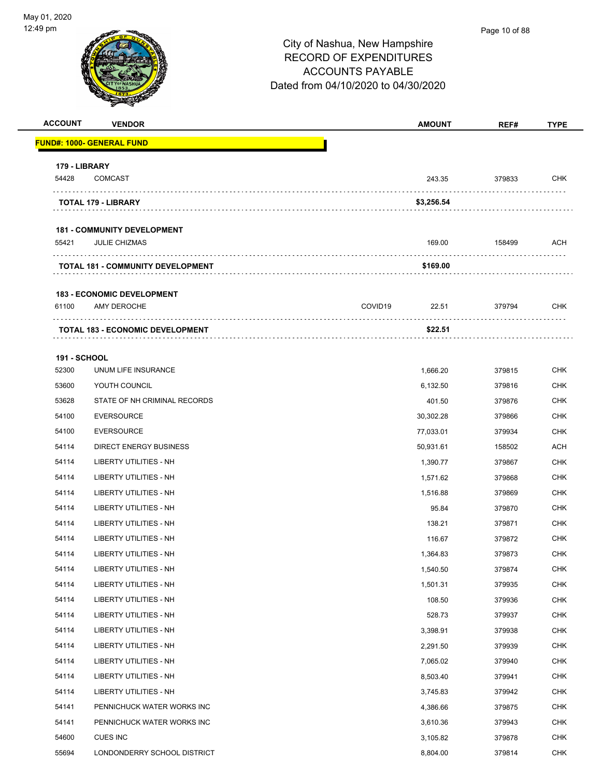# City of Nashua, New Hampshire RECORD OF EXPENDITURES ACCOUNTS PAYABLE Dated from 04/10/2020 to 04/30/2020 **ACCOUNT VENDOR AMOUNT REF# TYPE FUND#: 1000- GENERAL FUND 179 - LIBRARY** 54428 COMCAST 243.35 379833 CHK . . . . . . . . . . . . . . . . . . . **TOTAL 179 - LIBRARY \$3,256.54 181 - COMMUNITY DEVELOPMENT** 55421 JULIE CHIZMAS 169.00 158499 ACH **TOTAL 181 - COMMUNITY DEVELOPMENT \$169.00 183 - ECONOMIC DEVELOPMENT** 61100 AMY DEROCHE COVID19 22.51 379794 CHK . . . . . . . . . . . . . . . . . . **TOTAL 183 - ECONOMIC DEVELOPMENT \$22.51** . . . . . . . . . **191 - SCHOOL** 52300 UNUM LIFE INSURANCE 1,666.20 379815 CHK 53600 YOUTH COUNCIL 6,132.50 379816 CHK 53628 STATE OF NH CRIMINAL RECORDS 401.50 379876 CHK 54100 EVERSOURCE 30,302.28 379866 CHK 54100 EVERSOURCE 77,033.01 379934 CHK 54114 DIRECT ENERGY BUSINESS 60.931.61 158502 ACH 54114 LIBERTY UTILITIES - NH 1,390.77 379867 CHK 54114 LIBERTY UTILITIES - NH 1,571.62 379868 CHK 54114 LIBERTY UTILITIES - NH 1,516.88 379869 CHK 54114 LIBERTY UTILITIES - NH 95.84 379870 CHK 54114 LIBERTY UTILITIES - NH 138.21 379871 CHK 54114 LIBERTY UTILITIES - NH 116.67 379872 CHK 54114 LIBERTY UTILITIES - NH 1,364.83 379873 CHK 54114 LIBERTY UTILITIES - NH 1,540.50 379874 CHK 54114 LIBERTY UTILITIES - NH 1,501.31 379935 CHK 54114 LIBERTY UTILITIES - NH 108.50 379936 CHK ed the set of the set of the set of the set of the set of the set of the set of the set of the set of the set of the set of the set of the set of the set of the set of the set of the set of the set of the set of the set of 54114 LIBERTY UTILITIES - NH 3,398.91 379938 CHK 54114 LIBERTY UTILITIES - NH 2,291.50 379939 CHK 54114 LIBERTY UTILITIES - NH 7,065.02 379940 CHK 54114 LIBERTY UTILITIES - NH 8,503.40 379941 CHK 54114 LIBERTY UTILITIES - NH 3,745.83 379942 CHK 54141 PENNICHUCK WATER WORKS INC 4,386.66 379875 CHK 54141 PENNICHUCK WATER WORKS INC CHANNEL STORES AND RESERVE THE STORE STORES AND RESERVE THE STORE STORES AND THE STORE STORES AND RESERVE THE STORE STORES AND RESERVE THE STORE STORES AND RESERVE THE STORES AND RESERVE TH 54600 CUES INC 3,105.82 379878 CHK 55694 LONDONDERRY SCHOOL DISTRICT 8,804.00 379814 CHK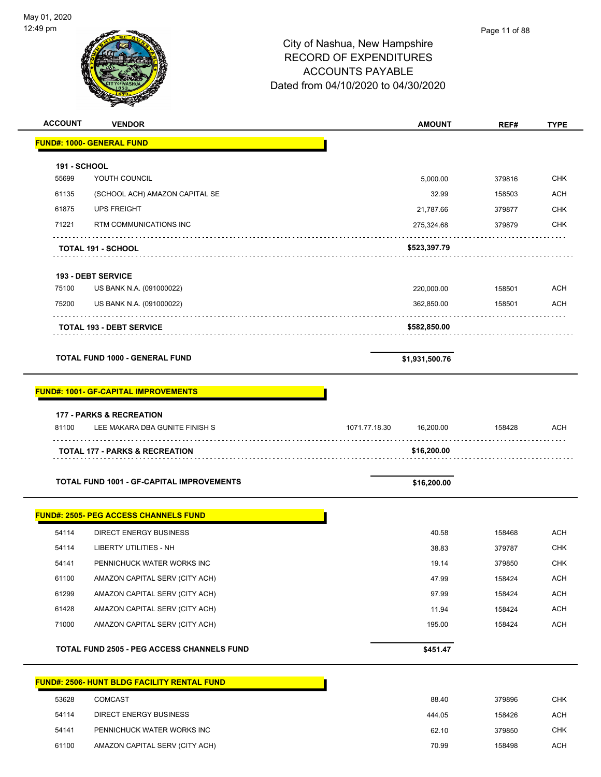| <b>ACCOUNT</b>        | <b>VENDOR</b>                                      | <b>AMOUNT</b>              | REF#   | <b>TYPE</b> |
|-----------------------|----------------------------------------------------|----------------------------|--------|-------------|
|                       | <b>FUND#: 1000- GENERAL FUND</b>                   |                            |        |             |
|                       |                                                    |                            |        |             |
| 191 - SCHOOL<br>55699 | YOUTH COUNCIL                                      | 5,000.00                   | 379816 | <b>CHK</b>  |
| 61135                 | (SCHOOL ACH) AMAZON CAPITAL SE                     | 32.99                      | 158503 | <b>ACH</b>  |
| 61875                 | <b>UPS FREIGHT</b>                                 | 21,787.66                  | 379877 | <b>CHK</b>  |
| 71221                 | <b>RTM COMMUNICATIONS INC</b>                      | 275,324.68                 | 379879 | <b>CHK</b>  |
|                       |                                                    |                            |        |             |
|                       | <b>TOTAL 191 - SCHOOL</b>                          | \$523,397.79               |        |             |
|                       | <b>193 - DEBT SERVICE</b>                          |                            |        |             |
| 75100                 | US BANK N.A. (091000022)                           | 220,000.00                 | 158501 | ACH         |
| 75200                 | US BANK N.A. (091000022)                           | 362,850.00                 | 158501 | <b>ACH</b>  |
|                       |                                                    |                            |        |             |
|                       | <b>TOTAL 193 - DEBT SERVICE</b>                    | \$582,850.00               |        |             |
|                       | <b>TOTAL FUND 1000 - GENERAL FUND</b>              | \$1,931,500.76             |        |             |
|                       |                                                    |                            |        |             |
|                       | <b>FUND#: 1001- GF-CAPITAL IMPROVEMENTS</b>        |                            |        |             |
|                       | <b>177 - PARKS &amp; RECREATION</b>                |                            |        |             |
| 81100                 | LEE MAKARA DBA GUNITE FINISH S                     | 1071.77.18.30<br>16,200.00 | 158428 | ACH         |
|                       | <b>TOTAL 177 - PARKS &amp; RECREATION</b>          | \$16,200.00                |        |             |
|                       |                                                    |                            |        |             |
|                       | <b>TOTAL FUND 1001 - GF-CAPITAL IMPROVEMENTS</b>   | \$16,200.00                |        |             |
|                       | <b>FUND#: 2505- PEG ACCESS CHANNELS FUND</b>       |                            |        |             |
| 54114                 | <b>DIRECT ENERGY BUSINESS</b>                      | 40.58                      | 158468 | ACH         |
| 54114                 | <b>LIBERTY UTILITIES - NH</b>                      | 38.83                      | 379787 | <b>CHK</b>  |
| 54141                 | PENNICHUCK WATER WORKS INC                         | 19.14                      | 379850 | <b>CHK</b>  |
| 61100                 | AMAZON CAPITAL SERV (CITY ACH)                     | 47.99                      | 158424 | <b>ACH</b>  |
| 61299                 | AMAZON CAPITAL SERV (CITY ACH)                     | 97.99                      | 158424 | <b>ACH</b>  |
| 61428                 | AMAZON CAPITAL SERV (CITY ACH)                     | 11.94                      | 158424 | <b>ACH</b>  |
| 71000                 | AMAZON CAPITAL SERV (CITY ACH)                     | 195.00                     | 158424 | <b>ACH</b>  |
|                       | TOTAL FUND 2505 - PEG ACCESS CHANNELS FUND         | \$451.47                   |        |             |
|                       |                                                    |                            |        |             |
|                       | <b>FUND#: 2506- HUNT BLDG FACILITY RENTAL FUND</b> |                            |        |             |
| 53628                 | COMCAST                                            | 88.40                      | 379896 | <b>CHK</b>  |
| 54114                 | <b>DIRECT ENERGY BUSINESS</b>                      | 444.05                     | 158426 | <b>ACH</b>  |
| 54141                 | PENNICHUCK WATER WORKS INC                         | 62.10                      | 379850 | <b>CHK</b>  |

61100 AMAZON CAPITAL SERV (CITY ACH) 70.99 158498 ACH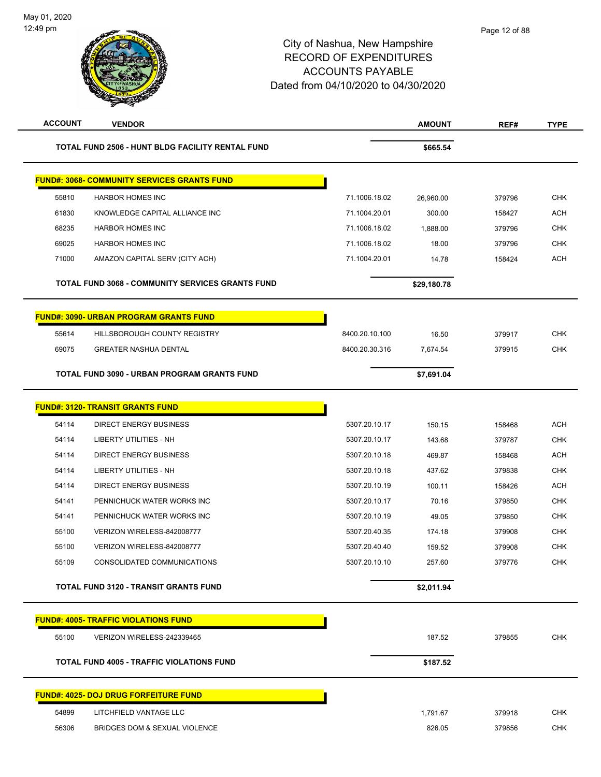| <b>ACCOUNT</b> | <b>VENDOR</b>                                           |                | <b>AMOUNT</b> | REF#   | <b>TYPE</b> |
|----------------|---------------------------------------------------------|----------------|---------------|--------|-------------|
|                | TOTAL FUND 2506 - HUNT BLDG FACILITY RENTAL FUND        |                | \$665.54      |        |             |
|                | <b>FUND#: 3068- COMMUNITY SERVICES GRANTS FUND</b>      |                |               |        |             |
| 55810          | <b>HARBOR HOMES INC</b>                                 | 71.1006.18.02  | 26,960.00     | 379796 | CHK         |
| 61830          | KNOWLEDGE CAPITAL ALLIANCE INC                          | 71.1004.20.01  | 300.00        | 158427 | <b>ACH</b>  |
| 68235          | <b>HARBOR HOMES INC</b>                                 | 71.1006.18.02  | 1,888.00      | 379796 | <b>CHK</b>  |
| 69025          | <b>HARBOR HOMES INC</b>                                 | 71.1006.18.02  | 18.00         | 379796 | <b>CHK</b>  |
| 71000          | AMAZON CAPITAL SERV (CITY ACH)                          | 71.1004.20.01  | 14.78         | 158424 | <b>ACH</b>  |
|                | <b>TOTAL FUND 3068 - COMMUNITY SERVICES GRANTS FUND</b> |                | \$29,180.78   |        |             |
|                | <b>FUND#: 3090- URBAN PROGRAM GRANTS FUND</b>           |                |               |        |             |
| 55614          | HILLSBOROUGH COUNTY REGISTRY                            | 8400.20.10.100 | 16.50         | 379917 | <b>CHK</b>  |
| 69075          | <b>GREATER NASHUA DENTAL</b>                            | 8400.20.30.316 | 7,674.54      | 379915 | <b>CHK</b>  |
|                | <b>TOTAL FUND 3090 - URBAN PROGRAM GRANTS FUND</b>      |                | \$7,691.04    |        |             |
|                | <b>FUND#: 3120- TRANSIT GRANTS FUND</b>                 |                |               |        |             |
| 54114          | <b>DIRECT ENERGY BUSINESS</b>                           | 5307.20.10.17  | 150.15        | 158468 | <b>ACH</b>  |
| 54114          | LIBERTY UTILITIES - NH                                  | 5307.20.10.17  | 143.68        | 379787 | <b>CHK</b>  |
| 54114          | <b>DIRECT ENERGY BUSINESS</b>                           | 5307.20.10.18  | 469.87        | 158468 | <b>ACH</b>  |
| 54114          | LIBERTY UTILITIES - NH                                  | 5307.20.10.18  | 437.62        | 379838 | <b>CHK</b>  |
| 54114          | <b>DIRECT ENERGY BUSINESS</b>                           | 5307.20.10.19  | 100.11        | 158426 | <b>ACH</b>  |
| 54141          | PENNICHUCK WATER WORKS INC                              | 5307.20.10.17  | 70.16         | 379850 | <b>CHK</b>  |
| 54141          | PENNICHUCK WATER WORKS INC                              | 5307.20.10.19  | 49.05         | 379850 | <b>CHK</b>  |
| 55100          | VERIZON WIRELESS-842008777                              | 5307.20.40.35  | 174.18        | 379908 | <b>CHK</b>  |
| 55100          | VERIZON WIRELESS-842008777                              | 5307.20.40.40  | 159.52        | 379908 | <b>CHK</b>  |
| 55109          | CONSOLIDATED COMMUNICATIONS                             | 5307.20.10.10  | 257.60        | 379776 | <b>CHK</b>  |
|                | <b>TOTAL FUND 3120 - TRANSIT GRANTS FUND</b>            |                | \$2,011.94    |        |             |
|                | <b>FUND#: 4005- TRAFFIC VIOLATIONS FUND</b>             |                |               |        |             |
| 55100          | VERIZON WIRELESS-242339465                              |                | 187.52        | 379855 | CHK         |
|                | <b>TOTAL FUND 4005 - TRAFFIC VIOLATIONS FUND</b>        |                | \$187.52      |        |             |
|                | <b>FUND#: 4025- DOJ DRUG FORFEITURE FUND</b>            |                |               |        |             |
| 54899          | LITCHFIELD VANTAGE LLC                                  |                | 1,791.67      | 379918 | <b>CHK</b>  |
| 56306          | BRIDGES DOM & SEXUAL VIOLENCE                           |                | 826.05        | 379856 | <b>CHK</b>  |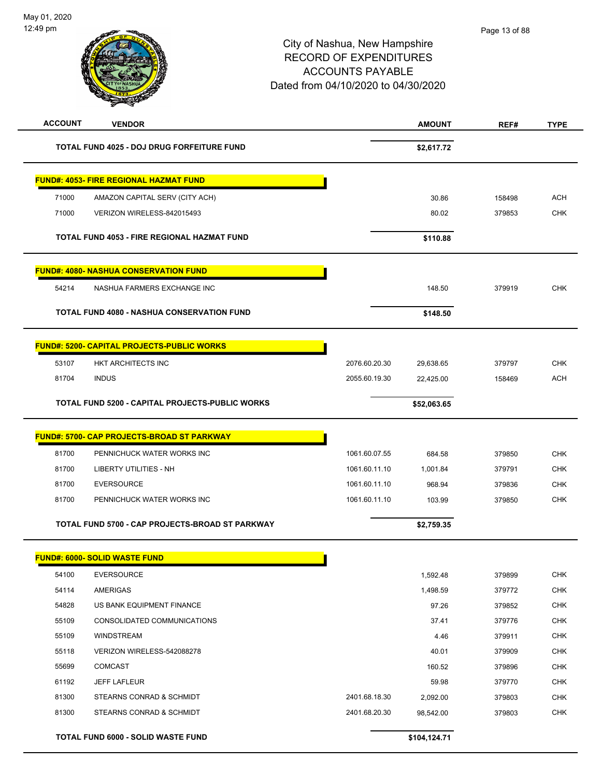| <b>ACCOUNT</b> | <b>VENDOR</b>                                     |               | <b>AMOUNT</b> | REF#   | <b>TYPE</b> |
|----------------|---------------------------------------------------|---------------|---------------|--------|-------------|
|                | TOTAL FUND 4025 - DOJ DRUG FORFEITURE FUND        |               | \$2,617.72    |        |             |
|                | <b>FUND#: 4053- FIRE REGIONAL HAZMAT FUND</b>     |               |               |        |             |
| 71000          | AMAZON CAPITAL SERV (CITY ACH)                    |               | 30.86         | 158498 | <b>ACH</b>  |
| 71000          | VERIZON WIRELESS-842015493                        |               | 80.02         | 379853 | <b>CHK</b>  |
|                | TOTAL FUND 4053 - FIRE REGIONAL HAZMAT FUND       |               | \$110.88      |        |             |
|                | <b>FUND#: 4080- NASHUA CONSERVATION FUND</b>      |               |               |        |             |
| 54214          | NASHUA FARMERS EXCHANGE INC                       |               | 148.50        | 379919 | <b>CHK</b>  |
|                | <b>TOTAL FUND 4080 - NASHUA CONSERVATION FUND</b> |               | \$148.50      |        |             |
|                | <b>FUND#: 5200- CAPITAL PROJECTS-PUBLIC WORKS</b> |               |               |        |             |
| 53107          | HKT ARCHITECTS INC                                | 2076.60.20.30 | 29,638.65     | 379797 | <b>CHK</b>  |
| 81704          | <b>INDUS</b>                                      | 2055.60.19.30 | 22,425.00     | 158469 | <b>ACH</b>  |
|                | TOTAL FUND 5200 - CAPITAL PROJECTS-PUBLIC WORKS   |               | \$52,063.65   |        |             |
|                | <b>FUND#: 5700- CAP PROJECTS-BROAD ST PARKWAY</b> |               |               |        |             |
| 81700          | PENNICHUCK WATER WORKS INC                        | 1061.60.07.55 | 684.58        | 379850 | <b>CHK</b>  |
| 81700          | <b>LIBERTY UTILITIES - NH</b>                     | 1061.60.11.10 | 1,001.84      | 379791 | <b>CHK</b>  |
| 81700          | <b>EVERSOURCE</b>                                 | 1061.60.11.10 | 968.94        | 379836 | <b>CHK</b>  |
| 81700          | PENNICHUCK WATER WORKS INC                        | 1061.60.11.10 | 103.99        | 379850 | <b>CHK</b>  |
|                | TOTAL FUND 5700 - CAP PROJECTS-BROAD ST PARKWAY   |               | \$2,759.35    |        |             |
|                | <b>FUND#: 6000- SOLID WASTE FUND</b>              |               |               |        |             |
| 54100          | <b>EVERSOURCE</b>                                 |               | 1,592.48      | 379899 | <b>CHK</b>  |
| 54114          | AMERIGAS                                          |               | 1,498.59      | 379772 | <b>CHK</b>  |
| 54828          | US BANK EQUIPMENT FINANCE                         |               | 97.26         | 379852 | <b>CHK</b>  |
| 55109          | CONSOLIDATED COMMUNICATIONS                       |               | 37.41         | 379776 | <b>CHK</b>  |
| 55109          | <b>WINDSTREAM</b>                                 |               | 4.46          | 379911 | <b>CHK</b>  |
| 55118          | VERIZON WIRELESS-542088278                        |               | 40.01         | 379909 | <b>CHK</b>  |
| 55699          | <b>COMCAST</b>                                    |               | 160.52        | 379896 | <b>CHK</b>  |
| 61192          | <b>JEFF LAFLEUR</b>                               |               | 59.98         | 379770 | <b>CHK</b>  |
| 81300          | STEARNS CONRAD & SCHMIDT                          | 2401.68.18.30 | 2,092.00      | 379803 | <b>CHK</b>  |
| 81300          | STEARNS CONRAD & SCHMIDT                          | 2401.68.20.30 | 98,542.00     | 379803 | CHK         |
|                | TOTAL FUND 6000 - SOLID WASTE FUND                |               | \$104,124.71  |        |             |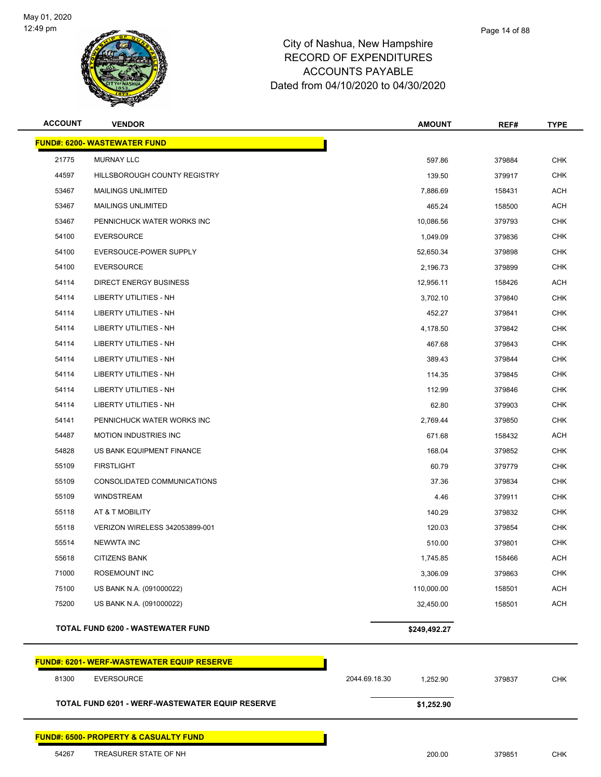

| <b>ACCOUNT</b> | <b>VENDOR</b>                                     | <b>AMOUNT</b>             | REF#   | <b>TYPE</b> |  |  |
|----------------|---------------------------------------------------|---------------------------|--------|-------------|--|--|
|                | <b>FUND#: 6200- WASTEWATER FUND</b>               |                           |        |             |  |  |
| 21775          | <b>MURNAY LLC</b>                                 | 597.86                    | 379884 | <b>CHK</b>  |  |  |
| 44597          | HILLSBOROUGH COUNTY REGISTRY                      | 139.50                    | 379917 | <b>CHK</b>  |  |  |
| 53467          | <b>MAILINGS UNLIMITED</b>                         | 7,886.69                  | 158431 | <b>ACH</b>  |  |  |
| 53467          | <b>MAILINGS UNLIMITED</b>                         | 465.24                    | 158500 | <b>ACH</b>  |  |  |
| 53467          | PENNICHUCK WATER WORKS INC                        | 10,086.56                 | 379793 | <b>CHK</b>  |  |  |
| 54100          | <b>EVERSOURCE</b>                                 | 1,049.09                  | 379836 | <b>CHK</b>  |  |  |
| 54100          | EVERSOUCE-POWER SUPPLY                            | 52,650.34                 | 379898 | <b>CHK</b>  |  |  |
| 54100          | <b>EVERSOURCE</b>                                 | 2,196.73                  | 379899 | <b>CHK</b>  |  |  |
| 54114          | <b>DIRECT ENERGY BUSINESS</b>                     | 12,956.11                 | 158426 | <b>ACH</b>  |  |  |
| 54114          | LIBERTY UTILITIES - NH                            | 3,702.10                  | 379840 | <b>CHK</b>  |  |  |
| 54114          | <b>LIBERTY UTILITIES - NH</b>                     | 452.27                    | 379841 | <b>CHK</b>  |  |  |
| 54114          | <b>LIBERTY UTILITIES - NH</b>                     | 4,178.50                  | 379842 | <b>CHK</b>  |  |  |
| 54114          | LIBERTY UTILITIES - NH                            | 467.68                    | 379843 | <b>CHK</b>  |  |  |
| 54114          | LIBERTY UTILITIES - NH                            | 389.43                    | 379844 | <b>CHK</b>  |  |  |
| 54114          | LIBERTY UTILITIES - NH                            | 114.35                    | 379845 | <b>CHK</b>  |  |  |
| 54114          | LIBERTY UTILITIES - NH                            | 112.99                    | 379846 | <b>CHK</b>  |  |  |
| 54114          | <b>LIBERTY UTILITIES - NH</b>                     | 62.80                     | 379903 | <b>CHK</b>  |  |  |
| 54141          | PENNICHUCK WATER WORKS INC                        | 2,769.44                  | 379850 | <b>CHK</b>  |  |  |
| 54487          | <b>MOTION INDUSTRIES INC</b>                      | 671.68                    | 158432 | <b>ACH</b>  |  |  |
| 54828          | US BANK EQUIPMENT FINANCE                         | 168.04                    | 379852 | <b>CHK</b>  |  |  |
| 55109          | <b>FIRSTLIGHT</b>                                 | 60.79                     | 379779 | <b>CHK</b>  |  |  |
| 55109          | CONSOLIDATED COMMUNICATIONS                       | 37.36                     | 379834 | <b>CHK</b>  |  |  |
| 55109          | <b>WINDSTREAM</b>                                 | 4.46                      | 379911 | <b>CHK</b>  |  |  |
| 55118          | AT & T MOBILITY                                   | 140.29                    | 379832 | <b>CHK</b>  |  |  |
| 55118          | VERIZON WIRELESS 342053899-001                    | 120.03                    | 379854 | <b>CHK</b>  |  |  |
| 55514          | <b>NEWWTA INC</b>                                 | 510.00                    | 379801 | <b>CHK</b>  |  |  |
| 55618          | CITIZENS BANK                                     | 1,745.85                  | 158466 | <b>ACH</b>  |  |  |
| 71000          | <b>ROSEMOUNT INC</b>                              | 3,306.09                  | 379863 | <b>CHK</b>  |  |  |
| 75100          | US BANK N.A. (091000022)                          | 110,000.00                | 158501 | <b>ACH</b>  |  |  |
| 75200          | US BANK N.A. (091000022)                          | 32,450.00                 | 158501 | ACH         |  |  |
|                | <b>TOTAL FUND 6200 - WASTEWATER FUND</b>          | \$249,492.27              |        |             |  |  |
|                | <b>FUND#: 6201- WERF-WASTEWATER EQUIP RESERVE</b> |                           |        |             |  |  |
| 81300          | <b>EVERSOURCE</b>                                 | 2044.69.18.30<br>1,252.90 | 379837 | <b>CHK</b>  |  |  |
|                | TOTAL FUND 6201 - WERF-WASTEWATER EQUIP RESERVE   | \$1,252.90                |        |             |  |  |
|                | <b>FUND#: 6500- PROPERTY &amp; CASUALTY FUND</b>  |                           |        |             |  |  |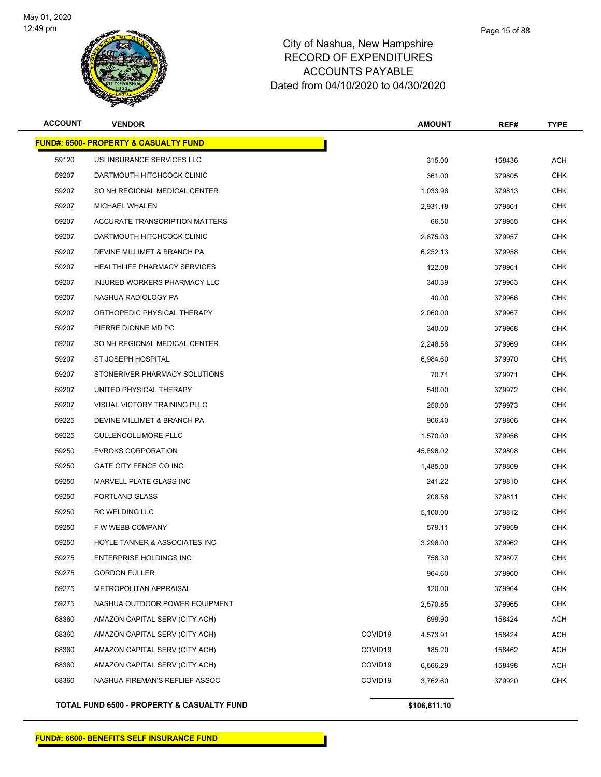

| <b>ACCOUNT</b> | <b>VENDOR</b>                                    |                     | <b>AMOUNT</b> | REF#   | <b>TYPE</b> |
|----------------|--------------------------------------------------|---------------------|---------------|--------|-------------|
|                | <b>FUND#: 6500- PROPERTY &amp; CASUALTY FUND</b> |                     |               |        |             |
| 59120          | USI INSURANCE SERVICES LLC                       |                     | 315.00        | 158436 | ACH         |
| 59207          | DARTMOUTH HITCHCOCK CLINIC                       |                     | 361.00        | 379805 | <b>CHK</b>  |
| 59207          | SO NH REGIONAL MEDICAL CENTER                    |                     | 1,033.96      | 379813 | <b>CHK</b>  |
| 59207          | <b>MICHAEL WHALEN</b>                            |                     | 2,931.18      | 379861 | CHK         |
| 59207          | <b>ACCURATE TRANSCRIPTION MATTERS</b>            |                     | 66.50         | 379955 | <b>CHK</b>  |
| 59207          | DARTMOUTH HITCHCOCK CLINIC                       |                     | 2,875.03      | 379957 | <b>CHK</b>  |
| 59207          | DEVINE MILLIMET & BRANCH PA                      |                     | 6,252.13      | 379958 | <b>CHK</b>  |
| 59207          | <b>HEALTHLIFE PHARMACY SERVICES</b>              |                     | 122.08        | 379961 | CHK         |
| 59207          | INJURED WORKERS PHARMACY LLC                     |                     | 340.39        | 379963 | CHK         |
| 59207          | NASHUA RADIOLOGY PA                              |                     | 40.00         | 379966 | <b>CHK</b>  |
| 59207          | ORTHOPEDIC PHYSICAL THERAPY                      |                     | 2,060.00      | 379967 | <b>CHK</b>  |
| 59207          | PIERRE DIONNE MD PC                              |                     | 340.00        | 379968 | <b>CHK</b>  |
| 59207          | SO NH REGIONAL MEDICAL CENTER                    |                     | 2,246.56      | 379969 | <b>CHK</b>  |
| 59207          | ST JOSEPH HOSPITAL                               |                     | 6.984.60      | 379970 | CHK         |
| 59207          | STONERIVER PHARMACY SOLUTIONS                    |                     | 70.71         | 379971 | <b>CHK</b>  |
| 59207          | UNITED PHYSICAL THERAPY                          |                     | 540.00        | 379972 | <b>CHK</b>  |
| 59207          | VISUAL VICTORY TRAINING PLLC                     |                     | 250.00        | 379973 | <b>CHK</b>  |
| 59225          | DEVINE MILLIMET & BRANCH PA                      |                     | 906.40        | 379806 | CHK         |
| 59225          | <b>CULLENCOLLIMORE PLLC</b>                      |                     | 1,570.00      | 379956 | CHK         |
| 59250          | <b>EVROKS CORPORATION</b>                        |                     | 45,896.02     | 379808 | <b>CHK</b>  |
| 59250          | GATE CITY FENCE CO INC                           |                     | 1,485.00      | 379809 | CHK         |
| 59250          | MARVELL PLATE GLASS INC                          |                     | 241.22        | 379810 | <b>CHK</b>  |
| 59250          | PORTLAND GLASS                                   |                     | 208.56        | 379811 | CHK         |
| 59250          | <b>RC WELDING LLC</b>                            |                     | 5,100.00      | 379812 | CHK         |
| 59250          | F W WEBB COMPANY                                 |                     | 579.11        | 379959 | <b>CHK</b>  |
| 59250          | HOYLE TANNER & ASSOCIATES INC                    |                     | 3,296.00      | 379962 | <b>CHK</b>  |
| 59275          | ENTERPRISE HOLDINGS INC                          |                     | 756.30        | 379807 | CHK         |
| 59275          | <b>GORDON FULLER</b>                             |                     | 964.60        | 379960 | <b>CHK</b>  |
| 59275          | METROPOLITAN APPRAISAL                           |                     | 120.00        | 379964 | <b>CHK</b>  |
| 59275          | NASHUA OUTDOOR POWER EQUIPMENT                   |                     | 2,570.85      | 379965 | <b>CHK</b>  |
| 68360          | AMAZON CAPITAL SERV (CITY ACH)                   |                     | 699.90        | 158424 | ACH         |
| 68360          | AMAZON CAPITAL SERV (CITY ACH)                   | COVID19             | 4,573.91      | 158424 | ACH         |
| 68360          | AMAZON CAPITAL SERV (CITY ACH)                   | COVID <sub>19</sub> | 185.20        | 158462 | <b>ACH</b>  |
| 68360          | AMAZON CAPITAL SERV (CITY ACH)                   | COVID <sub>19</sub> | 6,666.29      | 158498 | ACH         |
| 68360          | NASHUA FIREMAN'S REFLIEF ASSOC                   | COVID <sub>19</sub> | 3,762.60      | 379920 | <b>CHK</b>  |
|                |                                                  |                     |               |        |             |

**TOTAL FUND 6500 - PROPERTY & CASUALTY FUND \$106,611.10**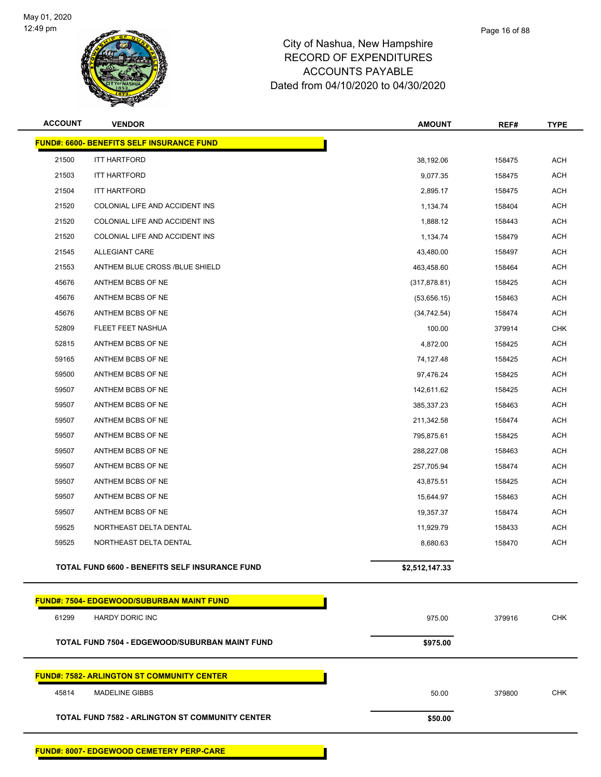

| <b>ACCOUNT</b> | <b>VENDOR</b>                                          | <b>AMOUNT</b>  | REF#   | <b>TYPE</b> |  |  |  |  |  |
|----------------|--------------------------------------------------------|----------------|--------|-------------|--|--|--|--|--|
|                | <b>FUND#: 6600- BENEFITS SELF INSURANCE FUND</b>       |                |        |             |  |  |  |  |  |
| 21500          | <b>ITT HARTFORD</b>                                    | 38,192.06      | 158475 | <b>ACH</b>  |  |  |  |  |  |
| 21503          | <b>ITT HARTFORD</b>                                    | 9,077.35       | 158475 | <b>ACH</b>  |  |  |  |  |  |
| 21504          | <b>ITT HARTFORD</b>                                    | 2,895.17       | 158475 | <b>ACH</b>  |  |  |  |  |  |
| 21520          | COLONIAL LIFE AND ACCIDENT INS                         | 1,134.74       | 158404 | <b>ACH</b>  |  |  |  |  |  |
| 21520          | COLONIAL LIFE AND ACCIDENT INS                         | 1,888.12       | 158443 | <b>ACH</b>  |  |  |  |  |  |
| 21520          | COLONIAL LIFE AND ACCIDENT INS                         | 1,134.74       | 158479 | <b>ACH</b>  |  |  |  |  |  |
| 21545          | ALLEGIANT CARE                                         | 43,480.00      | 158497 | <b>ACH</b>  |  |  |  |  |  |
| 21553          | ANTHEM BLUE CROSS /BLUE SHIELD                         | 463,458.60     | 158464 | <b>ACH</b>  |  |  |  |  |  |
| 45676          | ANTHEM BCBS OF NE                                      | (317, 878.81)  | 158425 | ACH         |  |  |  |  |  |
| 45676          | ANTHEM BCBS OF NE                                      | (53,656.15)    | 158463 | <b>ACH</b>  |  |  |  |  |  |
| 45676          | ANTHEM BCBS OF NE                                      | (34, 742.54)   | 158474 | <b>ACH</b>  |  |  |  |  |  |
| 52809          | FLEET FEET NASHUA                                      | 100.00         | 379914 | <b>CHK</b>  |  |  |  |  |  |
| 52815          | ANTHEM BCBS OF NE                                      | 4,872.00       | 158425 | <b>ACH</b>  |  |  |  |  |  |
| 59165          | ANTHEM BCBS OF NE                                      | 74,127.48      | 158425 | <b>ACH</b>  |  |  |  |  |  |
| 59500          | ANTHEM BCBS OF NE                                      | 97,476.24      | 158425 | <b>ACH</b>  |  |  |  |  |  |
| 59507          | ANTHEM BCBS OF NE                                      | 142,611.62     | 158425 | <b>ACH</b>  |  |  |  |  |  |
| 59507          | ANTHEM BCBS OF NE                                      | 385,337.23     | 158463 | <b>ACH</b>  |  |  |  |  |  |
| 59507          | ANTHEM BCBS OF NE                                      | 211,342.58     | 158474 | <b>ACH</b>  |  |  |  |  |  |
| 59507          | ANTHEM BCBS OF NE                                      | 795,875.61     | 158425 | <b>ACH</b>  |  |  |  |  |  |
| 59507          | ANTHEM BCBS OF NE                                      | 288,227.08     | 158463 | <b>ACH</b>  |  |  |  |  |  |
| 59507          | ANTHEM BCBS OF NE                                      | 257,705.94     | 158474 | <b>ACH</b>  |  |  |  |  |  |
| 59507          | ANTHEM BCBS OF NE                                      | 43,875.51      | 158425 | <b>ACH</b>  |  |  |  |  |  |
| 59507          | ANTHEM BCBS OF NE                                      | 15,644.97      | 158463 | <b>ACH</b>  |  |  |  |  |  |
| 59507          | ANTHEM BCBS OF NE                                      | 19,357.37      | 158474 | <b>ACH</b>  |  |  |  |  |  |
| 59525          | NORTHEAST DELTA DENTAL                                 | 11,929.79      | 158433 | <b>ACH</b>  |  |  |  |  |  |
| 59525          | NORTHEAST DELTA DENTAL                                 | 8,680.63       | 158470 | <b>ACH</b>  |  |  |  |  |  |
|                | TOTAL FUND 6600 - BENEFITS SELF INSURANCE FUND         | \$2,512,147.33 |        |             |  |  |  |  |  |
|                | <b>FUND#: 7504- EDGEWOOD/SUBURBAN MAINT FUND</b>       |                |        |             |  |  |  |  |  |
| 61299          | HARDY DORIC INC                                        | 975.00         | 379916 | <b>CHK</b>  |  |  |  |  |  |
|                | <b>TOTAL FUND 7504 - EDGEWOOD/SUBURBAN MAINT FUND</b>  | \$975.00       |        |             |  |  |  |  |  |
|                | <b>FUND#: 7582- ARLINGTON ST COMMUNITY CENTER</b>      |                |        |             |  |  |  |  |  |
| 45814          | <b>MADELINE GIBBS</b>                                  | 50.00          | 379800 | <b>CHK</b>  |  |  |  |  |  |
|                | <b>TOTAL FUND 7582 - ARLINGTON ST COMMUNITY CENTER</b> | \$50.00        |        |             |  |  |  |  |  |
|                |                                                        |                |        |             |  |  |  |  |  |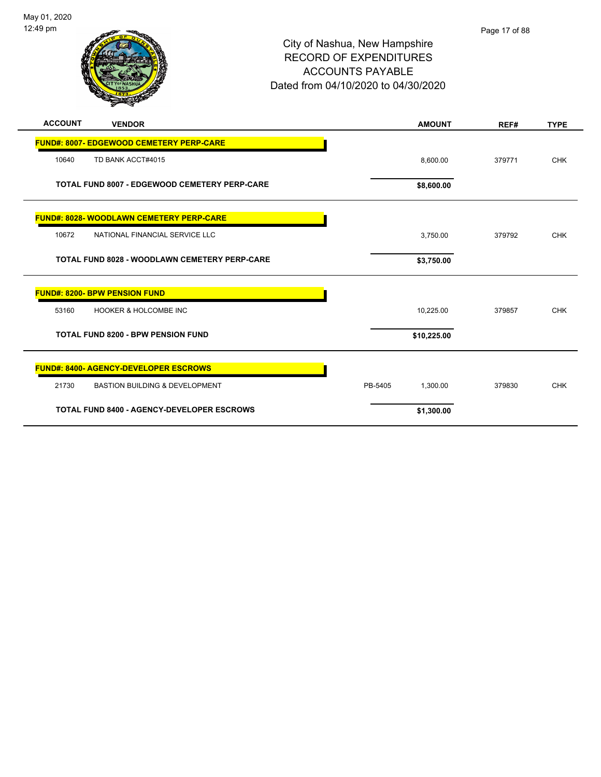

| <b>ACCOUNT</b> | <b>VENDOR</b>                                        | <b>AMOUNT</b>       | REF#   | <b>TYPE</b> |
|----------------|------------------------------------------------------|---------------------|--------|-------------|
|                | <b>FUND#: 8007- EDGEWOOD CEMETERY PERP-CARE</b>      |                     |        |             |
| 10640          | TD BANK ACCT#4015                                    | 8,600.00            | 379771 | <b>CHK</b>  |
|                | <b>TOTAL FUND 8007 - EDGEWOOD CEMETERY PERP-CARE</b> | \$8,600.00          |        |             |
|                | <b>FUND#: 8028- WOODLAWN CEMETERY PERP-CARE</b>      |                     |        |             |
| 10672          | NATIONAL FINANCIAL SERVICE LLC                       | 3,750.00            | 379792 | <b>CHK</b>  |
|                | <b>TOTAL FUND 8028 - WOODLAWN CEMETERY PERP-CARE</b> | \$3,750.00          |        |             |
|                | <b>FUND#: 8200- BPW PENSION FUND</b>                 |                     |        |             |
| 53160          | <b>HOOKER &amp; HOLCOMBE INC</b>                     | 10,225.00           | 379857 | <b>CHK</b>  |
|                | <b>TOTAL FUND 8200 - BPW PENSION FUND</b>            | \$10,225.00         |        |             |
|                | <b>FUND#: 8400- AGENCY-DEVELOPER ESCROWS</b>         |                     |        |             |
| 21730          | <b>BASTION BUILDING &amp; DEVELOPMENT</b>            | PB-5405<br>1,300.00 | 379830 | <b>CHK</b>  |
|                | <b>TOTAL FUND 8400 - AGENCY-DEVELOPER ESCROWS</b>    | \$1,300.00          |        |             |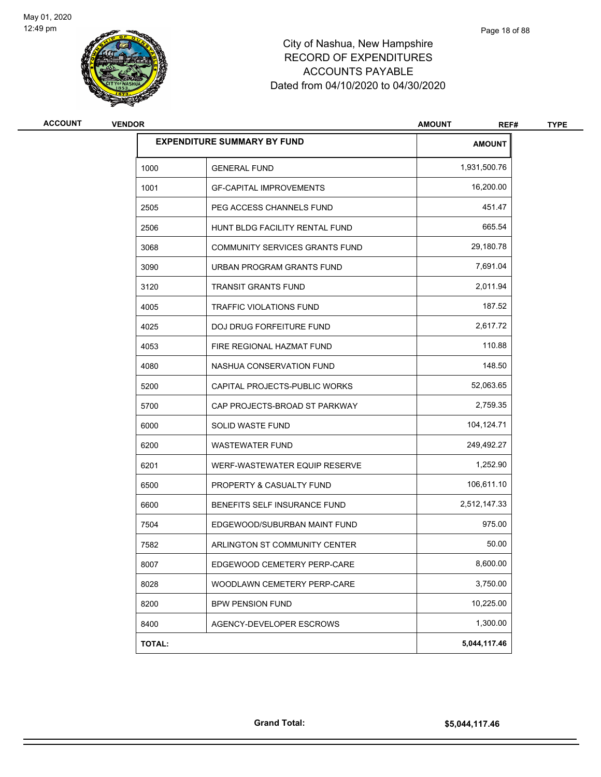

| <b>ACCOUNT</b><br><b>VENDOR</b> |        |                                       | <b>AMOUNT</b><br>REF# |  |
|---------------------------------|--------|---------------------------------------|-----------------------|--|
|                                 |        | <b>EXPENDITURE SUMMARY BY FUND</b>    | <b>AMOUNT</b>         |  |
|                                 | 1000   | <b>GENERAL FUND</b>                   | 1,931,500.76          |  |
|                                 | 1001   | <b>GF-CAPITAL IMPROVEMENTS</b>        | 16,200.00             |  |
|                                 | 2505   | PEG ACCESS CHANNELS FUND              | 451.47                |  |
|                                 | 2506   | HUNT BLDG FACILITY RENTAL FUND        | 665.54                |  |
|                                 | 3068   | <b>COMMUNITY SERVICES GRANTS FUND</b> | 29,180.78             |  |
|                                 | 3090   | URBAN PROGRAM GRANTS FUND             | 7,691.04              |  |
|                                 | 3120   | <b>TRANSIT GRANTS FUND</b>            | 2,011.94              |  |
|                                 | 4005   | TRAFFIC VIOLATIONS FUND               | 187.52                |  |
|                                 | 4025   | DOJ DRUG FORFEITURE FUND              | 2,617.72              |  |
|                                 | 4053   | FIRE REGIONAL HAZMAT FUND             | 110.88                |  |
|                                 | 4080   | NASHUA CONSERVATION FUND              | 148.50                |  |
|                                 | 5200   | CAPITAL PROJECTS-PUBLIC WORKS         | 52,063.65             |  |
|                                 | 5700   | CAP PROJECTS-BROAD ST PARKWAY         | 2,759.35              |  |
|                                 | 6000   | SOLID WASTE FUND                      | 104,124.71            |  |
|                                 | 6200   | <b>WASTEWATER FUND</b>                | 249,492.27            |  |
|                                 | 6201   | WERF-WASTEWATER EQUIP RESERVE         | 1,252.90              |  |
|                                 | 6500   | PROPERTY & CASUALTY FUND              | 106,611.10            |  |
|                                 | 6600   | BENEFITS SELF INSURANCE FUND          | 2,512,147.33          |  |
|                                 | 7504   | EDGEWOOD/SUBURBAN MAINT FUND          | 975.00                |  |
|                                 | 7582   | ARLINGTON ST COMMUNITY CENTER         | 50.00                 |  |
|                                 | 8007   | EDGEWOOD CEMETERY PERP-CARE           | 8,600.00              |  |
|                                 | 8028   | WOODLAWN CEMETERY PERP-CARE           | 3,750.00              |  |
|                                 | 8200   | <b>BPW PENSION FUND</b>               | 10,225.00             |  |
|                                 | 8400   | AGENCY-DEVELOPER ESCROWS              | 1,300.00              |  |
|                                 | TOTAL: |                                       | 5,044,117.46          |  |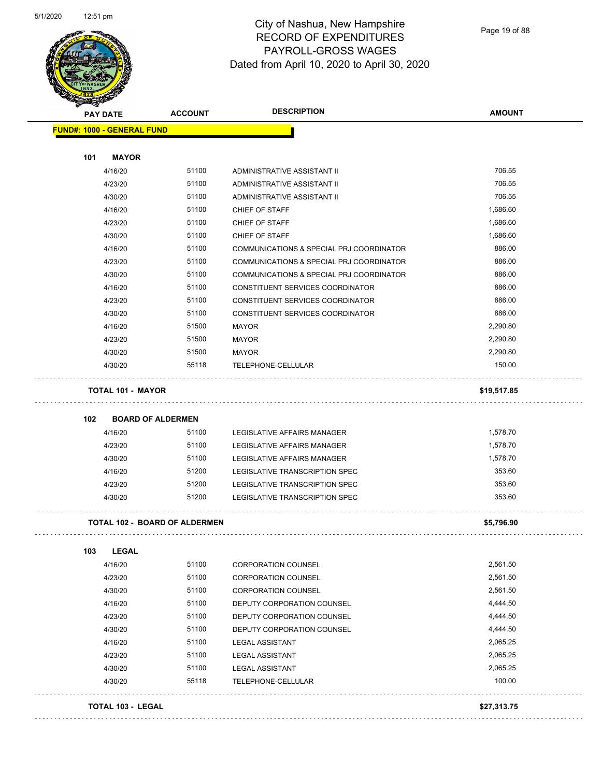

Page 19 of 88

|                                   | <b>ACCOUNT</b>                       | <b>DESCRIPTION</b>                                               | <b>AMOUNT</b>      |
|-----------------------------------|--------------------------------------|------------------------------------------------------------------|--------------------|
| <b>FUND#: 1000 - GENERAL FUND</b> |                                      |                                                                  |                    |
| 101<br><b>MAYOR</b>               |                                      |                                                                  |                    |
| 4/16/20                           | 51100                                | ADMINISTRATIVE ASSISTANT II                                      | 706.55             |
| 4/23/20                           | 51100                                | ADMINISTRATIVE ASSISTANT II                                      | 706.55             |
| 4/30/20                           | 51100                                | ADMINISTRATIVE ASSISTANT II                                      | 706.55             |
| 4/16/20                           | 51100                                | CHIEF OF STAFF                                                   | 1,686.60           |
| 4/23/20                           | 51100                                | CHIEF OF STAFF                                                   | 1,686.60           |
| 4/30/20                           | 51100                                | CHIEF OF STAFF                                                   | 1,686.60           |
| 4/16/20                           | 51100                                | COMMUNICATIONS & SPECIAL PRJ COORDINATOR                         | 886.00             |
| 4/23/20                           | 51100                                | COMMUNICATIONS & SPECIAL PRJ COORDINATOR                         | 886.00             |
| 4/30/20                           | 51100                                | COMMUNICATIONS & SPECIAL PRJ COORDINATOR                         | 886.00             |
| 4/16/20                           | 51100                                | CONSTITUENT SERVICES COORDINATOR                                 | 886.00             |
| 4/23/20                           | 51100                                | CONSTITUENT SERVICES COORDINATOR                                 | 886.00             |
| 4/30/20                           | 51100                                | CONSTITUENT SERVICES COORDINATOR                                 | 886.00             |
| 4/16/20                           | 51500                                | MAYOR                                                            | 2,290.80           |
| 4/23/20                           | 51500                                | MAYOR                                                            | 2,290.80           |
| 4/30/20                           | 51500                                | MAYOR                                                            | 2,290.80           |
| 4/30/20                           | 55118                                | TELEPHONE-CELLULAR                                               | 150.00             |
| <b>TOTAL 101 - MAYOR</b>          |                                      |                                                                  | \$19,517.85        |
|                                   |                                      |                                                                  |                    |
|                                   |                                      |                                                                  |                    |
| 102                               | <b>BOARD OF ALDERMEN</b>             |                                                                  |                    |
| 4/16/20                           | 51100                                | LEGISLATIVE AFFAIRS MANAGER                                      | 1,578.70           |
| 4/23/20                           | 51100                                | LEGISLATIVE AFFAIRS MANAGER                                      | 1,578.70           |
| 4/30/20                           | 51100                                | LEGISLATIVE AFFAIRS MANAGER                                      | 1,578.70           |
| 4/16/20                           | 51200                                | LEGISLATIVE TRANSCRIPTION SPEC                                   | 353.60             |
| 4/23/20<br>4/30/20                | 51200<br>51200                       | LEGISLATIVE TRANSCRIPTION SPEC<br>LEGISLATIVE TRANSCRIPTION SPEC | 353.60<br>353.60   |
|                                   | <b>TOTAL 102 - BOARD OF ALDERMEN</b> |                                                                  | \$5,796.90         |
|                                   |                                      |                                                                  |                    |
| 103<br><b>LEGAL</b>               |                                      |                                                                  | 2,561.50           |
| 4/16/20                           | 51100                                | <b>CORPORATION COUNSEL</b>                                       |                    |
| 4/23/20                           | 51100                                | <b>CORPORATION COUNSEL</b>                                       | 2,561.50           |
| 4/30/20                           | 51100                                | <b>CORPORATION COUNSEL</b>                                       | 2,561.50           |
| 4/16/20                           | 51100                                | DEPUTY CORPORATION COUNSEL                                       | 4,444.50           |
| 4/23/20                           | 51100                                | DEPUTY CORPORATION COUNSEL                                       | 4,444.50           |
| 4/30/20                           | 51100                                | DEPUTY CORPORATION COUNSEL                                       | 4,444.50           |
| 4/16/20                           | 51100                                | <b>LEGAL ASSISTANT</b>                                           | 2,065.25           |
| 4/23/20                           | 51100                                | <b>LEGAL ASSISTANT</b>                                           | 2,065.25           |
| 4/30/20<br>4/30/20                | 51100<br>55118                       | <b>LEGAL ASSISTANT</b><br>TELEPHONE-CELLULAR                     | 2,065.25<br>100.00 |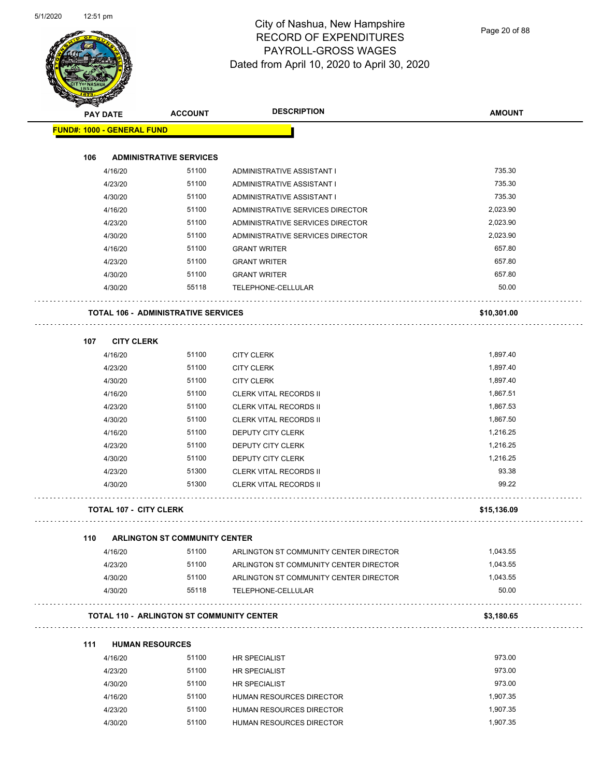

Page 20 of 88

|     | <b>PAY DATE</b>                   | <b>ACCOUNT</b>                                   | <b>DESCRIPTION</b>                                           | <b>AMOUNT</b>     |
|-----|-----------------------------------|--------------------------------------------------|--------------------------------------------------------------|-------------------|
|     | <b>FUND#: 1000 - GENERAL FUND</b> |                                                  |                                                              |                   |
|     |                                   |                                                  |                                                              |                   |
| 106 |                                   | <b>ADMINISTRATIVE SERVICES</b>                   |                                                              | 735.30            |
|     | 4/16/20                           | 51100                                            | ADMINISTRATIVE ASSISTANT I                                   | 735.30            |
|     | 4/23/20                           | 51100                                            | ADMINISTRATIVE ASSISTANT I                                   |                   |
|     | 4/30/20                           | 51100                                            | ADMINISTRATIVE ASSISTANT I                                   | 735.30            |
|     | 4/16/20                           | 51100                                            | ADMINISTRATIVE SERVICES DIRECTOR                             | 2,023.90          |
|     | 4/23/20                           | 51100                                            | ADMINISTRATIVE SERVICES DIRECTOR                             | 2,023.90          |
|     | 4/30/20                           | 51100                                            | ADMINISTRATIVE SERVICES DIRECTOR                             | 2,023.90          |
|     | 4/16/20                           | 51100                                            | <b>GRANT WRITER</b>                                          | 657.80            |
|     | 4/23/20                           | 51100                                            | <b>GRANT WRITER</b>                                          | 657.80            |
|     | 4/30/20                           | 51100                                            | <b>GRANT WRITER</b>                                          | 657.80            |
|     | 4/30/20                           | 55118                                            | TELEPHONE-CELLULAR                                           | 50.00             |
|     |                                   | <b>TOTAL 106 - ADMINISTRATIVE SERVICES</b>       |                                                              | \$10,301.00       |
| 107 | <b>CITY CLERK</b>                 |                                                  |                                                              |                   |
|     | 4/16/20                           | 51100                                            | <b>CITY CLERK</b>                                            | 1,897.40          |
|     | 4/23/20                           | 51100                                            | <b>CITY CLERK</b>                                            | 1,897.40          |
|     | 4/30/20                           | 51100                                            | <b>CITY CLERK</b>                                            | 1,897.40          |
|     | 4/16/20                           | 51100                                            | <b>CLERK VITAL RECORDS II</b>                                | 1,867.51          |
|     | 4/23/20                           | 51100                                            | <b>CLERK VITAL RECORDS II</b>                                | 1,867.53          |
|     | 4/30/20                           | 51100                                            | <b>CLERK VITAL RECORDS II</b>                                | 1,867.50          |
|     | 4/16/20                           | 51100                                            | DEPUTY CITY CLERK                                            | 1,216.25          |
|     | 4/23/20                           | 51100                                            | DEPUTY CITY CLERK                                            | 1,216.25          |
|     | 4/30/20                           | 51100                                            | DEPUTY CITY CLERK                                            | 1,216.25          |
|     | 4/23/20                           | 51300                                            | <b>CLERK VITAL RECORDS II</b>                                | 93.38             |
|     | 4/30/20                           | 51300                                            | <b>CLERK VITAL RECORDS II</b>                                | 99.22             |
|     | <b>TOTAL 107 - CITY CLERK</b>     |                                                  |                                                              | \$15,136.09       |
|     |                                   |                                                  |                                                              |                   |
| 110 |                                   | <b>ARLINGTON ST COMMUNITY CENTER</b>             |                                                              |                   |
|     | 4/16/20                           | 51100                                            | ARLINGTON ST COMMUNITY CENTER DIRECTOR                       | 1,043.55          |
|     | 4/23/20                           | 51100                                            | ARLINGTON ST COMMUNITY CENTER DIRECTOR                       | 1,043.55          |
|     | 4/30/20<br>4/30/20                | 51100<br>55118                                   | ARLINGTON ST COMMUNITY CENTER DIRECTOR<br>TELEPHONE-CELLULAR | 1,043.55<br>50.00 |
|     |                                   | <b>TOTAL 110 - ARLINGTON ST COMMUNITY CENTER</b> |                                                              | \$3,180.65        |
|     |                                   |                                                  |                                                              |                   |
| 111 |                                   | <b>HUMAN RESOURCES</b>                           |                                                              |                   |
|     | 4/16/20                           | 51100                                            | <b>HR SPECIALIST</b>                                         | 973.00            |
|     | 4/23/20                           | 51100                                            | <b>HR SPECIALIST</b>                                         | 973.00            |
|     | 4/30/20                           | 51100                                            | HR SPECIALIST                                                | 973.00            |
|     | 4/16/20                           | 51100                                            | HUMAN RESOURCES DIRECTOR                                     | 1,907.35          |
|     | 4/23/20                           | 51100                                            | HUMAN RESOURCES DIRECTOR                                     | 1,907.35          |
|     | 4/30/20                           | 51100                                            | HUMAN RESOURCES DIRECTOR                                     | 1,907.35          |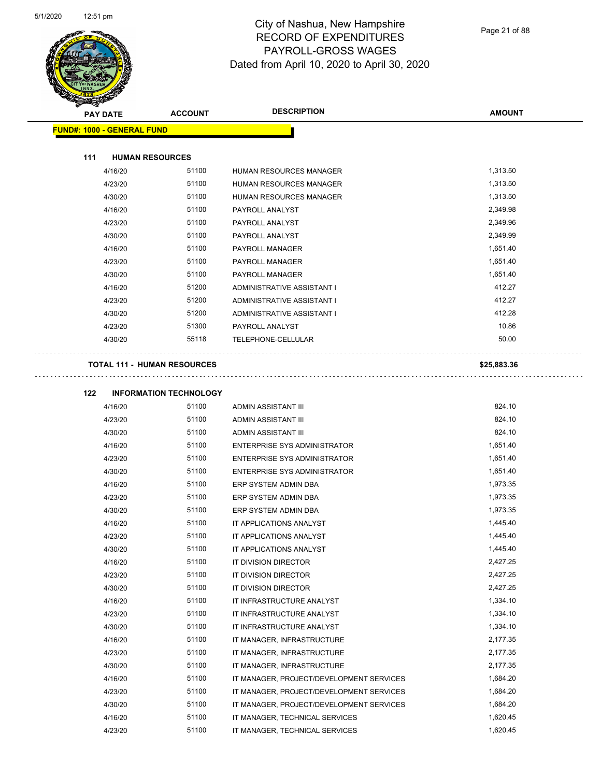L.



#### City of Nashua, New Hampshire RECORD OF EXPENDITURES PAYROLL-GROSS WAGES Dated from April 10, 2020 to April 30, 2020

Page 21 of 88

|     | <b>PAY DATE</b>                    | <b>ACCOUNT</b>                | <b>DESCRIPTION</b>                  | <b>AMOUNT</b> |
|-----|------------------------------------|-------------------------------|-------------------------------------|---------------|
|     | <b>FUND#: 1000 - GENERAL FUND</b>  |                               |                                     |               |
|     |                                    |                               |                                     |               |
| 111 | <b>HUMAN RESOURCES</b>             |                               |                                     |               |
|     | 4/16/20                            | 51100                         | HUMAN RESOURCES MANAGER             | 1,313.50      |
|     | 4/23/20                            | 51100                         | HUMAN RESOURCES MANAGER             | 1,313.50      |
|     | 4/30/20                            | 51100                         | HUMAN RESOURCES MANAGER             | 1,313.50      |
|     | 4/16/20                            | 51100                         | PAYROLL ANALYST                     | 2,349.98      |
|     | 4/23/20                            | 51100                         | PAYROLL ANALYST                     | 2,349.96      |
|     | 4/30/20                            | 51100                         | PAYROLL ANALYST                     | 2,349.99      |
|     | 4/16/20                            | 51100                         | PAYROLL MANAGER                     | 1,651.40      |
|     | 4/23/20                            | 51100                         | PAYROLL MANAGER                     | 1,651.40      |
|     | 4/30/20                            | 51100                         | PAYROLL MANAGER                     | 1,651.40      |
|     | 4/16/20                            | 51200                         | ADMINISTRATIVE ASSISTANT I          | 412.27        |
|     | 4/23/20                            | 51200                         | ADMINISTRATIVE ASSISTANT I          | 412.27        |
|     | 4/30/20                            | 51200                         | ADMINISTRATIVE ASSISTANT I          | 412.28        |
|     | 4/23/20                            | 51300                         | PAYROLL ANALYST                     | 10.86         |
|     | 4/30/20                            | 55118                         | TELEPHONE-CELLULAR                  | 50.00         |
|     | <b>TOTAL 111 - HUMAN RESOURCES</b> |                               |                                     | \$25,883.36   |
| 122 |                                    | <b>INFORMATION TECHNOLOGY</b> |                                     |               |
|     | 4/16/20                            | 51100                         | <b>ADMIN ASSISTANT III</b>          | 824.10        |
|     | 4/23/20                            | 51100                         | <b>ADMIN ASSISTANT III</b>          | 824.10        |
|     | 4/30/20                            | 51100                         | <b>ADMIN ASSISTANT III</b>          | 824.10        |
|     | 4/16/20                            | 51100                         | <b>ENTERPRISE SYS ADMINISTRATOR</b> | 1,651.40      |
|     | 4/23/20                            | 51100                         | ENTERPRISE SYS ADMINISTRATOR        | 1,651.40      |
|     | 4/30/20                            | 51100                         | <b>ENTERPRISE SYS ADMINISTRATOR</b> | 1,651.40      |
|     | 4/16/20                            | 51100                         | ERP SYSTEM ADMIN DBA                | 1,973.35      |
|     | 4/23/20                            | 51100                         | ERP SYSTEM ADMIN DBA                | 1,973.35      |
|     | 4/30/20                            | 51100                         | ERP SYSTEM ADMIN DBA                | 1,973.35      |
|     | 4/16/20                            | 51100                         | IT APPLICATIONS ANALYST             | 1,445.40      |
|     | 4/23/20                            | 51100                         | IT APPLICATIONS ANALYST             | 1,445.40      |
|     | 4/30/20                            | 51100                         | IT APPLICATIONS ANALYST             | 1,445.40      |
|     | 4/16/20                            | 51100                         | <b>IT DIVISION DIRECTOR</b>         | 2,427.25      |

4/23/20 51100 IT DIVISION DIRECTOR 2,427.25 4/30/20 51100 IT DIVISION DIRECTOR 2,427.25 4/16/20 51100 IT INFRASTRUCTURE ANALYST 1,334.10 4/23/20 51100 IT INFRASTRUCTURE ANALYST 1,334.10 4/30/20 51100 IT INFRASTRUCTURE ANALYST 1,334.10 4/16/20 51100 IT MANAGER, INFRASTRUCTURE 2,177.35 4/23/20 51100 IT MANAGER, INFRASTRUCTURE 2,177.35 4/30/20 51100 IT MANAGER, INFRASTRUCTURE 2,177.35 4/16/20 51100 IT MANAGER, PROJECT/DEVELOPMENT SERVICES 1,684.20 4/23/20 51100 IT MANAGER, PROJECT/DEVELOPMENT SERVICES 1,684.20 4/30/20 51100 IT MANAGER, PROJECT/DEVELOPMENT SERVICES 1,684.20 4/16/20 51100 IT MANAGER, TECHNICAL SERVICES 1,620.45 4/23/20 51100 IT MANAGER, TECHNICAL SERVICES 1,620.45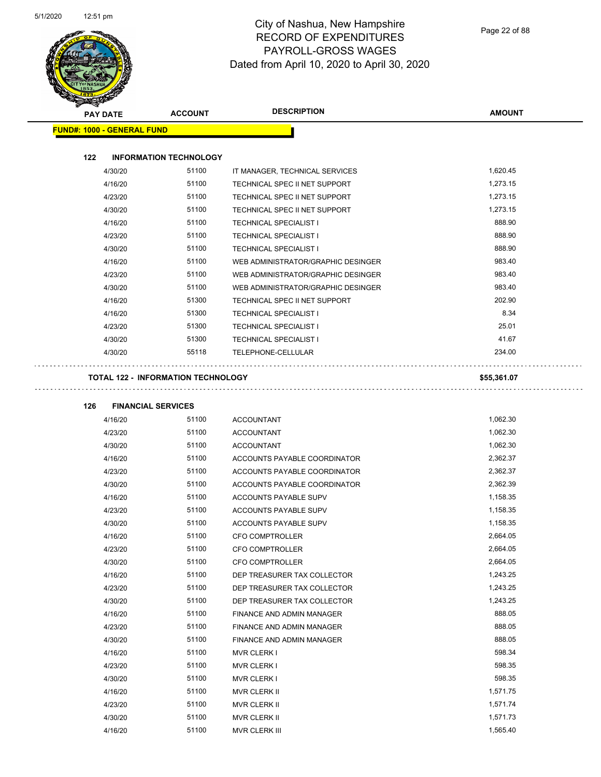

| <b>MERICA</b>                     |                                           |                                    |               |
|-----------------------------------|-------------------------------------------|------------------------------------|---------------|
| <b>PAY DATE</b>                   | <b>ACCOUNT</b>                            | <b>DESCRIPTION</b>                 | <b>AMOUNT</b> |
| <b>FUND#: 1000 - GENERAL FUND</b> |                                           |                                    |               |
|                                   |                                           |                                    |               |
| 122                               | <b>INFORMATION TECHNOLOGY</b>             |                                    |               |
| 4/30/20                           | 51100                                     | IT MANAGER, TECHNICAL SERVICES     | 1,620.45      |
| 4/16/20                           | 51100                                     | TECHNICAL SPEC II NET SUPPORT      | 1,273.15      |
| 4/23/20                           | 51100                                     | TECHNICAL SPEC II NET SUPPORT      | 1,273.15      |
| 4/30/20                           | 51100                                     | TECHNICAL SPEC II NET SUPPORT      | 1,273.15      |
| 4/16/20                           | 51100                                     | <b>TECHNICAL SPECIALIST I</b>      | 888.90        |
| 4/23/20                           | 51100                                     | <b>TECHNICAL SPECIALIST I</b>      | 888.90        |
| 4/30/20                           | 51100                                     | <b>TECHNICAL SPECIALIST I</b>      | 888.90        |
| 4/16/20                           | 51100                                     | WEB ADMINISTRATOR/GRAPHIC DESINGER | 983.40        |
| 4/23/20                           | 51100                                     | WEB ADMINISTRATOR/GRAPHIC DESINGER | 983.40        |
| 4/30/20                           | 51100                                     | WEB ADMINISTRATOR/GRAPHIC DESINGER | 983.40        |
| 4/16/20                           | 51300                                     | TECHNICAL SPEC II NET SUPPORT      | 202.90        |
| 4/16/20                           | 51300                                     | <b>TECHNICAL SPECIALIST I</b>      | 8.34          |
| 4/23/20                           | 51300                                     | <b>TECHNICAL SPECIALIST I</b>      | 25.01         |
| 4/30/20                           | 51300                                     | <b>TECHNICAL SPECIALIST I</b>      | 41.67         |
| 4/30/20                           | 55118                                     | TELEPHONE-CELLULAR                 | 234.00        |
|                                   |                                           |                                    |               |
|                                   | <b>TOTAL 122 - INFORMATION TECHNOLOGY</b> |                                    | \$55,361.07   |
|                                   |                                           |                                    |               |
| 126                               | <b>FINANCIAL SERVICES</b>                 |                                    |               |
| 4/16/20                           | 51100                                     | <b>ACCOUNTANT</b>                  | 1,062.30      |
| 4/23/20                           | 51100                                     | <b>ACCOUNTANT</b>                  | 1,062.30      |
| 4/30/20                           | 51100                                     | <b>ACCOUNTANT</b>                  | 1,062.30      |
| 4/16/20                           | 51100                                     | ACCOUNTS PAYABLE COORDINATOR       | 2,362.37      |
| 4/23/20                           | 51100                                     | ACCOUNTS PAYABLE COORDINATOR       | 2,362.37      |
| 4/30/20                           | 51100                                     | ACCOUNTS PAYABLE COORDINATOR       | 2,362.39      |
| 4/16/20                           | 51100                                     | ACCOUNTS PAYABLE SUPV              | 1,158.35      |
| 4/23/20                           | 51100                                     | ACCOUNTS PAYABLE SUPV              | 1,158.35      |
| 4/30/20                           | 51100                                     | ACCOUNTS PAYABLE SUPV              | 1,158.35      |
| 4/16/20                           | 51100                                     | <b>CFO COMPTROLLER</b>             | 2,664.05      |
| 4/23/20                           | 51100                                     | <b>CFO COMPTROLLER</b>             | 2,664.05      |
| 4/30/20                           | 51100                                     | <b>CFO COMPTROLLER</b>             | 2,664.05      |
| 4/16/20                           | 51100                                     | DEP TREASURER TAX COLLECTOR        | 1,243.25      |
| 4/23/20                           | 51100                                     | DEP TREASURER TAX COLLECTOR        | 1,243.25      |
| 4/30/20                           | 51100                                     | DEP TREASURER TAX COLLECTOR        | 1,243.25      |
| 4/16/20                           | 51100                                     | FINANCE AND ADMIN MANAGER          | 888.05        |
| 4/23/20                           | 51100                                     | FINANCE AND ADMIN MANAGER          | 888.05        |
| 4/30/20                           | 51100                                     | FINANCE AND ADMIN MANAGER          | 888.05        |
| 4/16/20                           | 51100                                     | <b>MVR CLERK I</b>                 | 598.34        |
| 4/23/20                           | 51100                                     | <b>MVR CLERK I</b>                 | 598.35        |
| 4/30/20                           | 51100                                     | <b>MVR CLERK I</b>                 | 598.35        |
| 4/16/20                           | 51100                                     | MVR CLERK II                       | 1,571.75      |
| 4/23/20                           | 51100                                     | MVR CLERK II                       | 1,571.74      |
| 4/30/20                           | 51100                                     | MVR CLERK II                       | 1,571.73      |

4/16/20 51100 MVR CLERK III 1,565.40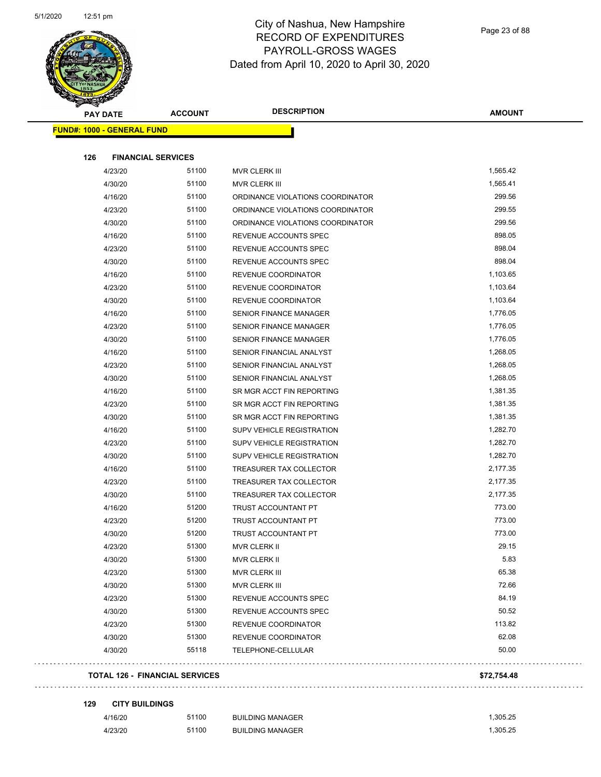

| <b>ACCOUNT</b><br><b>PAY DATE</b> | <b>DESCRIPTION</b>               | <b>AMOUNT</b> |
|-----------------------------------|----------------------------------|---------------|
| <b>FUND#: 1000 - GENERAL FUND</b> |                                  |               |
| 126<br><b>FINANCIAL SERVICES</b>  |                                  |               |
| 51100<br>4/23/20                  | MVR CLERK III                    | 1,565.42      |
| 51100<br>4/30/20                  | MVR CLERK III                    | 1,565.41      |
| 51100<br>4/16/20                  | ORDINANCE VIOLATIONS COORDINATOR | 299.56        |
| 51100<br>4/23/20                  | ORDINANCE VIOLATIONS COORDINATOR | 299.55        |
| 51100<br>4/30/20                  | ORDINANCE VIOLATIONS COORDINATOR | 299.56        |
| 51100<br>4/16/20                  | REVENUE ACCOUNTS SPEC            | 898.05        |
| 51100<br>4/23/20                  | REVENUE ACCOUNTS SPEC            | 898.04        |
| 51100<br>4/30/20                  | REVENUE ACCOUNTS SPEC            | 898.04        |
| 51100<br>4/16/20                  | REVENUE COORDINATOR              | 1,103.65      |
| 51100<br>4/23/20                  | REVENUE COORDINATOR              | 1,103.64      |
| 51100<br>4/30/20                  | REVENUE COORDINATOR              | 1,103.64      |
| 51100<br>4/16/20                  | <b>SENIOR FINANCE MANAGER</b>    | 1,776.05      |
| 51100<br>4/23/20                  | <b>SENIOR FINANCE MANAGER</b>    | 1,776.05      |
| 51100<br>4/30/20                  | SENIOR FINANCE MANAGER           | 1,776.05      |
| 51100<br>4/16/20                  | SENIOR FINANCIAL ANALYST         | 1,268.05      |
| 51100<br>4/23/20                  | SENIOR FINANCIAL ANALYST         | 1,268.05      |
| 51100<br>4/30/20                  | SENIOR FINANCIAL ANALYST         | 1,268.05      |
| 51100<br>4/16/20                  | SR MGR ACCT FIN REPORTING        | 1,381.35      |
| 51100<br>4/23/20                  | SR MGR ACCT FIN REPORTING        | 1,381.35      |
| 51100<br>4/30/20                  | SR MGR ACCT FIN REPORTING        | 1,381.35      |
| 51100<br>4/16/20                  | <b>SUPV VEHICLE REGISTRATION</b> | 1,282.70      |
| 51100<br>4/23/20                  | <b>SUPV VEHICLE REGISTRATION</b> | 1,282.70      |
| 51100<br>4/30/20                  | <b>SUPV VEHICLE REGISTRATION</b> | 1,282.70      |
| 51100<br>4/16/20                  | TREASURER TAX COLLECTOR          | 2,177.35      |
| 51100<br>4/23/20                  | TREASURER TAX COLLECTOR          | 2,177.35      |
| 51100<br>4/30/20                  | TREASURER TAX COLLECTOR          | 2,177.35      |
| 51200<br>4/16/20                  | TRUST ACCOUNTANT PT              | 773.00        |
| 51200<br>4/23/20                  | <b>TRUST ACCOUNTANT PT</b>       | 773.00        |
| 51200<br>4/30/20                  | TRUST ACCOUNTANT PT              | 773.00        |
| 51300<br>4/23/20                  | MVR CLERK II                     | 29.15         |
| 51300<br>4/30/20                  | MVR CLERK II                     | 5.83          |
| 51300<br>4/23/20                  | MVR CLERK III                    | 65.38         |
| 51300<br>4/30/20                  | MVR CLERK III                    | 72.66         |
| 51300<br>4/23/20                  | REVENUE ACCOUNTS SPEC            | 84.19         |
| 51300<br>4/30/20                  | REVENUE ACCOUNTS SPEC            | 50.52         |
| 51300<br>4/23/20                  | REVENUE COORDINATOR              | 113.82        |
| 51300<br>4/30/20                  | REVENUE COORDINATOR              | 62.08         |
|                                   |                                  | 50.00         |
| 55118<br>4/30/20                  | TELEPHONE-CELLULAR               |               |

#### **129 CITY BUILDINGS**

 $\bar{\psi}$  .

. . . . . . . . . . . .

| 4/16/20 | 51100 | <b>BUILDING MANAGER</b> | .305.25 |
|---------|-------|-------------------------|---------|
| 4/23/20 | 51100 | <b>BUILDING MANAGER</b> | .305.25 |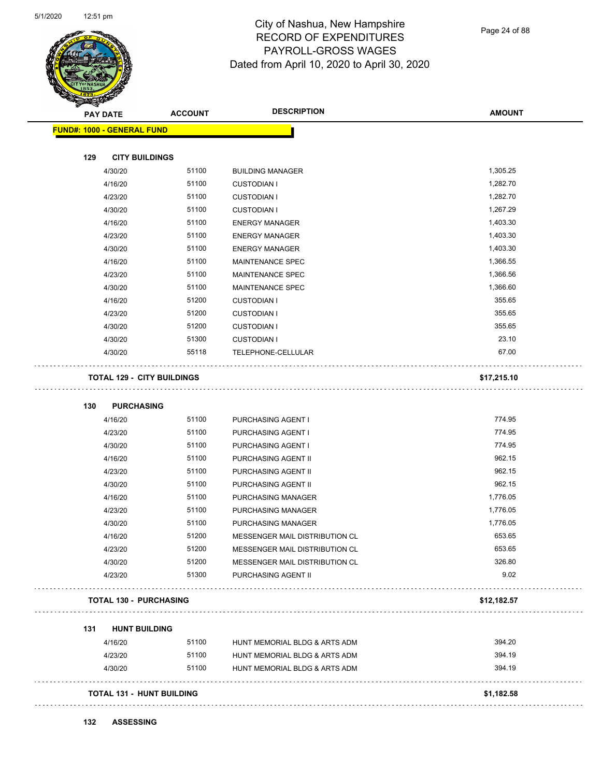

Page 24 of 88

| <b>PAY DATE</b>                   | <b>ACCOUNT</b> | <b>DESCRIPTION</b>             | <b>AMOUNT</b> |
|-----------------------------------|----------------|--------------------------------|---------------|
| <b>FUND#: 1000 - GENERAL FUND</b> |                |                                |               |
| 129<br><b>CITY BUILDINGS</b>      |                |                                |               |
| 4/30/20                           | 51100          | <b>BUILDING MANAGER</b>        | 1,305.25      |
| 4/16/20                           | 51100          | <b>CUSTODIAN I</b>             | 1,282.70      |
| 4/23/20                           | 51100          | <b>CUSTODIAN I</b>             | 1,282.70      |
| 4/30/20                           | 51100          | <b>CUSTODIAN I</b>             | 1,267.29      |
| 4/16/20                           | 51100          | <b>ENERGY MANAGER</b>          | 1,403.30      |
| 4/23/20                           | 51100          | <b>ENERGY MANAGER</b>          | 1,403.30      |
| 4/30/20                           | 51100          | <b>ENERGY MANAGER</b>          | 1,403.30      |
| 4/16/20                           | 51100          | MAINTENANCE SPEC               | 1,366.55      |
| 4/23/20                           | 51100          | MAINTENANCE SPEC               | 1,366.56      |
| 4/30/20                           | 51100          | MAINTENANCE SPEC               | 1,366.60      |
| 4/16/20                           | 51200          | <b>CUSTODIAN I</b>             | 355.65        |
| 4/23/20                           | 51200          | <b>CUSTODIAN I</b>             | 355.65        |
| 4/30/20                           | 51200          | <b>CUSTODIAN I</b>             | 355.65        |
| 4/30/20                           | 51300          | <b>CUSTODIAN I</b>             | 23.10         |
| 4/30/20                           | 55118          | TELEPHONE-CELLULAR             | 67.00         |
| <b>TOTAL 129 - CITY BUILDINGS</b> |                |                                | \$17,215.10   |
| 130<br><b>PURCHASING</b>          |                |                                |               |
| 4/16/20                           | 51100          | PURCHASING AGENT I             | 774.95        |
| 4/23/20                           | 51100          | PURCHASING AGENT I             | 774.95        |
| 4/30/20                           | 51100          | PURCHASING AGENT I             | 774.95        |
| 4/16/20                           | 51100          | PURCHASING AGENT II            | 962.15        |
| 4/23/20                           | 51100          | PURCHASING AGENT II            | 962.15        |
| 4/30/20                           | 51100          | PURCHASING AGENT II            | 962.15        |
| 4/16/20                           | 51100          | <b>PURCHASING MANAGER</b>      | 1,776.05      |
| 4/23/20                           | 51100          | PURCHASING MANAGER             | 1,776.05      |
| 4/30/20                           | 51100          | PURCHASING MANAGER             | 1,776.05      |
| 4/16/20                           | 51200          | MESSENGER MAIL DISTRIBUTION CL | 653.65        |
| 4/23/20                           | 51200          | MESSENGER MAIL DISTRIBUTION CL | 653.65        |
| 4/30/20                           | 51200          | MESSENGER MAIL DISTRIBUTION CL | 326.80        |
| 4/23/20                           | 51300          | PURCHASING AGENT II            | 9.02          |
| <b>TOTAL 130 - PURCHASING</b>     |                |                                | \$12,182.57   |
| <b>HUNT BUILDING</b><br>131       |                |                                |               |
| 4/16/20                           | 51100          | HUNT MEMORIAL BLDG & ARTS ADM  | 394.20        |
| 4/23/20                           | 51100          | HUNT MEMORIAL BLDG & ARTS ADM  | 394.19        |
| 4/30/20                           | 51100          | HUNT MEMORIAL BLDG & ARTS ADM  | 394.19        |
|                                   |                |                                |               |

**132 ASSESSING**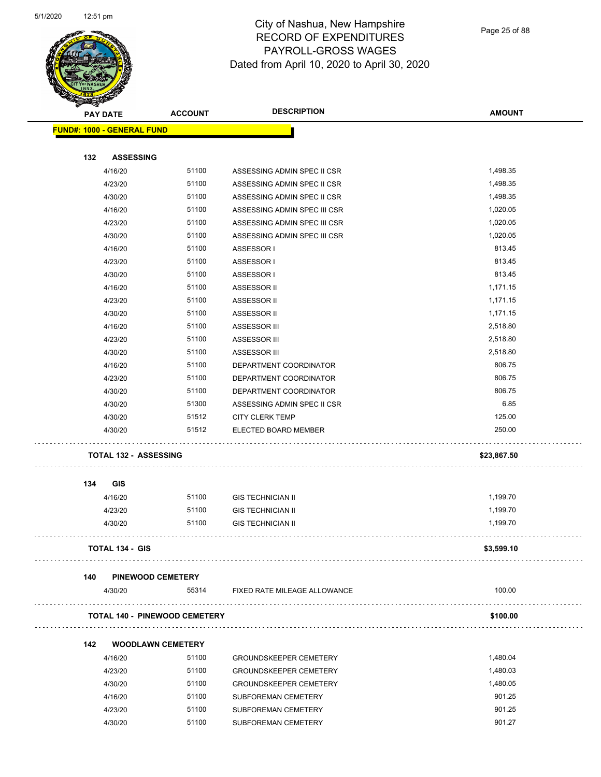

Page 25 of 88

|     | <b>PAY DATE</b>                      | <b>ACCOUNT</b> | <b>DESCRIPTION</b>            | <b>AMOUNT</b> |
|-----|--------------------------------------|----------------|-------------------------------|---------------|
|     | <b>FUND#: 1000 - GENERAL FUND</b>    |                |                               |               |
|     |                                      |                |                               |               |
| 132 | <b>ASSESSING</b>                     |                |                               |               |
|     | 4/16/20                              | 51100          | ASSESSING ADMIN SPEC II CSR   | 1,498.35      |
|     | 4/23/20                              | 51100          | ASSESSING ADMIN SPEC II CSR   | 1,498.35      |
|     | 4/30/20                              | 51100          | ASSESSING ADMIN SPEC II CSR   | 1,498.35      |
|     | 4/16/20                              | 51100          | ASSESSING ADMIN SPEC III CSR  | 1,020.05      |
|     | 4/23/20                              | 51100          | ASSESSING ADMIN SPEC III CSR  | 1,020.05      |
|     | 4/30/20                              | 51100          | ASSESSING ADMIN SPEC III CSR  | 1,020.05      |
|     | 4/16/20                              | 51100          | ASSESSOR I                    | 813.45        |
|     | 4/23/20                              | 51100          | ASSESSOR I                    | 813.45        |
|     | 4/30/20                              | 51100          | ASSESSOR I                    | 813.45        |
|     | 4/16/20                              | 51100          | ASSESSOR II                   | 1,171.15      |
|     | 4/23/20                              | 51100          | ASSESSOR II                   | 1,171.15      |
|     | 4/30/20                              | 51100          | ASSESSOR II                   | 1,171.15      |
|     | 4/16/20                              | 51100          | ASSESSOR III                  | 2,518.80      |
|     | 4/23/20                              | 51100          | ASSESSOR III                  | 2,518.80      |
|     | 4/30/20                              | 51100          | ASSESSOR III                  | 2,518.80      |
|     | 4/16/20                              | 51100          | DEPARTMENT COORDINATOR        | 806.75        |
|     | 4/23/20                              | 51100          | DEPARTMENT COORDINATOR        | 806.75        |
|     | 4/30/20                              | 51100          | DEPARTMENT COORDINATOR        | 806.75        |
|     | 4/30/20                              | 51300          | ASSESSING ADMIN SPEC II CSR   | 6.85          |
|     | 4/30/20                              | 51512          | <b>CITY CLERK TEMP</b>        | 125.00        |
|     | 4/30/20                              | 51512          | ELECTED BOARD MEMBER          | 250.00        |
|     | <b>TOTAL 132 - ASSESSING</b>         |                |                               | \$23,867.50   |
| 134 | <b>GIS</b>                           |                |                               |               |
|     | 4/16/20                              | 51100          | <b>GIS TECHNICIAN II</b>      | 1,199.70      |
|     | 4/23/20                              | 51100          | <b>GIS TECHNICIAN II</b>      | 1,199.70      |
|     | 4/30/20                              | 51100          | <b>GIS TECHNICIAN II</b>      | 1,199.70      |
|     |                                      |                |                               |               |
|     | <b>TOTAL 134 - GIS</b>               |                |                               | \$3,599.10    |
| 140 | PINEWOOD CEMETERY                    |                |                               |               |
|     | 4/30/20                              | 55314          | FIXED RATE MILEAGE ALLOWANCE  | 100.00        |
|     | <b>TOTAL 140 - PINEWOOD CEMETERY</b> |                |                               | \$100.00      |
|     |                                      |                |                               |               |
| 142 | <b>WOODLAWN CEMETERY</b>             |                |                               |               |
|     | 4/16/20                              | 51100          | <b>GROUNDSKEEPER CEMETERY</b> | 1,480.04      |
|     | 4/23/20                              | 51100          | <b>GROUNDSKEEPER CEMETERY</b> | 1,480.03      |
|     | 4/30/20                              | 51100          | <b>GROUNDSKEEPER CEMETERY</b> | 1,480.05      |
|     | 4/16/20                              | 51100          | SUBFOREMAN CEMETERY           | 901.25        |
|     | 4/23/20                              | 51100          | <b>SUBFOREMAN CEMETERY</b>    | 901.25        |
|     | 4/30/20                              | 51100          | SUBFOREMAN CEMETERY           | 901.27        |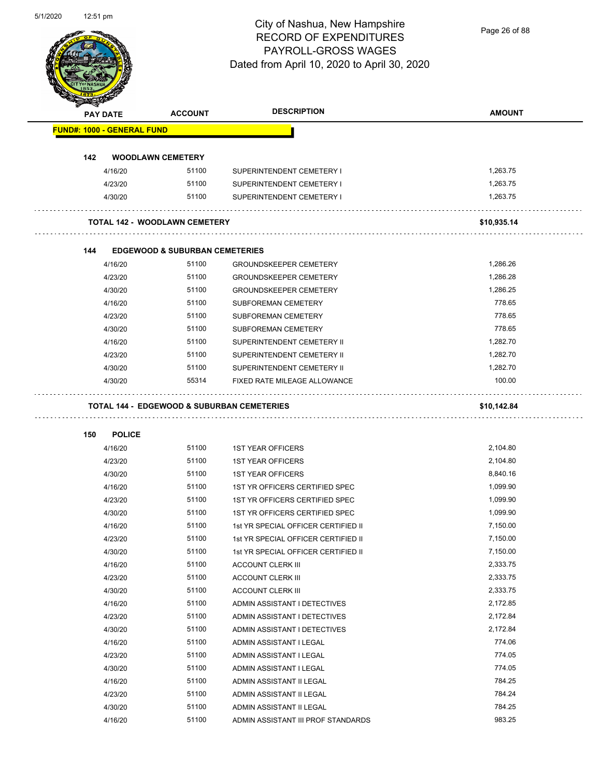Page 26 of 88

| <b>FUND#: 1000 - GENERAL FUND</b><br>142<br><b>WOODLAWN CEMETERY</b><br>51100<br>4/16/20<br>SUPERINTENDENT CEMETERY I<br>4/23/20<br>51100<br>SUPERINTENDENT CEMETERY I<br>4/30/20<br>51100<br>SUPERINTENDENT CEMETERY I<br><b>TOTAL 142 - WOODLAWN CEMETERY</b><br><b>EDGEWOOD &amp; SUBURBAN CEMETERIES</b><br>144<br>4/16/20<br>51100<br><b>GROUNDSKEEPER CEMETERY</b> | 1,263.75<br>1,263.75<br>1,263.75<br>\$10,935.14 |
|--------------------------------------------------------------------------------------------------------------------------------------------------------------------------------------------------------------------------------------------------------------------------------------------------------------------------------------------------------------------------|-------------------------------------------------|
|                                                                                                                                                                                                                                                                                                                                                                          |                                                 |
|                                                                                                                                                                                                                                                                                                                                                                          |                                                 |
|                                                                                                                                                                                                                                                                                                                                                                          |                                                 |
|                                                                                                                                                                                                                                                                                                                                                                          |                                                 |
|                                                                                                                                                                                                                                                                                                                                                                          |                                                 |
|                                                                                                                                                                                                                                                                                                                                                                          |                                                 |
|                                                                                                                                                                                                                                                                                                                                                                          |                                                 |
|                                                                                                                                                                                                                                                                                                                                                                          |                                                 |
|                                                                                                                                                                                                                                                                                                                                                                          | 1,286.26                                        |
| 4/23/20<br>51100<br><b>GROUNDSKEEPER CEMETERY</b>                                                                                                                                                                                                                                                                                                                        | 1,286.28                                        |
| 51100<br>4/30/20<br><b>GROUNDSKEEPER CEMETERY</b>                                                                                                                                                                                                                                                                                                                        | 1,286.25                                        |
| 51100<br>4/16/20<br>SUBFOREMAN CEMETERY                                                                                                                                                                                                                                                                                                                                  | 778.65                                          |
| 51100<br>4/23/20<br><b>SUBFOREMAN CEMETERY</b>                                                                                                                                                                                                                                                                                                                           | 778.65                                          |
| 51100<br>4/30/20<br><b>SUBFOREMAN CEMETERY</b>                                                                                                                                                                                                                                                                                                                           | 778.65                                          |
| 4/16/20<br>51100<br>SUPERINTENDENT CEMETERY II                                                                                                                                                                                                                                                                                                                           | 1,282.70                                        |
| 51100<br>4/23/20<br>SUPERINTENDENT CEMETERY II                                                                                                                                                                                                                                                                                                                           | 1,282.70                                        |
| 51100<br>SUPERINTENDENT CEMETERY II<br>4/30/20                                                                                                                                                                                                                                                                                                                           | 1,282.70                                        |
| 55314<br>4/30/20<br>FIXED RATE MILEAGE ALLOWANCE                                                                                                                                                                                                                                                                                                                         | 100.00                                          |
| <b>POLICE</b><br>150                                                                                                                                                                                                                                                                                                                                                     |                                                 |
| 4/16/20<br>51100<br><b>1ST YEAR OFFICERS</b>                                                                                                                                                                                                                                                                                                                             | 2,104.80                                        |
| 4/23/20<br>51100<br><b>1ST YEAR OFFICERS</b>                                                                                                                                                                                                                                                                                                                             | 2,104.80                                        |
| 4/30/20<br>51100<br><b>1ST YEAR OFFICERS</b>                                                                                                                                                                                                                                                                                                                             | 8,840.16                                        |
| 51100<br>4/16/20<br>1ST YR OFFICERS CERTIFIED SPEC                                                                                                                                                                                                                                                                                                                       | 1,099.90                                        |
| 51100<br>4/23/20<br>1ST YR OFFICERS CERTIFIED SPEC                                                                                                                                                                                                                                                                                                                       | 1,099.90                                        |
| 51100<br>4/30/20<br>1ST YR OFFICERS CERTIFIED SPEC                                                                                                                                                                                                                                                                                                                       | 1.099.90                                        |
| 51100<br>1st YR SPECIAL OFFICER CERTIFIED II<br>4/16/20                                                                                                                                                                                                                                                                                                                  | 7,150.00                                        |
| 51100<br>4/23/20<br>1st YR SPECIAL OFFICER CERTIFIED II                                                                                                                                                                                                                                                                                                                  | 7,150.00                                        |
| 51100<br>4/30/20<br>1st YR SPECIAL OFFICER CERTIFIED II                                                                                                                                                                                                                                                                                                                  | 7,150.00                                        |
| 51100<br>4/16/20<br><b>ACCOUNT CLERK III</b>                                                                                                                                                                                                                                                                                                                             | 2,333.75                                        |
| 51100<br>4/23/20<br>ACCOUNT CLERK III                                                                                                                                                                                                                                                                                                                                    | 2,333.75                                        |
| 51100<br>4/30/20<br><b>ACCOUNT CLERK III</b>                                                                                                                                                                                                                                                                                                                             | 2,333.75                                        |
| 51100<br>4/16/20<br>ADMIN ASSISTANT I DETECTIVES                                                                                                                                                                                                                                                                                                                         | 2,172.85                                        |
| 51100<br>4/23/20<br>ADMIN ASSISTANT I DETECTIVES                                                                                                                                                                                                                                                                                                                         | 2,172.84                                        |
| 51100<br>4/30/20<br>ADMIN ASSISTANT I DETECTIVES                                                                                                                                                                                                                                                                                                                         | 2,172.84                                        |
|                                                                                                                                                                                                                                                                                                                                                                          | 774.06                                          |
| 51100<br>4/16/20<br>ADMIN ASSISTANT I LEGAL                                                                                                                                                                                                                                                                                                                              | 774.05                                          |
| 51100<br>4/23/20<br>ADMIN ASSISTANT I LEGAL                                                                                                                                                                                                                                                                                                                              |                                                 |
| 51100<br>4/30/20<br>ADMIN ASSISTANT I LEGAL                                                                                                                                                                                                                                                                                                                              | 774.05                                          |
| 51100<br>4/16/20<br>ADMIN ASSISTANT II LEGAL                                                                                                                                                                                                                                                                                                                             | 784.25                                          |
| 51100<br>4/23/20<br>ADMIN ASSISTANT II LEGAL                                                                                                                                                                                                                                                                                                                             | 784.24                                          |
| 51100<br>4/30/20<br>ADMIN ASSISTANT II LEGAL                                                                                                                                                                                                                                                                                                                             | 784.25                                          |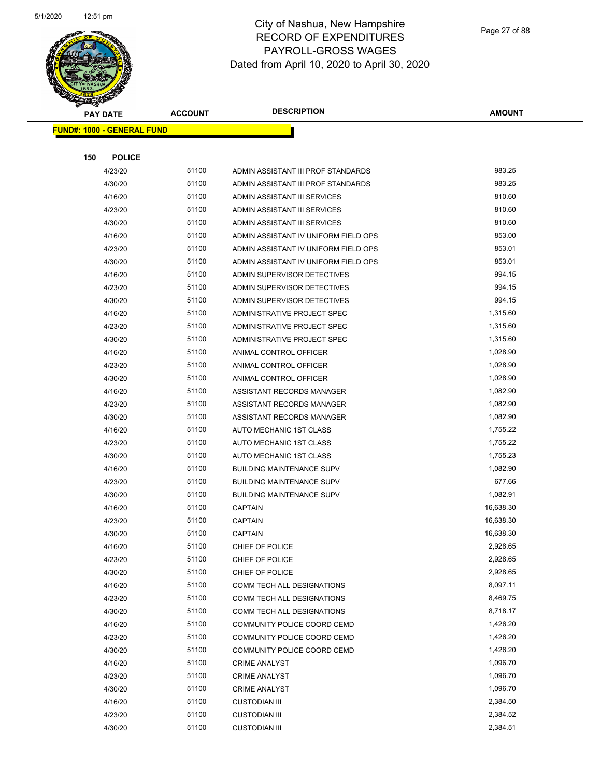

|     | <b>PAY DATE</b>                   | <b>ACCOUNT</b> | <b>DESCRIPTION</b>                                  | <b>AMOUNT</b>        |
|-----|-----------------------------------|----------------|-----------------------------------------------------|----------------------|
|     | <b>FUND#: 1000 - GENERAL FUND</b> |                |                                                     |                      |
|     |                                   |                |                                                     |                      |
| 150 | <b>POLICE</b>                     |                |                                                     |                      |
|     | 4/23/20                           | 51100          | ADMIN ASSISTANT III PROF STANDARDS                  | 983.25               |
|     | 4/30/20                           | 51100          | ADMIN ASSISTANT III PROF STANDARDS                  | 983.25               |
|     | 4/16/20                           | 51100          | ADMIN ASSISTANT III SERVICES                        | 810.60               |
|     | 4/23/20                           | 51100          | ADMIN ASSISTANT III SERVICES                        | 810.60               |
|     | 4/30/20                           | 51100          | ADMIN ASSISTANT III SERVICES                        | 810.60               |
|     | 4/16/20                           | 51100          | ADMIN ASSISTANT IV UNIFORM FIELD OPS                | 853.00               |
|     | 4/23/20                           | 51100          | ADMIN ASSISTANT IV UNIFORM FIELD OPS                | 853.01               |
|     | 4/30/20                           | 51100          | ADMIN ASSISTANT IV UNIFORM FIELD OPS                | 853.01               |
|     | 4/16/20                           | 51100          | ADMIN SUPERVISOR DETECTIVES                         | 994.15               |
|     | 4/23/20                           | 51100          | ADMIN SUPERVISOR DETECTIVES                         | 994.15               |
|     | 4/30/20                           | 51100          | ADMIN SUPERVISOR DETECTIVES                         | 994.15               |
|     | 4/16/20                           | 51100          | ADMINISTRATIVE PROJECT SPEC                         | 1,315.60             |
|     | 4/23/20                           | 51100          | ADMINISTRATIVE PROJECT SPEC                         | 1,315.60             |
|     | 4/30/20                           | 51100          | ADMINISTRATIVE PROJECT SPEC                         | 1,315.60             |
|     | 4/16/20                           | 51100          | ANIMAL CONTROL OFFICER                              | 1,028.90             |
|     | 4/23/20                           | 51100          | ANIMAL CONTROL OFFICER                              | 1,028.90             |
|     | 4/30/20                           | 51100          | ANIMAL CONTROL OFFICER                              | 1,028.90             |
|     | 4/16/20                           | 51100          | ASSISTANT RECORDS MANAGER                           | 1,082.90             |
|     | 4/23/20                           | 51100          | ASSISTANT RECORDS MANAGER                           | 1,082.90             |
|     | 4/30/20                           | 51100          | ASSISTANT RECORDS MANAGER                           | 1,082.90             |
|     | 4/16/20                           | 51100          | AUTO MECHANIC 1ST CLASS                             | 1,755.22             |
|     | 4/23/20                           | 51100          | AUTO MECHANIC 1ST CLASS                             | 1,755.22             |
|     | 4/30/20                           | 51100          | AUTO MECHANIC 1ST CLASS                             | 1,755.23             |
|     | 4/16/20                           | 51100          | <b>BUILDING MAINTENANCE SUPV</b>                    | 1,082.90             |
|     | 4/23/20                           | 51100          | <b>BUILDING MAINTENANCE SUPV</b>                    | 677.66               |
|     | 4/30/20                           | 51100          | <b>BUILDING MAINTENANCE SUPV</b>                    | 1,082.91             |
|     | 4/16/20                           | 51100          | <b>CAPTAIN</b>                                      | 16,638.30            |
|     | 4/23/20                           | 51100          | <b>CAPTAIN</b>                                      | 16,638.30            |
|     | 4/30/20                           | 51100          | <b>CAPTAIN</b>                                      | 16,638.30            |
|     | 4/16/20                           | 51100          | CHIEF OF POLICE                                     | 2,928.65             |
|     | 4/23/20                           | 51100          | CHIEF OF POLICE                                     | 2,928.65             |
|     | 4/30/20                           | 51100          | CHIEF OF POLICE                                     | 2,928.65             |
|     | 4/16/20                           | 51100          | COMM TECH ALL DESIGNATIONS                          | 8,097.11             |
|     | 4/23/20                           | 51100          | COMM TECH ALL DESIGNATIONS                          | 8,469.75             |
|     | 4/30/20                           | 51100          | COMM TECH ALL DESIGNATIONS                          | 8,718.17<br>1,426.20 |
|     | 4/16/20                           | 51100<br>51100 | COMMUNITY POLICE COORD CEMD                         | 1,426.20             |
|     | 4/23/20                           | 51100          | COMMUNITY POLICE COORD CEMD                         | 1,426.20             |
|     | 4/30/20<br>4/16/20                | 51100          | COMMUNITY POLICE COORD CEMD<br><b>CRIME ANALYST</b> | 1,096.70             |
|     |                                   |                |                                                     |                      |
|     | 4/23/20                           | 51100<br>51100 | <b>CRIME ANALYST</b>                                | 1,096.70<br>1,096.70 |
|     | 4/30/20<br>4/16/20                | 51100          | <b>CRIME ANALYST</b>                                | 2,384.50             |
|     | 4/23/20                           | 51100          | <b>CUSTODIAN III</b><br><b>CUSTODIAN III</b>        | 2,384.52             |
|     | 4/30/20                           | 51100          | <b>CUSTODIAN III</b>                                | 2,384.51             |
|     |                                   |                |                                                     |                      |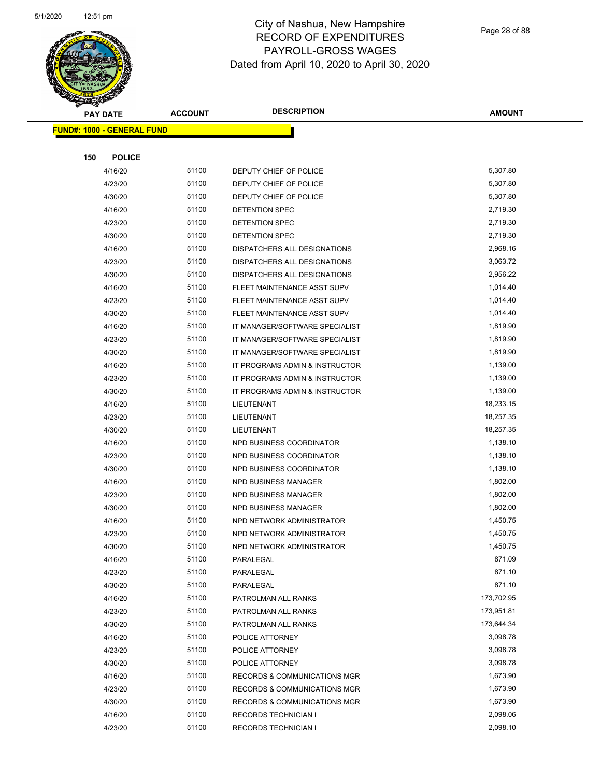

|     | <b>PAY DATE</b>                   | <b>ACCOUNT</b> | <b>DESCRIPTION</b>                                                                 | <b>AMOUNT</b>          |
|-----|-----------------------------------|----------------|------------------------------------------------------------------------------------|------------------------|
|     | <b>FUND#: 1000 - GENERAL FUND</b> |                |                                                                                    |                        |
|     |                                   |                |                                                                                    |                        |
| 150 | <b>POLICE</b>                     |                |                                                                                    |                        |
|     | 4/16/20                           | 51100          | DEPUTY CHIEF OF POLICE                                                             | 5,307.80               |
|     | 4/23/20                           | 51100          | DEPUTY CHIEF OF POLICE                                                             | 5,307.80               |
|     | 4/30/20                           | 51100          | DEPUTY CHIEF OF POLICE                                                             | 5,307.80               |
|     | 4/16/20                           | 51100          | DETENTION SPEC                                                                     | 2,719.30               |
|     | 4/23/20                           | 51100          | <b>DETENTION SPEC</b>                                                              | 2,719.30               |
|     | 4/30/20                           | 51100          | <b>DETENTION SPEC</b>                                                              | 2,719.30               |
|     | 4/16/20                           | 51100          | DISPATCHERS ALL DESIGNATIONS                                                       | 2,968.16               |
|     | 4/23/20                           | 51100          | DISPATCHERS ALL DESIGNATIONS                                                       | 3,063.72               |
|     | 4/30/20                           | 51100          | DISPATCHERS ALL DESIGNATIONS                                                       | 2,956.22               |
|     | 4/16/20                           | 51100          | FLEET MAINTENANCE ASST SUPV                                                        | 1,014.40               |
|     | 4/23/20                           | 51100          | FLEET MAINTENANCE ASST SUPV                                                        | 1,014.40               |
|     | 4/30/20                           | 51100          | FLEET MAINTENANCE ASST SUPV                                                        | 1,014.40               |
|     | 4/16/20                           | 51100          | IT MANAGER/SOFTWARE SPECIALIST                                                     | 1,819.90               |
|     | 4/23/20                           | 51100          | IT MANAGER/SOFTWARE SPECIALIST                                                     | 1,819.90               |
|     | 4/30/20                           | 51100          | IT MANAGER/SOFTWARE SPECIALIST                                                     | 1,819.90               |
|     | 4/16/20                           | 51100          | IT PROGRAMS ADMIN & INSTRUCTOR                                                     | 1,139.00               |
|     | 4/23/20                           | 51100          | IT PROGRAMS ADMIN & INSTRUCTOR                                                     | 1,139.00               |
|     | 4/30/20                           | 51100          | IT PROGRAMS ADMIN & INSTRUCTOR                                                     | 1,139.00               |
|     | 4/16/20                           | 51100          | LIEUTENANT                                                                         | 18,233.15              |
|     | 4/23/20                           | 51100          | LIEUTENANT                                                                         | 18,257.35              |
|     | 4/30/20                           | 51100          | LIEUTENANT                                                                         | 18,257.35              |
|     | 4/16/20                           | 51100          | NPD BUSINESS COORDINATOR                                                           | 1,138.10               |
|     | 4/23/20                           | 51100          | NPD BUSINESS COORDINATOR                                                           | 1,138.10               |
|     | 4/30/20                           | 51100          | NPD BUSINESS COORDINATOR                                                           | 1,138.10               |
|     | 4/16/20                           | 51100          | NPD BUSINESS MANAGER                                                               | 1,802.00               |
|     | 4/23/20                           | 51100          | NPD BUSINESS MANAGER                                                               | 1,802.00               |
|     | 4/30/20                           | 51100          | NPD BUSINESS MANAGER                                                               | 1,802.00               |
|     | 4/16/20                           | 51100          | NPD NETWORK ADMINISTRATOR                                                          | 1,450.75               |
|     | 4/23/20                           | 51100          | NPD NETWORK ADMINISTRATOR                                                          | 1,450.75               |
|     | 4/30/20                           | 51100          | NPD NETWORK ADMINISTRATOR                                                          | 1,450.75               |
|     | 4/16/20                           | 51100          | PARALEGAL                                                                          | 871.09                 |
|     | 4/23/20                           | 51100          | PARALEGAL                                                                          | 871.10                 |
|     | 4/30/20                           | 51100          | PARALEGAL                                                                          | 871.10                 |
|     | 4/16/20                           | 51100          | PATROLMAN ALL RANKS                                                                | 173,702.95             |
|     | 4/23/20                           | 51100          | PATROLMAN ALL RANKS                                                                | 173,951.81             |
|     | 4/30/20                           | 51100<br>51100 | PATROLMAN ALL RANKS                                                                | 173,644.34<br>3,098.78 |
|     | 4/16/20                           |                | POLICE ATTORNEY                                                                    |                        |
|     | 4/23/20                           | 51100          | POLICE ATTORNEY                                                                    | 3,098.78<br>3,098.78   |
|     | 4/30/20                           | 51100<br>51100 | POLICE ATTORNEY                                                                    | 1,673.90               |
|     | 4/16/20<br>4/23/20                | 51100          | <b>RECORDS &amp; COMMUNICATIONS MGR</b><br><b>RECORDS &amp; COMMUNICATIONS MGR</b> | 1,673.90               |
|     | 4/30/20                           | 51100          | <b>RECORDS &amp; COMMUNICATIONS MGR</b>                                            | 1,673.90               |
|     | 4/16/20                           | 51100          | RECORDS TECHNICIAN I                                                               | 2,098.06               |
|     | 4/23/20                           | 51100          | RECORDS TECHNICIAN I                                                               | 2,098.10               |
|     |                                   |                |                                                                                    |                        |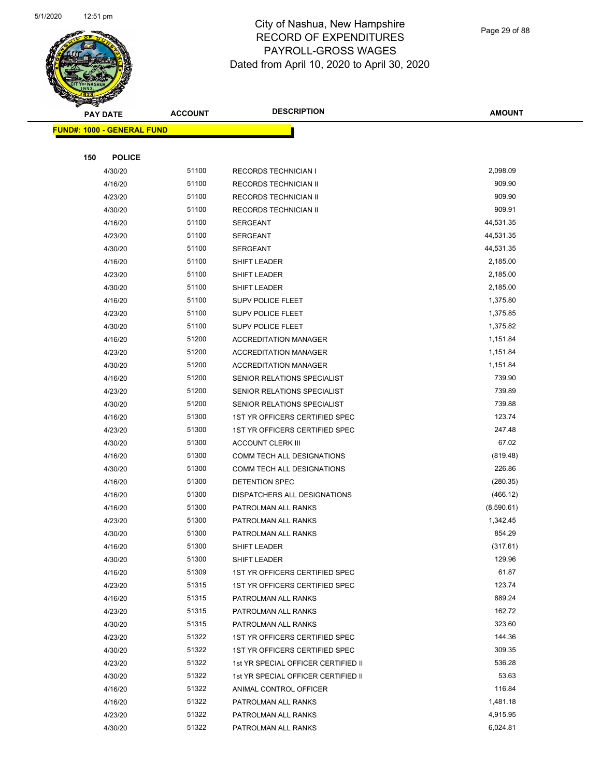

Page 29 of 88

| $\blacktriangleleft$ .<br><b>PAY DATE</b> | <b>ACCOUNT</b> | <b>DESCRIPTION</b>                  | <b>AMOUNT</b> |
|-------------------------------------------|----------------|-------------------------------------|---------------|
| <b>FUND#: 1000 - GENERAL FUND</b>         |                |                                     |               |
|                                           |                |                                     |               |
| 150<br><b>POLICE</b>                      |                |                                     |               |
| 4/30/20                                   | 51100          | <b>RECORDS TECHNICIAN I</b>         | 2,098.09      |
| 4/16/20                                   | 51100          | RECORDS TECHNICIAN II               | 909.90        |
| 4/23/20                                   | 51100          | RECORDS TECHNICIAN II               | 909.90        |
| 4/30/20                                   | 51100          | RECORDS TECHNICIAN II               | 909.91        |
| 4/16/20                                   | 51100          | <b>SERGEANT</b>                     | 44,531.35     |
| 4/23/20                                   | 51100          | <b>SERGEANT</b>                     | 44,531.35     |
| 4/30/20                                   | 51100          | SERGEANT                            | 44,531.35     |
| 4/16/20                                   | 51100          | SHIFT LEADER                        | 2,185.00      |
| 4/23/20                                   | 51100          | <b>SHIFT LEADER</b>                 | 2,185.00      |
| 4/30/20                                   | 51100          | SHIFT LEADER                        | 2,185.00      |
| 4/16/20                                   | 51100          | SUPV POLICE FLEET                   | 1,375.80      |
| 4/23/20                                   | 51100          | SUPV POLICE FLEET                   | 1,375.85      |
| 4/30/20                                   | 51100          | SUPV POLICE FLEET                   | 1,375.82      |
| 4/16/20                                   | 51200          | <b>ACCREDITATION MANAGER</b>        | 1,151.84      |
| 4/23/20                                   | 51200          | <b>ACCREDITATION MANAGER</b>        | 1,151.84      |
| 4/30/20                                   | 51200          | <b>ACCREDITATION MANAGER</b>        | 1,151.84      |
| 4/16/20                                   | 51200          | SENIOR RELATIONS SPECIALIST         | 739.90        |
| 4/23/20                                   | 51200          | SENIOR RELATIONS SPECIALIST         | 739.89        |
| 4/30/20                                   | 51200          | SENIOR RELATIONS SPECIALIST         | 739.88        |
| 4/16/20                                   | 51300          | 1ST YR OFFICERS CERTIFIED SPEC      | 123.74        |
| 4/23/20                                   | 51300          | 1ST YR OFFICERS CERTIFIED SPEC      | 247.48        |
| 4/30/20                                   | 51300          | <b>ACCOUNT CLERK III</b>            | 67.02         |
| 4/16/20                                   | 51300          | COMM TECH ALL DESIGNATIONS          | (819.48)      |
| 4/30/20                                   | 51300          | COMM TECH ALL DESIGNATIONS          | 226.86        |
| 4/16/20                                   | 51300          | DETENTION SPEC                      | (280.35)      |
| 4/16/20                                   | 51300          | DISPATCHERS ALL DESIGNATIONS        | (466.12)      |
| 4/16/20                                   | 51300          | PATROLMAN ALL RANKS                 | (8,590.61)    |
| 4/23/20                                   | 51300          | PATROLMAN ALL RANKS                 | 1,342.45      |
| 4/30/20                                   | 51300          | PATROLMAN ALL RANKS                 | 854.29        |
| 4/16/20                                   | 51300          | SHIFT LEADER                        | (317.61)      |
| 4/30/20                                   | 51300          | SHIFT LEADER                        | 129.96        |
| 4/16/20                                   | 51309          | 1ST YR OFFICERS CERTIFIED SPEC      | 61.87         |
| 4/23/20                                   | 51315          | 1ST YR OFFICERS CERTIFIED SPEC      | 123.74        |
| 4/16/20                                   | 51315          | PATROLMAN ALL RANKS                 | 889.24        |
| 4/23/20                                   | 51315          | PATROLMAN ALL RANKS                 | 162.72        |
| 4/30/20                                   | 51315          | PATROLMAN ALL RANKS                 | 323.60        |
| 4/23/20                                   | 51322          | 1ST YR OFFICERS CERTIFIED SPEC      | 144.36        |
| 4/30/20                                   | 51322          | 1ST YR OFFICERS CERTIFIED SPEC      | 309.35        |
| 4/23/20                                   | 51322          | 1st YR SPECIAL OFFICER CERTIFIED II | 536.28        |
| 4/30/20                                   | 51322          | 1st YR SPECIAL OFFICER CERTIFIED II | 53.63         |
| 4/16/20                                   | 51322          | ANIMAL CONTROL OFFICER              | 116.84        |
| 4/16/20                                   | 51322          | PATROLMAN ALL RANKS                 | 1,481.18      |
| 4/23/20                                   | 51322          | PATROLMAN ALL RANKS                 | 4,915.95      |
| 4/30/20                                   | 51322          | PATROLMAN ALL RANKS                 | 6,024.81      |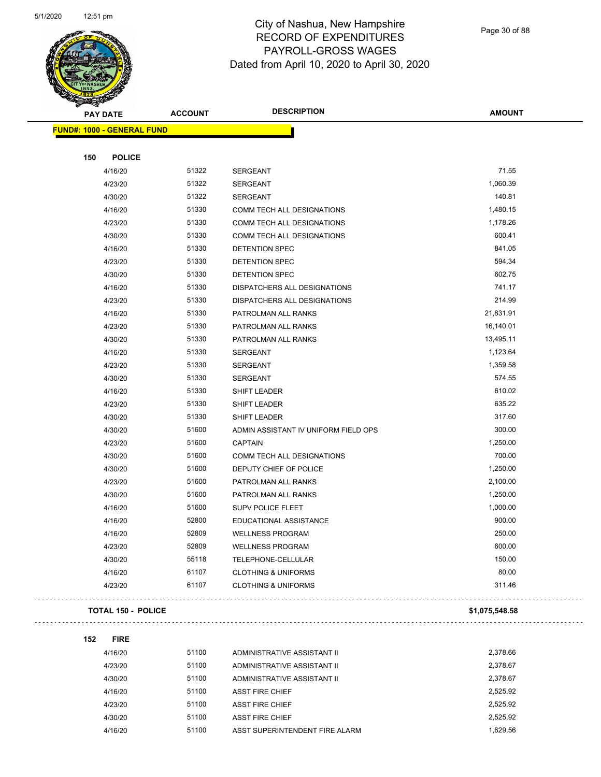$\overline{\phantom{0}}$ 



## City of Nashua, New Hampshire RECORD OF EXPENDITURES PAYROLL-GROSS WAGES Dated from April 10, 2020 to April 30, 2020

Page 30 of 88

| <b>PAY DATE</b>                   | <b>ACCOUNT</b> | <b>DESCRIPTION</b>                   | <b>AMOUNT</b>  |
|-----------------------------------|----------------|--------------------------------------|----------------|
| <b>FUND#: 1000 - GENERAL FUND</b> |                |                                      |                |
|                                   |                |                                      |                |
| 150<br><b>POLICE</b>              | 51322          |                                      | 71.55          |
| 4/16/20                           | 51322          | SERGEANT                             | 1,060.39       |
| 4/23/20                           |                | <b>SERGEANT</b>                      | 140.81         |
| 4/30/20                           | 51322<br>51330 | <b>SERGEANT</b>                      | 1,480.15       |
| 4/16/20                           |                | COMM TECH ALL DESIGNATIONS           |                |
| 4/23/20                           | 51330          | <b>COMM TECH ALL DESIGNATIONS</b>    | 1,178.26       |
| 4/30/20                           | 51330          | COMM TECH ALL DESIGNATIONS           | 600.41         |
| 4/16/20                           | 51330          | DETENTION SPEC                       | 841.05         |
| 4/23/20                           | 51330          | DETENTION SPEC                       | 594.34         |
| 4/30/20                           | 51330          | DETENTION SPEC                       | 602.75         |
| 4/16/20                           | 51330          | DISPATCHERS ALL DESIGNATIONS         | 741.17         |
| 4/23/20                           | 51330          | DISPATCHERS ALL DESIGNATIONS         | 214.99         |
| 4/16/20                           | 51330          | PATROLMAN ALL RANKS                  | 21,831.91      |
| 4/23/20                           | 51330          | PATROLMAN ALL RANKS                  | 16,140.01      |
| 4/30/20                           | 51330          | PATROLMAN ALL RANKS                  | 13,495.11      |
| 4/16/20                           | 51330          | SERGEANT                             | 1,123.64       |
| 4/23/20                           | 51330          | <b>SERGEANT</b>                      | 1,359.58       |
| 4/30/20                           | 51330          | <b>SERGEANT</b>                      | 574.55         |
| 4/16/20                           | 51330          | SHIFT LEADER                         | 610.02         |
| 4/23/20                           | 51330          | SHIFT LEADER                         | 635.22         |
| 4/30/20                           | 51330          | <b>SHIFT LEADER</b>                  | 317.60         |
| 4/30/20                           | 51600          | ADMIN ASSISTANT IV UNIFORM FIELD OPS | 300.00         |
| 4/23/20                           | 51600          | <b>CAPTAIN</b>                       | 1,250.00       |
| 4/30/20                           | 51600          | COMM TECH ALL DESIGNATIONS           | 700.00         |
| 4/30/20                           | 51600          | DEPUTY CHIEF OF POLICE               | 1,250.00       |
| 4/23/20                           | 51600          | PATROLMAN ALL RANKS                  | 2,100.00       |
| 4/30/20                           | 51600          | PATROLMAN ALL RANKS                  | 1,250.00       |
| 4/16/20                           | 51600          | <b>SUPV POLICE FLEET</b>             | 1,000.00       |
| 4/16/20                           | 52800          | EDUCATIONAL ASSISTANCE               | 900.00         |
| 4/16/20                           | 52809          | <b>WELLNESS PROGRAM</b>              | 250.00         |
| 4/23/20                           | 52809          | <b>WELLNESS PROGRAM</b>              | 600.00         |
| 4/30/20                           | 55118          | TELEPHONE-CELLULAR                   | 150.00         |
| 4/16/20                           | 61107          | <b>CLOTHING &amp; UNIFORMS</b>       | 80.00          |
| 4/23/20                           | 61107          | <b>CLOTHING &amp; UNIFORMS</b>       | 311.46         |
| <b>TOTAL 150 - POLICE</b>         |                |                                      | \$1,075,548.58 |

| 4/16/20 | 51100 | ADMINISTRATIVE ASSISTANT II    | 2.378.66 |
|---------|-------|--------------------------------|----------|
| 4/23/20 | 51100 | ADMINISTRATIVE ASSISTANT II    | 2.378.67 |
| 4/30/20 | 51100 | ADMINISTRATIVE ASSISTANT II    | 2.378.67 |
| 4/16/20 | 51100 | <b>ASST FIRE CHIEF</b>         | 2.525.92 |
| 4/23/20 | 51100 | <b>ASST FIRE CHIEF</b>         | 2.525.92 |
| 4/30/20 | 51100 | <b>ASST FIRE CHIEF</b>         | 2.525.92 |
| 4/16/20 | 51100 | ASST SUPERINTENDENT FIRE ALARM | 1.629.56 |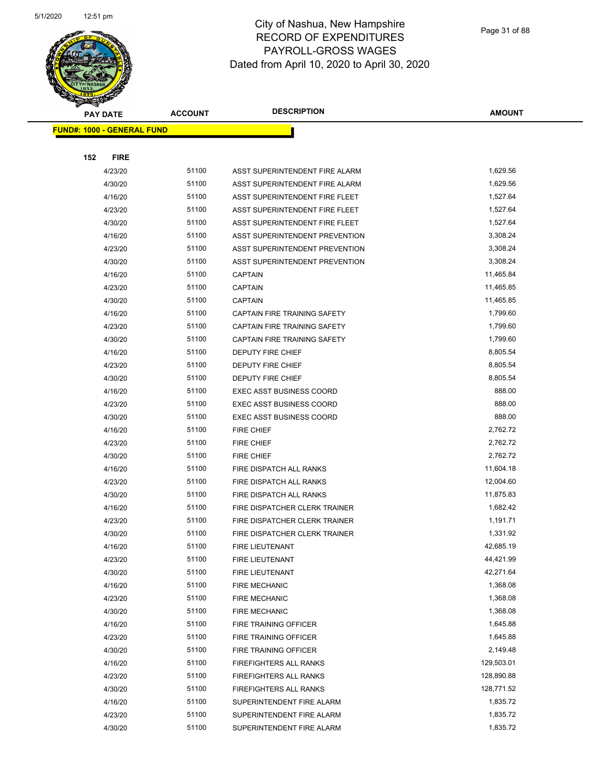

| <b>PAY DATE</b>                   | <b>ACCOUNT</b> | <b>DESCRIPTION</b>                            | <b>AMOUNT</b>         |
|-----------------------------------|----------------|-----------------------------------------------|-----------------------|
| <b>FUND#: 1000 - GENERAL FUND</b> |                |                                               |                       |
|                                   |                |                                               |                       |
| 152<br><b>FIRE</b>                |                |                                               |                       |
| 4/23/20                           | 51100          | ASST SUPERINTENDENT FIRE ALARM                | 1,629.56              |
| 4/30/20                           | 51100          | ASST SUPERINTENDENT FIRE ALARM                | 1,629.56              |
| 4/16/20                           | 51100          | ASST SUPERINTENDENT FIRE FLEET                | 1,527.64              |
| 4/23/20                           | 51100          | ASST SUPERINTENDENT FIRE FLEET                | 1,527.64              |
| 4/30/20                           | 51100          | ASST SUPERINTENDENT FIRE FLEET                | 1,527.64              |
| 4/16/20                           | 51100          | <b>ASST SUPERINTENDENT PREVENTION</b>         | 3,308.24              |
| 4/23/20                           | 51100          | ASST SUPERINTENDENT PREVENTION                | 3,308.24              |
| 4/30/20                           | 51100          | ASST SUPERINTENDENT PREVENTION                | 3,308.24              |
| 4/16/20                           | 51100          | <b>CAPTAIN</b>                                | 11,465.84             |
| 4/23/20                           | 51100          | <b>CAPTAIN</b>                                | 11,465.85             |
| 4/30/20                           | 51100          | <b>CAPTAIN</b>                                | 11,465.85             |
| 4/16/20                           | 51100          | CAPTAIN FIRE TRAINING SAFETY                  | 1,799.60              |
| 4/23/20                           | 51100          | CAPTAIN FIRE TRAINING SAFETY                  | 1,799.60              |
| 4/30/20                           | 51100          | <b>CAPTAIN FIRE TRAINING SAFETY</b>           | 1,799.60              |
| 4/16/20                           | 51100          | <b>DEPUTY FIRE CHIEF</b>                      | 8,805.54              |
| 4/23/20                           | 51100          | <b>DEPUTY FIRE CHIEF</b>                      | 8,805.54              |
| 4/30/20                           | 51100          | DEPUTY FIRE CHIEF                             | 8,805.54              |
| 4/16/20                           | 51100          | <b>EXEC ASST BUSINESS COORD</b>               | 888.00                |
| 4/23/20                           | 51100          | <b>EXEC ASST BUSINESS COORD</b>               | 888.00                |
| 4/30/20                           | 51100          | <b>EXEC ASST BUSINESS COORD</b>               | 888.00                |
| 4/16/20                           | 51100          | <b>FIRE CHIEF</b>                             | 2,762.72              |
| 4/23/20                           | 51100          | <b>FIRE CHIEF</b>                             | 2,762.72              |
| 4/30/20                           | 51100          | <b>FIRE CHIEF</b>                             | 2,762.72              |
| 4/16/20                           | 51100          | FIRE DISPATCH ALL RANKS                       | 11,604.18             |
| 4/23/20                           | 51100          | FIRE DISPATCH ALL RANKS                       | 12,004.60             |
| 4/30/20                           | 51100          | FIRE DISPATCH ALL RANKS                       | 11,875.83             |
| 4/16/20                           | 51100          | <b>FIRE DISPATCHER CLERK TRAINER</b>          | 1,682.42              |
| 4/23/20                           | 51100          | FIRE DISPATCHER CLERK TRAINER                 | 1,191.71              |
| 4/30/20                           | 51100          | FIRE DISPATCHER CLERK TRAINER                 | 1,331.92              |
| 4/16/20                           | 51100          | FIRE LIEUTENANT                               | 42,685.19             |
| 4/23/20                           | 51100          | FIRE LIEUTENANT                               | 44,421.99             |
| 4/30/20                           | 51100          | FIRE LIEUTENANT                               | 42,271.64<br>1,368.08 |
| 4/16/20                           | 51100<br>51100 | <b>FIRE MECHANIC</b>                          | 1,368.08              |
| 4/23/20                           | 51100          | <b>FIRE MECHANIC</b>                          | 1,368.08              |
| 4/30/20<br>4/16/20                | 51100          | <b>FIRE MECHANIC</b><br>FIRE TRAINING OFFICER | 1,645.88              |
| 4/23/20                           | 51100          | FIRE TRAINING OFFICER                         | 1,645.88              |
| 4/30/20                           | 51100          | FIRE TRAINING OFFICER                         | 2,149.48              |
| 4/16/20                           | 51100          | FIREFIGHTERS ALL RANKS                        | 129,503.01            |
| 4/23/20                           | 51100          | <b>FIREFIGHTERS ALL RANKS</b>                 | 128,890.88            |
| 4/30/20                           | 51100          | <b>FIREFIGHTERS ALL RANKS</b>                 | 128,771.52            |
| 4/16/20                           | 51100          | SUPERINTENDENT FIRE ALARM                     | 1,835.72              |
| 4/23/20                           | 51100          | SUPERINTENDENT FIRE ALARM                     | 1,835.72              |
| 4/30/20                           | 51100          | SUPERINTENDENT FIRE ALARM                     | 1,835.72              |
|                                   |                |                                               |                       |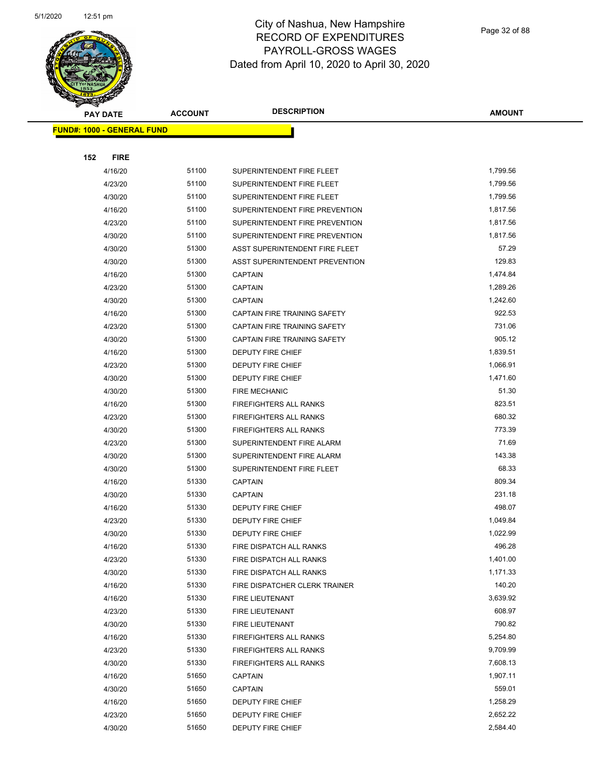

|     | <b>PAY DATE</b>                   | <b>ACCOUNT</b> | <b>DESCRIPTION</b>             | <b>AMOUNT</b> |
|-----|-----------------------------------|----------------|--------------------------------|---------------|
|     | <b>FUND#: 1000 - GENERAL FUND</b> |                |                                |               |
|     |                                   |                |                                |               |
| 152 | <b>FIRE</b>                       |                |                                |               |
|     | 4/16/20                           | 51100          | SUPERINTENDENT FIRE FLEET      | 1,799.56      |
|     | 4/23/20                           | 51100          | SUPERINTENDENT FIRE FLEET      | 1,799.56      |
|     | 4/30/20                           | 51100          | SUPERINTENDENT FIRE FLEET      | 1,799.56      |
|     | 4/16/20                           | 51100          | SUPERINTENDENT FIRE PREVENTION | 1,817.56      |
|     | 4/23/20                           | 51100          | SUPERINTENDENT FIRE PREVENTION | 1,817.56      |
|     | 4/30/20                           | 51100          | SUPERINTENDENT FIRE PREVENTION | 1,817.56      |
|     | 4/30/20                           | 51300          | ASST SUPERINTENDENT FIRE FLEET | 57.29         |
|     | 4/30/20                           | 51300          | ASST SUPERINTENDENT PREVENTION | 129.83        |
|     | 4/16/20                           | 51300          | <b>CAPTAIN</b>                 | 1,474.84      |
|     | 4/23/20                           | 51300          | <b>CAPTAIN</b>                 | 1,289.26      |
|     | 4/30/20                           | 51300          | <b>CAPTAIN</b>                 | 1,242.60      |
|     | 4/16/20                           | 51300          | CAPTAIN FIRE TRAINING SAFETY   | 922.53        |
|     | 4/23/20                           | 51300          | CAPTAIN FIRE TRAINING SAFETY   | 731.06        |
|     | 4/30/20                           | 51300          | CAPTAIN FIRE TRAINING SAFETY   | 905.12        |
|     | 4/16/20                           | 51300          | DEPUTY FIRE CHIEF              | 1,839.51      |
|     | 4/23/20                           | 51300          | <b>DEPUTY FIRE CHIEF</b>       | 1,066.91      |
|     | 4/30/20                           | 51300          | <b>DEPUTY FIRE CHIEF</b>       | 1,471.60      |
|     | 4/30/20                           | 51300          | <b>FIRE MECHANIC</b>           | 51.30         |
|     | 4/16/20                           | 51300          | <b>FIREFIGHTERS ALL RANKS</b>  | 823.51        |
|     | 4/23/20                           | 51300          | FIREFIGHTERS ALL RANKS         | 680.32        |
|     | 4/30/20                           | 51300          | <b>FIREFIGHTERS ALL RANKS</b>  | 773.39        |
|     | 4/23/20                           | 51300          | SUPERINTENDENT FIRE ALARM      | 71.69         |
|     | 4/30/20                           | 51300          | SUPERINTENDENT FIRE ALARM      | 143.38        |
|     | 4/30/20                           | 51300          | SUPERINTENDENT FIRE FLEET      | 68.33         |
|     | 4/16/20                           | 51330          | <b>CAPTAIN</b>                 | 809.34        |
|     | 4/30/20                           | 51330          | <b>CAPTAIN</b>                 | 231.18        |
|     | 4/16/20                           | 51330          | DEPUTY FIRE CHIEF              | 498.07        |
|     | 4/23/20                           | 51330          | <b>DEPUTY FIRE CHIEF</b>       | 1,049.84      |
|     | 4/30/20                           | 51330          | <b>DEPUTY FIRE CHIEF</b>       | 1,022.99      |
|     | 4/16/20                           | 51330          | FIRE DISPATCH ALL RANKS        | 496.28        |
|     | 4/23/20                           | 51330          | FIRE DISPATCH ALL RANKS        | 1,401.00      |
|     | 4/30/20                           | 51330          | FIRE DISPATCH ALL RANKS        | 1,171.33      |
|     | 4/16/20                           | 51330          | FIRE DISPATCHER CLERK TRAINER  | 140.20        |
|     | 4/16/20                           | 51330          | FIRE LIEUTENANT                | 3,639.92      |
|     | 4/23/20                           | 51330          | FIRE LIEUTENANT                | 608.97        |
|     | 4/30/20                           | 51330          | FIRE LIEUTENANT                | 790.82        |
|     | 4/16/20                           | 51330          | FIREFIGHTERS ALL RANKS         | 5,254.80      |
|     | 4/23/20                           | 51330          | FIREFIGHTERS ALL RANKS         | 9,709.99      |
|     | 4/30/20                           | 51330          | FIREFIGHTERS ALL RANKS         | 7,608.13      |
|     | 4/16/20                           | 51650          | <b>CAPTAIN</b>                 | 1,907.11      |
|     | 4/30/20                           | 51650          | <b>CAPTAIN</b>                 | 559.01        |
|     | 4/16/20                           | 51650          | DEPUTY FIRE CHIEF              | 1,258.29      |
|     | 4/23/20                           | 51650          | <b>DEPUTY FIRE CHIEF</b>       | 2,652.22      |
|     | 4/30/20                           | 51650          | DEPUTY FIRE CHIEF              | 2,584.40      |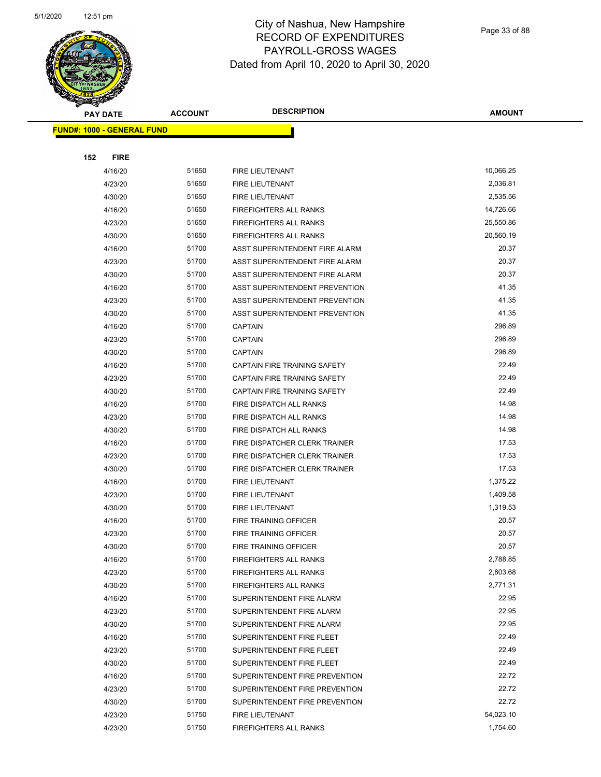

Page 33 of 88

|     | <b>PAY DATE</b>                   | <b>ACCOUNT</b> | <b>DESCRIPTION</b>                    | <b>AMOUNT</b> |
|-----|-----------------------------------|----------------|---------------------------------------|---------------|
|     | <b>FUND#: 1000 - GENERAL FUND</b> |                |                                       |               |
|     |                                   |                |                                       |               |
| 152 | <b>FIRE</b>                       |                |                                       |               |
|     | 4/16/20                           | 51650          | FIRE LIEUTENANT                       | 10,066.25     |
|     | 4/23/20                           | 51650          | FIRE LIEUTENANT                       | 2,036.81      |
|     | 4/30/20                           | 51650          | FIRE LIEUTENANT                       | 2,535.56      |
|     | 4/16/20                           | 51650          | <b>FIREFIGHTERS ALL RANKS</b>         | 14,726.66     |
|     | 4/23/20                           | 51650          | <b>FIREFIGHTERS ALL RANKS</b>         | 25,550.86     |
|     | 4/30/20                           | 51650          | <b>FIREFIGHTERS ALL RANKS</b>         | 20,560.19     |
|     | 4/16/20                           | 51700          | ASST SUPERINTENDENT FIRE ALARM        | 20.37         |
|     | 4/23/20                           | 51700          | ASST SUPERINTENDENT FIRE ALARM        | 20.37         |
|     | 4/30/20                           | 51700          | ASST SUPERINTENDENT FIRE ALARM        | 20.37         |
|     | 4/16/20                           | 51700          | ASST SUPERINTENDENT PREVENTION        | 41.35         |
|     | 4/23/20                           | 51700          | ASST SUPERINTENDENT PREVENTION        | 41.35         |
|     | 4/30/20                           | 51700          | <b>ASST SUPERINTENDENT PREVENTION</b> | 41.35         |
|     | 4/16/20                           | 51700          | <b>CAPTAIN</b>                        | 296.89        |
|     | 4/23/20                           | 51700          | <b>CAPTAIN</b>                        | 296.89        |
|     | 4/30/20                           | 51700          | <b>CAPTAIN</b>                        | 296.89        |
|     | 4/16/20                           | 51700          | CAPTAIN FIRE TRAINING SAFETY          | 22.49         |
|     | 4/23/20                           | 51700          | <b>CAPTAIN FIRE TRAINING SAFETY</b>   | 22.49         |
|     | 4/30/20                           | 51700          | CAPTAIN FIRE TRAINING SAFETY          | 22.49         |
|     | 4/16/20                           | 51700          | FIRE DISPATCH ALL RANKS               | 14.98         |
|     | 4/23/20                           | 51700          | FIRE DISPATCH ALL RANKS               | 14.98         |
|     | 4/30/20                           | 51700          | FIRE DISPATCH ALL RANKS               | 14.98         |
|     | 4/16/20                           | 51700          | FIRE DISPATCHER CLERK TRAINER         | 17.53         |
|     | 4/23/20                           | 51700          | FIRE DISPATCHER CLERK TRAINER         | 17.53         |
|     | 4/30/20                           | 51700          | FIRE DISPATCHER CLERK TRAINER         | 17.53         |
|     | 4/16/20                           | 51700          | <b>FIRE LIEUTENANT</b>                | 1,375.22      |
|     | 4/23/20                           | 51700          | FIRE LIEUTENANT                       | 1,409.58      |
|     | 4/30/20                           | 51700          | FIRE LIEUTENANT                       | 1,319.53      |
|     | 4/16/20                           | 51700          | <b>FIRE TRAINING OFFICER</b>          | 20.57         |
|     | 4/23/20                           | 51700          | <b>FIRE TRAINING OFFICER</b>          | 20.57         |
|     | 4/30/20                           | 51700          | FIRE TRAINING OFFICER                 | 20.57         |
|     | 4/16/20                           | 51700          | FIREFIGHTERS ALL RANKS                | 2,788.85      |
|     | 4/23/20                           | 51700          | <b>FIREFIGHTERS ALL RANKS</b>         | 2,803.68      |
|     | 4/30/20                           | 51700          | <b>FIREFIGHTERS ALL RANKS</b>         | 2,771.31      |
|     | 4/16/20                           | 51700          | SUPERINTENDENT FIRE ALARM             | 22.95         |
|     | 4/23/20                           | 51700          | SUPERINTENDENT FIRE ALARM             | 22.95         |
|     | 4/30/20                           | 51700          | SUPERINTENDENT FIRE ALARM             | 22.95         |
|     | 4/16/20                           | 51700          | SUPERINTENDENT FIRE FLEET             | 22.49         |
|     | 4/23/20                           | 51700          | SUPERINTENDENT FIRE FLEET             | 22.49         |
|     | 4/30/20                           | 51700          | SUPERINTENDENT FIRE FLEET             | 22.49         |
|     | 4/16/20                           | 51700          | SUPERINTENDENT FIRE PREVENTION        | 22.72         |
|     | 4/23/20                           | 51700          | SUPERINTENDENT FIRE PREVENTION        | 22.72         |
|     | 4/30/20                           | 51700          | SUPERINTENDENT FIRE PREVENTION        | 22.72         |
|     | 4/23/20                           | 51750          | FIRE LIEUTENANT                       | 54,023.10     |
|     | 4/23/20                           | 51750          | FIREFIGHTERS ALL RANKS                | 1,754.60      |
|     |                                   |                |                                       |               |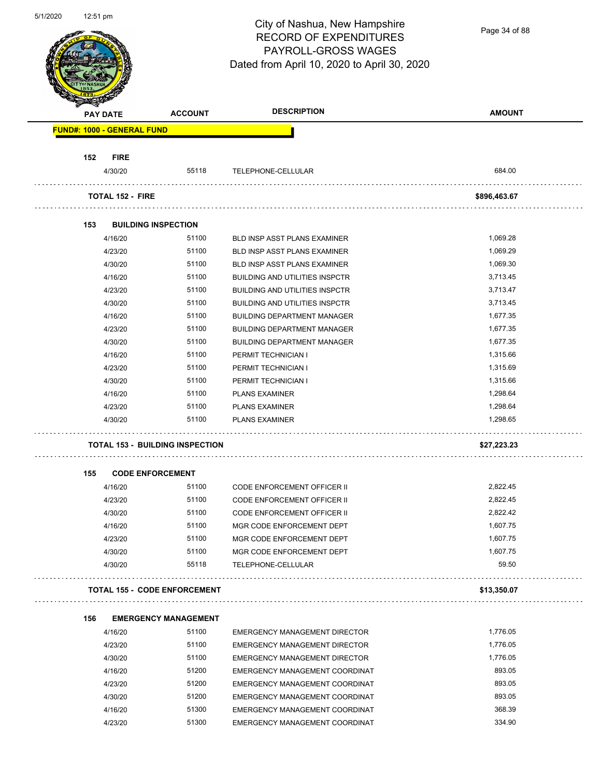Page 34 of 88

| <b>PAY DATE</b>    | <b>ACCOUNT</b>                         | <b>DESCRIPTION</b>                                               | <b>AMOUNT</b>     |
|--------------------|----------------------------------------|------------------------------------------------------------------|-------------------|
|                    | <b>FUND#: 1000 - GENERAL FUND</b>      |                                                                  |                   |
| 152                | <b>FIRE</b>                            |                                                                  |                   |
| 4/30/20            | 55118                                  | TELEPHONE-CELLULAR                                               | 684.00            |
|                    | <b>TOTAL 152 - FIRE</b>                |                                                                  | \$896,463.67      |
| 153                | <b>BUILDING INSPECTION</b>             |                                                                  |                   |
| 4/16/20            | 51100                                  | <b>BLD INSP ASST PLANS EXAMINER</b>                              | 1,069.28          |
| 4/23/20            | 51100                                  | <b>BLD INSP ASST PLANS EXAMINER</b>                              | 1,069.29          |
|                    | 4/30/20<br>51100                       | BLD INSP ASST PLANS EXAMINER                                     | 1,069.30          |
| 4/16/20            | 51100                                  | <b>BUILDING AND UTILITIES INSPCTR</b>                            | 3,713.45          |
| 4/23/20            | 51100                                  | <b>BUILDING AND UTILITIES INSPCTR</b>                            | 3,713.47          |
| 4/30/20            | 51100                                  | <b>BUILDING AND UTILITIES INSPCTR</b>                            | 3,713.45          |
| 4/16/20            | 51100                                  | <b>BUILDING DEPARTMENT MANAGER</b>                               | 1,677.35          |
|                    | 4/23/20<br>51100                       | <b>BUILDING DEPARTMENT MANAGER</b>                               | 1,677.35          |
| 4/30/20            | 51100                                  | <b>BUILDING DEPARTMENT MANAGER</b>                               | 1,677.35          |
| 4/16/20            | 51100                                  | PERMIT TECHNICIAN I                                              | 1,315.66          |
| 4/23/20            | 51100                                  | PERMIT TECHNICIAN I                                              | 1,315.69          |
| 4/30/20            | 51100                                  | PERMIT TECHNICIAN I                                              | 1,315.66          |
| 4/16/20            | 51100                                  | <b>PLANS EXAMINER</b>                                            | 1,298.64          |
| 4/23/20            | 51100                                  | <b>PLANS EXAMINER</b>                                            | 1,298.64          |
|                    | 51100<br>4/30/20                       | <b>PLANS EXAMINER</b>                                            | 1,298.65          |
|                    | <b>TOTAL 153 - BUILDING INSPECTION</b> |                                                                  | \$27,223.23       |
| 155                | <b>CODE ENFORCEMENT</b>                |                                                                  |                   |
| 4/16/20            | 51100                                  | <b>CODE ENFORCEMENT OFFICER II</b>                               | 2,822.45          |
|                    | 4/23/20<br>51100                       | <b>CODE ENFORCEMENT OFFICER II</b>                               | 2,822.45          |
|                    |                                        |                                                                  |                   |
|                    |                                        |                                                                  |                   |
| 4/30/20            | 51100                                  | CODE ENFORCEMENT OFFICER II                                      | 2,822.42          |
| 4/16/20            | 51100                                  | MGR CODE ENFORCEMENT DEPT                                        | 1,607.75          |
| 4/23/20            | 51100                                  | MGR CODE ENFORCEMENT DEPT                                        | 1,607.75          |
| 4/30/20            | 51100<br>55118<br>4/30/20              | MGR CODE ENFORCEMENT DEPT<br>TELEPHONE-CELLULAR                  | 1,607.75<br>59.50 |
|                    | <b>TOTAL 155 - CODE ENFORCEMENT</b>    |                                                                  | \$13,350.07       |
|                    |                                        |                                                                  |                   |
| 156                | <b>EMERGENCY MANAGEMENT</b>            |                                                                  |                   |
| 4/16/20            | 51100                                  | <b>EMERGENCY MANAGEMENT DIRECTOR</b>                             | 1,776.05          |
| 4/23/20            | 51100                                  | <b>EMERGENCY MANAGEMENT DIRECTOR</b>                             | 1,776.05          |
| 4/30/20            | 51100                                  | <b>EMERGENCY MANAGEMENT DIRECTOR</b>                             | 1,776.05          |
| 4/16/20            | 51200                                  | EMERGENCY MANAGEMENT COORDINAT                                   | 893.05            |
| 4/23/20            | 51200                                  | EMERGENCY MANAGEMENT COORDINAT                                   | 893.05            |
| 4/30/20<br>4/16/20 | 51200<br>51300                         | EMERGENCY MANAGEMENT COORDINAT<br>EMERGENCY MANAGEMENT COORDINAT | 893.05<br>368.39  |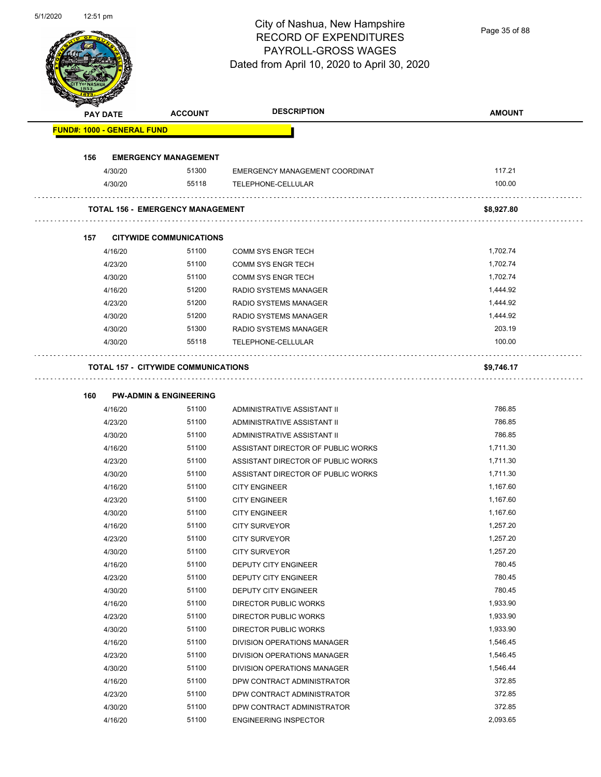Page 35 of 88

| <b>PAY DATE</b>                         | <b>ACCOUNT</b>                             | <b>DESCRIPTION</b>                 | <b>AMOUNT</b> |
|-----------------------------------------|--------------------------------------------|------------------------------------|---------------|
| <b>FUND#: 1000 - GENERAL FUND</b>       |                                            |                                    |               |
| 156                                     | <b>EMERGENCY MANAGEMENT</b>                |                                    |               |
| 4/30/20                                 | 51300                                      | EMERGENCY MANAGEMENT COORDINAT     | 117.21        |
| 4/30/20                                 | 55118                                      | TELEPHONE-CELLULAR                 | 100.00        |
| <b>TOTAL 156 - EMERGENCY MANAGEMENT</b> |                                            |                                    | \$8,927.80    |
| 157                                     | <b>CITYWIDE COMMUNICATIONS</b>             |                                    |               |
| 4/16/20                                 | 51100                                      | <b>COMM SYS ENGR TECH</b>          | 1,702.74      |
| 4/23/20                                 | 51100                                      | <b>COMM SYS ENGR TECH</b>          | 1,702.74      |
| 4/30/20                                 | 51100                                      | <b>COMM SYS ENGR TECH</b>          | 1,702.74      |
| 4/16/20                                 | 51200                                      | RADIO SYSTEMS MANAGER              | 1,444.92      |
| 4/23/20                                 | 51200                                      | <b>RADIO SYSTEMS MANAGER</b>       | 1,444.92      |
| 4/30/20                                 | 51200                                      | <b>RADIO SYSTEMS MANAGER</b>       | 1,444.92      |
| 4/30/20                                 | 51300                                      | RADIO SYSTEMS MANAGER              | 203.19        |
| 4/30/20                                 | 55118                                      | TELEPHONE-CELLULAR                 | 100.00        |
|                                         | <b>TOTAL 157 - CITYWIDE COMMUNICATIONS</b> |                                    | \$9,746.17    |
| 160                                     | <b>PW-ADMIN &amp; ENGINEERING</b>          |                                    |               |
| 4/16/20                                 | 51100                                      | ADMINISTRATIVE ASSISTANT II        | 786.85        |
| 4/23/20                                 | 51100                                      | ADMINISTRATIVE ASSISTANT II        | 786.85        |
| 4/30/20                                 | 51100                                      | ADMINISTRATIVE ASSISTANT II        | 786.85        |
| 4/16/20                                 | 51100                                      | ASSISTANT DIRECTOR OF PUBLIC WORKS | 1,711.30      |
| 4/23/20                                 | 51100                                      | ASSISTANT DIRECTOR OF PUBLIC WORKS | 1,711.30      |
| 4/30/20                                 | 51100                                      | ASSISTANT DIRECTOR OF PUBLIC WORKS | 1,711.30      |
| 4/16/20                                 | 51100                                      | <b>CITY ENGINEER</b>               | 1,167.60      |
| 4/23/20                                 | 51100                                      | <b>CITY ENGINEER</b>               | 1,167.60      |
| 4/30/20                                 | 51100                                      | <b>CITY ENGINEER</b>               | 1,167.60      |
| 4/16/20                                 | 51100                                      | <b>CITY SURVEYOR</b>               | 1,257.20      |
| 4/23/20                                 | 51100                                      | <b>CITY SURVEYOR</b>               | 1,257.20      |
| 4/30/20                                 | 51100                                      | <b>CITY SURVEYOR</b>               | 1,257.20      |
| 4/16/20                                 | 51100                                      | DEPUTY CITY ENGINEER               | 780.45        |
|                                         | 51100                                      | DEPUTY CITY ENGINEER               | 780.45        |
| 4/23/20                                 |                                            |                                    | 780.45        |
| 4/30/20                                 | 51100                                      | DEPUTY CITY ENGINEER               |               |
| 4/16/20                                 | 51100                                      | <b>DIRECTOR PUBLIC WORKS</b>       | 1,933.90      |
| 4/23/20                                 | 51100                                      | DIRECTOR PUBLIC WORKS              | 1,933.90      |
| 4/30/20                                 | 51100                                      | DIRECTOR PUBLIC WORKS              | 1,933.90      |
| 4/16/20                                 | 51100                                      | DIVISION OPERATIONS MANAGER        | 1,546.45      |
| 4/23/20                                 | 51100                                      | DIVISION OPERATIONS MANAGER        | 1,546.45      |
| 4/30/20                                 | 51100                                      | DIVISION OPERATIONS MANAGER        | 1,546.44      |
| 4/16/20                                 | 51100                                      | DPW CONTRACT ADMINISTRATOR         | 372.85        |
| 4/23/20                                 | 51100                                      | DPW CONTRACT ADMINISTRATOR         | 372.85        |
| 4/30/20                                 | 51100                                      | DPW CONTRACT ADMINISTRATOR         | 372.85        |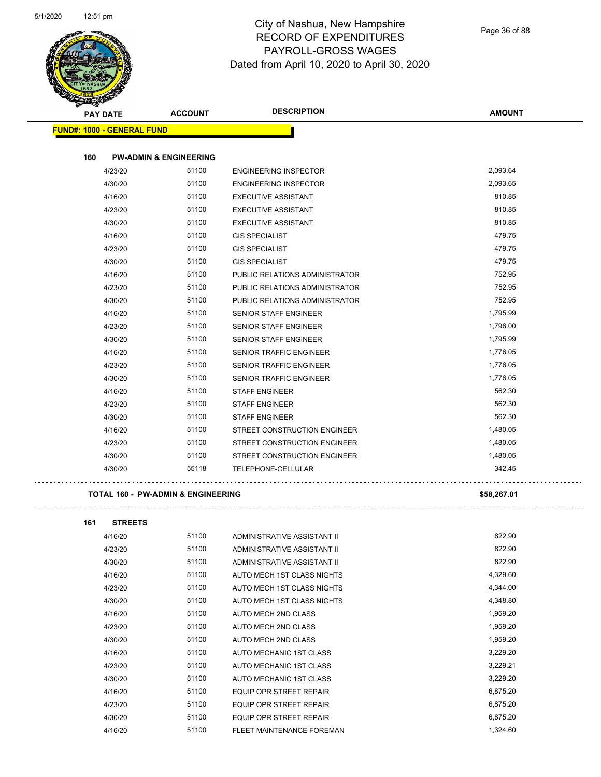

Page 36 of 88

| <b>PAY DATE</b>                   | <b>ACCOUNT</b>                    | <b>DESCRIPTION</b>                  | <b>AMOUNT</b> |
|-----------------------------------|-----------------------------------|-------------------------------------|---------------|
| <b>FUND#: 1000 - GENERAL FUND</b> |                                   |                                     |               |
| 160                               | <b>PW-ADMIN &amp; ENGINEERING</b> |                                     |               |
| 4/23/20                           | 51100                             | <b>ENGINEERING INSPECTOR</b>        | 2,093.64      |
| 4/30/20                           | 51100                             | <b>ENGINEERING INSPECTOR</b>        | 2,093.65      |
| 4/16/20                           | 51100                             | <b>EXECUTIVE ASSISTANT</b>          | 810.85        |
| 4/23/20                           | 51100                             | <b>EXECUTIVE ASSISTANT</b>          | 810.85        |
| 4/30/20                           | 51100                             | <b>EXECUTIVE ASSISTANT</b>          | 810.85        |
| 4/16/20                           | 51100                             | <b>GIS SPECIALIST</b>               | 479.75        |
| 4/23/20                           | 51100                             | <b>GIS SPECIALIST</b>               | 479.75        |
| 4/30/20                           | 51100                             | <b>GIS SPECIALIST</b>               | 479.75        |
| 4/16/20                           | 51100                             | PUBLIC RELATIONS ADMINISTRATOR      | 752.95        |
| 4/23/20                           | 51100                             | PUBLIC RELATIONS ADMINISTRATOR      | 752.95        |
| 4/30/20                           | 51100                             | PUBLIC RELATIONS ADMINISTRATOR      | 752.95        |
| 4/16/20                           | 51100                             | <b>SENIOR STAFF ENGINEER</b>        | 1,795.99      |
| 4/23/20                           | 51100                             | SENIOR STAFF ENGINEER               | 1,796.00      |
| 4/30/20                           | 51100                             | <b>SENIOR STAFF ENGINEER</b>        | 1,795.99      |
| 4/16/20                           | 51100                             | <b>SENIOR TRAFFIC ENGINEER</b>      | 1,776.05      |
| 4/23/20                           | 51100                             | <b>SENIOR TRAFFIC ENGINEER</b>      | 1,776.05      |
| 4/30/20                           | 51100                             | <b>SENIOR TRAFFIC ENGINEER</b>      | 1,776.05      |
| 4/16/20                           | 51100                             | <b>STAFF ENGINEER</b>               | 562.30        |
| 4/23/20                           | 51100                             | <b>STAFF ENGINEER</b>               | 562.30        |
| 4/30/20                           | 51100                             | <b>STAFF ENGINEER</b>               | 562.30        |
| 4/16/20                           | 51100                             | STREET CONSTRUCTION ENGINEER        | 1,480.05      |
| 4/23/20                           | 51100                             | <b>STREET CONSTRUCTION ENGINEER</b> | 1,480.05      |
| 4/30/20                           | 51100                             | STREET CONSTRUCTION ENGINEER        | 1,480.05      |
| 4/30/20                           | 55118                             | TELEPHONE-CELLULAR                  | 342.45        |
|                                   |                                   |                                     |               |

| 161<br><b>STREETS</b> |       |                                  |          |
|-----------------------|-------|----------------------------------|----------|
| 4/16/20               | 51100 | ADMINISTRATIVE ASSISTANT II      | 822.90   |
| 4/23/20               | 51100 | ADMINISTRATIVE ASSISTANT II      | 822.90   |
| 4/30/20               | 51100 | ADMINISTRATIVE ASSISTANT II      | 822.90   |
| 4/16/20               | 51100 | AUTO MECH 1ST CLASS NIGHTS       | 4,329.60 |
| 4/23/20               | 51100 | AUTO MECH 1ST CLASS NIGHTS       | 4,344.00 |
| 4/30/20               | 51100 | AUTO MECH 1ST CLASS NIGHTS       | 4,348.80 |
| 4/16/20               | 51100 | AUTO MECH 2ND CLASS              | 1,959.20 |
| 4/23/20               | 51100 | AUTO MECH 2ND CLASS              | 1,959.20 |
| 4/30/20               | 51100 | AUTO MECH 2ND CLASS              | 1,959.20 |
| 4/16/20               | 51100 | AUTO MECHANIC 1ST CLASS          | 3,229.20 |
| 4/23/20               | 51100 | AUTO MECHANIC 1ST CLASS          | 3,229.21 |
| 4/30/20               | 51100 | AUTO MECHANIC 1ST CLASS          | 3,229.20 |
| 4/16/20               | 51100 | EQUIP OPR STREET REPAIR          | 6,875.20 |
| 4/23/20               | 51100 | <b>EQUIP OPR STREET REPAIR</b>   | 6,875.20 |
| 4/30/20               | 51100 | EQUIP OPR STREET REPAIR          | 6,875.20 |
| 4/16/20               | 51100 | <b>FLEET MAINTENANCE FOREMAN</b> | 1,324.60 |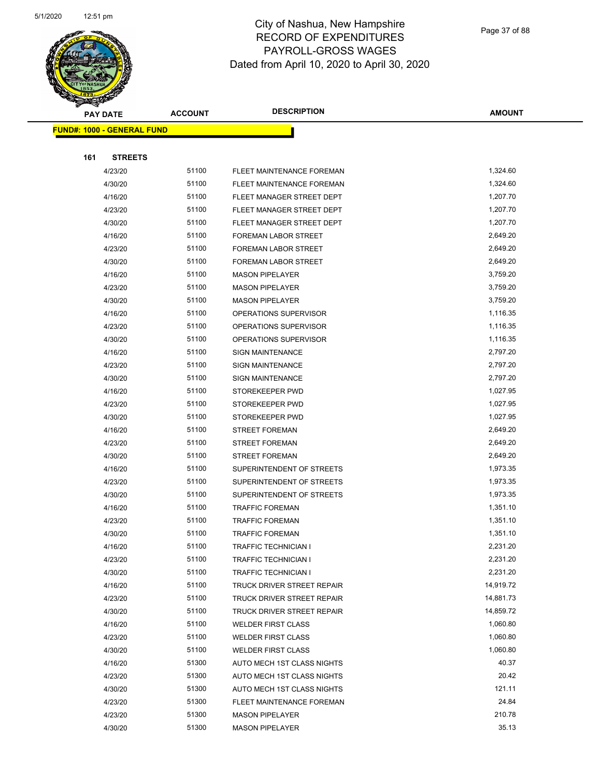

|                                   | <b>PAY DATE</b> |       | <b>DESCRIPTION</b>          | <b>AMOUNT</b> |
|-----------------------------------|-----------------|-------|-----------------------------|---------------|
| <b>FUND#: 1000 - GENERAL FUND</b> |                 |       |                             |               |
|                                   |                 |       |                             |               |
| 161                               | <b>STREETS</b>  |       |                             |               |
|                                   | 4/23/20         | 51100 | FLEET MAINTENANCE FOREMAN   | 1,324.60      |
|                                   | 4/30/20         | 51100 | FLEET MAINTENANCE FOREMAN   | 1,324.60      |
|                                   | 4/16/20         | 51100 | FLEET MANAGER STREET DEPT   | 1,207.70      |
|                                   | 4/23/20         | 51100 | FLEET MANAGER STREET DEPT   | 1,207.70      |
|                                   | 4/30/20         | 51100 | FLEET MANAGER STREET DEPT   | 1,207.70      |
|                                   | 4/16/20         | 51100 | FOREMAN LABOR STREET        | 2,649.20      |
|                                   | 4/23/20         | 51100 | <b>FOREMAN LABOR STREET</b> | 2,649.20      |
|                                   | 4/30/20         | 51100 | <b>FOREMAN LABOR STREET</b> | 2,649.20      |
|                                   | 4/16/20         | 51100 | <b>MASON PIPELAYER</b>      | 3,759.20      |
|                                   | 4/23/20         | 51100 | <b>MASON PIPELAYER</b>      | 3,759.20      |
|                                   | 4/30/20         | 51100 | <b>MASON PIPELAYER</b>      | 3,759.20      |
|                                   | 4/16/20         | 51100 | OPERATIONS SUPERVISOR       | 1,116.35      |
|                                   | 4/23/20         | 51100 | OPERATIONS SUPERVISOR       | 1,116.35      |
|                                   | 4/30/20         | 51100 | OPERATIONS SUPERVISOR       | 1,116.35      |
|                                   | 4/16/20         | 51100 | <b>SIGN MAINTENANCE</b>     | 2,797.20      |
|                                   | 4/23/20         | 51100 | <b>SIGN MAINTENANCE</b>     | 2,797.20      |
|                                   | 4/30/20         | 51100 | <b>SIGN MAINTENANCE</b>     | 2,797.20      |
|                                   | 4/16/20         | 51100 | STOREKEEPER PWD             | 1,027.95      |
|                                   | 4/23/20         | 51100 | STOREKEEPER PWD             | 1,027.95      |
|                                   | 4/30/20         | 51100 | STOREKEEPER PWD             | 1,027.95      |
|                                   | 4/16/20         | 51100 | <b>STREET FOREMAN</b>       | 2,649.20      |
|                                   | 4/23/20         | 51100 | <b>STREET FOREMAN</b>       | 2,649.20      |
|                                   | 4/30/20         | 51100 | <b>STREET FOREMAN</b>       | 2,649.20      |
|                                   | 4/16/20         | 51100 | SUPERINTENDENT OF STREETS   | 1,973.35      |
|                                   | 4/23/20         | 51100 | SUPERINTENDENT OF STREETS   | 1,973.35      |
|                                   | 4/30/20         | 51100 | SUPERINTENDENT OF STREETS   | 1,973.35      |
|                                   | 4/16/20         | 51100 | <b>TRAFFIC FOREMAN</b>      | 1,351.10      |
|                                   | 4/23/20         | 51100 | <b>TRAFFIC FOREMAN</b>      | 1,351.10      |
|                                   | 4/30/20         | 51100 | <b>TRAFFIC FOREMAN</b>      | 1,351.10      |
|                                   | 4/16/20         | 51100 | TRAFFIC TECHNICIAN I        | 2,231.20      |
|                                   | 4/23/20         | 51100 | <b>TRAFFIC TECHNICIAN I</b> | 2,231.20      |
|                                   | 4/30/20         | 51100 | <b>TRAFFIC TECHNICIAN I</b> | 2,231.20      |
|                                   | 4/16/20         | 51100 | TRUCK DRIVER STREET REPAIR  | 14,919.72     |
|                                   | 4/23/20         | 51100 | TRUCK DRIVER STREET REPAIR  | 14,881.73     |
|                                   | 4/30/20         | 51100 | TRUCK DRIVER STREET REPAIR  | 14,859.72     |
|                                   | 4/16/20         | 51100 | <b>WELDER FIRST CLASS</b>   | 1,060.80      |
|                                   | 4/23/20         | 51100 | <b>WELDER FIRST CLASS</b>   | 1,060.80      |
|                                   | 4/30/20         | 51100 | <b>WELDER FIRST CLASS</b>   | 1,060.80      |
|                                   | 4/16/20         | 51300 | AUTO MECH 1ST CLASS NIGHTS  | 40.37         |
|                                   | 4/23/20         | 51300 | AUTO MECH 1ST CLASS NIGHTS  | 20.42         |
|                                   | 4/30/20         | 51300 | AUTO MECH 1ST CLASS NIGHTS  | 121.11        |
|                                   | 4/23/20         | 51300 | FLEET MAINTENANCE FOREMAN   | 24.84         |
|                                   | 4/23/20         | 51300 | <b>MASON PIPELAYER</b>      | 210.78        |
|                                   | 4/30/20         | 51300 | <b>MASON PIPELAYER</b>      | 35.13         |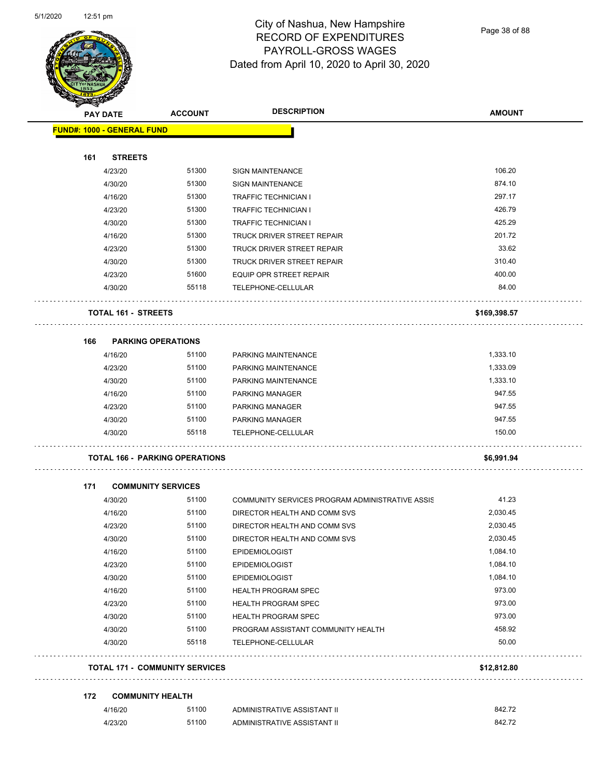

Page 38 of 88

| <b>PAY DATE</b> |                                       | <b>ACCOUNT</b> | <b>DESCRIPTION</b>                                       | <b>AMOUNT</b> |
|-----------------|---------------------------------------|----------------|----------------------------------------------------------|---------------|
|                 | <b>FUND#: 1000 - GENERAL FUND</b>     |                |                                                          |               |
|                 |                                       |                |                                                          |               |
| 161             | <b>STREETS</b>                        |                |                                                          |               |
|                 | 4/23/20                               | 51300          | <b>SIGN MAINTENANCE</b>                                  | 106.20        |
|                 | 4/30/20                               | 51300          | <b>SIGN MAINTENANCE</b>                                  | 874.10        |
|                 | 4/16/20                               | 51300          | <b>TRAFFIC TECHNICIAN I</b>                              | 297.17        |
|                 | 4/23/20                               | 51300          | <b>TRAFFIC TECHNICIAN I</b>                              | 426.79        |
|                 | 4/30/20                               | 51300          | <b>TRAFFIC TECHNICIAN I</b>                              | 425.29        |
|                 | 4/16/20                               | 51300          | TRUCK DRIVER STREET REPAIR                               | 201.72        |
|                 | 4/23/20                               | 51300          | TRUCK DRIVER STREET REPAIR                               | 33.62         |
|                 | 4/30/20                               | 51300          | TRUCK DRIVER STREET REPAIR                               | 310.40        |
|                 | 4/23/20                               | 51600          | EQUIP OPR STREET REPAIR                                  | 400.00        |
|                 | 4/30/20                               | 55118          | TELEPHONE-CELLULAR                                       | 84.00         |
|                 | <b>TOTAL 161 - STREETS</b>            |                |                                                          | \$169,398.57  |
| 166             | <b>PARKING OPERATIONS</b>             |                |                                                          |               |
|                 | 4/16/20                               | 51100          | PARKING MAINTENANCE                                      | 1,333.10      |
|                 | 4/23/20                               | 51100          | PARKING MAINTENANCE                                      | 1,333.09      |
|                 | 4/30/20                               | 51100          | PARKING MAINTENANCE                                      | 1,333.10      |
|                 | 4/16/20                               | 51100          | <b>PARKING MANAGER</b>                                   | 947.55        |
|                 | 4/23/20                               | 51100          | PARKING MANAGER                                          | 947.55        |
|                 | 4/30/20                               | 51100          | <b>PARKING MANAGER</b>                                   | 947.55        |
|                 | 4/30/20                               | 55118          | TELEPHONE-CELLULAR                                       | 150.00        |
|                 | <b>TOTAL 166 - PARKING OPERATIONS</b> |                |                                                          | \$6,991.94    |
| 171             | <b>COMMUNITY SERVICES</b>             |                |                                                          |               |
|                 | 4/30/20                               | 51100          | COMMUNITY SERVICES PROGRAM ADMINISTRATIVE ASSIS          | 41.23         |
|                 | 4/16/20                               | 51100          | DIRECTOR HEALTH AND COMM SVS                             | 2,030.45      |
|                 | 4/23/20                               | 51100          | DIRECTOR HEALTH AND COMM SVS                             | 2,030.45      |
|                 | 4/30/20                               | 51100          | DIRECTOR HEALTH AND COMM SVS                             | 2,030.45      |
|                 | 4/16/20                               | 51100          | <b>EPIDEMIOLOGIST</b>                                    | 1,084.10      |
|                 | 4/23/20                               | 51100          | <b>EPIDEMIOLOGIST</b>                                    | 1,084.10      |
|                 | 4/30/20                               | 51100          | <b>EPIDEMIOLOGIST</b>                                    | 1,084.10      |
|                 | 4/16/20                               | 51100          | <b>HEALTH PROGRAM SPEC</b>                               | 973.00        |
|                 | 4/23/20                               | 51100          | <b>HEALTH PROGRAM SPEC</b>                               | 973.00        |
|                 |                                       | 51100          |                                                          | 973.00        |
|                 | 4/30/20                               | 51100          | <b>HEALTH PROGRAM SPEC</b>                               | 458.92        |
|                 | 4/30/20<br>4/30/20                    | 55118          | PROGRAM ASSISTANT COMMUNITY HEALTH<br>TELEPHONE-CELLULAR | 50.00         |
|                 | <b>TOTAL 171 - COMMUNITY SERVICES</b> |                |                                                          | \$12,812.80   |
|                 |                                       |                |                                                          |               |
| 172             | <b>COMMUNITY HEALTH</b>               |                |                                                          |               |
|                 | 4/16/20                               | 51100          | ADMINISTRATIVE ASSISTANT II                              | 842.72        |
|                 | 4/23/20                               | 51100          | ADMINISTRATIVE ASSISTANT II                              | 842.72        |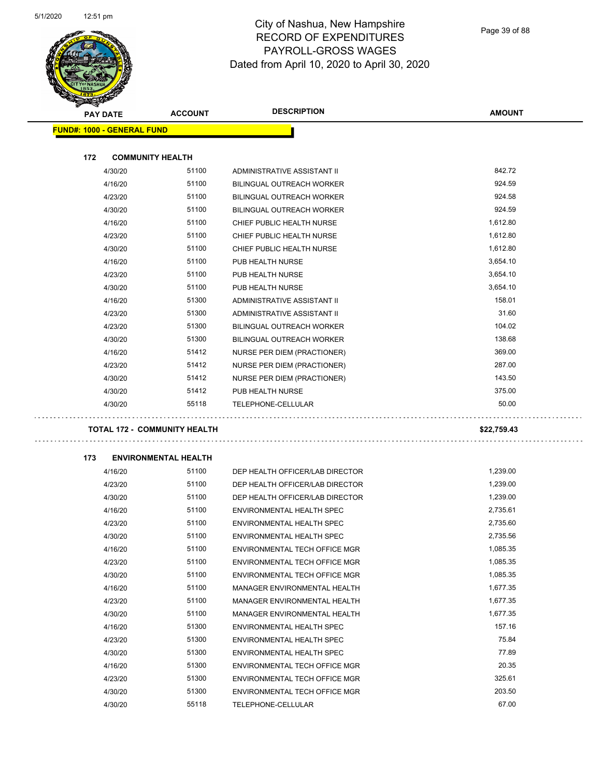

| $\tilde{\phantom{a}}$<br><b>PAY DATE</b> | <b>ACCOUNT</b>              | <b>DESCRIPTION</b>                 | <b>AMOUNT</b>        |
|------------------------------------------|-----------------------------|------------------------------------|----------------------|
| <b>FUND#: 1000 - GENERAL FUND</b>        |                             |                                    |                      |
|                                          |                             |                                    |                      |
| 172<br><b>COMMUNITY HEALTH</b>           |                             |                                    |                      |
| 4/30/20                                  | 51100                       | ADMINISTRATIVE ASSISTANT II        | 842.72               |
| 4/16/20                                  | 51100                       | BILINGUAL OUTREACH WORKER          | 924.59               |
| 4/23/20                                  | 51100                       | <b>BILINGUAL OUTREACH WORKER</b>   | 924.58               |
| 4/30/20                                  | 51100                       | <b>BILINGUAL OUTREACH WORKER</b>   | 924.59               |
| 4/16/20                                  | 51100                       | CHIEF PUBLIC HEALTH NURSE          | 1,612.80             |
| 4/23/20                                  | 51100                       | CHIEF PUBLIC HEALTH NURSE          | 1,612.80             |
| 4/30/20                                  | 51100                       | CHIEF PUBLIC HEALTH NURSE          | 1,612.80             |
| 4/16/20                                  | 51100                       | PUB HEALTH NURSE                   | 3,654.10             |
| 4/23/20                                  | 51100                       | PUB HEALTH NURSE                   | 3,654.10             |
| 4/30/20                                  | 51100                       | PUB HEALTH NURSE                   | 3,654.10             |
| 4/16/20                                  | 51300                       | <b>ADMINISTRATIVE ASSISTANT II</b> | 158.01               |
| 4/23/20                                  | 51300                       | <b>ADMINISTRATIVE ASSISTANT II</b> | 31.60                |
| 4/23/20                                  | 51300                       | <b>BILINGUAL OUTREACH WORKER</b>   | 104.02               |
| 4/30/20                                  | 51300                       | BILINGUAL OUTREACH WORKER          | 138.68               |
| 4/16/20                                  | 51412                       | NURSE PER DIEM (PRACTIONER)        | 369.00               |
| 4/23/20                                  | 51412                       | NURSE PER DIEM (PRACTIONER)        | 287.00               |
| 4/30/20                                  | 51412                       | NURSE PER DIEM (PRACTIONER)        | 143.50               |
| 4/30/20                                  | 51412                       | PUB HEALTH NURSE                   | 375.00               |
| 4/30/20                                  | 55118                       | TELEPHONE-CELLULAR                 | 50.00                |
| <b>TOTAL 172 - COMMUNITY HEALTH</b>      |                             |                                    | \$22,759.43          |
|                                          |                             |                                    |                      |
| 173                                      | <b>ENVIRONMENTAL HEALTH</b> |                                    |                      |
| 4/16/20                                  | 51100                       | DEP HEALTH OFFICER/LAB DIRECTOR    | 1,239.00             |
| 4/23/20                                  | 51100                       | DEP HEALTH OFFICER/LAB DIRECTOR    | 1,239.00             |
| 4/30/20                                  | 51100                       | DEP HEALTH OFFICER/LAB DIRECTOR    | 1,239.00             |
| 4/16/20                                  | 51100                       | ENVIRONMENTAL HEALTH SPEC          | 2,735.61             |
| 4/23/20                                  | 51100                       | ENVIRONMENTAL HEALTH SPEC          | 2,735.60             |
| 4/30/20                                  | 51100                       | ENVIRONMENTAL HEALTH SPEC          | 2,735.56             |
| 4/16/20                                  | 51100<br>51100              | ENVIRONMENTAL TECH OFFICE MGR      | 1,085.35             |
| 4/23/20                                  |                             | ENVIRONMENTAL TECH OFFICE MGR      | 1,085.35             |
| 4/30/20                                  | 51100                       | ENVIRONMENTAL TECH OFFICE MGR      | 1,085.35<br>1,677.35 |
| 4/16/20                                  | 51100                       | MANAGER ENVIRONMENTAL HEALTH       |                      |
| 4/23/20                                  | 51100                       | MANAGER ENVIRONMENTAL HEALTH       | 1,677.35             |
| 4/30/20                                  | 51100                       | MANAGER ENVIRONMENTAL HEALTH       | 1,677.35             |
| 4/16/20                                  | 51300<br>51300              | ENVIRONMENTAL HEALTH SPEC          | 157.16<br>75.84      |
| 4/23/20                                  |                             | ENVIRONMENTAL HEALTH SPEC          |                      |
| 4/30/20                                  | 51300<br>51300              | ENVIRONMENTAL HEALTH SPEC          | 77.89<br>20.35       |
| 4/16/20                                  |                             | ENVIRONMENTAL TECH OFFICE MGR      | 325.61               |
| 4/23/20                                  | 51300                       | ENVIRONMENTAL TECH OFFICE MGR      |                      |
| 4/30/20                                  | 51300                       | ENVIRONMENTAL TECH OFFICE MGR      | 203.50               |
| 4/30/20                                  | 55118                       | TELEPHONE-CELLULAR                 | 67.00                |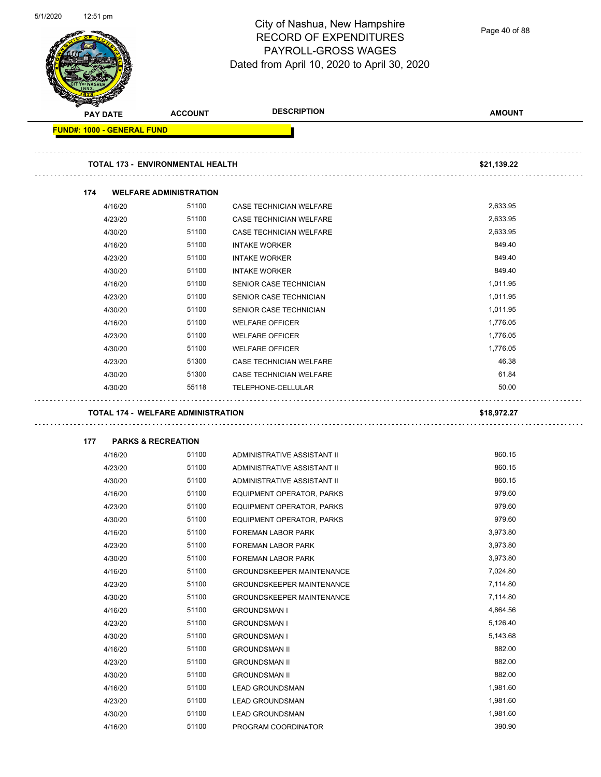5/1/2020 12:51 pm



# City of Nashua, New Hampshire RECORD OF EXPENDITURES PAYROLL-GROSS WAGES Dated from April 10, 2020 to April 30, 2020

Page 40 of 88

| <b>PAY DATE</b>                   |         | <b>ACCOUNT</b>                            | <b>DESCRIPTION</b>               | <b>AMOUNT</b> |
|-----------------------------------|---------|-------------------------------------------|----------------------------------|---------------|
| <b>FUND#: 1000 - GENERAL FUND</b> |         |                                           |                                  |               |
|                                   |         |                                           |                                  |               |
|                                   |         | <b>TOTAL 173 - ENVIRONMENTAL HEALTH</b>   |                                  | \$21,139.22   |
| 174                               |         | <b>WELFARE ADMINISTRATION</b>             |                                  |               |
|                                   | 4/16/20 | 51100                                     | CASE TECHNICIAN WELFARE          | 2,633.95      |
|                                   | 4/23/20 | 51100                                     | CASE TECHNICIAN WELFARE          | 2,633.95      |
|                                   | 4/30/20 | 51100                                     | CASE TECHNICIAN WELFARE          | 2,633.95      |
|                                   | 4/16/20 | 51100                                     | <b>INTAKE WORKER</b>             | 849.40        |
|                                   | 4/23/20 | 51100                                     | <b>INTAKE WORKER</b>             | 849.40        |
|                                   | 4/30/20 | 51100                                     | <b>INTAKE WORKER</b>             | 849.40        |
|                                   | 4/16/20 | 51100                                     | SENIOR CASE TECHNICIAN           | 1,011.95      |
|                                   | 4/23/20 | 51100                                     | SENIOR CASE TECHNICIAN           | 1,011.95      |
|                                   | 4/30/20 | 51100                                     | SENIOR CASE TECHNICIAN           | 1,011.95      |
|                                   | 4/16/20 | 51100                                     | <b>WELFARE OFFICER</b>           | 1,776.05      |
|                                   | 4/23/20 | 51100                                     | <b>WELFARE OFFICER</b>           | 1,776.05      |
|                                   | 4/30/20 | 51100                                     | <b>WELFARE OFFICER</b>           | 1,776.05      |
|                                   | 4/23/20 | 51300                                     | CASE TECHNICIAN WELFARE          | 46.38         |
|                                   | 4/30/20 | 51300                                     | CASE TECHNICIAN WELFARE          | 61.84         |
|                                   | 4/30/20 | 55118                                     | TELEPHONE-CELLULAR               | 50.00         |
|                                   |         | <b>TOTAL 174 - WELFARE ADMINISTRATION</b> |                                  | \$18,972.27   |
| 177                               |         | <b>PARKS &amp; RECREATION</b>             |                                  |               |
|                                   | 4/16/20 | 51100                                     | ADMINISTRATIVE ASSISTANT II      | 860.15        |
|                                   | 4/23/20 | 51100                                     | ADMINISTRATIVE ASSISTANT II      | 860.15        |
|                                   | 4/30/20 | 51100                                     | ADMINISTRATIVE ASSISTANT II      | 860.15        |
|                                   | 4/16/20 | 51100                                     | EQUIPMENT OPERATOR, PARKS        | 979.60        |
|                                   | 4/23/20 | 51100                                     | EQUIPMENT OPERATOR, PARKS        | 979.60        |
|                                   | 4/30/20 | 51100                                     | EQUIPMENT OPERATOR, PARKS        | 979.60        |
|                                   | 4/16/20 | 51100                                     | FOREMAN LABOR PARK               | 3,973.80      |
|                                   | 4/23/20 | 51100                                     | FOREMAN LABOR PARK               | 3,973.80      |
|                                   | 4/30/20 | 51100                                     | FOREMAN LABOR PARK               | 3,973.80      |
|                                   | 4/16/20 | 51100                                     | <b>GROUNDSKEEPER MAINTENANCE</b> | 7,024.80      |
|                                   | 4/23/20 | 51100                                     | <b>GROUNDSKEEPER MAINTENANCE</b> | 7,114.80      |
|                                   | 4/30/20 | 51100                                     | <b>GROUNDSKEEPER MAINTENANCE</b> | 7,114.80      |
|                                   | 4/16/20 | 51100                                     | <b>GROUNDSMAN I</b>              | 4,864.56      |
|                                   | 4/23/20 | 51100                                     | <b>GROUNDSMAN I</b>              | 5,126.40      |
|                                   | 4/30/20 | 51100                                     | <b>GROUNDSMAN I</b>              | 5,143.68      |
|                                   | 4/16/20 | 51100                                     | <b>GROUNDSMAN II</b>             | 882.00        |
|                                   | 4/23/20 | 51100                                     | <b>GROUNDSMAN II</b>             | 882.00        |
|                                   | 4/30/20 | 51100                                     | <b>GROUNDSMAN II</b>             | 882.00        |
|                                   | 4/16/20 | 51100                                     | <b>LEAD GROUNDSMAN</b>           | 1,981.60      |
|                                   | 4/23/20 | 51100                                     | <b>LEAD GROUNDSMAN</b>           | 1,981.60      |
|                                   | 4/30/20 | 51100                                     | <b>LEAD GROUNDSMAN</b>           | 1,981.60      |
|                                   | 4/16/20 | 51100                                     | PROGRAM COORDINATOR              | 390.90        |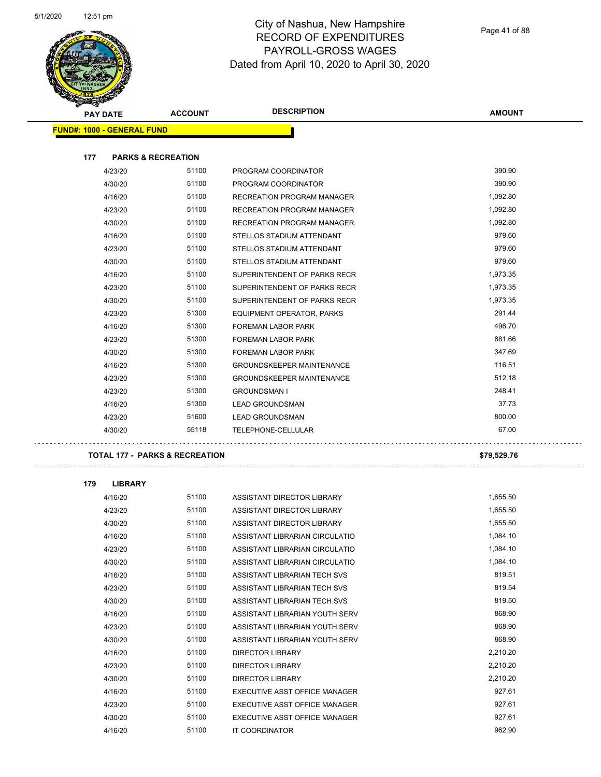

| <b>PAY DATE</b>                   | <b>ACCOUNT</b>                            | <b>DESCRIPTION</b>                | <b>AMOUNT</b> |
|-----------------------------------|-------------------------------------------|-----------------------------------|---------------|
| <b>FUND#: 1000 - GENERAL FUND</b> |                                           |                                   |               |
| 177                               | <b>PARKS &amp; RECREATION</b>             |                                   |               |
| 4/23/20                           | 51100                                     | PROGRAM COORDINATOR               | 390.90        |
| 4/30/20                           | 51100                                     | PROGRAM COORDINATOR               | 390.90        |
| 4/16/20                           | 51100                                     | <b>RECREATION PROGRAM MANAGER</b> | 1,092.80      |
| 4/23/20                           | 51100                                     | RECREATION PROGRAM MANAGER        | 1,092.80      |
| 4/30/20                           | 51100                                     | <b>RECREATION PROGRAM MANAGER</b> | 1,092.80      |
| 4/16/20                           | 51100                                     | STELLOS STADIUM ATTENDANT         | 979.60        |
| 4/23/20                           | 51100                                     | STELLOS STADIUM ATTENDANT         | 979.60        |
| 4/30/20                           | 51100                                     | STELLOS STADIUM ATTENDANT         | 979.60        |
| 4/16/20                           | 51100                                     | SUPERINTENDENT OF PARKS RECR      | 1,973.35      |
| 4/23/20                           | 51100                                     | SUPERINTENDENT OF PARKS RECR      | 1,973.35      |
| 4/30/20                           | 51100                                     | SUPERINTENDENT OF PARKS RECR      | 1,973.35      |
| 4/23/20                           | 51300                                     | EQUIPMENT OPERATOR, PARKS         | 291.44        |
| 4/16/20                           | 51300                                     | <b>FOREMAN LABOR PARK</b>         | 496.70        |
| 4/23/20                           | 51300                                     | <b>FOREMAN LABOR PARK</b>         | 881.66        |
| 4/30/20                           | 51300                                     | <b>FOREMAN LABOR PARK</b>         | 347.69        |
| 4/16/20                           | 51300                                     | <b>GROUNDSKEEPER MAINTENANCE</b>  | 116.51        |
| 4/23/20                           | 51300                                     | <b>GROUNDSKEEPER MAINTENANCE</b>  | 512.18        |
| 4/23/20                           | 51300                                     | <b>GROUNDSMAN I</b>               | 248.41        |
| 4/16/20                           | 51300                                     | <b>LEAD GROUNDSMAN</b>            | 37.73         |
| 4/23/20                           | 51600                                     | <b>LEAD GROUNDSMAN</b>            | 800.00        |
| 4/30/20                           | 55118                                     | TELEPHONE-CELLULAR                | 67.00         |
|                                   | <b>TOTAL 177 - PARKS &amp; RECREATION</b> |                                   | \$79,529.76   |
| 179<br><b>LIBRARY</b>             |                                           |                                   |               |
| 4/16/20                           | 51100                                     | ASSISTANT DIRECTOR LIBRARY        | 1,655.50      |
| 4/23/20                           | 51100                                     | ASSISTANT DIRECTOR LIBRARY        | 1,655.50      |
| 4/30/20                           | 51100                                     | ASSISTANT DIRECTOR LIBRARY        | 1,655.50      |
| 4/16/20                           | 51100                                     | ASSISTANT LIBRARIAN CIRCULATIO    | 1,084.10      |
| 4/23/20                           | 51100                                     | ASSISTANT LIBRARIAN CIRCULATIO    | 1,084.10      |
| 4/30/20                           | 51100                                     | ASSISTANT LIBRARIAN CIRCULATIO    | 1,084.10      |
| 4/16/20                           | 51100                                     | ASSISTANT LIBRARIAN TECH SVS      | 819.51        |
| 4/23/20                           | 51100                                     | ASSISTANT LIBRARIAN TECH SVS      | 819.54        |
| 4/30/20                           | 51100                                     | ASSISTANT LIBRARIAN TECH SVS      | 819.50        |
| 4/16/20                           | 51100                                     | ASSISTANT LIBRARIAN YOUTH SERV    | 868.90        |
| 4/23/20                           | 51100                                     | ASSISTANT LIBRARIAN YOUTH SERV    | 868.90        |
| 4/30/20                           | 51100                                     | ASSISTANT LIBRARIAN YOUTH SERV    | 868.90        |
| 4/16/20                           | 51100                                     | <b>DIRECTOR LIBRARY</b>           | 2,210.20      |
| 4/23/20                           | 51100                                     | <b>DIRECTOR LIBRARY</b>           | 2,210.20      |
| 4/30/20                           | 51100                                     | <b>DIRECTOR LIBRARY</b>           | 2,210.20      |
| 4/16/20                           | 51100                                     | EXECUTIVE ASST OFFICE MANAGER     | 927.61        |
| 4/23/20                           | 51100                                     | EXECUTIVE ASST OFFICE MANAGER     | 927.61        |
| 4/30/20                           | 51100                                     | EXECUTIVE ASST OFFICE MANAGER     | 927.61        |
| 4/16/20                           | 51100                                     | IT COORDINATOR                    | 962.90        |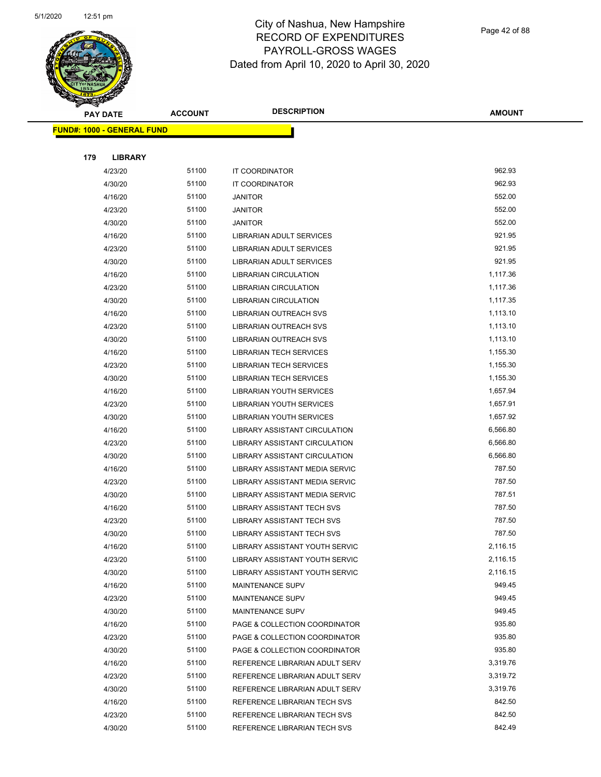

|     | <b>PAY DATE</b>                   | <b>ACCOUNT</b> | <b>DESCRIPTION</b>                | <b>AMOUNT</b> |
|-----|-----------------------------------|----------------|-----------------------------------|---------------|
|     | <b>FUND#: 1000 - GENERAL FUND</b> |                |                                   |               |
|     |                                   |                |                                   |               |
| 179 | <b>LIBRARY</b>                    |                |                                   |               |
|     | 4/23/20                           | 51100          | IT COORDINATOR                    | 962.93        |
|     | 4/30/20                           | 51100          | IT COORDINATOR                    | 962.93        |
|     | 4/16/20                           | 51100          | <b>JANITOR</b>                    | 552.00        |
|     | 4/23/20                           | 51100          | <b>JANITOR</b>                    | 552.00        |
|     | 4/30/20                           | 51100          | <b>JANITOR</b>                    | 552.00        |
|     | 4/16/20                           | 51100          | LIBRARIAN ADULT SERVICES          | 921.95        |
|     | 4/23/20                           | 51100          | LIBRARIAN ADULT SERVICES          | 921.95        |
|     | 4/30/20                           | 51100          | LIBRARIAN ADULT SERVICES          | 921.95        |
|     | 4/16/20                           | 51100          | <b>LIBRARIAN CIRCULATION</b>      | 1,117.36      |
|     | 4/23/20                           | 51100          | <b>LIBRARIAN CIRCULATION</b>      | 1,117.36      |
|     | 4/30/20                           | 51100          | <b>LIBRARIAN CIRCULATION</b>      | 1,117.35      |
|     | 4/16/20                           | 51100          | LIBRARIAN OUTREACH SVS            | 1,113.10      |
|     | 4/23/20                           | 51100          | LIBRARIAN OUTREACH SVS            | 1,113.10      |
|     | 4/30/20                           | 51100          | LIBRARIAN OUTREACH SVS            | 1,113.10      |
|     | 4/16/20                           | 51100          | <b>LIBRARIAN TECH SERVICES</b>    | 1,155.30      |
|     | 4/23/20                           | 51100          | <b>LIBRARIAN TECH SERVICES</b>    | 1,155.30      |
|     | 4/30/20                           | 51100          | <b>LIBRARIAN TECH SERVICES</b>    | 1,155.30      |
|     | 4/16/20                           | 51100          | <b>LIBRARIAN YOUTH SERVICES</b>   | 1,657.94      |
|     | 4/23/20                           | 51100          | <b>LIBRARIAN YOUTH SERVICES</b>   | 1,657.91      |
|     | 4/30/20                           | 51100          | LIBRARIAN YOUTH SERVICES          | 1,657.92      |
|     | 4/16/20                           | 51100          | LIBRARY ASSISTANT CIRCULATION     | 6,566.80      |
|     | 4/23/20                           | 51100          | LIBRARY ASSISTANT CIRCULATION     | 6,566.80      |
|     | 4/30/20                           | 51100          | LIBRARY ASSISTANT CIRCULATION     | 6,566.80      |
|     | 4/16/20                           | 51100          | LIBRARY ASSISTANT MEDIA SERVIC    | 787.50        |
|     | 4/23/20                           | 51100          | LIBRARY ASSISTANT MEDIA SERVIC    | 787.50        |
|     | 4/30/20                           | 51100          | LIBRARY ASSISTANT MEDIA SERVIC    | 787.51        |
|     | 4/16/20                           | 51100          | LIBRARY ASSISTANT TECH SVS        | 787.50        |
|     | 4/23/20                           | 51100          | LIBRARY ASSISTANT TECH SVS        | 787.50        |
|     | 4/30/20                           | 51100          | <b>LIBRARY ASSISTANT TECH SVS</b> | 787.50        |
|     | 4/16/20                           | 51100          | LIBRARY ASSISTANT YOUTH SERVIC    | 2,116.15      |
|     | 4/23/20                           | 51100          | LIBRARY ASSISTANT YOUTH SERVIC    | 2,116.15      |
|     | 4/30/20                           | 51100          | LIBRARY ASSISTANT YOUTH SERVIC    | 2,116.15      |
|     | 4/16/20                           | 51100          | MAINTENANCE SUPV                  | 949.45        |
|     | 4/23/20                           | 51100          | MAINTENANCE SUPV                  | 949.45        |
|     | 4/30/20                           | 51100          | <b>MAINTENANCE SUPV</b>           | 949.45        |
|     | 4/16/20                           | 51100          | PAGE & COLLECTION COORDINATOR     | 935.80        |
|     | 4/23/20                           | 51100          | PAGE & COLLECTION COORDINATOR     | 935.80        |
|     | 4/30/20                           | 51100          | PAGE & COLLECTION COORDINATOR     | 935.80        |
|     | 4/16/20                           | 51100          | REFERENCE LIBRARIAN ADULT SERV    | 3,319.76      |
|     | 4/23/20                           | 51100          | REFERENCE LIBRARIAN ADULT SERV    | 3,319.72      |
|     | 4/30/20                           | 51100          | REFERENCE LIBRARIAN ADULT SERV    | 3,319.76      |
|     | 4/16/20                           | 51100          | REFERENCE LIBRARIAN TECH SVS      | 842.50        |
|     | 4/23/20                           | 51100          | REFERENCE LIBRARIAN TECH SVS      | 842.50        |
|     | 4/30/20                           | 51100          | REFERENCE LIBRARIAN TECH SVS      | 842.49        |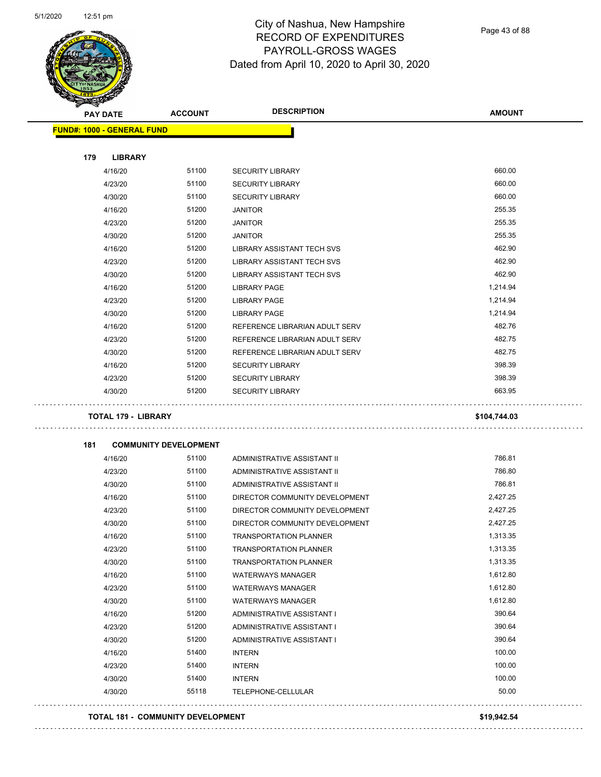

Page 43 of 88

| <b>A</b> | <b>PAY DATE</b>                   | <b>ACCOUNT</b>                    | <b>DESCRIPTION</b>                                   | <b>AMOUNT</b>        |
|----------|-----------------------------------|-----------------------------------|------------------------------------------------------|----------------------|
|          | <b>FUND#: 1000 - GENERAL FUND</b> |                                   |                                                      |                      |
| 179      | <b>LIBRARY</b>                    |                                   |                                                      |                      |
|          | 4/16/20                           | 51100                             | <b>SECURITY LIBRARY</b>                              | 660.00               |
|          | 4/23/20                           | 51100                             | <b>SECURITY LIBRARY</b>                              | 660.00               |
|          | 4/30/20                           | 51100                             | <b>SECURITY LIBRARY</b>                              | 660.00               |
|          | 4/16/20                           | 51200                             | <b>JANITOR</b>                                       | 255.35               |
|          | 4/23/20                           | 51200                             | <b>JANITOR</b>                                       | 255.35               |
|          | 4/30/20                           | 51200                             | <b>JANITOR</b>                                       | 255.35               |
|          | 4/16/20                           | 51200                             | <b>LIBRARY ASSISTANT TECH SVS</b>                    | 462.90               |
|          | 4/23/20                           | 51200                             | LIBRARY ASSISTANT TECH SVS                           | 462.90               |
|          | 4/30/20                           | 51200                             | LIBRARY ASSISTANT TECH SVS                           | 462.90               |
|          | 4/16/20                           | 51200                             | <b>LIBRARY PAGE</b>                                  | 1,214.94             |
|          | 4/23/20                           | 51200                             | <b>LIBRARY PAGE</b>                                  | 1,214.94             |
|          | 4/30/20                           | 51200                             | LIBRARY PAGE                                         | 1,214.94             |
|          | 4/16/20                           | 51200                             | REFERENCE LIBRARIAN ADULT SERV                       | 482.76               |
|          | 4/23/20                           | 51200                             | REFERENCE LIBRARIAN ADULT SERV                       | 482.75               |
|          | 4/30/20                           | 51200                             | REFERENCE LIBRARIAN ADULT SERV                       | 482.75               |
|          | 4/16/20                           | 51200                             | <b>SECURITY LIBRARY</b>                              | 398.39               |
|          | 4/23/20                           | 51200                             | <b>SECURITY LIBRARY</b>                              | 398.39               |
|          | 4/30/20                           | 51200                             | <b>SECURITY LIBRARY</b>                              | 663.95               |
|          | <b>TOTAL 179 - LIBRARY</b>        |                                   |                                                      | \$104,744.03         |
|          |                                   |                                   |                                                      |                      |
| 181      |                                   | <b>COMMUNITY DEVELOPMENT</b>      |                                                      |                      |
|          | 4/16/20                           | 51100                             | ADMINISTRATIVE ASSISTANT II                          | 786.81               |
|          | 4/23/20                           | 51100                             | ADMINISTRATIVE ASSISTANT II                          | 786.80               |
|          | 4/30/20                           | 51100                             | ADMINISTRATIVE ASSISTANT II                          | 786.81               |
|          | 4/16/20                           | 51100                             | DIRECTOR COMMUNITY DEVELOPMENT                       | 2,427.25             |
|          | 4/23/20                           | 51100                             | DIRECTOR COMMUNITY DEVELOPMENT                       | 2,427.25             |
|          | 4/30/20                           | 51100                             | DIRECTOR COMMUNITY DEVELOPMENT                       | 2,427.25             |
|          | 4/16/20                           | 51100                             | <b>TRANSPORTATION PLANNER</b>                        | 1,313.35             |
|          | 4/23/20                           | 51100                             | <b>TRANSPORTATION PLANNER</b>                        | 1,313.35             |
|          | 4/30/20                           | 51100                             | <b>TRANSPORTATION PLANNER</b>                        | 1,313.35<br>1,612.80 |
|          | 4/16/20                           | 51100<br>51100                    | <b>WATERWAYS MANAGER</b>                             | 1,612.80             |
|          | 4/23/20<br>4/30/20                | 51100                             | <b>WATERWAYS MANAGER</b><br><b>WATERWAYS MANAGER</b> | 1,612.80             |
|          |                                   | 51200                             | ADMINISTRATIVE ASSISTANT I                           | 390.64               |
|          | 4/16/20<br>4/23/20                | 51200                             | ADMINISTRATIVE ASSISTANT I                           | 390.64               |
|          | 4/30/20                           | 51200                             | ADMINISTRATIVE ASSISTANT I                           | 390.64               |
|          | 4/16/20                           | 51400                             | <b>INTERN</b>                                        | 100.00               |
|          | 4/23/20                           | 51400                             | <b>INTERN</b>                                        | 100.00               |
|          | 4/30/20                           | 51400                             | <b>INTERN</b>                                        | 100.00               |
|          | 4/30/20                           | 55118                             | TELEPHONE-CELLULAR                                   | 50.00                |
|          |                                   |                                   |                                                      |                      |
|          |                                   | TOTAL 181 - COMMUNITY DEVELOPMENT |                                                      | \$19,942.54          |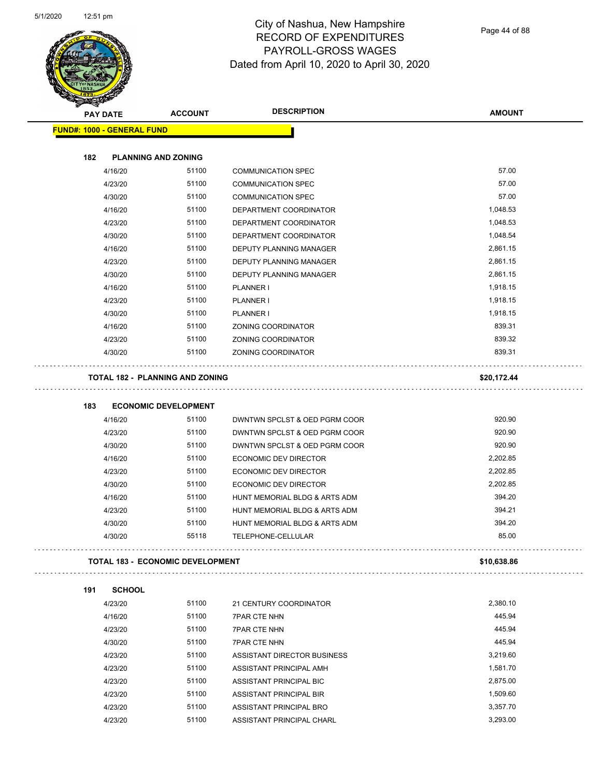

Page 44 of 88

| PAY DATE                          | <b>ACCOUNT</b>                          | <b>DESCRIPTION</b>            | <b>AMOUNT</b> |
|-----------------------------------|-----------------------------------------|-------------------------------|---------------|
| <b>FUND#: 1000 - GENERAL FUND</b> |                                         |                               |               |
|                                   |                                         |                               |               |
| 182                               | <b>PLANNING AND ZONING</b>              |                               |               |
| 4/16/20                           | 51100                                   | <b>COMMUNICATION SPEC</b>     | 57.00         |
| 4/23/20                           | 51100                                   | <b>COMMUNICATION SPEC</b>     | 57.00         |
| 4/30/20                           | 51100                                   | <b>COMMUNICATION SPEC</b>     | 57.00         |
| 4/16/20                           | 51100                                   | DEPARTMENT COORDINATOR        | 1,048.53      |
| 4/23/20                           | 51100                                   | DEPARTMENT COORDINATOR        | 1,048.53      |
| 4/30/20                           | 51100                                   | DEPARTMENT COORDINATOR        | 1,048.54      |
| 4/16/20                           | 51100                                   | DEPUTY PLANNING MANAGER       | 2,861.15      |
| 4/23/20                           | 51100                                   | DEPUTY PLANNING MANAGER       | 2,861.15      |
| 4/30/20                           | 51100                                   | DEPUTY PLANNING MANAGER       | 2,861.15      |
| 4/16/20                           | 51100                                   | PLANNER I                     | 1,918.15      |
| 4/23/20                           | 51100                                   | PLANNER I                     | 1,918.15      |
| 4/30/20                           | 51100                                   | PLANNER I                     | 1,918.15      |
| 4/16/20                           | 51100                                   | <b>ZONING COORDINATOR</b>     | 839.31        |
| 4/23/20                           | 51100                                   | ZONING COORDINATOR            | 839.32        |
| 4/30/20                           | 51100                                   | ZONING COORDINATOR            | 839.31        |
|                                   | <b>TOTAL 182 - PLANNING AND ZONING</b>  |                               | \$20,172.44   |
|                                   |                                         |                               |               |
| 183                               | <b>ECONOMIC DEVELOPMENT</b>             |                               |               |
| 4/16/20                           | 51100                                   | DWNTWN SPCLST & OED PGRM COOR | 920.90        |
| 4/23/20                           | 51100                                   | DWNTWN SPCLST & OED PGRM COOR | 920.90        |
| 4/30/20                           | 51100                                   | DWNTWN SPCLST & OED PGRM COOR | 920.90        |
| 4/16/20                           | 51100                                   | ECONOMIC DEV DIRECTOR         | 2,202.85      |
| 4/23/20                           | 51100                                   | ECONOMIC DEV DIRECTOR         | 2,202.85      |
| 4/30/20                           | 51100                                   | ECONOMIC DEV DIRECTOR         | 2,202.85      |
| 4/16/20                           | 51100                                   | HUNT MEMORIAL BLDG & ARTS ADM | 394.20        |
| 4/23/20                           | 51100                                   | HUNT MEMORIAL BLDG & ARTS ADM | 394.21        |
| 4/30/20                           | 51100                                   | HUNT MEMORIAL BLDG & ARTS ADM | 394.20        |
| 4/30/20                           | 55118                                   | TELEPHONE-CELLULAR            | 85.00         |
|                                   | <b>TOTAL 183 - ECONOMIC DEVELOPMENT</b> |                               | \$10,638.86   |
| <b>SCHOOL</b><br>191              |                                         |                               |               |
| 4/23/20                           | 51100                                   | 21 CENTURY COORDINATOR        | 2,380.10      |
| 4/16/20                           | 51100                                   | <b>7PAR CTE NHN</b>           | 445.94        |
| 4/23/20                           | 51100                                   | <b>7PAR CTE NHN</b>           | 445.94        |
| 4/30/20                           | 51100                                   | <b>7PAR CTE NHN</b>           | 445.94        |
| 4/23/20                           | 51100                                   | ASSISTANT DIRECTOR BUSINESS   | 3,219.60      |
| 4/23/20                           | 51100                                   | ASSISTANT PRINCIPAL AMH       | 1,581.70      |
| 4/23/20                           | 51100                                   | ASSISTANT PRINCIPAL BIC       | 2,875.00      |
| 4/23/20                           | 51100                                   | ASSISTANT PRINCIPAL BIR       | 1,509.60      |
| 4/23/20                           | 51100                                   | ASSISTANT PRINCIPAL BRO       | 3,357.70      |
|                                   |                                         |                               |               |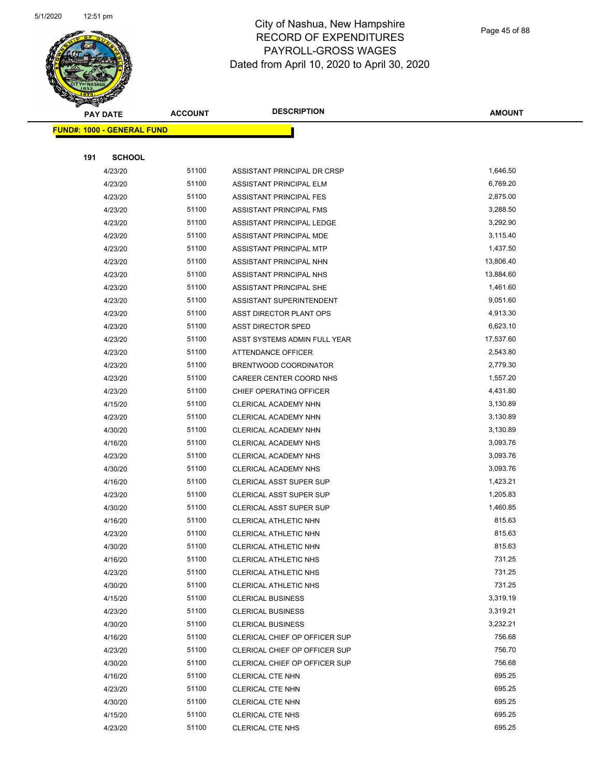

Page 45 of 88

| <b>STATERS</b>                    |                |                                |                  |
|-----------------------------------|----------------|--------------------------------|------------------|
| <b>PAY DATE</b>                   | <b>ACCOUNT</b> | <b>DESCRIPTION</b>             | <b>AMOUNT</b>    |
| <b>FUND#: 1000 - GENERAL FUND</b> |                |                                |                  |
|                                   |                |                                |                  |
| 191<br><b>SCHOOL</b>              |                |                                |                  |
| 4/23/20                           | 51100          | ASSISTANT PRINCIPAL DR CRSP    | 1,646.50         |
| 4/23/20                           | 51100          | ASSISTANT PRINCIPAL ELM        | 6,769.20         |
| 4/23/20                           | 51100          | ASSISTANT PRINCIPAL FES        | 2,875.00         |
| 4/23/20                           | 51100          | ASSISTANT PRINCIPAL FMS        | 3,288.50         |
| 4/23/20                           | 51100          | ASSISTANT PRINCIPAL LEDGE      | 3,292.90         |
| 4/23/20                           | 51100          | ASSISTANT PRINCIPAL MDE        | 3,115.40         |
| 4/23/20                           | 51100          | ASSISTANT PRINCIPAL MTP        | 1,437.50         |
| 4/23/20                           | 51100          | ASSISTANT PRINCIPAL NHN        | 13,806.40        |
| 4/23/20                           | 51100          | ASSISTANT PRINCIPAL NHS        | 13,884.60        |
| 4/23/20                           | 51100          | ASSISTANT PRINCIPAL SHE        | 1,461.60         |
| 4/23/20                           | 51100          | ASSISTANT SUPERINTENDENT       | 9,051.60         |
| 4/23/20                           | 51100          | ASST DIRECTOR PLANT OPS        | 4,913.30         |
| 4/23/20                           | 51100          | <b>ASST DIRECTOR SPED</b>      | 6,623.10         |
| 4/23/20                           | 51100          | ASST SYSTEMS ADMIN FULL YEAR   | 17,537.60        |
| 4/23/20                           | 51100          | ATTENDANCE OFFICER             | 2,543.80         |
| 4/23/20                           | 51100          | BRENTWOOD COORDINATOR          | 2,779.30         |
| 4/23/20                           | 51100          | CAREER CENTER COORD NHS        | 1,557.20         |
| 4/23/20                           | 51100          | CHIEF OPERATING OFFICER        | 4,431.80         |
| 4/15/20                           | 51100          | CLERICAL ACADEMY NHN           | 3,130.89         |
| 4/23/20                           | 51100          | CLERICAL ACADEMY NHN           | 3,130.89         |
| 4/30/20                           | 51100          | CLERICAL ACADEMY NHN           | 3,130.89         |
| 4/16/20                           | 51100          | <b>CLERICAL ACADEMY NHS</b>    | 3,093.76         |
| 4/23/20                           | 51100          | <b>CLERICAL ACADEMY NHS</b>    | 3,093.76         |
| 4/30/20                           | 51100          | CLERICAL ACADEMY NHS           | 3,093.76         |
| 4/16/20                           | 51100          | CLERICAL ASST SUPER SUP        | 1,423.21         |
| 4/23/20                           | 51100          | CLERICAL ASST SUPER SUP        | 1,205.83         |
| 4/30/20                           | 51100          | <b>CLERICAL ASST SUPER SUP</b> | 1,460.85         |
| 4/16/20                           | 51100          | CLERICAL ATHLETIC NHN          | 815.63           |
| 4/23/20                           | 51100          | CLERICAL ATHLETIC NHN          | 815.63           |
| 4/30/20                           | 51100          | CLERICAL ATHLETIC NHN          | 815.63           |
| 4/16/20                           | 51100          | CLERICAL ATHLETIC NHS          | 731.25           |
| 4/23/20                           | 51100          | CLERICAL ATHLETIC NHS          | 731.25           |
| 4/30/20                           | 51100          | CLERICAL ATHLETIC NHS          | 731.25           |
| 4/15/20                           | 51100          | <b>CLERICAL BUSINESS</b>       | 3,319.19         |
| 4/23/20                           | 51100          | <b>CLERICAL BUSINESS</b>       | 3,319.21         |
| 4/30/20                           | 51100          | <b>CLERICAL BUSINESS</b>       | 3,232.21         |
| 4/16/20                           | 51100          | CLERICAL CHIEF OP OFFICER SUP  | 756.68           |
| 4/23/20                           | 51100          | CLERICAL CHIEF OP OFFICER SUP  | 756.70           |
| 4/30/20                           | 51100          | CLERICAL CHIEF OP OFFICER SUP  | 756.68           |
| 4/16/20                           | 51100          | CLERICAL CTE NHN               | 695.25           |
| 4/23/20                           | 51100          | CLERICAL CTE NHN               | 695.25           |
| 4/30/20                           | 51100          | CLERICAL CTE NHN               | 695.25<br>695.25 |
| 4/15/20                           | 51100          | CLERICAL CTE NHS               | 695.25           |
| 4/23/20                           | 51100          | CLERICAL CTE NHS               |                  |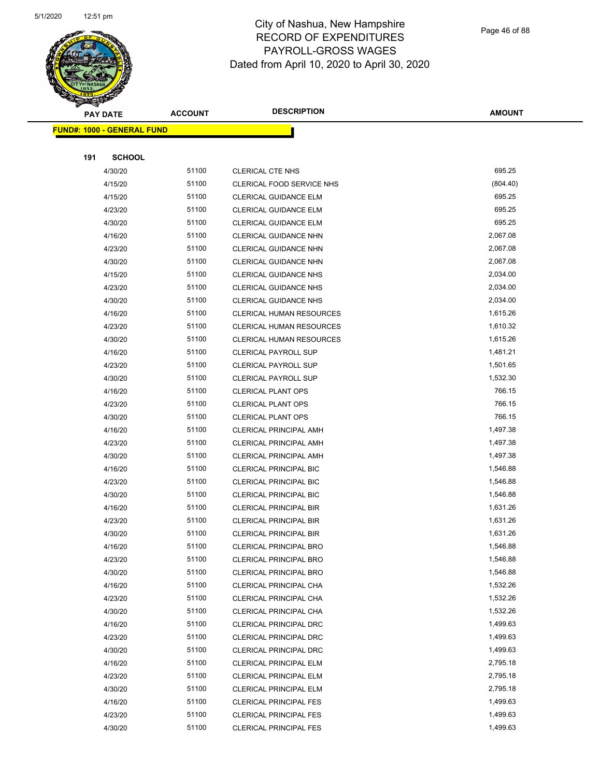

|     | <b>PAY DATE</b>                    | <b>ACCOUNT</b> | <b>DESCRIPTION</b>              | <b>AMOUNT</b> |  |
|-----|------------------------------------|----------------|---------------------------------|---------------|--|
|     | <u> FUND#: 1000 - GENERAL FUND</u> |                |                                 |               |  |
|     |                                    |                |                                 |               |  |
| 191 | <b>SCHOOL</b>                      |                |                                 |               |  |
|     | 4/30/20                            | 51100          | CLERICAL CTE NHS                | 695.25        |  |
|     | 4/15/20                            | 51100          | CLERICAL FOOD SERVICE NHS       | (804.40)      |  |
|     | 4/15/20                            | 51100          | <b>CLERICAL GUIDANCE ELM</b>    | 695.25        |  |
|     | 4/23/20                            | 51100          | <b>CLERICAL GUIDANCE ELM</b>    | 695.25        |  |
|     | 4/30/20                            | 51100          | <b>CLERICAL GUIDANCE ELM</b>    | 695.25        |  |
|     | 4/16/20                            | 51100          | CLERICAL GUIDANCE NHN           | 2,067.08      |  |
|     | 4/23/20                            | 51100          | <b>CLERICAL GUIDANCE NHN</b>    | 2,067.08      |  |
|     | 4/30/20                            | 51100          | <b>CLERICAL GUIDANCE NHN</b>    | 2,067.08      |  |
|     | 4/15/20                            | 51100          | <b>CLERICAL GUIDANCE NHS</b>    | 2,034.00      |  |
|     | 4/23/20                            | 51100          | <b>CLERICAL GUIDANCE NHS</b>    | 2,034.00      |  |
|     | 4/30/20                            | 51100          | <b>CLERICAL GUIDANCE NHS</b>    | 2,034.00      |  |
|     | 4/16/20                            | 51100          | <b>CLERICAL HUMAN RESOURCES</b> | 1,615.26      |  |
|     | 4/23/20                            | 51100          | <b>CLERICAL HUMAN RESOURCES</b> | 1,610.32      |  |
|     | 4/30/20                            | 51100          | <b>CLERICAL HUMAN RESOURCES</b> | 1,615.26      |  |
|     | 4/16/20                            | 51100          | <b>CLERICAL PAYROLL SUP</b>     | 1,481.21      |  |
|     | 4/23/20                            | 51100          | <b>CLERICAL PAYROLL SUP</b>     | 1,501.65      |  |
|     | 4/30/20                            | 51100          | <b>CLERICAL PAYROLL SUP</b>     | 1,532.30      |  |
|     | 4/16/20                            | 51100          | <b>CLERICAL PLANT OPS</b>       | 766.15        |  |
|     | 4/23/20                            | 51100          | <b>CLERICAL PLANT OPS</b>       | 766.15        |  |
|     | 4/30/20                            | 51100          | <b>CLERICAL PLANT OPS</b>       | 766.15        |  |
|     | 4/16/20                            | 51100          | <b>CLERICAL PRINCIPAL AMH</b>   | 1,497.38      |  |
|     | 4/23/20                            | 51100          | <b>CLERICAL PRINCIPAL AMH</b>   | 1,497.38      |  |
|     | 4/30/20                            | 51100          | <b>CLERICAL PRINCIPAL AMH</b>   | 1,497.38      |  |
|     | 4/16/20                            | 51100          | <b>CLERICAL PRINCIPAL BIC</b>   | 1,546.88      |  |
|     | 4/23/20                            | 51100          | <b>CLERICAL PRINCIPAL BIC</b>   | 1,546.88      |  |
|     | 4/30/20                            | 51100          | <b>CLERICAL PRINCIPAL BIC</b>   | 1,546.88      |  |
|     | 4/16/20                            | 51100          | <b>CLERICAL PRINCIPAL BIR</b>   | 1,631.26      |  |
|     | 4/23/20                            | 51100          | <b>CLERICAL PRINCIPAL BIR</b>   | 1,631.26      |  |
|     | 4/30/20                            | 51100          | <b>CLERICAL PRINCIPAL BIR</b>   | 1,631.26      |  |
|     | 4/16/20                            | 51100          | <b>CLERICAL PRINCIPAL BRO</b>   | 1,546.88      |  |
|     | 4/23/20                            | 51100          | <b>CLERICAL PRINCIPAL BRO</b>   | 1,546.88      |  |
|     | 4/30/20                            | 51100          | <b>CLERICAL PRINCIPAL BRO</b>   | 1,546.88      |  |
|     | 4/16/20                            | 51100          | CLERICAL PRINCIPAL CHA          | 1,532.26      |  |
|     | 4/23/20                            | 51100          | CLERICAL PRINCIPAL CHA          | 1,532.26      |  |
|     | 4/30/20                            | 51100          | CLERICAL PRINCIPAL CHA          | 1,532.26      |  |
|     | 4/16/20                            | 51100          | CLERICAL PRINCIPAL DRC          | 1,499.63      |  |
|     | 4/23/20                            | 51100          | CLERICAL PRINCIPAL DRC          | 1,499.63      |  |
|     | 4/30/20                            | 51100          | <b>CLERICAL PRINCIPAL DRC</b>   | 1,499.63      |  |
|     | 4/16/20                            | 51100          | CLERICAL PRINCIPAL ELM          | 2,795.18      |  |
|     | 4/23/20                            | 51100          | <b>CLERICAL PRINCIPAL ELM</b>   | 2,795.18      |  |
|     | 4/30/20                            | 51100          | <b>CLERICAL PRINCIPAL ELM</b>   | 2,795.18      |  |
|     | 4/16/20                            | 51100          | <b>CLERICAL PRINCIPAL FES</b>   | 1,499.63      |  |
|     | 4/23/20                            | 51100          | <b>CLERICAL PRINCIPAL FES</b>   | 1,499.63      |  |
|     | 4/30/20                            | 51100          | <b>CLERICAL PRINCIPAL FES</b>   | 1,499.63      |  |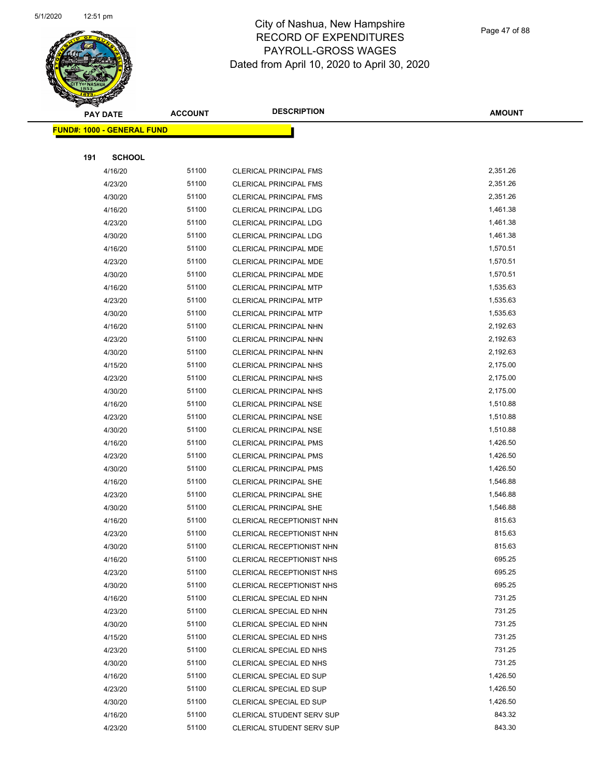

Page 47 of 88

|     | <b>PAY DATE</b>                   | <b>ACCOUNT</b> | <b>DESCRIPTION</b>                                 | <b>AMOUNT</b>    |
|-----|-----------------------------------|----------------|----------------------------------------------------|------------------|
|     | <b>FUND#: 1000 - GENERAL FUND</b> |                |                                                    |                  |
|     |                                   |                |                                                    |                  |
| 191 | <b>SCHOOL</b>                     |                |                                                    |                  |
|     | 4/16/20                           | 51100          | <b>CLERICAL PRINCIPAL FMS</b>                      | 2,351.26         |
|     | 4/23/20                           | 51100          | <b>CLERICAL PRINCIPAL FMS</b>                      | 2,351.26         |
|     | 4/30/20                           | 51100          | <b>CLERICAL PRINCIPAL FMS</b>                      | 2,351.26         |
|     | 4/16/20                           | 51100          | <b>CLERICAL PRINCIPAL LDG</b>                      | 1,461.38         |
|     | 4/23/20                           | 51100          | <b>CLERICAL PRINCIPAL LDG</b>                      | 1,461.38         |
|     | 4/30/20                           | 51100          | CLERICAL PRINCIPAL LDG                             | 1,461.38         |
|     | 4/16/20                           | 51100          | CLERICAL PRINCIPAL MDE                             | 1,570.51         |
|     | 4/23/20                           | 51100          | CLERICAL PRINCIPAL MDE                             | 1,570.51         |
|     | 4/30/20                           | 51100          | CLERICAL PRINCIPAL MDE                             | 1,570.51         |
|     | 4/16/20                           | 51100          | <b>CLERICAL PRINCIPAL MTP</b>                      | 1,535.63         |
|     | 4/23/20                           | 51100          | <b>CLERICAL PRINCIPAL MTP</b>                      | 1,535.63         |
|     | 4/30/20                           | 51100          | <b>CLERICAL PRINCIPAL MTP</b>                      | 1,535.63         |
|     | 4/16/20                           | 51100          | CLERICAL PRINCIPAL NHN                             | 2,192.63         |
|     | 4/23/20                           | 51100          | CLERICAL PRINCIPAL NHN                             | 2,192.63         |
|     | 4/30/20                           | 51100          | CLERICAL PRINCIPAL NHN                             | 2,192.63         |
|     | 4/15/20                           | 51100          | <b>CLERICAL PRINCIPAL NHS</b>                      | 2,175.00         |
|     | 4/23/20                           | 51100          | CLERICAL PRINCIPAL NHS                             | 2,175.00         |
|     | 4/30/20                           | 51100          | <b>CLERICAL PRINCIPAL NHS</b>                      | 2,175.00         |
|     | 4/16/20                           | 51100          | CLERICAL PRINCIPAL NSE                             | 1,510.88         |
|     | 4/23/20                           | 51100          | <b>CLERICAL PRINCIPAL NSE</b>                      | 1,510.88         |
|     | 4/30/20                           | 51100          | <b>CLERICAL PRINCIPAL NSE</b>                      | 1,510.88         |
|     | 4/16/20                           | 51100          | <b>CLERICAL PRINCIPAL PMS</b>                      | 1,426.50         |
|     | 4/23/20                           | 51100          | <b>CLERICAL PRINCIPAL PMS</b>                      | 1,426.50         |
|     | 4/30/20                           | 51100          | <b>CLERICAL PRINCIPAL PMS</b>                      | 1,426.50         |
|     | 4/16/20                           | 51100          | <b>CLERICAL PRINCIPAL SHE</b>                      | 1,546.88         |
|     | 4/23/20                           | 51100          | CLERICAL PRINCIPAL SHE                             | 1,546.88         |
|     | 4/30/20                           | 51100          | <b>CLERICAL PRINCIPAL SHE</b>                      | 1,546.88         |
|     | 4/16/20                           | 51100          | CLERICAL RECEPTIONIST NHN                          | 815.63           |
|     | 4/23/20                           | 51100          | CLERICAL RECEPTIONIST NHN                          | 815.63           |
|     | 4/30/20                           | 51100          | CLERICAL RECEPTIONIST NHN                          | 815.63           |
|     | 4/16/20                           | 51100          | CLERICAL RECEPTIONIST NHS                          | 695.25           |
|     | 4/23/20                           | 51100          | CLERICAL RECEPTIONIST NHS                          | 695.25<br>695.25 |
|     | 4/30/20                           | 51100<br>51100 | CLERICAL RECEPTIONIST NHS                          | 731.25           |
|     | 4/16/20<br>4/23/20                | 51100          | CLERICAL SPECIAL ED NHN<br>CLERICAL SPECIAL ED NHN | 731.25           |
|     | 4/30/20                           | 51100          | CLERICAL SPECIAL ED NHN                            | 731.25           |
|     | 4/15/20                           | 51100          | CLERICAL SPECIAL ED NHS                            | 731.25           |
|     | 4/23/20                           | 51100          | CLERICAL SPECIAL ED NHS                            | 731.25           |
|     | 4/30/20                           | 51100          | CLERICAL SPECIAL ED NHS                            | 731.25           |
|     | 4/16/20                           | 51100          | <b>CLERICAL SPECIAL ED SUP</b>                     | 1,426.50         |
|     | 4/23/20                           | 51100          | <b>CLERICAL SPECIAL ED SUP</b>                     | 1,426.50         |
|     | 4/30/20                           | 51100          | CLERICAL SPECIAL ED SUP                            | 1,426.50         |
|     | 4/16/20                           | 51100          | <b>CLERICAL STUDENT SERV SUP</b>                   | 843.32           |
|     | 4/23/20                           | 51100          | CLERICAL STUDENT SERV SUP                          | 843.30           |
|     |                                   |                |                                                    |                  |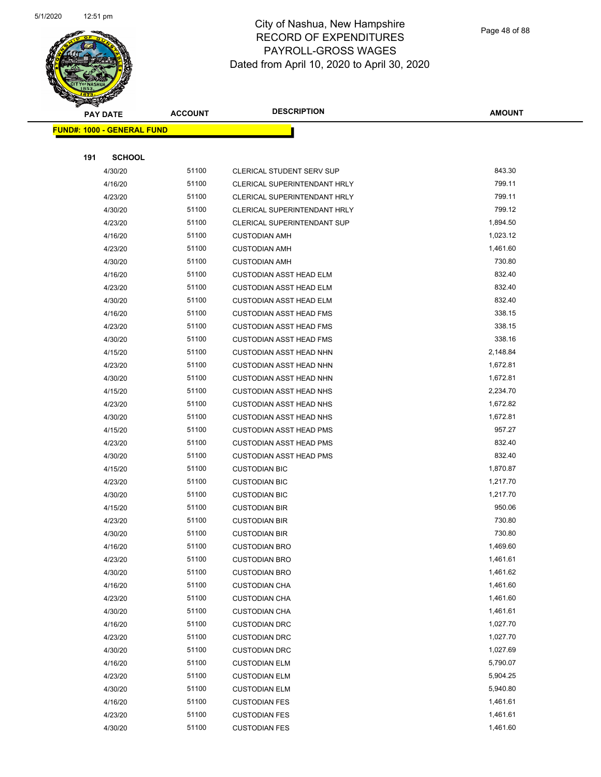

|     | <b>PAY DATE</b>                   | <b>ACCOUNT</b> | <b>DESCRIPTION</b>                 | <b>AMOUNT</b> |
|-----|-----------------------------------|----------------|------------------------------------|---------------|
|     | <b>FUND#: 1000 - GENERAL FUND</b> |                |                                    |               |
|     |                                   |                |                                    |               |
| 191 | <b>SCHOOL</b>                     |                |                                    |               |
|     | 4/30/20                           | 51100          | CLERICAL STUDENT SERV SUP          | 843.30        |
|     | 4/16/20                           | 51100          | CLERICAL SUPERINTENDANT HRLY       | 799.11        |
|     | 4/23/20                           | 51100          | CLERICAL SUPERINTENDANT HRLY       | 799.11        |
|     | 4/30/20                           | 51100          | CLERICAL SUPERINTENDANT HRLY       | 799.12        |
|     | 4/23/20                           | 51100          | <b>CLERICAL SUPERINTENDANT SUP</b> | 1,894.50      |
|     | 4/16/20                           | 51100          | <b>CUSTODIAN AMH</b>               | 1,023.12      |
|     | 4/23/20                           | 51100          | <b>CUSTODIAN AMH</b>               | 1,461.60      |
|     | 4/30/20                           | 51100          | <b>CUSTODIAN AMH</b>               | 730.80        |
|     | 4/16/20                           | 51100          | <b>CUSTODIAN ASST HEAD ELM</b>     | 832.40        |
|     | 4/23/20                           | 51100          | <b>CUSTODIAN ASST HEAD ELM</b>     | 832.40        |
|     | 4/30/20                           | 51100          | <b>CUSTODIAN ASST HEAD ELM</b>     | 832.40        |
|     | 4/16/20                           | 51100          | <b>CUSTODIAN ASST HEAD FMS</b>     | 338.15        |
|     | 4/23/20                           | 51100          | <b>CUSTODIAN ASST HEAD FMS</b>     | 338.15        |
|     | 4/30/20                           | 51100          | <b>CUSTODIAN ASST HEAD FMS</b>     | 338.16        |
|     | 4/15/20                           | 51100          | <b>CUSTODIAN ASST HEAD NHN</b>     | 2,148.84      |
|     | 4/23/20                           | 51100          | <b>CUSTODIAN ASST HEAD NHN</b>     | 1,672.81      |
|     | 4/30/20                           | 51100          | <b>CUSTODIAN ASST HEAD NHN</b>     | 1,672.81      |
|     | 4/15/20                           | 51100          | <b>CUSTODIAN ASST HEAD NHS</b>     | 2,234.70      |
|     | 4/23/20                           | 51100          | <b>CUSTODIAN ASST HEAD NHS</b>     | 1,672.82      |
|     | 4/30/20                           | 51100          | <b>CUSTODIAN ASST HEAD NHS</b>     | 1,672.81      |
|     | 4/15/20                           | 51100          | <b>CUSTODIAN ASST HEAD PMS</b>     | 957.27        |
|     | 4/23/20                           | 51100          | <b>CUSTODIAN ASST HEAD PMS</b>     | 832.40        |
|     | 4/30/20                           | 51100          | <b>CUSTODIAN ASST HEAD PMS</b>     | 832.40        |
|     | 4/15/20                           | 51100          | <b>CUSTODIAN BIC</b>               | 1,870.87      |
|     | 4/23/20                           | 51100          | <b>CUSTODIAN BIC</b>               | 1,217.70      |
|     | 4/30/20                           | 51100          | <b>CUSTODIAN BIC</b>               | 1,217.70      |
|     | 4/15/20                           | 51100          | <b>CUSTODIAN BIR</b>               | 950.06        |
|     | 4/23/20                           | 51100          | <b>CUSTODIAN BIR</b>               | 730.80        |
|     | 4/30/20                           | 51100          | <b>CUSTODIAN BIR</b>               | 730.80        |
|     | 4/16/20                           | 51100          | <b>CUSTODIAN BRO</b>               | 1,469.60      |
|     | 4/23/20                           | 51100          | <b>CUSTODIAN BRO</b>               | 1,461.61      |
|     | 4/30/20                           | 51100          | <b>CUSTODIAN BRO</b>               | 1,461.62      |
|     | 4/16/20                           | 51100          | <b>CUSTODIAN CHA</b>               | 1,461.60      |
|     | 4/23/20                           | 51100          | <b>CUSTODIAN CHA</b>               | 1,461.60      |
|     | 4/30/20                           | 51100          | <b>CUSTODIAN CHA</b>               | 1,461.61      |
|     | 4/16/20                           | 51100          | <b>CUSTODIAN DRC</b>               | 1,027.70      |
|     | 4/23/20                           | 51100          | <b>CUSTODIAN DRC</b>               | 1,027.70      |
|     | 4/30/20                           | 51100          | <b>CUSTODIAN DRC</b>               | 1,027.69      |
|     | 4/16/20                           | 51100          | <b>CUSTODIAN ELM</b>               | 5,790.07      |
|     | 4/23/20                           | 51100          | <b>CUSTODIAN ELM</b>               | 5,904.25      |
|     | 4/30/20                           | 51100          | <b>CUSTODIAN ELM</b>               | 5,940.80      |
|     | 4/16/20                           | 51100          | <b>CUSTODIAN FES</b>               | 1,461.61      |
|     | 4/23/20                           | 51100          | <b>CUSTODIAN FES</b>               | 1,461.61      |
|     | 4/30/20                           | 51100          | <b>CUSTODIAN FES</b>               | 1,461.60      |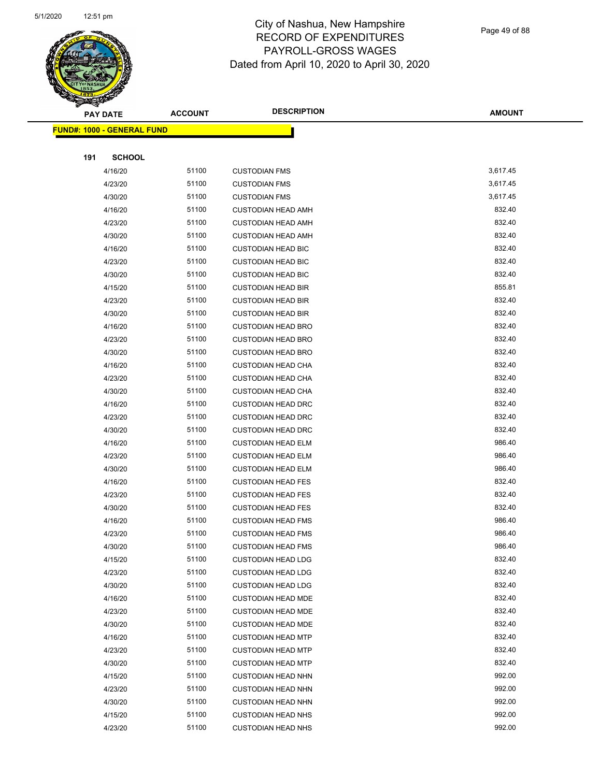

Page 49 of 88

|     | <b>PAY DATE</b>                    | <b>ACCOUNT</b> | <b>DESCRIPTION</b>        | <b>AMOUNT</b> |
|-----|------------------------------------|----------------|---------------------------|---------------|
|     | <u> FUND#: 1000 - GENERAL FUND</u> |                |                           |               |
|     |                                    |                |                           |               |
| 191 | <b>SCHOOL</b>                      |                |                           |               |
|     | 4/16/20                            | 51100          | <b>CUSTODIAN FMS</b>      | 3,617.45      |
|     | 4/23/20                            | 51100          | <b>CUSTODIAN FMS</b>      | 3,617.45      |
|     | 4/30/20                            | 51100          | <b>CUSTODIAN FMS</b>      | 3,617.45      |
|     | 4/16/20                            | 51100          | <b>CUSTODIAN HEAD AMH</b> | 832.40        |
|     | 4/23/20                            | 51100          | <b>CUSTODIAN HEAD AMH</b> | 832.40        |
|     | 4/30/20                            | 51100          | <b>CUSTODIAN HEAD AMH</b> | 832.40        |
|     | 4/16/20                            | 51100          | <b>CUSTODIAN HEAD BIC</b> | 832.40        |
|     | 4/23/20                            | 51100          | <b>CUSTODIAN HEAD BIC</b> | 832.40        |
|     | 4/30/20                            | 51100          | <b>CUSTODIAN HEAD BIC</b> | 832.40        |
|     | 4/15/20                            | 51100          | <b>CUSTODIAN HEAD BIR</b> | 855.81        |
|     | 4/23/20                            | 51100          | <b>CUSTODIAN HEAD BIR</b> | 832.40        |
|     | 4/30/20                            | 51100          | <b>CUSTODIAN HEAD BIR</b> | 832.40        |
|     | 4/16/20                            | 51100          | <b>CUSTODIAN HEAD BRO</b> | 832.40        |
|     | 4/23/20                            | 51100          | <b>CUSTODIAN HEAD BRO</b> | 832.40        |
|     | 4/30/20                            | 51100          | <b>CUSTODIAN HEAD BRO</b> | 832.40        |
|     | 4/16/20                            | 51100          | <b>CUSTODIAN HEAD CHA</b> | 832.40        |
|     | 4/23/20                            | 51100          | <b>CUSTODIAN HEAD CHA</b> | 832.40        |
|     | 4/30/20                            | 51100          | <b>CUSTODIAN HEAD CHA</b> | 832.40        |
|     | 4/16/20                            | 51100          | <b>CUSTODIAN HEAD DRC</b> | 832.40        |
|     | 4/23/20                            | 51100          | <b>CUSTODIAN HEAD DRC</b> | 832.40        |
|     | 4/30/20                            | 51100          | <b>CUSTODIAN HEAD DRC</b> | 832.40        |
|     | 4/16/20                            | 51100          | <b>CUSTODIAN HEAD ELM</b> | 986.40        |
|     | 4/23/20                            | 51100          | <b>CUSTODIAN HEAD ELM</b> | 986.40        |
|     | 4/30/20                            | 51100          | <b>CUSTODIAN HEAD ELM</b> | 986.40        |
|     | 4/16/20                            | 51100          | <b>CUSTODIAN HEAD FES</b> | 832.40        |
|     | 4/23/20                            | 51100          | <b>CUSTODIAN HEAD FES</b> | 832.40        |
|     | 4/30/20                            | 51100          | <b>CUSTODIAN HEAD FES</b> | 832.40        |
|     | 4/16/20                            | 51100          | <b>CUSTODIAN HEAD FMS</b> | 986.40        |
|     | 4/23/20                            | 51100          | <b>CUSTODIAN HEAD FMS</b> | 986.40        |
|     | 4/30/20                            | 51100          | <b>CUSTODIAN HEAD FMS</b> | 986.40        |
|     | 4/15/20                            | 51100          | <b>CUSTODIAN HEAD LDG</b> | 832.40        |
|     | 4/23/20                            | 51100          | <b>CUSTODIAN HEAD LDG</b> | 832.40        |
|     | 4/30/20                            | 51100          | <b>CUSTODIAN HEAD LDG</b> | 832.40        |
|     | 4/16/20                            | 51100          | <b>CUSTODIAN HEAD MDE</b> | 832.40        |
|     | 4/23/20                            | 51100          | <b>CUSTODIAN HEAD MDE</b> | 832.40        |
|     | 4/30/20                            | 51100          | <b>CUSTODIAN HEAD MDE</b> | 832.40        |
|     | 4/16/20                            | 51100          | <b>CUSTODIAN HEAD MTP</b> | 832.40        |
|     | 4/23/20                            | 51100          | <b>CUSTODIAN HEAD MTP</b> | 832.40        |
|     | 4/30/20                            | 51100          | <b>CUSTODIAN HEAD MTP</b> | 832.40        |
|     | 4/15/20                            | 51100          | <b>CUSTODIAN HEAD NHN</b> | 992.00        |
|     | 4/23/20                            | 51100          | <b>CUSTODIAN HEAD NHN</b> | 992.00        |
|     | 4/30/20                            | 51100          | <b>CUSTODIAN HEAD NHN</b> | 992.00        |
|     | 4/15/20                            | 51100          | <b>CUSTODIAN HEAD NHS</b> | 992.00        |
|     | 4/23/20                            | 51100          | <b>CUSTODIAN HEAD NHS</b> | 992.00        |
|     |                                    |                |                           |               |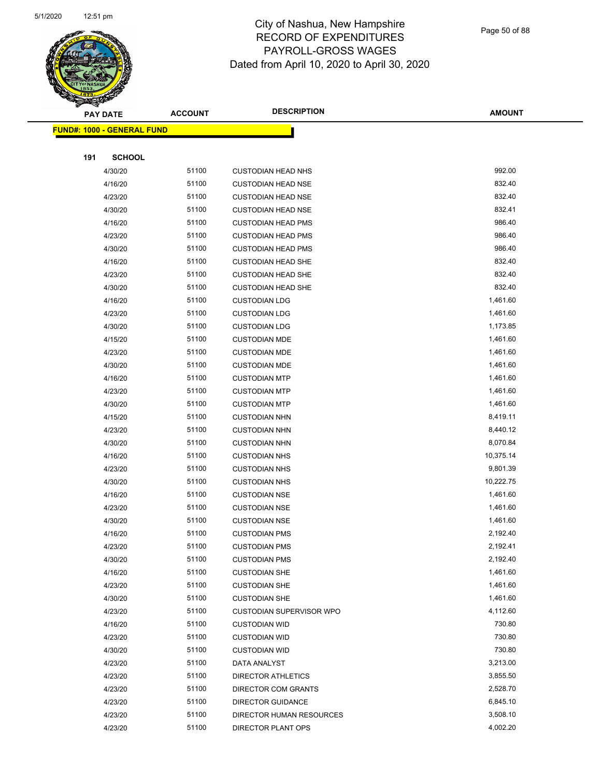

Page 50 of 88

|     | <b>PAY DATE</b>                   | <b>ACCOUNT</b> | <b>DESCRIPTION</b>                             | <b>AMOUNT</b>        |
|-----|-----------------------------------|----------------|------------------------------------------------|----------------------|
|     | <b>FUND#: 1000 - GENERAL FUND</b> |                |                                                |                      |
|     |                                   |                |                                                |                      |
| 191 | <b>SCHOOL</b>                     |                |                                                |                      |
|     | 4/30/20                           | 51100          | <b>CUSTODIAN HEAD NHS</b>                      | 992.00               |
|     | 4/16/20                           | 51100          | <b>CUSTODIAN HEAD NSE</b>                      | 832.40               |
|     | 4/23/20                           | 51100          | <b>CUSTODIAN HEAD NSE</b>                      | 832.40               |
|     | 4/30/20                           | 51100          | <b>CUSTODIAN HEAD NSE</b>                      | 832.41               |
|     | 4/16/20                           | 51100          | <b>CUSTODIAN HEAD PMS</b>                      | 986.40               |
|     | 4/23/20                           | 51100          | <b>CUSTODIAN HEAD PMS</b>                      | 986.40               |
|     | 4/30/20                           | 51100          | <b>CUSTODIAN HEAD PMS</b>                      | 986.40               |
|     | 4/16/20                           | 51100          | <b>CUSTODIAN HEAD SHE</b>                      | 832.40               |
|     | 4/23/20                           | 51100          | <b>CUSTODIAN HEAD SHE</b>                      | 832.40               |
|     | 4/30/20                           | 51100          | <b>CUSTODIAN HEAD SHE</b>                      | 832.40               |
|     | 4/16/20                           | 51100          | <b>CUSTODIAN LDG</b>                           | 1,461.60             |
|     | 4/23/20                           | 51100          | <b>CUSTODIAN LDG</b>                           | 1,461.60             |
|     | 4/30/20                           | 51100          | <b>CUSTODIAN LDG</b>                           | 1,173.85             |
|     | 4/15/20                           | 51100          | <b>CUSTODIAN MDE</b>                           | 1,461.60             |
|     | 4/23/20                           | 51100          | <b>CUSTODIAN MDE</b>                           | 1,461.60             |
|     | 4/30/20                           | 51100          | <b>CUSTODIAN MDE</b>                           | 1,461.60             |
|     | 4/16/20                           | 51100          | <b>CUSTODIAN MTP</b>                           | 1,461.60             |
|     | 4/23/20                           | 51100          | <b>CUSTODIAN MTP</b>                           | 1,461.60             |
|     | 4/30/20                           | 51100          | <b>CUSTODIAN MTP</b>                           | 1,461.60             |
|     | 4/15/20                           | 51100          | <b>CUSTODIAN NHN</b>                           | 8,419.11             |
|     | 4/23/20                           | 51100          | <b>CUSTODIAN NHN</b>                           | 8,440.12             |
|     | 4/30/20                           | 51100          | <b>CUSTODIAN NHN</b>                           | 8,070.84             |
|     | 4/16/20                           | 51100          | <b>CUSTODIAN NHS</b>                           | 10,375.14            |
|     | 4/23/20                           | 51100          | <b>CUSTODIAN NHS</b>                           | 9,801.39             |
|     | 4/30/20                           | 51100          | <b>CUSTODIAN NHS</b>                           | 10,222.75            |
|     | 4/16/20                           | 51100          | <b>CUSTODIAN NSE</b>                           | 1,461.60             |
|     | 4/23/20                           | 51100          | <b>CUSTODIAN NSE</b>                           | 1,461.60             |
|     | 4/30/20                           | 51100          | <b>CUSTODIAN NSE</b>                           | 1,461.60             |
|     | 4/16/20                           | 51100          | <b>CUSTODIAN PMS</b>                           | 2,192.40             |
|     | 4/23/20                           | 51100          | <b>CUSTODIAN PMS</b>                           | 2,192.41             |
|     | 4/30/20                           | 51100          | <b>CUSTODIAN PMS</b>                           | 2,192.40             |
|     | 4/16/20                           | 51100          | <b>CUSTODIAN SHE</b>                           | 1,461.60             |
|     | 4/23/20                           | 51100          | <b>CUSTODIAN SHE</b>                           | 1,461.60             |
|     | 4/30/20                           | 51100          | <b>CUSTODIAN SHE</b>                           | 1,461.60             |
|     | 4/23/20                           | 51100          | <b>CUSTODIAN SUPERVISOR WPO</b>                | 4,112.60             |
|     | 4/16/20                           | 51100          | <b>CUSTODIAN WID</b>                           | 730.80               |
|     | 4/23/20                           | 51100          | <b>CUSTODIAN WID</b>                           | 730.80               |
|     | 4/30/20                           | 51100          | <b>CUSTODIAN WID</b>                           | 730.80               |
|     | 4/23/20                           | 51100          | DATA ANALYST                                   | 3,213.00             |
|     | 4/23/20                           | 51100          | <b>DIRECTOR ATHLETICS</b>                      | 3,855.50<br>2,528.70 |
|     | 4/23/20                           | 51100<br>51100 | DIRECTOR COM GRANTS                            | 6,845.10             |
|     | 4/23/20<br>4/23/20                | 51100          | <b>DIRECTOR GUIDANCE</b>                       | 3,508.10             |
|     | 4/23/20                           | 51100          | DIRECTOR HUMAN RESOURCES<br>DIRECTOR PLANT OPS | 4,002.20             |
|     |                                   |                |                                                |                      |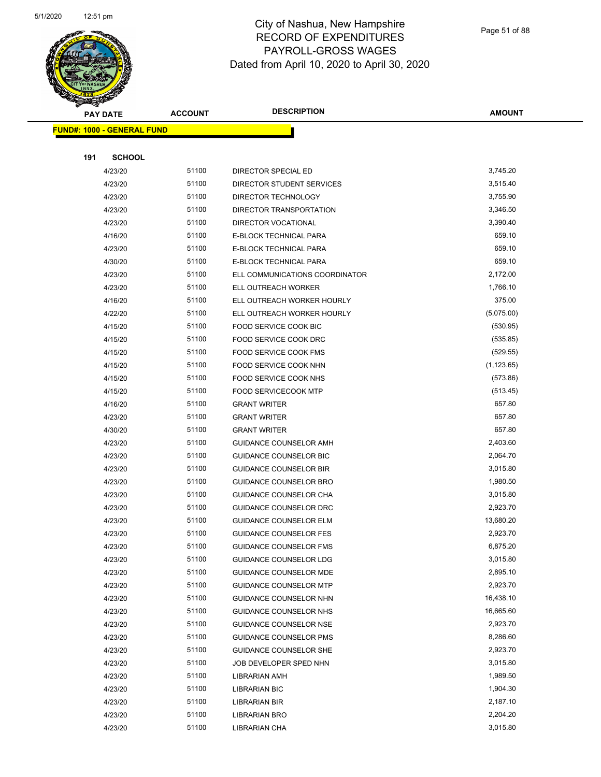

Page 51 of 88

|     | <b>PAY DATE</b>                   | <b>ACCOUNT</b> | <b>DESCRIPTION</b>             | <b>AMOUNT</b> |
|-----|-----------------------------------|----------------|--------------------------------|---------------|
|     | <b>FUND#: 1000 - GENERAL FUND</b> |                |                                |               |
|     |                                   |                |                                |               |
| 191 | <b>SCHOOL</b>                     |                |                                |               |
|     | 4/23/20                           | 51100          | DIRECTOR SPECIAL ED            | 3,745.20      |
|     | 4/23/20                           | 51100          | DIRECTOR STUDENT SERVICES      | 3,515.40      |
|     | 4/23/20                           | 51100          | DIRECTOR TECHNOLOGY            | 3,755.90      |
|     | 4/23/20                           | 51100          | DIRECTOR TRANSPORTATION        | 3,346.50      |
|     | 4/23/20                           | 51100          | <b>DIRECTOR VOCATIONAL</b>     | 3,390.40      |
|     | 4/16/20                           | 51100          | E-BLOCK TECHNICAL PARA         | 659.10        |
|     | 4/23/20                           | 51100          | E-BLOCK TECHNICAL PARA         | 659.10        |
|     | 4/30/20                           | 51100          | E-BLOCK TECHNICAL PARA         | 659.10        |
|     | 4/23/20                           | 51100          | ELL COMMUNICATIONS COORDINATOR | 2,172.00      |
|     | 4/23/20                           | 51100          | ELL OUTREACH WORKER            | 1,766.10      |
|     | 4/16/20                           | 51100          | ELL OUTREACH WORKER HOURLY     | 375.00        |
|     | 4/22/20                           | 51100          | ELL OUTREACH WORKER HOURLY     | (5,075.00)    |
|     | 4/15/20                           | 51100          | FOOD SERVICE COOK BIC          | (530.95)      |
|     | 4/15/20                           | 51100          | FOOD SERVICE COOK DRC          | (535.85)      |
|     | 4/15/20                           | 51100          | <b>FOOD SERVICE COOK FMS</b>   | (529.55)      |
|     | 4/15/20                           | 51100          | FOOD SERVICE COOK NHN          | (1, 123.65)   |
|     | 4/15/20                           | 51100          | FOOD SERVICE COOK NHS          | (573.86)      |
|     | 4/15/20                           | 51100          | <b>FOOD SERVICECOOK MTP</b>    | (513.45)      |
|     | 4/16/20                           | 51100          | <b>GRANT WRITER</b>            | 657.80        |
|     | 4/23/20                           | 51100          | <b>GRANT WRITER</b>            | 657.80        |
|     | 4/30/20                           | 51100          | <b>GRANT WRITER</b>            | 657.80        |
|     | 4/23/20                           | 51100          | GUIDANCE COUNSELOR AMH         | 2,403.60      |
|     | 4/23/20                           | 51100          | <b>GUIDANCE COUNSELOR BIC</b>  | 2,064.70      |
|     | 4/23/20                           | 51100          | <b>GUIDANCE COUNSELOR BIR</b>  | 3,015.80      |
|     | 4/23/20                           | 51100          | <b>GUIDANCE COUNSELOR BRO</b>  | 1,980.50      |
|     | 4/23/20                           | 51100          | <b>GUIDANCE COUNSELOR CHA</b>  | 3,015.80      |
|     | 4/23/20                           | 51100          | <b>GUIDANCE COUNSELOR DRC</b>  | 2,923.70      |
|     | 4/23/20                           | 51100          | <b>GUIDANCE COUNSELOR ELM</b>  | 13,680.20     |
|     | 4/23/20                           | 51100          | <b>GUIDANCE COUNSELOR FES</b>  | 2,923.70      |
|     | 4/23/20                           | 51100          | <b>GUIDANCE COUNSELOR FMS</b>  | 6,875.20      |
|     | 4/23/20                           | 51100          | <b>GUIDANCE COUNSELOR LDG</b>  | 3,015.80      |
|     | 4/23/20                           | 51100          | <b>GUIDANCE COUNSELOR MDE</b>  | 2,895.10      |
|     | 4/23/20                           | 51100          | <b>GUIDANCE COUNSELOR MTP</b>  | 2,923.70      |
|     | 4/23/20                           | 51100          | GUIDANCE COUNSELOR NHN         | 16,438.10     |
|     | 4/23/20                           | 51100          | GUIDANCE COUNSELOR NHS         | 16,665.60     |
|     | 4/23/20                           | 51100          | <b>GUIDANCE COUNSELOR NSE</b>  | 2,923.70      |
|     | 4/23/20                           | 51100          | <b>GUIDANCE COUNSELOR PMS</b>  | 8,286.60      |
|     | 4/23/20                           | 51100          | <b>GUIDANCE COUNSELOR SHE</b>  | 2,923.70      |
|     | 4/23/20                           | 51100          | JOB DEVELOPER SPED NHN         | 3,015.80      |
|     | 4/23/20                           | 51100          | LIBRARIAN AMH                  | 1,989.50      |
|     | 4/23/20                           | 51100          | <b>LIBRARIAN BIC</b>           | 1,904.30      |
|     | 4/23/20                           | 51100          | LIBRARIAN BIR                  | 2,187.10      |
|     | 4/23/20                           | 51100          | <b>LIBRARIAN BRO</b>           | 2,204.20      |
|     | 4/23/20                           | 51100          | LIBRARIAN CHA                  | 3,015.80      |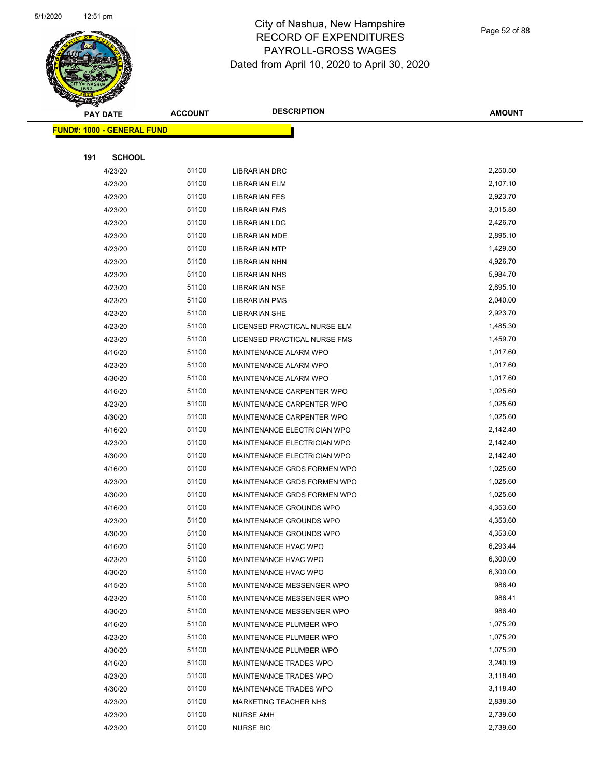

| A.  | <b>PAY DATE</b>                   | <b>ACCOUNT</b> | <b>DESCRIPTION</b>           | <b>AMOUNT</b> |
|-----|-----------------------------------|----------------|------------------------------|---------------|
|     | <b>FUND#: 1000 - GENERAL FUND</b> |                |                              |               |
|     |                                   |                |                              |               |
| 191 | <b>SCHOOL</b>                     |                |                              |               |
|     | 4/23/20                           | 51100          | <b>LIBRARIAN DRC</b>         | 2,250.50      |
|     | 4/23/20                           | 51100          | <b>LIBRARIAN ELM</b>         | 2,107.10      |
|     | 4/23/20                           | 51100          | <b>LIBRARIAN FES</b>         | 2,923.70      |
|     | 4/23/20                           | 51100          | <b>LIBRARIAN FMS</b>         | 3,015.80      |
|     | 4/23/20                           | 51100          | <b>LIBRARIAN LDG</b>         | 2,426.70      |
|     | 4/23/20                           | 51100          | <b>LIBRARIAN MDE</b>         | 2,895.10      |
|     | 4/23/20                           | 51100          | <b>LIBRARIAN MTP</b>         | 1,429.50      |
|     | 4/23/20                           | 51100          | <b>LIBRARIAN NHN</b>         | 4,926.70      |
|     | 4/23/20                           | 51100          | <b>LIBRARIAN NHS</b>         | 5,984.70      |
|     | 4/23/20                           | 51100          | <b>LIBRARIAN NSE</b>         | 2,895.10      |
|     | 4/23/20                           | 51100          | <b>LIBRARIAN PMS</b>         | 2,040.00      |
|     | 4/23/20                           | 51100          | <b>LIBRARIAN SHE</b>         | 2,923.70      |
|     | 4/23/20                           | 51100          | LICENSED PRACTICAL NURSE ELM | 1,485.30      |
|     | 4/23/20                           | 51100          | LICENSED PRACTICAL NURSE FMS | 1,459.70      |
|     | 4/16/20                           | 51100          | MAINTENANCE ALARM WPO        | 1,017.60      |
|     | 4/23/20                           | 51100          | MAINTENANCE ALARM WPO        | 1,017.60      |
|     | 4/30/20                           | 51100          | MAINTENANCE ALARM WPO        | 1,017.60      |
|     | 4/16/20                           | 51100          | MAINTENANCE CARPENTER WPO    | 1,025.60      |
|     | 4/23/20                           | 51100          | MAINTENANCE CARPENTER WPO    | 1,025.60      |
|     | 4/30/20                           | 51100          | MAINTENANCE CARPENTER WPO    | 1,025.60      |
|     | 4/16/20                           | 51100          | MAINTENANCE ELECTRICIAN WPO  | 2,142.40      |
|     | 4/23/20                           | 51100          | MAINTENANCE ELECTRICIAN WPO  | 2,142.40      |
|     | 4/30/20                           | 51100          | MAINTENANCE ELECTRICIAN WPO  | 2,142.40      |
|     | 4/16/20                           | 51100          | MAINTENANCE GRDS FORMEN WPO  | 1,025.60      |
|     | 4/23/20                           | 51100          | MAINTENANCE GRDS FORMEN WPO  | 1,025.60      |
|     | 4/30/20                           | 51100          | MAINTENANCE GRDS FORMEN WPO  | 1,025.60      |
|     | 4/16/20                           | 51100          | MAINTENANCE GROUNDS WPO      | 4,353.60      |
|     | 4/23/20                           | 51100          | MAINTENANCE GROUNDS WPO      | 4,353.60      |
|     | 4/30/20                           | 51100          | MAINTENANCE GROUNDS WPO      | 4,353.60      |
|     | 4/16/20                           | 51100          | MAINTENANCE HVAC WPO         | 6,293.44      |
|     | 4/23/20                           | 51100          | MAINTENANCE HVAC WPO         | 6,300.00      |
|     | 4/30/20                           | 51100          | MAINTENANCE HVAC WPO         | 6,300.00      |
|     | 4/15/20                           | 51100          | MAINTENANCE MESSENGER WPO    | 986.40        |
|     | 4/23/20                           | 51100          | MAINTENANCE MESSENGER WPO    | 986.41        |
|     | 4/30/20                           | 51100          | MAINTENANCE MESSENGER WPO    | 986.40        |
|     | 4/16/20                           | 51100          | MAINTENANCE PLUMBER WPO      | 1,075.20      |
|     | 4/23/20                           | 51100          | MAINTENANCE PLUMBER WPO      | 1,075.20      |
|     | 4/30/20                           | 51100          | MAINTENANCE PLUMBER WPO      | 1,075.20      |
|     | 4/16/20                           | 51100          | MAINTENANCE TRADES WPO       | 3,240.19      |
|     | 4/23/20                           | 51100          | MAINTENANCE TRADES WPO       | 3,118.40      |
|     | 4/30/20                           | 51100          | MAINTENANCE TRADES WPO       | 3,118.40      |
|     | 4/23/20                           | 51100          | MARKETING TEACHER NHS        | 2,838.30      |
|     | 4/23/20                           | 51100          | <b>NURSE AMH</b>             | 2,739.60      |
|     | 4/23/20                           | 51100          | <b>NURSE BIC</b>             | 2,739.60      |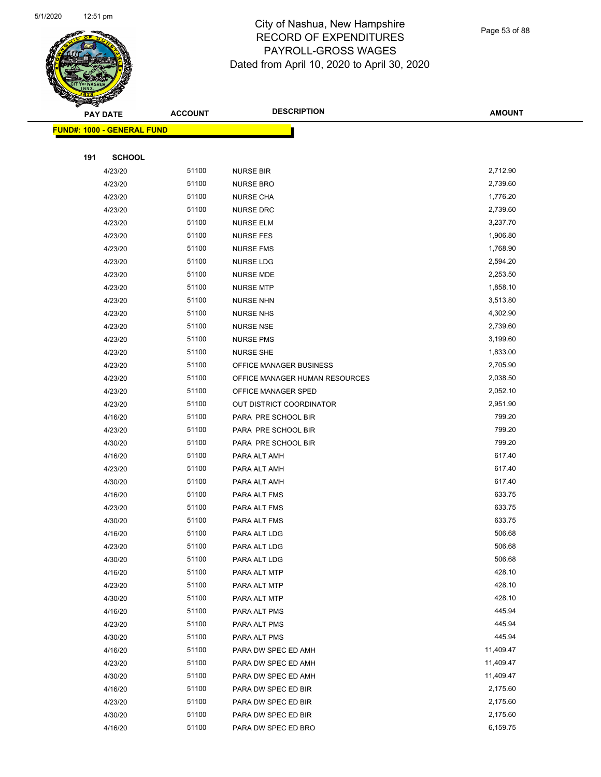

Page 53 of 88

|     | PAY DATE                          | <b>ACCOUNT</b> | <b>DESCRIPTION</b>             | <b>AMOUNT</b> |  |
|-----|-----------------------------------|----------------|--------------------------------|---------------|--|
|     | <b>FUND#: 1000 - GENERAL FUND</b> |                |                                |               |  |
|     |                                   |                |                                |               |  |
| 191 | <b>SCHOOL</b>                     |                |                                |               |  |
|     | 4/23/20                           | 51100          | <b>NURSE BIR</b>               | 2,712.90      |  |
|     | 4/23/20                           | 51100          | <b>NURSE BRO</b>               | 2,739.60      |  |
|     | 4/23/20                           | 51100          | <b>NURSE CHA</b>               | 1,776.20      |  |
|     | 4/23/20                           | 51100          | <b>NURSE DRC</b>               | 2,739.60      |  |
|     | 4/23/20                           | 51100          | <b>NURSE ELM</b>               | 3,237.70      |  |
|     | 4/23/20                           | 51100          | <b>NURSE FES</b>               | 1,906.80      |  |
|     | 4/23/20                           | 51100          | <b>NURSE FMS</b>               | 1,768.90      |  |
|     | 4/23/20                           | 51100          | <b>NURSE LDG</b>               | 2,594.20      |  |
|     | 4/23/20                           | 51100          | <b>NURSE MDE</b>               | 2,253.50      |  |
|     | 4/23/20                           | 51100          | <b>NURSE MTP</b>               | 1,858.10      |  |
|     | 4/23/20                           | 51100          | <b>NURSE NHN</b>               | 3,513.80      |  |
|     | 4/23/20                           | 51100          | <b>NURSE NHS</b>               | 4,302.90      |  |
|     | 4/23/20                           | 51100          | <b>NURSE NSE</b>               | 2,739.60      |  |
|     | 4/23/20                           | 51100          | <b>NURSE PMS</b>               | 3,199.60      |  |
|     | 4/23/20                           | 51100          | <b>NURSE SHE</b>               | 1,833.00      |  |
|     | 4/23/20                           | 51100          | OFFICE MANAGER BUSINESS        | 2,705.90      |  |
|     | 4/23/20                           | 51100          | OFFICE MANAGER HUMAN RESOURCES | 2,038.50      |  |
|     | 4/23/20                           | 51100          | OFFICE MANAGER SPED            | 2,052.10      |  |
|     | 4/23/20                           | 51100          | OUT DISTRICT COORDINATOR       | 2,951.90      |  |
|     | 4/16/20                           | 51100          | PARA PRE SCHOOL BIR            | 799.20        |  |
|     | 4/23/20                           | 51100          | PARA PRE SCHOOL BIR            | 799.20        |  |
|     | 4/30/20                           | 51100          | PARA PRE SCHOOL BIR            | 799.20        |  |
|     | 4/16/20                           | 51100          | PARA ALT AMH                   | 617.40        |  |
|     | 4/23/20                           | 51100          | PARA ALT AMH                   | 617.40        |  |
|     | 4/30/20                           | 51100          | PARA ALT AMH                   | 617.40        |  |
|     | 4/16/20                           | 51100          | PARA ALT FMS                   | 633.75        |  |
|     | 4/23/20                           | 51100          | PARA ALT FMS                   | 633.75        |  |
|     | 4/30/20                           | 51100          | PARA ALT FMS                   | 633.75        |  |
|     | 4/16/20                           | 51100          | PARA ALT LDG                   | 506.68        |  |
|     | 4/23/20                           | 51100          | PARA ALT LDG                   | 506.68        |  |
|     | 4/30/20                           | 51100          | PARA ALT LDG                   | 506.68        |  |
|     | 4/16/20                           | 51100          | PARA ALT MTP                   | 428.10        |  |
|     | 4/23/20                           | 51100          | PARA ALT MTP                   | 428.10        |  |
|     | 4/30/20                           | 51100          | PARA ALT MTP                   | 428.10        |  |
|     | 4/16/20                           | 51100          | PARA ALT PMS                   | 445.94        |  |
|     | 4/23/20                           | 51100          | PARA ALT PMS                   | 445.94        |  |
|     | 4/30/20                           | 51100          | PARA ALT PMS                   | 445.94        |  |
|     | 4/16/20                           | 51100          | PARA DW SPEC ED AMH            | 11,409.47     |  |
|     | 4/23/20                           | 51100          | PARA DW SPEC ED AMH            | 11,409.47     |  |
|     | 4/30/20                           | 51100          | PARA DW SPEC ED AMH            | 11,409.47     |  |
|     | 4/16/20                           | 51100          | PARA DW SPEC ED BIR            | 2,175.60      |  |
|     | 4/23/20                           | 51100          | PARA DW SPEC ED BIR            | 2,175.60      |  |
|     | 4/30/20                           | 51100          | PARA DW SPEC ED BIR            | 2,175.60      |  |
|     | 4/16/20                           | 51100          | PARA DW SPEC ED BRO            | 6,159.75      |  |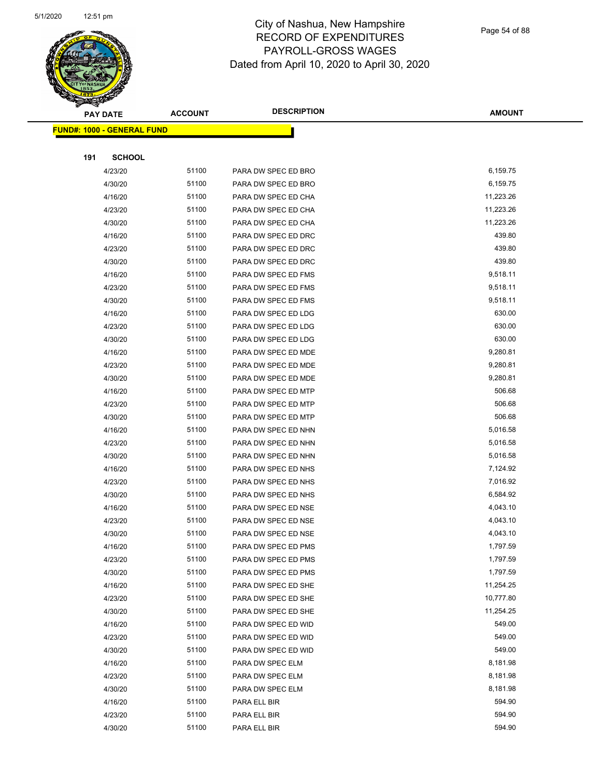

Page 54 of 88

|     | <b>PAY DATE</b>                   | <b>ACCOUNT</b> | <b>DESCRIPTION</b>                   | <b>AMOUNT</b>      |
|-----|-----------------------------------|----------------|--------------------------------------|--------------------|
|     | <b>FUND#: 1000 - GENERAL FUND</b> |                |                                      |                    |
|     |                                   |                |                                      |                    |
| 191 | <b>SCHOOL</b>                     |                |                                      |                    |
|     | 4/23/20                           | 51100          | PARA DW SPEC ED BRO                  | 6,159.75           |
|     | 4/30/20                           | 51100          | PARA DW SPEC ED BRO                  | 6,159.75           |
|     | 4/16/20                           | 51100          | PARA DW SPEC ED CHA                  | 11,223.26          |
|     | 4/23/20                           | 51100          | PARA DW SPEC ED CHA                  | 11,223.26          |
|     | 4/30/20                           | 51100          | PARA DW SPEC ED CHA                  | 11,223.26          |
|     | 4/16/20                           | 51100          | PARA DW SPEC ED DRC                  | 439.80             |
|     | 4/23/20                           | 51100          | PARA DW SPEC ED DRC                  | 439.80             |
|     | 4/30/20                           | 51100          | PARA DW SPEC ED DRC                  | 439.80             |
|     | 4/16/20                           | 51100          | PARA DW SPEC ED FMS                  | 9,518.11           |
|     | 4/23/20                           | 51100          | PARA DW SPEC ED FMS                  | 9,518.11           |
|     | 4/30/20                           | 51100          | PARA DW SPEC ED FMS                  | 9,518.11           |
|     | 4/16/20                           | 51100          | PARA DW SPEC ED LDG                  | 630.00             |
|     | 4/23/20                           | 51100          | PARA DW SPEC ED LDG                  | 630.00             |
|     | 4/30/20                           | 51100          | PARA DW SPEC ED LDG                  | 630.00             |
|     | 4/16/20                           | 51100          | PARA DW SPEC ED MDE                  | 9,280.81           |
|     | 4/23/20                           | 51100          | PARA DW SPEC ED MDE                  | 9,280.81           |
|     | 4/30/20                           | 51100          | PARA DW SPEC ED MDE                  | 9,280.81           |
|     | 4/16/20                           | 51100          | PARA DW SPEC ED MTP                  | 506.68             |
|     | 4/23/20                           | 51100          | PARA DW SPEC ED MTP                  | 506.68             |
|     | 4/30/20                           | 51100          | PARA DW SPEC ED MTP                  | 506.68             |
|     | 4/16/20                           | 51100          | PARA DW SPEC ED NHN                  | 5,016.58           |
|     | 4/23/20                           | 51100          | PARA DW SPEC ED NHN                  | 5,016.58           |
|     | 4/30/20                           | 51100          | PARA DW SPEC ED NHN                  | 5,016.58           |
|     | 4/16/20                           | 51100          | PARA DW SPEC ED NHS                  | 7,124.92           |
|     | 4/23/20                           | 51100          | PARA DW SPEC ED NHS                  | 7,016.92           |
|     | 4/30/20                           | 51100          | PARA DW SPEC ED NHS                  | 6,584.92           |
|     | 4/16/20                           | 51100          | PARA DW SPEC ED NSE                  | 4,043.10           |
|     | 4/23/20                           | 51100          | PARA DW SPEC ED NSE                  | 4,043.10           |
|     | 4/30/20                           | 51100          | PARA DW SPEC ED NSE                  | 4,043.10           |
|     | 4/16/20                           | 51100          | PARA DW SPEC ED PMS                  | 1,797.59           |
|     | 4/23/20                           | 51100          | PARA DW SPEC ED PMS                  | 1,797.59           |
|     | 4/30/20                           | 51100          | PARA DW SPEC ED PMS                  | 1,797.59           |
|     | 4/16/20                           | 51100          | PARA DW SPEC ED SHE                  | 11,254.25          |
|     | 4/23/20                           | 51100          | PARA DW SPEC ED SHE                  | 10,777.80          |
|     | 4/30/20                           | 51100          | PARA DW SPEC ED SHE                  | 11,254.25          |
|     | 4/16/20                           | 51100          | PARA DW SPEC ED WID                  | 549.00             |
|     | 4/23/20                           | 51100          | PARA DW SPEC ED WID                  | 549.00             |
|     | 4/30/20                           | 51100<br>51100 | PARA DW SPEC ED WID                  | 549.00<br>8,181.98 |
|     | 4/16/20                           | 51100          | PARA DW SPEC ELM                     | 8,181.98           |
|     | 4/23/20<br>4/30/20                | 51100          | PARA DW SPEC ELM<br>PARA DW SPEC ELM | 8,181.98           |
|     | 4/16/20                           | 51100          | PARA ELL BIR                         | 594.90             |
|     | 4/23/20                           | 51100          | PARA ELL BIR                         | 594.90             |
|     | 4/30/20                           | 51100          | PARA ELL BIR                         | 594.90             |
|     |                                   |                |                                      |                    |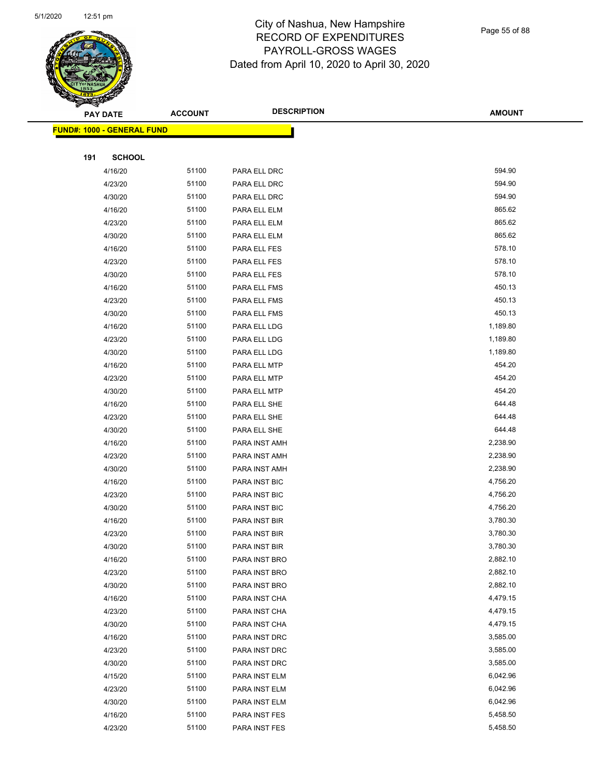

|     | <b>PAY DATE</b>                    | <b>ACCOUNT</b> | <b>DESCRIPTION</b> | <b>AMOUNT</b> |
|-----|------------------------------------|----------------|--------------------|---------------|
|     | <u> FUND#: 1000 - GENERAL FUND</u> |                |                    |               |
|     |                                    |                |                    |               |
| 191 | <b>SCHOOL</b>                      |                |                    |               |
|     | 4/16/20                            | 51100          | PARA ELL DRC       | 594.90        |
|     | 4/23/20                            | 51100          | PARA ELL DRC       | 594.90        |
|     | 4/30/20                            | 51100          | PARA ELL DRC       | 594.90        |
|     | 4/16/20                            | 51100          | PARA ELL ELM       | 865.62        |
|     | 4/23/20                            | 51100          | PARA ELL ELM       | 865.62        |
|     | 4/30/20                            | 51100          | PARA ELL ELM       | 865.62        |
|     | 4/16/20                            | 51100          | PARA ELL FES       | 578.10        |
|     | 4/23/20                            | 51100          | PARA ELL FES       | 578.10        |
|     | 4/30/20                            | 51100          | PARA ELL FES       | 578.10        |
|     | 4/16/20                            | 51100          | PARA ELL FMS       | 450.13        |
|     | 4/23/20                            | 51100          | PARA ELL FMS       | 450.13        |
|     | 4/30/20                            | 51100          | PARA ELL FMS       | 450.13        |
|     | 4/16/20                            | 51100          | PARA ELL LDG       | 1,189.80      |
|     | 4/23/20                            | 51100          | PARA ELL LDG       | 1,189.80      |
|     | 4/30/20                            | 51100          | PARA ELL LDG       | 1,189.80      |
|     | 4/16/20                            | 51100          | PARA ELL MTP       | 454.20        |
|     | 4/23/20                            | 51100          | PARA ELL MTP       | 454.20        |
|     | 4/30/20                            | 51100          | PARA ELL MTP       | 454.20        |
|     | 4/16/20                            | 51100          | PARA ELL SHE       | 644.48        |
|     | 4/23/20                            | 51100          | PARA ELL SHE       | 644.48        |
|     | 4/30/20                            | 51100          | PARA ELL SHE       | 644.48        |
|     | 4/16/20                            | 51100          | PARA INST AMH      | 2,238.90      |
|     | 4/23/20                            | 51100          | PARA INST AMH      | 2,238.90      |
|     | 4/30/20                            | 51100          | PARA INST AMH      | 2,238.90      |
|     | 4/16/20                            | 51100          | PARA INST BIC      | 4,756.20      |
|     | 4/23/20                            | 51100          | PARA INST BIC      | 4,756.20      |
|     | 4/30/20                            | 51100          | PARA INST BIC      | 4,756.20      |
|     | 4/16/20                            | 51100          | PARA INST BIR      | 3,780.30      |
|     | 4/23/20                            | 51100          | PARA INST BIR      | 3,780.30      |
|     | 4/30/20                            | 51100          | PARA INST BIR      | 3,780.30      |
|     | 4/16/20                            | 51100          | PARA INST BRO      | 2,882.10      |
|     | 4/23/20                            | 51100          | PARA INST BRO      | 2,882.10      |
|     | 4/30/20                            | 51100          | PARA INST BRO      | 2,882.10      |
|     | 4/16/20                            | 51100          | PARA INST CHA      | 4,479.15      |
|     | 4/23/20                            | 51100          | PARA INST CHA      | 4,479.15      |
|     | 4/30/20                            | 51100          | PARA INST CHA      | 4,479.15      |
|     | 4/16/20                            | 51100          | PARA INST DRC      | 3,585.00      |
|     | 4/23/20                            | 51100          | PARA INST DRC      | 3,585.00      |
|     | 4/30/20                            | 51100          | PARA INST DRC      | 3,585.00      |
|     | 4/15/20                            | 51100          | PARA INST ELM      | 6,042.96      |
|     | 4/23/20                            | 51100          | PARA INST ELM      | 6,042.96      |
|     | 4/30/20                            | 51100          | PARA INST ELM      | 6,042.96      |
|     | 4/16/20                            | 51100          | PARA INST FES      | 5,458.50      |
|     | 4/23/20                            | 51100          | PARA INST FES      | 5,458.50      |
|     |                                    |                |                    |               |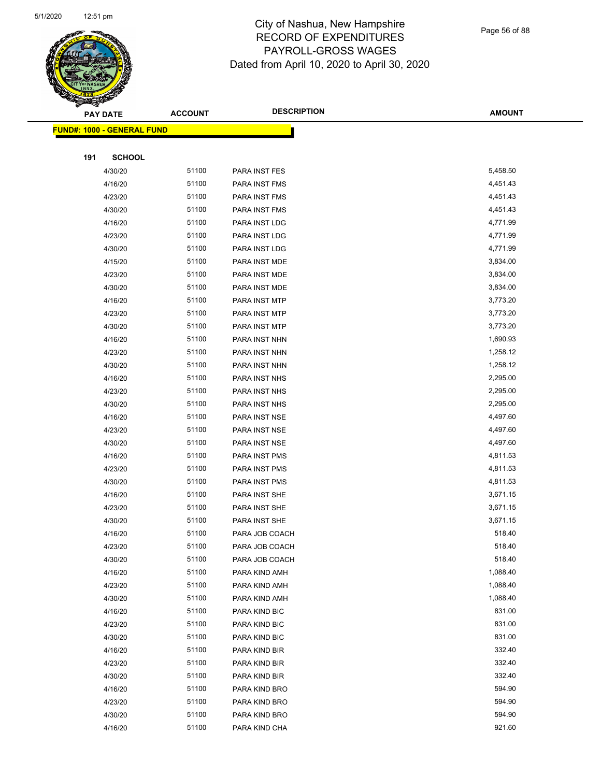

Page 56 of 88

|     | <b>PAY DATE</b>                   | <b>ACCOUNT</b> | <b>DESCRIPTION</b>             | <b>AMOUNT</b>    |
|-----|-----------------------------------|----------------|--------------------------------|------------------|
|     | <b>FUND#: 1000 - GENERAL FUND</b> |                |                                |                  |
|     |                                   |                |                                |                  |
| 191 | <b>SCHOOL</b>                     |                |                                |                  |
|     | 4/30/20                           | 51100          | PARA INST FES                  | 5,458.50         |
|     | 4/16/20                           | 51100          | PARA INST FMS                  | 4,451.43         |
|     | 4/23/20                           | 51100          | PARA INST FMS                  | 4,451.43         |
|     | 4/30/20                           | 51100          | PARA INST FMS                  | 4,451.43         |
|     | 4/16/20                           | 51100          | PARA INST LDG                  | 4,771.99         |
|     | 4/23/20                           | 51100          | PARA INST LDG                  | 4,771.99         |
|     | 4/30/20                           | 51100          | PARA INST LDG                  | 4,771.99         |
|     | 4/15/20                           | 51100          | PARA INST MDE                  | 3,834.00         |
|     | 4/23/20                           | 51100          | PARA INST MDE                  | 3,834.00         |
|     | 4/30/20                           | 51100          | PARA INST MDE                  | 3,834.00         |
|     | 4/16/20                           | 51100          | PARA INST MTP                  | 3,773.20         |
|     | 4/23/20                           | 51100          | PARA INST MTP                  | 3,773.20         |
|     | 4/30/20                           | 51100          | PARA INST MTP                  | 3,773.20         |
|     | 4/16/20                           | 51100          | PARA INST NHN                  | 1,690.93         |
|     | 4/23/20                           | 51100          | PARA INST NHN                  | 1,258.12         |
|     | 4/30/20                           | 51100          | PARA INST NHN                  | 1,258.12         |
|     | 4/16/20                           | 51100          | PARA INST NHS                  | 2,295.00         |
|     | 4/23/20                           | 51100          | PARA INST NHS                  | 2,295.00         |
|     | 4/30/20                           | 51100          | PARA INST NHS                  | 2,295.00         |
|     | 4/16/20                           | 51100          | PARA INST NSE                  | 4,497.60         |
|     | 4/23/20                           | 51100          | PARA INST NSE                  | 4,497.60         |
|     | 4/30/20                           | 51100          | PARA INST NSE                  | 4,497.60         |
|     | 4/16/20                           | 51100          | PARA INST PMS                  | 4,811.53         |
|     | 4/23/20                           | 51100          | PARA INST PMS                  | 4,811.53         |
|     | 4/30/20                           | 51100          | PARA INST PMS                  | 4,811.53         |
|     | 4/16/20                           | 51100          | PARA INST SHE                  | 3,671.15         |
|     | 4/23/20                           | 51100          | PARA INST SHE                  | 3,671.15         |
|     | 4/30/20                           | 51100          | PARA INST SHE                  | 3,671.15         |
|     | 4/16/20                           | 51100          | PARA JOB COACH                 | 518.40           |
|     | 4/23/20                           | 51100          | PARA JOB COACH                 | 518.40           |
|     | 4/30/20                           | 51100          | PARA JOB COACH                 | 518.40           |
|     | 4/16/20                           | 51100          | PARA KIND AMH                  | 1,088.40         |
|     | 4/23/20                           | 51100          | PARA KIND AMH                  | 1,088.40         |
|     | 4/30/20                           | 51100          | PARA KIND AMH                  | 1,088.40         |
|     | 4/16/20                           | 51100<br>51100 | PARA KIND BIC                  | 831.00<br>831.00 |
|     | 4/23/20<br>4/30/20                | 51100          | PARA KIND BIC<br>PARA KIND BIC | 831.00           |
|     | 4/16/20                           | 51100          |                                | 332.40           |
|     |                                   |                | PARA KIND BIR                  | 332.40           |
|     | 4/23/20                           | 51100<br>51100 | PARA KIND BIR                  | 332.40           |
|     | 4/30/20<br>4/16/20                | 51100          | PARA KIND BIR                  | 594.90           |
|     | 4/23/20                           | 51100          | PARA KIND BRO<br>PARA KIND BRO | 594.90           |
|     | 4/30/20                           | 51100          | PARA KIND BRO                  | 594.90           |
|     | 4/16/20                           | 51100          | PARA KIND CHA                  | 921.60           |
|     |                                   |                |                                |                  |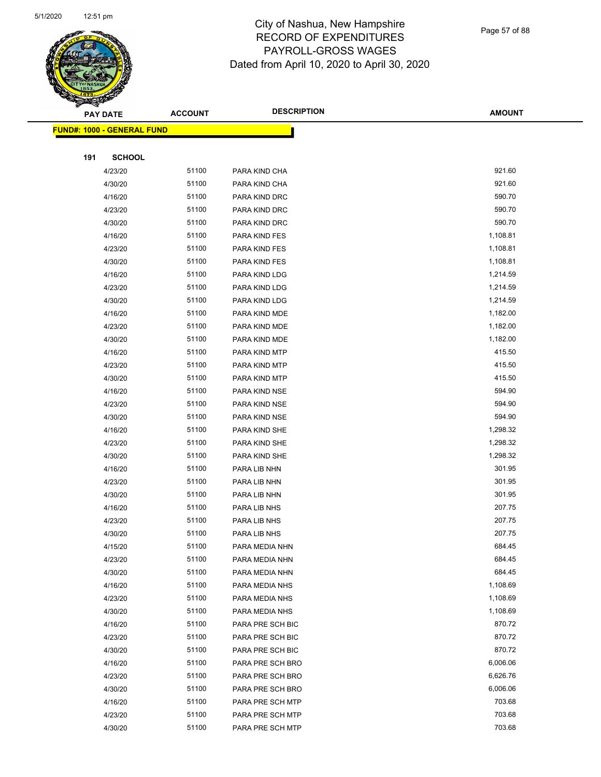

|     | <b>PAY DATE</b>                         | <b>ACCOUNT</b> | <b>DESCRIPTION</b> | <b>AMOUNT</b> |  |
|-----|-----------------------------------------|----------------|--------------------|---------------|--|
|     | <mark>FUND#: 1000 - GENERAL FUND</mark> |                |                    |               |  |
|     |                                         |                |                    |               |  |
| 191 | <b>SCHOOL</b>                           |                |                    |               |  |
|     | 4/23/20                                 | 51100          | PARA KIND CHA      | 921.60        |  |
|     | 4/30/20                                 | 51100          | PARA KIND CHA      | 921.60        |  |
|     | 4/16/20                                 | 51100          | PARA KIND DRC      | 590.70        |  |
|     | 4/23/20                                 | 51100          | PARA KIND DRC      | 590.70        |  |
|     | 4/30/20                                 | 51100          | PARA KIND DRC      | 590.70        |  |
|     | 4/16/20                                 | 51100          | PARA KIND FES      | 1,108.81      |  |
|     | 4/23/20                                 | 51100          | PARA KIND FES      | 1,108.81      |  |
|     | 4/30/20                                 | 51100          | PARA KIND FES      | 1,108.81      |  |
|     | 4/16/20                                 | 51100          | PARA KIND LDG      | 1,214.59      |  |
|     | 4/23/20                                 | 51100          | PARA KIND LDG      | 1,214.59      |  |
|     | 4/30/20                                 | 51100          | PARA KIND LDG      | 1,214.59      |  |
|     | 4/16/20                                 | 51100          | PARA KIND MDE      | 1,182.00      |  |
|     | 4/23/20                                 | 51100          | PARA KIND MDE      | 1,182.00      |  |
|     | 4/30/20                                 | 51100          | PARA KIND MDE      | 1,182.00      |  |
|     | 4/16/20                                 | 51100          | PARA KIND MTP      | 415.50        |  |
|     | 4/23/20                                 | 51100          | PARA KIND MTP      | 415.50        |  |
|     | 4/30/20                                 | 51100          | PARA KIND MTP      | 415.50        |  |
|     | 4/16/20                                 | 51100          | PARA KIND NSE      | 594.90        |  |
|     | 4/23/20                                 | 51100          | PARA KIND NSE      | 594.90        |  |
|     | 4/30/20                                 | 51100          | PARA KIND NSE      | 594.90        |  |
|     | 4/16/20                                 | 51100          | PARA KIND SHE      | 1,298.32      |  |
|     | 4/23/20                                 | 51100          | PARA KIND SHE      | 1,298.32      |  |
|     | 4/30/20                                 | 51100          | PARA KIND SHE      | 1,298.32      |  |
|     | 4/16/20                                 | 51100          | PARA LIB NHN       | 301.95        |  |
|     | 4/23/20                                 | 51100          | PARA LIB NHN       | 301.95        |  |
|     | 4/30/20                                 | 51100          | PARA LIB NHN       | 301.95        |  |
|     | 4/16/20                                 | 51100          | PARA LIB NHS       | 207.75        |  |
|     | 4/23/20                                 | 51100          | PARA LIB NHS       | 207.75        |  |
|     | 4/30/20                                 | 51100          | PARA LIB NHS       | 207.75        |  |
|     | 4/15/20                                 | 51100          | PARA MEDIA NHN     | 684.45        |  |
|     | 4/23/20                                 | 51100          | PARA MEDIA NHN     | 684.45        |  |
|     | 4/30/20                                 | 51100          | PARA MEDIA NHN     | 684.45        |  |
|     | 4/16/20                                 | 51100          | PARA MEDIA NHS     | 1,108.69      |  |
|     | 4/23/20                                 | 51100          | PARA MEDIA NHS     | 1,108.69      |  |
|     | 4/30/20                                 | 51100          | PARA MEDIA NHS     | 1,108.69      |  |
|     | 4/16/20                                 | 51100          | PARA PRE SCH BIC   | 870.72        |  |
|     | 4/23/20                                 | 51100          | PARA PRE SCH BIC   | 870.72        |  |
|     | 4/30/20                                 | 51100          | PARA PRE SCH BIC   | 870.72        |  |
|     | 4/16/20                                 | 51100          | PARA PRE SCH BRO   | 6,006.06      |  |
|     | 4/23/20                                 | 51100          | PARA PRE SCH BRO   | 6,626.76      |  |
|     | 4/30/20                                 | 51100          | PARA PRE SCH BRO   | 6,006.06      |  |
|     | 4/16/20                                 | 51100          | PARA PRE SCH MTP   | 703.68        |  |
|     | 4/23/20                                 | 51100          | PARA PRE SCH MTP   | 703.68        |  |
|     | 4/30/20                                 | 51100          | PARA PRE SCH MTP   | 703.68        |  |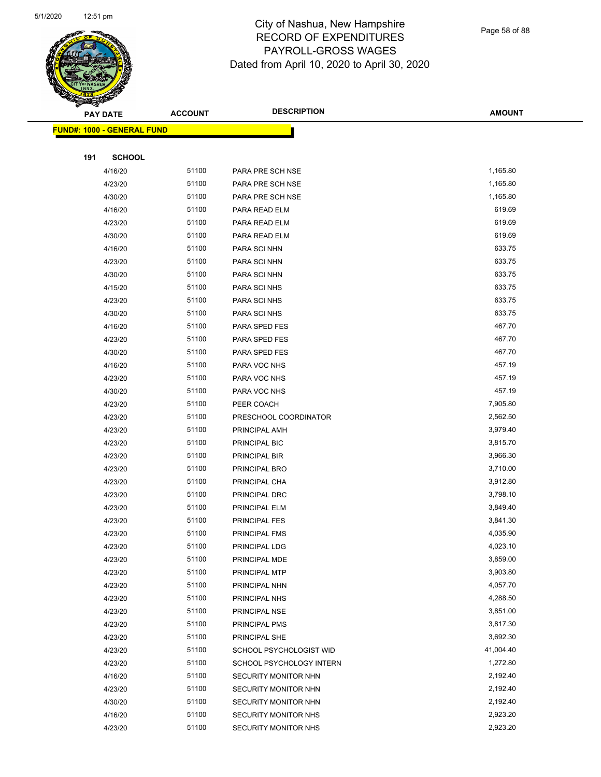

Page 58 of 88

| G<br>$\tilde{\phantom{a}}$ | <b>PAY DATE</b>                   | <b>ACCOUNT</b> | <b>DESCRIPTION</b>                           | <b>AMOUNT</b>        |
|----------------------------|-----------------------------------|----------------|----------------------------------------------|----------------------|
|                            | <b>FUND#: 1000 - GENERAL FUND</b> |                |                                              |                      |
|                            |                                   |                |                                              |                      |
| 191                        | <b>SCHOOL</b>                     |                |                                              |                      |
|                            | 4/16/20                           | 51100          | PARA PRE SCH NSE                             | 1,165.80             |
|                            | 4/23/20                           | 51100          | PARA PRE SCH NSE                             | 1,165.80             |
|                            | 4/30/20                           | 51100          | PARA PRE SCH NSE                             | 1,165.80             |
|                            | 4/16/20                           | 51100          | PARA READ ELM                                | 619.69               |
|                            | 4/23/20                           | 51100          | PARA READ ELM                                | 619.69               |
|                            | 4/30/20                           | 51100          | PARA READ ELM                                | 619.69               |
|                            | 4/16/20                           | 51100          | PARA SCI NHN                                 | 633.75               |
|                            | 4/23/20                           | 51100          | PARA SCI NHN                                 | 633.75               |
|                            | 4/30/20                           | 51100          | PARA SCI NHN                                 | 633.75               |
|                            | 4/15/20                           | 51100          | PARA SCI NHS                                 | 633.75               |
|                            | 4/23/20                           | 51100          | PARA SCI NHS                                 | 633.75               |
|                            | 4/30/20                           | 51100          | PARA SCI NHS                                 | 633.75               |
|                            | 4/16/20                           | 51100          | PARA SPED FES                                | 467.70               |
|                            | 4/23/20                           | 51100          | PARA SPED FES                                | 467.70               |
|                            | 4/30/20                           | 51100          | PARA SPED FES                                | 467.70               |
|                            | 4/16/20                           | 51100          | PARA VOC NHS                                 | 457.19               |
|                            | 4/23/20                           | 51100          | PARA VOC NHS                                 | 457.19               |
|                            | 4/30/20                           | 51100          | PARA VOC NHS                                 | 457.19               |
|                            | 4/23/20                           | 51100          | PEER COACH                                   | 7,905.80             |
|                            | 4/23/20                           | 51100          | PRESCHOOL COORDINATOR                        | 2,562.50             |
|                            | 4/23/20                           | 51100          | PRINCIPAL AMH                                | 3,979.40             |
|                            | 4/23/20                           | 51100          | PRINCIPAL BIC                                | 3,815.70             |
|                            | 4/23/20                           | 51100          | PRINCIPAL BIR                                | 3,966.30             |
|                            | 4/23/20                           | 51100          | PRINCIPAL BRO                                | 3,710.00             |
|                            | 4/23/20                           | 51100          | PRINCIPAL CHA                                | 3,912.80             |
|                            | 4/23/20                           | 51100          | PRINCIPAL DRC                                | 3,798.10             |
|                            | 4/23/20                           | 51100          | PRINCIPAL ELM                                | 3,849.40             |
|                            | 4/23/20                           | 51100          | PRINCIPAL FES                                | 3,841.30             |
|                            | 4/23/20                           | 51100          | PRINCIPAL FMS                                | 4,035.90             |
|                            | 4/23/20                           | 51100          | PRINCIPAL LDG                                | 4,023.10             |
|                            | 4/23/20                           | 51100          | PRINCIPAL MDE                                | 3,859.00             |
|                            | 4/23/20                           | 51100          | PRINCIPAL MTP                                | 3,903.80             |
|                            | 4/23/20                           | 51100          | PRINCIPAL NHN                                | 4,057.70             |
|                            | 4/23/20                           | 51100          | PRINCIPAL NHS                                | 4,288.50<br>3,851.00 |
|                            | 4/23/20                           | 51100<br>51100 | PRINCIPAL NSE                                |                      |
|                            | 4/23/20                           | 51100          | PRINCIPAL PMS                                | 3,817.30<br>3,692.30 |
|                            | 4/23/20                           | 51100          | PRINCIPAL SHE<br>SCHOOL PSYCHOLOGIST WID     | 41,004.40            |
|                            | 4/23/20<br>4/23/20                | 51100          |                                              | 1,272.80             |
|                            |                                   |                | SCHOOL PSYCHOLOGY INTERN                     |                      |
|                            | 4/16/20<br>4/23/20                | 51100<br>51100 | SECURITY MONITOR NHN<br>SECURITY MONITOR NHN | 2,192.40<br>2,192.40 |
|                            | 4/30/20                           | 51100          | SECURITY MONITOR NHN                         | 2,192.40             |
|                            | 4/16/20                           | 51100          | SECURITY MONITOR NHS                         | 2,923.20             |
|                            | 4/23/20                           | 51100          | <b>SECURITY MONITOR NHS</b>                  | 2,923.20             |
|                            |                                   |                |                                              |                      |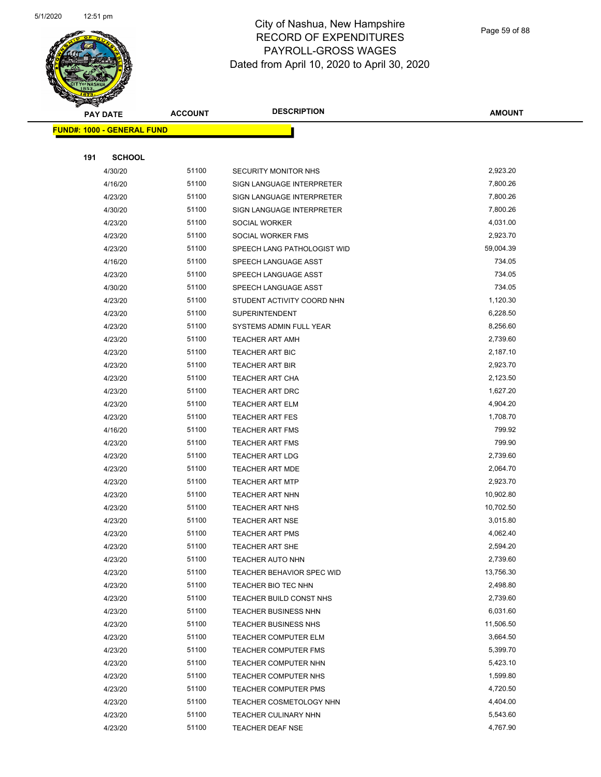

Page 59 of 88

| $\tilde{\phantom{a}}$<br><b>PAY DATE</b> | <b>ACCOUNT</b> | <b>DESCRIPTION</b>          | <b>AMOUNT</b> |
|------------------------------------------|----------------|-----------------------------|---------------|
| <b>FUND#: 1000 - GENERAL FUND</b>        |                |                             |               |
|                                          |                |                             |               |
| 191<br><b>SCHOOL</b>                     |                |                             |               |
| 4/30/20                                  | 51100          | SECURITY MONITOR NHS        | 2,923.20      |
| 4/16/20                                  | 51100          | SIGN LANGUAGE INTERPRETER   | 7,800.26      |
| 4/23/20                                  | 51100          | SIGN LANGUAGE INTERPRETER   | 7,800.26      |
| 4/30/20                                  | 51100          | SIGN LANGUAGE INTERPRETER   | 7,800.26      |
| 4/23/20                                  | 51100          | <b>SOCIAL WORKER</b>        | 4,031.00      |
| 4/23/20                                  | 51100          | SOCIAL WORKER FMS           | 2,923.70      |
| 4/23/20                                  | 51100          | SPEECH LANG PATHOLOGIST WID | 59,004.39     |
| 4/16/20                                  | 51100          | SPEECH LANGUAGE ASST        | 734.05        |
| 4/23/20                                  | 51100          | SPEECH LANGUAGE ASST        | 734.05        |
| 4/30/20                                  | 51100          | SPEECH LANGUAGE ASST        | 734.05        |
| 4/23/20                                  | 51100          | STUDENT ACTIVITY COORD NHN  | 1,120.30      |
| 4/23/20                                  | 51100          | <b>SUPERINTENDENT</b>       | 6,228.50      |
| 4/23/20                                  | 51100          | SYSTEMS ADMIN FULL YEAR     | 8,256.60      |
| 4/23/20                                  | 51100          | <b>TEACHER ART AMH</b>      | 2,739.60      |
| 4/23/20                                  | 51100          | <b>TEACHER ART BIC</b>      | 2,187.10      |
| 4/23/20                                  | 51100          | <b>TEACHER ART BIR</b>      | 2,923.70      |
| 4/23/20                                  | 51100          | <b>TEACHER ART CHA</b>      | 2,123.50      |
| 4/23/20                                  | 51100          | <b>TEACHER ART DRC</b>      | 1,627.20      |
| 4/23/20                                  | 51100          | <b>TEACHER ART ELM</b>      | 4,904.20      |
| 4/23/20                                  | 51100          | <b>TEACHER ART FES</b>      | 1,708.70      |
| 4/16/20                                  | 51100          | <b>TEACHER ART FMS</b>      | 799.92        |
| 4/23/20                                  | 51100          | <b>TEACHER ART FMS</b>      | 799.90        |
| 4/23/20                                  | 51100          | <b>TEACHER ART LDG</b>      | 2,739.60      |
| 4/23/20                                  | 51100          | TEACHER ART MDE             | 2,064.70      |
| 4/23/20                                  | 51100          | <b>TEACHER ART MTP</b>      | 2,923.70      |
| 4/23/20                                  | 51100          | <b>TEACHER ART NHN</b>      | 10,902.80     |
| 4/23/20                                  | 51100          | <b>TEACHER ART NHS</b>      | 10,702.50     |
| 4/23/20                                  | 51100          | <b>TEACHER ART NSE</b>      | 3,015.80      |
| 4/23/20                                  | 51100          | <b>TEACHER ART PMS</b>      | 4,062.40      |
| 4/23/20                                  | 51100          | TEACHER ART SHE             | 2,594.20      |
| 4/23/20                                  | 51100          | TEACHER AUTO NHN            | 2,739.60      |
| 4/23/20                                  | 51100          | TEACHER BEHAVIOR SPEC WID   | 13,756.30     |
| 4/23/20                                  | 51100          | TEACHER BIO TEC NHN         | 2,498.80      |
| 4/23/20                                  | 51100          | TEACHER BUILD CONST NHS     | 2,739.60      |
| 4/23/20                                  | 51100          | <b>TEACHER BUSINESS NHN</b> | 6,031.60      |
| 4/23/20                                  | 51100          | <b>TEACHER BUSINESS NHS</b> | 11,506.50     |
| 4/23/20                                  | 51100          | <b>TEACHER COMPUTER ELM</b> | 3,664.50      |
| 4/23/20                                  | 51100          | TEACHER COMPUTER FMS        | 5,399.70      |
| 4/23/20                                  | 51100          | TEACHER COMPUTER NHN        | 5,423.10      |
| 4/23/20                                  | 51100          | TEACHER COMPUTER NHS        | 1,599.80      |
| 4/23/20                                  | 51100          | <b>TEACHER COMPUTER PMS</b> | 4,720.50      |
| 4/23/20                                  | 51100          | TEACHER COSMETOLOGY NHN     | 4,404.00      |
| 4/23/20                                  | 51100          | <b>TEACHER CULINARY NHN</b> | 5,543.60      |
| 4/23/20                                  | 51100          | <b>TEACHER DEAF NSE</b>     | 4,767.90      |
|                                          |                |                             |               |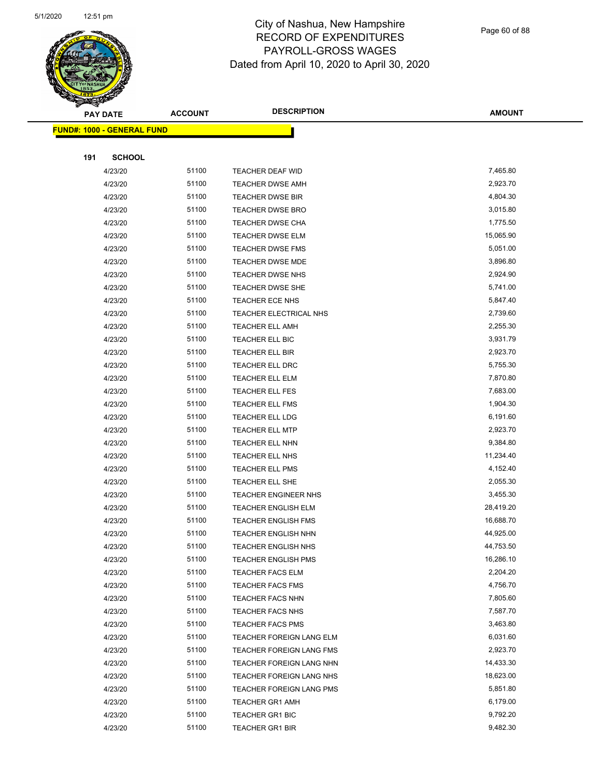

Page 60 of 88

|     | <b>PAY DATE</b>                   | <b>ACCOUNT</b> | <b>DESCRIPTION</b>                               | <b>AMOUNT</b>         |
|-----|-----------------------------------|----------------|--------------------------------------------------|-----------------------|
|     | <b>FUND#: 1000 - GENERAL FUND</b> |                |                                                  |                       |
|     |                                   |                |                                                  |                       |
| 191 | <b>SCHOOL</b>                     |                |                                                  |                       |
|     | 4/23/20                           | 51100          | TEACHER DEAF WID                                 | 7,465.80              |
|     | 4/23/20                           | 51100          | <b>TEACHER DWSE AMH</b>                          | 2,923.70              |
|     | 4/23/20                           | 51100          | <b>TEACHER DWSE BIR</b>                          | 4,804.30              |
|     | 4/23/20                           | 51100          | <b>TEACHER DWSE BRO</b>                          | 3,015.80              |
|     | 4/23/20                           | 51100          | TEACHER DWSE CHA                                 | 1,775.50              |
|     | 4/23/20                           | 51100          | TEACHER DWSE ELM                                 | 15,065.90             |
|     | 4/23/20                           | 51100          | TEACHER DWSE FMS                                 | 5,051.00              |
|     | 4/23/20                           | 51100          | TEACHER DWSE MDE                                 | 3,896.80              |
|     | 4/23/20                           | 51100          | TEACHER DWSE NHS                                 | 2,924.90              |
|     | 4/23/20                           | 51100          | TEACHER DWSE SHE                                 | 5,741.00              |
|     | 4/23/20                           | 51100          | TEACHER ECE NHS                                  | 5,847.40              |
|     | 4/23/20                           | 51100          | TEACHER ELECTRICAL NHS                           | 2,739.60              |
|     | 4/23/20                           | 51100          | <b>TEACHER ELL AMH</b>                           | 2,255.30              |
|     | 4/23/20                           | 51100          | TEACHER ELL BIC                                  | 3,931.79              |
|     | 4/23/20                           | 51100          | TEACHER ELL BIR                                  | 2,923.70              |
|     | 4/23/20                           | 51100          | TEACHER ELL DRC                                  | 5,755.30              |
|     | 4/23/20                           | 51100          | TEACHER ELL ELM                                  | 7,870.80              |
|     | 4/23/20                           | 51100          | TEACHER ELL FES                                  | 7,683.00              |
|     | 4/23/20                           | 51100          | TEACHER ELL FMS                                  | 1,904.30              |
|     | 4/23/20                           | 51100          | TEACHER ELL LDG                                  | 6,191.60              |
|     | 4/23/20                           | 51100          | <b>TEACHER ELL MTP</b>                           | 2,923.70              |
|     | 4/23/20                           | 51100          | TEACHER ELL NHN                                  | 9,384.80              |
|     | 4/23/20                           | 51100          | TEACHER ELL NHS                                  | 11,234.40             |
|     | 4/23/20                           | 51100          | <b>TEACHER ELL PMS</b>                           | 4,152.40              |
|     | 4/23/20                           | 51100          | TEACHER ELL SHE                                  | 2,055.30              |
|     | 4/23/20                           | 51100          | <b>TEACHER ENGINEER NHS</b>                      | 3,455.30              |
|     | 4/23/20                           | 51100          | <b>TEACHER ENGLISH ELM</b>                       | 28,419.20             |
|     | 4/23/20                           | 51100          | <b>TEACHER ENGLISH FMS</b>                       | 16,688.70             |
|     | 4/23/20                           | 51100          | <b>TEACHER ENGLISH NHN</b>                       | 44,925.00             |
|     | 4/23/20                           | 51100          | TEACHER ENGLISH NHS                              | 44,753.50             |
|     | 4/23/20                           | 51100          | <b>TEACHER ENGLISH PMS</b>                       | 16,286.10             |
|     | 4/23/20                           | 51100          | <b>TEACHER FACS ELM</b>                          | 2,204.20              |
|     | 4/23/20                           | 51100          | <b>TEACHER FACS FMS</b>                          | 4,756.70              |
|     | 4/23/20                           | 51100          | <b>TEACHER FACS NHN</b>                          | 7,805.60              |
|     | 4/23/20                           | 51100          | TEACHER FACS NHS                                 | 7,587.70              |
|     | 4/23/20                           | 51100          | TEACHER FACS PMS                                 | 3,463.80              |
|     | 4/23/20                           | 51100          | TEACHER FOREIGN LANG ELM                         | 6,031.60              |
|     | 4/23/20                           | 51100          | TEACHER FOREIGN LANG FMS                         | 2,923.70<br>14,433.30 |
|     | 4/23/20                           | 51100<br>51100 | TEACHER FOREIGN LANG NHN                         | 18,623.00             |
|     | 4/23/20                           | 51100          | TEACHER FOREIGN LANG NHS                         | 5,851.80              |
|     | 4/23/20<br>4/23/20                | 51100          | TEACHER FOREIGN LANG PMS                         | 6,179.00              |
|     |                                   | 51100          | <b>TEACHER GR1 AMH</b>                           | 9,792.20              |
|     | 4/23/20<br>4/23/20                | 51100          | <b>TEACHER GR1 BIC</b><br><b>TEACHER GR1 BIR</b> | 9,482.30              |
|     |                                   |                |                                                  |                       |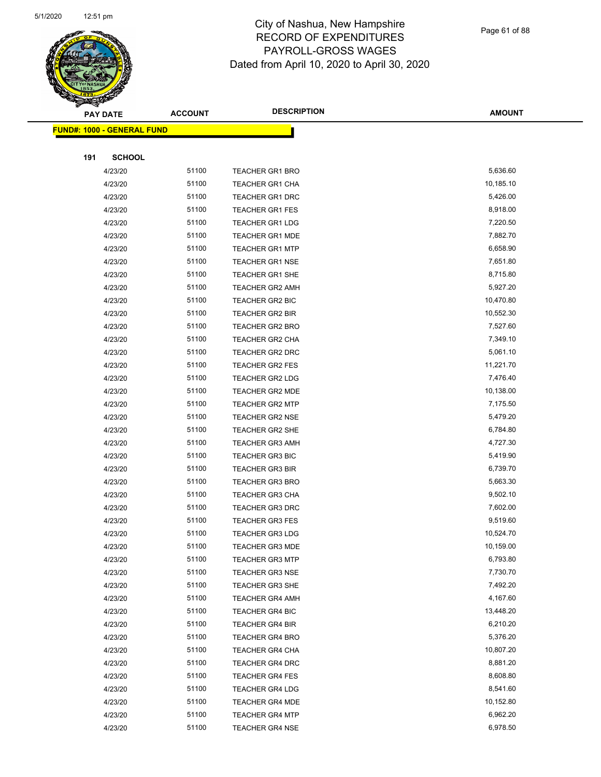

|     | <b>PAY DATE</b>                    | <b>ACCOUNT</b> | <b>DESCRIPTION</b>     | <b>AMOUNT</b> |
|-----|------------------------------------|----------------|------------------------|---------------|
|     | <u> FUND#: 1000 - GENERAL FUND</u> |                |                        |               |
|     |                                    |                |                        |               |
| 191 | <b>SCHOOL</b>                      |                |                        |               |
|     | 4/23/20                            | 51100          | <b>TEACHER GR1 BRO</b> | 5,636.60      |
|     | 4/23/20                            | 51100          | <b>TEACHER GR1 CHA</b> | 10,185.10     |
|     | 4/23/20                            | 51100          | <b>TEACHER GR1 DRC</b> | 5,426.00      |
|     | 4/23/20                            | 51100          | <b>TEACHER GR1 FES</b> | 8,918.00      |
|     | 4/23/20                            | 51100          | <b>TEACHER GR1 LDG</b> | 7,220.50      |
|     | 4/23/20                            | 51100          | <b>TEACHER GR1 MDE</b> | 7,882.70      |
|     | 4/23/20                            | 51100          | <b>TEACHER GR1 MTP</b> | 6,658.90      |
|     | 4/23/20                            | 51100          | <b>TEACHER GR1 NSE</b> | 7,651.80      |
|     | 4/23/20                            | 51100          | <b>TEACHER GR1 SHE</b> | 8,715.80      |
|     | 4/23/20                            | 51100          | <b>TEACHER GR2 AMH</b> | 5,927.20      |
|     | 4/23/20                            | 51100          | TEACHER GR2 BIC        | 10,470.80     |
|     | 4/23/20                            | 51100          | <b>TEACHER GR2 BIR</b> | 10,552.30     |
|     | 4/23/20                            | 51100          | <b>TEACHER GR2 BRO</b> | 7,527.60      |
|     | 4/23/20                            | 51100          | TEACHER GR2 CHA        | 7,349.10      |
|     | 4/23/20                            | 51100          | <b>TEACHER GR2 DRC</b> | 5,061.10      |
|     | 4/23/20                            | 51100          | <b>TEACHER GR2 FES</b> | 11,221.70     |
|     | 4/23/20                            | 51100          | <b>TEACHER GR2 LDG</b> | 7,476.40      |
|     | 4/23/20                            | 51100          | TEACHER GR2 MDE        | 10,138.00     |
|     | 4/23/20                            | 51100          | <b>TEACHER GR2 MTP</b> | 7,175.50      |
|     | 4/23/20                            | 51100          | <b>TEACHER GR2 NSE</b> | 5,479.20      |
|     | 4/23/20                            | 51100          | <b>TEACHER GR2 SHE</b> | 6,784.80      |
|     | 4/23/20                            | 51100          | <b>TEACHER GR3 AMH</b> | 4,727.30      |
|     | 4/23/20                            | 51100          | <b>TEACHER GR3 BIC</b> | 5,419.90      |
|     | 4/23/20                            | 51100          | <b>TEACHER GR3 BIR</b> | 6,739.70      |
|     | 4/23/20                            | 51100          | <b>TEACHER GR3 BRO</b> | 5,663.30      |
|     | 4/23/20                            | 51100          | <b>TEACHER GR3 CHA</b> | 9,502.10      |
|     | 4/23/20                            | 51100          | <b>TEACHER GR3 DRC</b> | 7,602.00      |
|     | 4/23/20                            | 51100          | <b>TEACHER GR3 FES</b> | 9,519.60      |
|     | 4/23/20                            | 51100          | <b>TEACHER GR3 LDG</b> | 10,524.70     |
|     | 4/23/20                            | 51100          | <b>TEACHER GR3 MDE</b> | 10,159.00     |
|     | 4/23/20                            | 51100          | <b>TEACHER GR3 MTP</b> | 6,793.80      |
|     | 4/23/20                            | 51100          | <b>TEACHER GR3 NSE</b> | 7,730.70      |
|     | 4/23/20                            | 51100          | <b>TEACHER GR3 SHE</b> | 7,492.20      |
|     | 4/23/20                            | 51100          | <b>TEACHER GR4 AMH</b> | 4,167.60      |
|     | 4/23/20                            | 51100          | <b>TEACHER GR4 BIC</b> | 13,448.20     |
|     | 4/23/20                            | 51100          | TEACHER GR4 BIR        | 6,210.20      |
|     | 4/23/20                            | 51100          | <b>TEACHER GR4 BRO</b> | 5,376.20      |
|     | 4/23/20                            | 51100          | <b>TEACHER GR4 CHA</b> | 10,807.20     |
|     | 4/23/20                            | 51100          | TEACHER GR4 DRC        | 8,881.20      |
|     | 4/23/20                            | 51100          | <b>TEACHER GR4 FES</b> | 8,608.80      |
|     | 4/23/20                            | 51100          | TEACHER GR4 LDG        | 8,541.60      |
|     | 4/23/20                            | 51100          | <b>TEACHER GR4 MDE</b> | 10,152.80     |
|     | 4/23/20                            | 51100          | <b>TEACHER GR4 MTP</b> | 6,962.20      |
|     | 4/23/20                            | 51100          | <b>TEACHER GR4 NSE</b> | 6,978.50      |
|     |                                    |                |                        |               |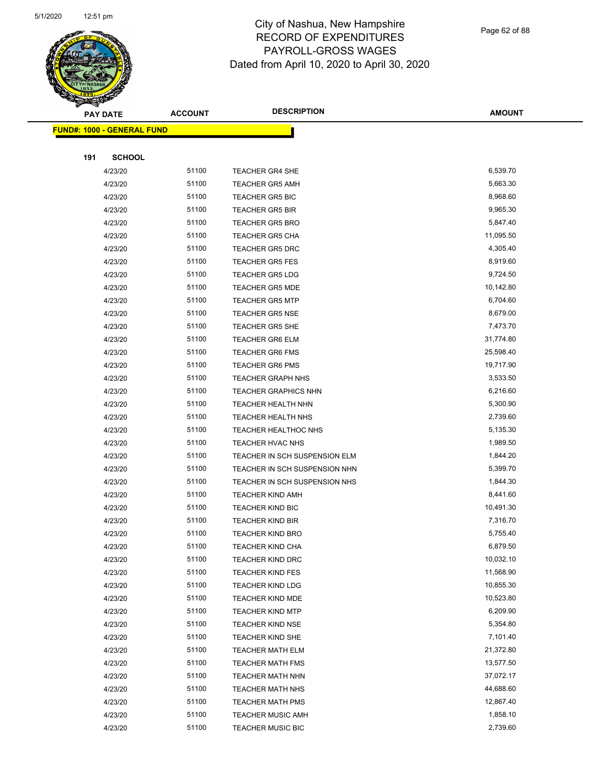

|     | <b>PAY DATE</b>                   | <b>ACCOUNT</b> | <b>DESCRIPTION</b>            | <b>AMOUNT</b> |
|-----|-----------------------------------|----------------|-------------------------------|---------------|
|     | <b>FUND#: 1000 - GENERAL FUND</b> |                |                               |               |
|     |                                   |                |                               |               |
| 191 | <b>SCHOOL</b>                     |                |                               |               |
|     | 4/23/20                           | 51100          | TEACHER GR4 SHE               | 6,539.70      |
|     | 4/23/20                           | 51100          | <b>TEACHER GR5 AMH</b>        | 5,663.30      |
|     | 4/23/20                           | 51100          | <b>TEACHER GR5 BIC</b>        | 8,968.60      |
|     | 4/23/20                           | 51100          | <b>TEACHER GR5 BIR</b>        | 9,965.30      |
|     | 4/23/20                           | 51100          | <b>TEACHER GR5 BRO</b>        | 5,847.40      |
|     | 4/23/20                           | 51100          | <b>TEACHER GR5 CHA</b>        | 11,095.50     |
|     | 4/23/20                           | 51100          | <b>TEACHER GR5 DRC</b>        | 4,305.40      |
|     | 4/23/20                           | 51100          | <b>TEACHER GR5 FES</b>        | 8,919.60      |
|     | 4/23/20                           | 51100          | <b>TEACHER GR5 LDG</b>        | 9,724.50      |
|     | 4/23/20                           | 51100          | <b>TEACHER GR5 MDE</b>        | 10,142.80     |
|     | 4/23/20                           | 51100          | <b>TEACHER GR5 MTP</b>        | 6,704.60      |
|     | 4/23/20                           | 51100          | <b>TEACHER GR5 NSE</b>        | 8,679.00      |
|     | 4/23/20                           | 51100          | <b>TEACHER GR5 SHE</b>        | 7,473.70      |
|     | 4/23/20                           | 51100          | <b>TEACHER GR6 ELM</b>        | 31,774.80     |
|     | 4/23/20                           | 51100          | <b>TEACHER GR6 FMS</b>        | 25,598.40     |
|     | 4/23/20                           | 51100          | <b>TEACHER GR6 PMS</b>        | 19,717.90     |
|     | 4/23/20                           | 51100          | <b>TEACHER GRAPH NHS</b>      | 3,533.50      |
|     | 4/23/20                           | 51100          | <b>TEACHER GRAPHICS NHN</b>   | 6,216.60      |
|     | 4/23/20                           | 51100          | TEACHER HEALTH NHN            | 5,300.90      |
|     | 4/23/20                           | 51100          | TEACHER HEALTH NHS            | 2,739.60      |
|     | 4/23/20                           | 51100          | <b>TEACHER HEALTHOC NHS</b>   | 5,135.30      |
|     | 4/23/20                           | 51100          | <b>TEACHER HVAC NHS</b>       | 1,989.50      |
|     | 4/23/20                           | 51100          | TEACHER IN SCH SUSPENSION ELM | 1,844.20      |
|     | 4/23/20                           | 51100          | TEACHER IN SCH SUSPENSION NHN | 5,399.70      |
|     | 4/23/20                           | 51100          | TEACHER IN SCH SUSPENSION NHS | 1,844.30      |
|     | 4/23/20                           | 51100          | <b>TEACHER KIND AMH</b>       | 8,441.60      |
|     | 4/23/20                           | 51100          | <b>TEACHER KIND BIC</b>       | 10,491.30     |
|     | 4/23/20                           | 51100          | <b>TEACHER KIND BIR</b>       | 7,316.70      |
|     | 4/23/20                           | 51100          | <b>TEACHER KIND BRO</b>       | 5,755.40      |
|     | 4/23/20                           | 51100          | TEACHER KIND CHA              | 6,879.50      |
|     | 4/23/20                           | 51100          | <b>TEACHER KIND DRC</b>       | 10,032.10     |
|     | 4/23/20                           | 51100          | <b>TEACHER KIND FES</b>       | 11,568.90     |
|     | 4/23/20                           | 51100          | <b>TEACHER KIND LDG</b>       | 10,855.30     |
|     | 4/23/20                           | 51100          | TEACHER KIND MDE              | 10,523.80     |
|     | 4/23/20                           | 51100          | <b>TEACHER KIND MTP</b>       | 6,209.90      |
|     | 4/23/20                           | 51100          | <b>TEACHER KIND NSE</b>       | 5,354.80      |
|     | 4/23/20                           | 51100          | <b>TEACHER KIND SHE</b>       | 7,101.40      |
|     | 4/23/20                           | 51100          | <b>TEACHER MATH ELM</b>       | 21,372.80     |
|     | 4/23/20                           | 51100          | <b>TEACHER MATH FMS</b>       | 13,577.50     |
|     | 4/23/20                           | 51100          | TEACHER MATH NHN              | 37,072.17     |
|     | 4/23/20                           | 51100          | <b>TEACHER MATH NHS</b>       | 44,688.60     |
|     | 4/23/20                           | 51100          | <b>TEACHER MATH PMS</b>       | 12,867.40     |
|     | 4/23/20                           | 51100          | <b>TEACHER MUSIC AMH</b>      | 1,858.10      |
|     | 4/23/20                           | 51100          | <b>TEACHER MUSIC BIC</b>      | 2,739.60      |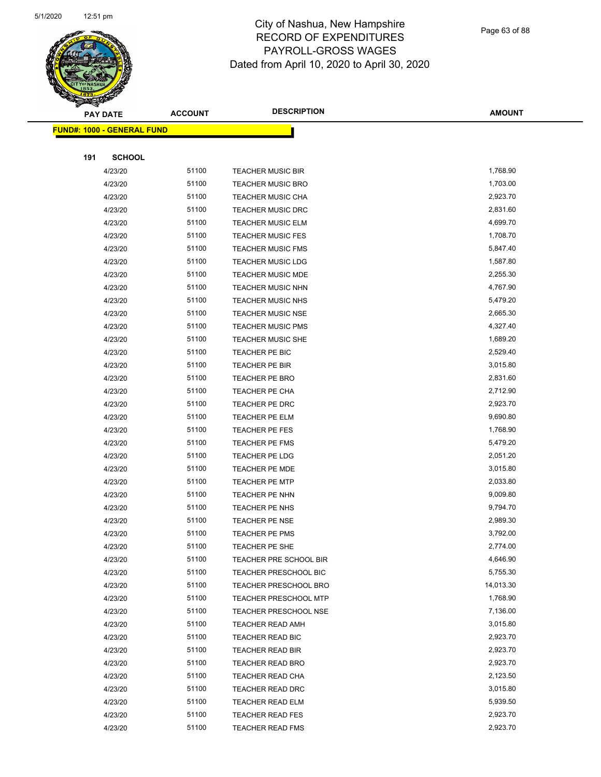

Page 63 of 88

|     | <b>PAY DATE</b>                    | <b>ACCOUNT</b> | <b>DESCRIPTION</b>           | <b>AMOUNT</b> |
|-----|------------------------------------|----------------|------------------------------|---------------|
|     | <u> FUND#: 1000 - GENERAL FUND</u> |                |                              |               |
|     |                                    |                |                              |               |
| 191 | <b>SCHOOL</b>                      |                |                              |               |
|     | 4/23/20                            | 51100          | <b>TEACHER MUSIC BIR</b>     | 1,768.90      |
|     | 4/23/20                            | 51100          | <b>TEACHER MUSIC BRO</b>     | 1,703.00      |
|     | 4/23/20                            | 51100          | <b>TEACHER MUSIC CHA</b>     | 2,923.70      |
|     | 4/23/20                            | 51100          | <b>TEACHER MUSIC DRC</b>     | 2,831.60      |
|     | 4/23/20                            | 51100          | <b>TEACHER MUSIC ELM</b>     | 4,699.70      |
|     | 4/23/20                            | 51100          | <b>TEACHER MUSIC FES</b>     | 1,708.70      |
|     | 4/23/20                            | 51100          | <b>TEACHER MUSIC FMS</b>     | 5,847.40      |
|     | 4/23/20                            | 51100          | <b>TEACHER MUSIC LDG</b>     | 1,587.80      |
|     | 4/23/20                            | 51100          | TEACHER MUSIC MDE            | 2,255.30      |
|     | 4/23/20                            | 51100          | TEACHER MUSIC NHN            | 4,767.90      |
|     | 4/23/20                            | 51100          | TEACHER MUSIC NHS            | 5,479.20      |
|     | 4/23/20                            | 51100          | <b>TEACHER MUSIC NSE</b>     | 2,665.30      |
|     | 4/23/20                            | 51100          | <b>TEACHER MUSIC PMS</b>     | 4,327.40      |
|     | 4/23/20                            | 51100          | TEACHER MUSIC SHE            | 1,689.20      |
|     | 4/23/20                            | 51100          | TEACHER PE BIC               | 2,529.40      |
|     | 4/23/20                            | 51100          | TEACHER PE BIR               | 3,015.80      |
|     | 4/23/20                            | 51100          | <b>TEACHER PE BRO</b>        | 2,831.60      |
|     | 4/23/20                            | 51100          | TEACHER PE CHA               | 2,712.90      |
|     | 4/23/20                            | 51100          | TEACHER PE DRC               | 2,923.70      |
|     | 4/23/20                            | 51100          | TEACHER PE ELM               | 9,690.80      |
|     | 4/23/20                            | 51100          | TEACHER PE FES               | 1,768.90      |
|     | 4/23/20                            | 51100          | <b>TEACHER PE FMS</b>        | 5,479.20      |
|     | 4/23/20                            | 51100          | TEACHER PE LDG               | 2,051.20      |
|     | 4/23/20                            | 51100          | <b>TEACHER PE MDE</b>        | 3,015.80      |
|     | 4/23/20                            | 51100          | <b>TEACHER PE MTP</b>        | 2,033.80      |
|     | 4/23/20                            | 51100          | TEACHER PE NHN               | 9,009.80      |
|     | 4/23/20                            | 51100          | TEACHER PE NHS               | 9,794.70      |
|     | 4/23/20                            | 51100          | TEACHER PE NSE               | 2,989.30      |
|     | 4/23/20                            | 51100          | TEACHER PE PMS               | 3,792.00      |
|     | 4/23/20                            | 51100          | TEACHER PE SHE               | 2,774.00      |
|     | 4/23/20                            | 51100          | TEACHER PRE SCHOOL BIR       | 4,646.90      |
|     | 4/23/20                            | 51100          | TEACHER PRESCHOOL BIC        | 5,755.30      |
|     | 4/23/20                            | 51100          | <b>TEACHER PRESCHOOL BRO</b> | 14,013.30     |
|     | 4/23/20                            | 51100          | TEACHER PRESCHOOL MTP        | 1,768.90      |
|     | 4/23/20                            | 51100          | TEACHER PRESCHOOL NSE        | 7,136.00      |
|     | 4/23/20                            | 51100          | <b>TEACHER READ AMH</b>      | 3,015.80      |
|     | 4/23/20                            | 51100          | TEACHER READ BIC             | 2,923.70      |
|     | 4/23/20                            | 51100          | TEACHER READ BIR             | 2,923.70      |
|     | 4/23/20                            | 51100          | TEACHER READ BRO             | 2,923.70      |
|     | 4/23/20                            | 51100          | TEACHER READ CHA             | 2,123.50      |
|     | 4/23/20                            | 51100          | TEACHER READ DRC             | 3,015.80      |
|     | 4/23/20                            | 51100          | <b>TEACHER READ ELM</b>      | 5,939.50      |
|     | 4/23/20                            | 51100          | <b>TEACHER READ FES</b>      | 2,923.70      |
|     | 4/23/20                            | 51100          | TEACHER READ FMS             | 2,923.70      |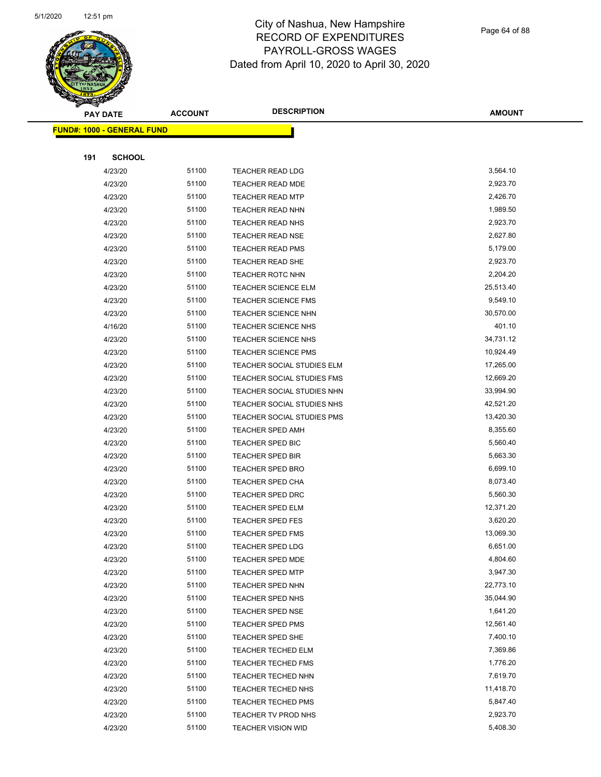

Page 64 of 88

|     | <b>PAY DATE</b>                    | <b>ACCOUNT</b> | <b>DESCRIPTION</b>         | <b>AMOUNT</b> |
|-----|------------------------------------|----------------|----------------------------|---------------|
|     | <u> FUND#: 1000 - GENERAL FUND</u> |                |                            |               |
|     |                                    |                |                            |               |
| 191 | <b>SCHOOL</b>                      |                |                            |               |
|     | 4/23/20                            | 51100          | <b>TEACHER READ LDG</b>    | 3,564.10      |
|     | 4/23/20                            | 51100          | <b>TEACHER READ MDE</b>    | 2,923.70      |
|     | 4/23/20                            | 51100          | <b>TEACHER READ MTP</b>    | 2,426.70      |
|     | 4/23/20                            | 51100          | TEACHER READ NHN           | 1,989.50      |
|     | 4/23/20                            | 51100          | TEACHER READ NHS           | 2,923.70      |
|     | 4/23/20                            | 51100          | <b>TEACHER READ NSE</b>    | 2,627.80      |
|     | 4/23/20                            | 51100          | <b>TEACHER READ PMS</b>    | 5,179.00      |
|     | 4/23/20                            | 51100          | <b>TEACHER READ SHE</b>    | 2,923.70      |
|     | 4/23/20                            | 51100          | TEACHER ROTC NHN           | 2,204.20      |
|     | 4/23/20                            | 51100          | <b>TEACHER SCIENCE ELM</b> | 25,513.40     |
|     | 4/23/20                            | 51100          | <b>TEACHER SCIENCE FMS</b> | 9,549.10      |
|     | 4/23/20                            | 51100          | <b>TEACHER SCIENCE NHN</b> | 30,570.00     |
|     | 4/16/20                            | 51100          | <b>TEACHER SCIENCE NHS</b> | 401.10        |
|     | 4/23/20                            | 51100          | <b>TEACHER SCIENCE NHS</b> | 34,731.12     |
|     | 4/23/20                            | 51100          | <b>TEACHER SCIENCE PMS</b> | 10,924.49     |
|     | 4/23/20                            | 51100          | TEACHER SOCIAL STUDIES ELM | 17,265.00     |
|     | 4/23/20                            | 51100          | TEACHER SOCIAL STUDIES FMS | 12,669.20     |
|     | 4/23/20                            | 51100          | TEACHER SOCIAL STUDIES NHN | 33,994.90     |
|     | 4/23/20                            | 51100          | TEACHER SOCIAL STUDIES NHS | 42,521.20     |
|     | 4/23/20                            | 51100          | TEACHER SOCIAL STUDIES PMS | 13,420.30     |
|     | 4/23/20                            | 51100          | TEACHER SPED AMH           | 8,355.60      |
|     | 4/23/20                            | 51100          | TEACHER SPED BIC           | 5,560.40      |
|     | 4/23/20                            | 51100          | <b>TEACHER SPED BIR</b>    | 5,663.30      |
|     | 4/23/20                            | 51100          | TEACHER SPED BRO           | 6,699.10      |
|     | 4/23/20                            | 51100          | <b>TEACHER SPED CHA</b>    | 8,073.40      |
|     | 4/23/20                            | 51100          | <b>TEACHER SPED DRC</b>    | 5,560.30      |
|     | 4/23/20                            | 51100          | <b>TEACHER SPED ELM</b>    | 12,371.20     |
|     | 4/23/20                            | 51100          | <b>TEACHER SPED FES</b>    | 3,620.20      |
|     | 4/23/20                            | 51100          | <b>TEACHER SPED FMS</b>    | 13,069.30     |
|     | 4/23/20                            | 51100          | TEACHER SPED LDG           | 6,651.00      |
|     | 4/23/20                            | 51100          | <b>TEACHER SPED MDE</b>    | 4,804.60      |
|     | 4/23/20                            | 51100          | <b>TEACHER SPED MTP</b>    | 3,947.30      |
|     | 4/23/20                            | 51100          | TEACHER SPED NHN           | 22,773.10     |
|     | 4/23/20                            | 51100          | TEACHER SPED NHS           | 35,044.90     |
|     | 4/23/20                            | 51100          | TEACHER SPED NSE           | 1,641.20      |
|     | 4/23/20                            | 51100          | TEACHER SPED PMS           | 12,561.40     |
|     | 4/23/20                            | 51100          | TEACHER SPED SHE           | 7,400.10      |
|     | 4/23/20                            | 51100          | TEACHER TECHED ELM         | 7,369.86      |
|     | 4/23/20                            | 51100          | <b>TEACHER TECHED FMS</b>  | 1,776.20      |
|     | 4/23/20                            | 51100          | TEACHER TECHED NHN         | 7,619.70      |
|     | 4/23/20                            | 51100          | <b>TEACHER TECHED NHS</b>  | 11,418.70     |
|     | 4/23/20                            | 51100          | <b>TEACHER TECHED PMS</b>  | 5,847.40      |
|     | 4/23/20                            | 51100          | TEACHER TV PROD NHS        | 2,923.70      |
|     | 4/23/20                            | 51100          | <b>TEACHER VISION WID</b>  | 5,408.30      |
|     |                                    |                |                            |               |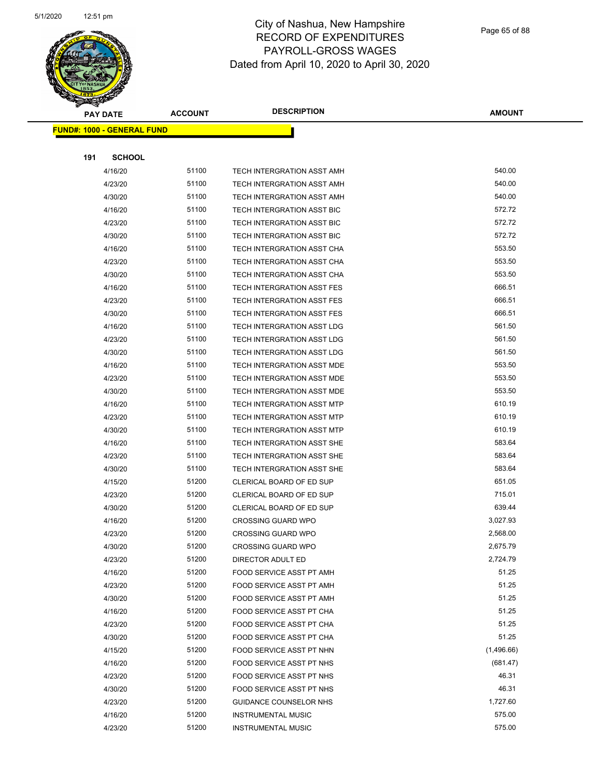

| $\overline{\mathscr{D}}$<br><b>PAY DATE</b> |                                   | <b>DESCRIPTION</b><br><b>ACCOUNT</b> | <b>AMOUNT</b>                     |            |
|---------------------------------------------|-----------------------------------|--------------------------------------|-----------------------------------|------------|
|                                             | <b>FUND#: 1000 - GENERAL FUND</b> |                                      |                                   |            |
|                                             |                                   |                                      |                                   |            |
| 191                                         | <b>SCHOOL</b>                     |                                      |                                   |            |
|                                             | 4/16/20                           | 51100                                | TECH INTERGRATION ASST AMH        | 540.00     |
|                                             | 4/23/20                           | 51100                                | TECH INTERGRATION ASST AMH        | 540.00     |
|                                             | 4/30/20                           | 51100                                | TECH INTERGRATION ASST AMH        | 540.00     |
|                                             | 4/16/20                           | 51100                                | TECH INTERGRATION ASST BIC        | 572.72     |
|                                             | 4/23/20                           | 51100                                | TECH INTERGRATION ASST BIC        | 572.72     |
|                                             | 4/30/20                           | 51100                                | TECH INTERGRATION ASST BIC        | 572.72     |
|                                             | 4/16/20                           | 51100                                | TECH INTERGRATION ASST CHA        | 553.50     |
|                                             | 4/23/20                           | 51100                                | TECH INTERGRATION ASST CHA        | 553.50     |
|                                             | 4/30/20                           | 51100                                | TECH INTERGRATION ASST CHA        | 553.50     |
|                                             | 4/16/20                           | 51100                                | TECH INTERGRATION ASST FES        | 666.51     |
|                                             | 4/23/20                           | 51100                                | TECH INTERGRATION ASST FES        | 666.51     |
|                                             | 4/30/20                           | 51100                                | <b>TECH INTERGRATION ASST FES</b> | 666.51     |
|                                             | 4/16/20                           | 51100                                | TECH INTERGRATION ASST LDG        | 561.50     |
|                                             | 4/23/20                           | 51100                                | TECH INTERGRATION ASST LDG        | 561.50     |
|                                             | 4/30/20                           | 51100                                | TECH INTERGRATION ASST LDG        | 561.50     |
|                                             | 4/16/20                           | 51100                                | TECH INTERGRATION ASST MDE        | 553.50     |
|                                             | 4/23/20                           | 51100                                | TECH INTERGRATION ASST MDE        | 553.50     |
|                                             | 4/30/20                           | 51100                                | TECH INTERGRATION ASST MDE        | 553.50     |
|                                             | 4/16/20                           | 51100                                | TECH INTERGRATION ASST MTP        | 610.19     |
|                                             | 4/23/20                           | 51100                                | TECH INTERGRATION ASST MTP        | 610.19     |
|                                             | 4/30/20                           | 51100                                | TECH INTERGRATION ASST MTP        | 610.19     |
|                                             | 4/16/20                           | 51100                                | TECH INTERGRATION ASST SHE        | 583.64     |
|                                             | 4/23/20                           | 51100                                | TECH INTERGRATION ASST SHE        | 583.64     |
|                                             | 4/30/20                           | 51100                                | TECH INTERGRATION ASST SHE        | 583.64     |
|                                             | 4/15/20                           | 51200                                | CLERICAL BOARD OF ED SUP          | 651.05     |
|                                             | 4/23/20                           | 51200                                | <b>CLERICAL BOARD OF ED SUP</b>   | 715.01     |
|                                             | 4/30/20                           | 51200                                | CLERICAL BOARD OF ED SUP          | 639.44     |
|                                             | 4/16/20                           | 51200                                | <b>CROSSING GUARD WPO</b>         | 3,027.93   |
|                                             | 4/23/20                           | 51200                                | <b>CROSSING GUARD WPO</b>         | 2,568.00   |
|                                             | 4/30/20                           | 51200                                | <b>CROSSING GUARD WPO</b>         | 2,675.79   |
|                                             | 4/23/20                           | 51200                                | DIRECTOR ADULT ED                 | 2,724.79   |
|                                             | 4/16/20                           | 51200                                | FOOD SERVICE ASST PT AMH          | 51.25      |
|                                             | 4/23/20                           | 51200                                | FOOD SERVICE ASST PT AMH          | 51.25      |
|                                             | 4/30/20                           | 51200                                | FOOD SERVICE ASST PT AMH          | 51.25      |
|                                             | 4/16/20                           | 51200                                | <b>FOOD SERVICE ASST PT CHA</b>   | 51.25      |
|                                             | 4/23/20                           | 51200                                | FOOD SERVICE ASST PT CHA          | 51.25      |
|                                             | 4/30/20                           | 51200                                | FOOD SERVICE ASST PT CHA          | 51.25      |
|                                             | 4/15/20                           | 51200                                | FOOD SERVICE ASST PT NHN          | (1,496.66) |
|                                             | 4/16/20                           | 51200                                | FOOD SERVICE ASST PT NHS          | (681.47)   |
|                                             | 4/23/20                           | 51200                                | FOOD SERVICE ASST PT NHS          | 46.31      |
|                                             | 4/30/20                           | 51200                                | FOOD SERVICE ASST PT NHS          | 46.31      |
|                                             | 4/23/20                           | 51200                                | <b>GUIDANCE COUNSELOR NHS</b>     | 1,727.60   |
|                                             | 4/16/20                           | 51200                                | <b>INSTRUMENTAL MUSIC</b>         | 575.00     |
|                                             | 4/23/20                           | 51200                                | <b>INSTRUMENTAL MUSIC</b>         | 575.00     |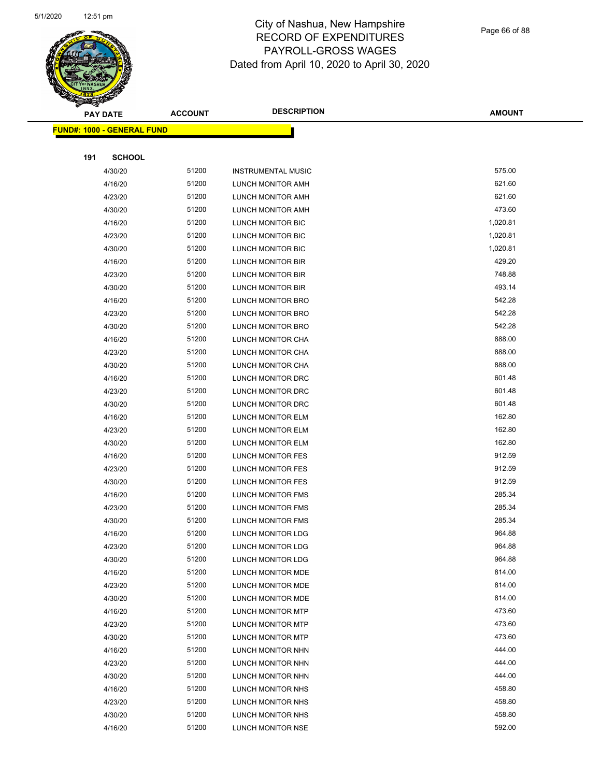

Page 66 of 88

| G<br>$\prec$ | <b>PAY DATE</b>            | <b>ACCOUNT</b> | <b>DESCRIPTION</b>        | <b>AMOUNT</b> |
|--------------|----------------------------|----------------|---------------------------|---------------|
|              | FUND#: 1000 - GENERAL FUND |                |                           |               |
|              |                            |                |                           |               |
| 191          | <b>SCHOOL</b>              |                |                           |               |
|              | 4/30/20                    | 51200          | <b>INSTRUMENTAL MUSIC</b> | 575.00        |
|              | 4/16/20                    | 51200          | LUNCH MONITOR AMH         | 621.60        |
|              | 4/23/20                    | 51200          | LUNCH MONITOR AMH         | 621.60        |
|              | 4/30/20                    | 51200          | LUNCH MONITOR AMH         | 473.60        |
|              | 4/16/20                    | 51200          | LUNCH MONITOR BIC         | 1,020.81      |
|              | 4/23/20                    | 51200          | LUNCH MONITOR BIC         | 1,020.81      |
|              | 4/30/20                    | 51200          | LUNCH MONITOR BIC         | 1,020.81      |
|              | 4/16/20                    | 51200          | LUNCH MONITOR BIR         | 429.20        |
|              | 4/23/20                    | 51200          | LUNCH MONITOR BIR         | 748.88        |
|              | 4/30/20                    | 51200          | LUNCH MONITOR BIR         | 493.14        |
|              | 4/16/20                    | 51200          | LUNCH MONITOR BRO         | 542.28        |
|              | 4/23/20                    | 51200          | LUNCH MONITOR BRO         | 542.28        |
|              | 4/30/20                    | 51200          | LUNCH MONITOR BRO         | 542.28        |
|              | 4/16/20                    | 51200          | LUNCH MONITOR CHA         | 888.00        |
|              | 4/23/20                    | 51200          | LUNCH MONITOR CHA         | 888.00        |
|              | 4/30/20                    | 51200          | LUNCH MONITOR CHA         | 888.00        |
|              | 4/16/20                    | 51200          | LUNCH MONITOR DRC         | 601.48        |
|              | 4/23/20                    | 51200          | LUNCH MONITOR DRC         | 601.48        |
|              | 4/30/20                    | 51200          | LUNCH MONITOR DRC         | 601.48        |
|              | 4/16/20                    | 51200          | LUNCH MONITOR ELM         | 162.80        |
|              | 4/23/20                    | 51200          | LUNCH MONITOR ELM         | 162.80        |
|              | 4/30/20                    | 51200          | LUNCH MONITOR ELM         | 162.80        |
|              | 4/16/20                    | 51200          | LUNCH MONITOR FES         | 912.59        |
|              | 4/23/20                    | 51200          | LUNCH MONITOR FES         | 912.59        |
|              | 4/30/20                    | 51200          | LUNCH MONITOR FES         | 912.59        |
|              | 4/16/20                    | 51200          | <b>LUNCH MONITOR FMS</b>  | 285.34        |
|              | 4/23/20                    | 51200          | <b>LUNCH MONITOR FMS</b>  | 285.34        |
|              | 4/30/20                    | 51200          | LUNCH MONITOR FMS         | 285.34        |
|              | 4/16/20                    | 51200          | LUNCH MONITOR LDG         | 964.88        |
|              | 4/23/20                    | 51200          | LUNCH MONITOR LDG         | 964.88        |
|              | 4/30/20                    | 51200          | LUNCH MONITOR LDG         | 964.88        |
|              | 4/16/20                    | 51200          | LUNCH MONITOR MDE         | 814.00        |
|              | 4/23/20                    | 51200          | LUNCH MONITOR MDE         | 814.00        |
|              | 4/30/20                    | 51200          | LUNCH MONITOR MDE         | 814.00        |
|              | 4/16/20                    | 51200          | <b>LUNCH MONITOR MTP</b>  | 473.60        |
|              | 4/23/20                    | 51200          | LUNCH MONITOR MTP         | 473.60        |
|              | 4/30/20                    | 51200          | LUNCH MONITOR MTP         | 473.60        |
|              | 4/16/20                    | 51200          | LUNCH MONITOR NHN         | 444.00        |
|              | 4/23/20                    | 51200          | LUNCH MONITOR NHN         | 444.00        |
|              | 4/30/20                    | 51200          | LUNCH MONITOR NHN         | 444.00        |
|              | 4/16/20                    | 51200          | LUNCH MONITOR NHS         | 458.80        |
|              | 4/23/20                    | 51200          | LUNCH MONITOR NHS         | 458.80        |
|              | 4/30/20                    | 51200          | LUNCH MONITOR NHS         | 458.80        |
|              | 4/16/20                    | 51200          | LUNCH MONITOR NSE         | 592.00        |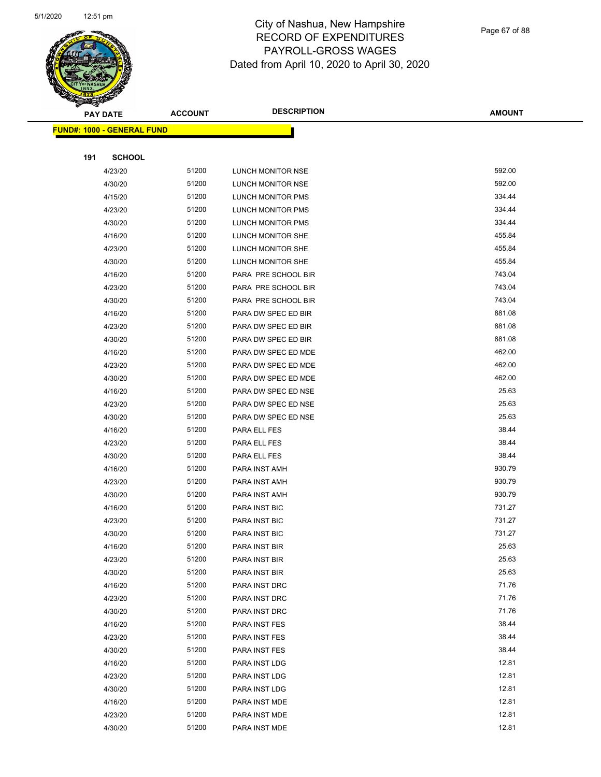

Page 67 of 88

| <b>STARBOOKS</b>                  |                |                                |                |
|-----------------------------------|----------------|--------------------------------|----------------|
| <b>PAY DATE</b>                   | <b>ACCOUNT</b> | <b>DESCRIPTION</b>             | <b>AMOUNT</b>  |
| <b>FUND#: 1000 - GENERAL FUND</b> |                |                                |                |
|                                   |                |                                |                |
| 191<br><b>SCHOOL</b>              |                |                                |                |
| 4/23/20                           | 51200          | LUNCH MONITOR NSE              | 592.00         |
| 4/30/20                           | 51200          | LUNCH MONITOR NSE              | 592.00         |
| 4/15/20                           | 51200          | <b>LUNCH MONITOR PMS</b>       | 334.44         |
| 4/23/20                           | 51200          | LUNCH MONITOR PMS              | 334.44         |
| 4/30/20                           | 51200          | LUNCH MONITOR PMS              | 334.44         |
| 4/16/20                           | 51200          | LUNCH MONITOR SHE              | 455.84         |
| 4/23/20                           | 51200          | LUNCH MONITOR SHE              | 455.84         |
| 4/30/20                           | 51200          | LUNCH MONITOR SHE              | 455.84         |
| 4/16/20                           | 51200          | PARA PRE SCHOOL BIR            | 743.04         |
| 4/23/20                           | 51200          | PARA PRE SCHOOL BIR            | 743.04         |
| 4/30/20                           | 51200          | PARA PRE SCHOOL BIR            | 743.04         |
| 4/16/20                           | 51200          | PARA DW SPEC ED BIR            | 881.08         |
| 4/23/20                           | 51200          | PARA DW SPEC ED BIR            | 881.08         |
| 4/30/20                           | 51200          | PARA DW SPEC ED BIR            | 881.08         |
| 4/16/20                           | 51200          | PARA DW SPEC ED MDE            | 462.00         |
| 4/23/20                           | 51200          | PARA DW SPEC ED MDE            | 462.00         |
| 4/30/20                           | 51200          | PARA DW SPEC ED MDE            | 462.00         |
| 4/16/20                           | 51200          | PARA DW SPEC ED NSE            | 25.63          |
| 4/23/20                           | 51200          | PARA DW SPEC ED NSE            | 25.63          |
| 4/30/20                           | 51200          | PARA DW SPEC ED NSE            | 25.63          |
| 4/16/20                           | 51200          | PARA ELL FES                   | 38.44          |
| 4/23/20                           | 51200          | PARA ELL FES                   | 38.44          |
| 4/30/20                           | 51200          | PARA ELL FES                   | 38.44          |
| 4/16/20                           | 51200          | PARA INST AMH                  | 930.79         |
| 4/23/20                           | 51200          | PARA INST AMH                  | 930.79         |
| 4/30/20                           | 51200          | PARA INST AMH                  | 930.79         |
| 4/16/20                           | 51200          | PARA INST BIC                  | 731.27         |
| 4/23/20                           | 51200          | PARA INST BIC                  | 731.27         |
| 4/30/20                           | 51200          | PARA INST BIC                  | 731.27         |
| 4/16/20                           | 51200          | PARA INST BIR                  | 25.63          |
| 4/23/20                           | 51200          | PARA INST BIR                  | 25.63          |
| 4/30/20                           | 51200          | PARA INST BIR                  | 25.63          |
| 4/16/20                           | 51200          | PARA INST DRC                  | 71.76          |
| 4/23/20                           | 51200          | PARA INST DRC                  | 71.76          |
| 4/30/20                           | 51200          | PARA INST DRC                  | 71.76          |
| 4/16/20                           | 51200          | PARA INST FES                  | 38.44          |
| 4/23/20                           | 51200          | PARA INST FES                  | 38.44          |
| 4/30/20                           | 51200          | PARA INST FES                  | 38.44          |
| 4/16/20                           | 51200          | PARA INST LDG                  | 12.81          |
| 4/23/20                           | 51200<br>51200 | PARA INST LDG                  | 12.81<br>12.81 |
| 4/30/20                           | 51200          | PARA INST LDG                  | 12.81          |
| 4/16/20                           |                | PARA INST MDE                  | 12.81          |
| 4/23/20<br>4/30/20                | 51200<br>51200 | PARA INST MDE<br>PARA INST MDE | 12.81          |
|                                   |                |                                |                |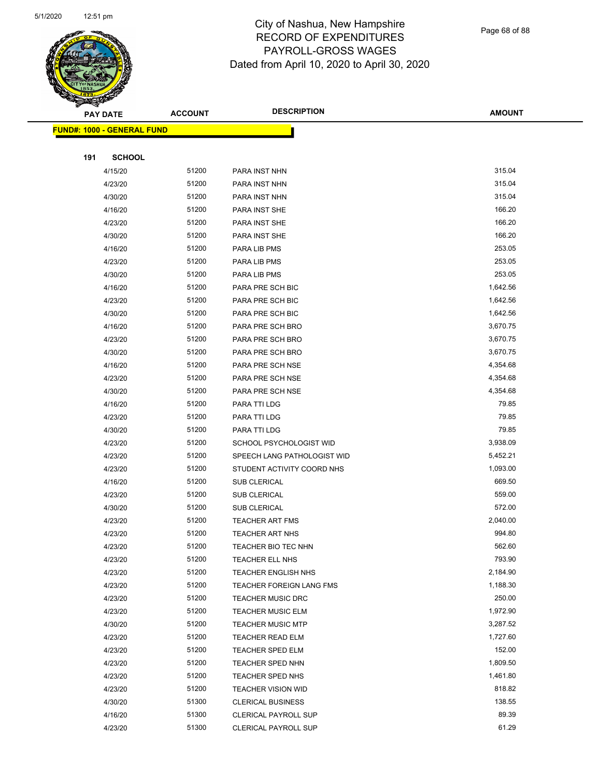

|     | <b>PAY DATE</b>                    | <b>ACCOUNT</b> | <b>DESCRIPTION</b>          | <b>AMOUNT</b> |
|-----|------------------------------------|----------------|-----------------------------|---------------|
|     | <u> FUND#: 1000 - GENERAL FUND</u> |                |                             |               |
|     |                                    |                |                             |               |
| 191 | <b>SCHOOL</b>                      |                |                             |               |
|     | 4/15/20                            | 51200          | PARA INST NHN               | 315.04        |
|     | 4/23/20                            | 51200          | PARA INST NHN               | 315.04        |
|     | 4/30/20                            | 51200          | PARA INST NHN               | 315.04        |
|     | 4/16/20                            | 51200          | PARA INST SHE               | 166.20        |
|     | 4/23/20                            | 51200          | <b>PARA INST SHE</b>        | 166.20        |
|     | 4/30/20                            | 51200          | PARA INST SHE               | 166.20        |
|     | 4/16/20                            | 51200          | PARA LIB PMS                | 253.05        |
|     | 4/23/20                            | 51200          | PARA LIB PMS                | 253.05        |
|     | 4/30/20                            | 51200          | PARA LIB PMS                | 253.05        |
|     | 4/16/20                            | 51200          | PARA PRE SCH BIC            | 1,642.56      |
|     | 4/23/20                            | 51200          | PARA PRE SCH BIC            | 1,642.56      |
|     | 4/30/20                            | 51200          | PARA PRE SCH BIC            | 1,642.56      |
|     | 4/16/20                            | 51200          | PARA PRE SCH BRO            | 3,670.75      |
|     | 4/23/20                            | 51200          | PARA PRE SCH BRO            | 3,670.75      |
|     | 4/30/20                            | 51200          | PARA PRE SCH BRO            | 3,670.75      |
|     | 4/16/20                            | 51200          | PARA PRE SCH NSE            | 4,354.68      |
|     | 4/23/20                            | 51200          | PARA PRE SCH NSE            | 4,354.68      |
|     | 4/30/20                            | 51200          | PARA PRE SCH NSE            | 4,354.68      |
|     | 4/16/20                            | 51200          | PARA TTI LDG                | 79.85         |
|     | 4/23/20                            | 51200          | PARA TTI LDG                | 79.85         |
|     | 4/30/20                            | 51200          | PARA TTI LDG                | 79.85         |
|     | 4/23/20                            | 51200          | SCHOOL PSYCHOLOGIST WID     | 3,938.09      |
|     | 4/23/20                            | 51200          | SPEECH LANG PATHOLOGIST WID | 5,452.21      |
|     | 4/23/20                            | 51200          | STUDENT ACTIVITY COORD NHS  | 1,093.00      |
|     | 4/16/20                            | 51200          | SUB CLERICAL                | 669.50        |
|     | 4/23/20                            | 51200          | <b>SUB CLERICAL</b>         | 559.00        |
|     | 4/30/20                            | 51200          | SUB CLERICAL                | 572.00        |
|     | 4/23/20                            | 51200          | <b>TEACHER ART FMS</b>      | 2,040.00      |
|     | 4/23/20                            | 51200          | <b>TEACHER ART NHS</b>      | 994.80        |
|     | 4/23/20                            | 51200          | TEACHER BIO TEC NHN         | 562.60        |
|     | 4/23/20                            | 51200          | TEACHER ELL NHS             | 793.90        |
|     | 4/23/20                            | 51200          | <b>TEACHER ENGLISH NHS</b>  | 2,184.90      |
|     | 4/23/20                            | 51200          | TEACHER FOREIGN LANG FMS    | 1,188.30      |
|     | 4/23/20                            | 51200          | <b>TEACHER MUSIC DRC</b>    | 250.00        |
|     | 4/23/20                            | 51200          | <b>TEACHER MUSIC ELM</b>    | 1,972.90      |
|     | 4/30/20                            | 51200          | <b>TEACHER MUSIC MTP</b>    | 3,287.52      |
|     | 4/23/20                            | 51200          | TEACHER READ ELM            | 1,727.60      |
|     | 4/23/20                            | 51200          | TEACHER SPED ELM            | 152.00        |
|     | 4/23/20                            | 51200          | <b>TEACHER SPED NHN</b>     | 1,809.50      |
|     | 4/23/20                            | 51200          | TEACHER SPED NHS            | 1,461.80      |
|     | 4/23/20                            | 51200          | <b>TEACHER VISION WID</b>   | 818.82        |
|     | 4/30/20                            | 51300          | <b>CLERICAL BUSINESS</b>    | 138.55        |
|     | 4/16/20                            | 51300          | CLERICAL PAYROLL SUP        | 89.39         |
|     | 4/23/20                            | 51300          | CLERICAL PAYROLL SUP        | 61.29         |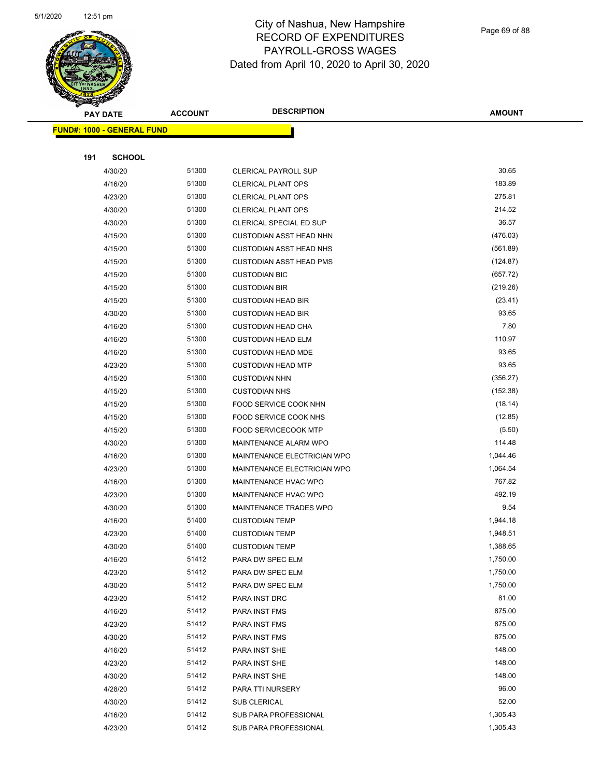

Page 69 of 88

|                                   | <b>PAY DATE</b>    | <b>ACCOUNT</b> | <b>DESCRIPTION</b>                   | <b>AMOUNT</b>        |
|-----------------------------------|--------------------|----------------|--------------------------------------|----------------------|
| <b>FUND#: 1000 - GENERAL FUND</b> |                    |                |                                      |                      |
|                                   |                    |                |                                      |                      |
| 191                               | <b>SCHOOL</b>      |                |                                      |                      |
|                                   | 4/30/20            | 51300          | CLERICAL PAYROLL SUP                 | 30.65                |
|                                   | 4/16/20            | 51300          | <b>CLERICAL PLANT OPS</b>            | 183.89               |
|                                   | 4/23/20            | 51300          | <b>CLERICAL PLANT OPS</b>            | 275.81               |
|                                   | 4/30/20            | 51300          | <b>CLERICAL PLANT OPS</b>            | 214.52               |
|                                   | 4/30/20            | 51300          | CLERICAL SPECIAL ED SUP              | 36.57                |
|                                   | 4/15/20            | 51300          | <b>CUSTODIAN ASST HEAD NHN</b>       | (476.03)             |
|                                   | 4/15/20            | 51300          | <b>CUSTODIAN ASST HEAD NHS</b>       | (561.89)             |
|                                   | 4/15/20            | 51300          | <b>CUSTODIAN ASST HEAD PMS</b>       | (124.87)             |
|                                   | 4/15/20            | 51300          | <b>CUSTODIAN BIC</b>                 | (657.72)             |
|                                   | 4/15/20            | 51300          | <b>CUSTODIAN BIR</b>                 | (219.26)             |
|                                   | 4/15/20            | 51300          | <b>CUSTODIAN HEAD BIR</b>            | (23.41)              |
|                                   | 4/30/20            | 51300          | <b>CUSTODIAN HEAD BIR</b>            | 93.65                |
|                                   | 4/16/20            | 51300          | <b>CUSTODIAN HEAD CHA</b>            | 7.80                 |
|                                   | 4/16/20            | 51300          | <b>CUSTODIAN HEAD ELM</b>            | 110.97               |
|                                   | 4/16/20            | 51300          | <b>CUSTODIAN HEAD MDE</b>            | 93.65                |
|                                   | 4/23/20            | 51300          | <b>CUSTODIAN HEAD MTP</b>            | 93.65                |
|                                   | 4/15/20            | 51300          | <b>CUSTODIAN NHN</b>                 | (356.27)             |
|                                   | 4/15/20            | 51300          | <b>CUSTODIAN NHS</b>                 | (152.38)             |
|                                   | 4/15/20            | 51300          | FOOD SERVICE COOK NHN                | (18.14)              |
|                                   | 4/15/20            | 51300          | FOOD SERVICE COOK NHS                | (12.85)              |
|                                   | 4/15/20            | 51300          | FOOD SERVICECOOK MTP                 | (5.50)               |
|                                   | 4/30/20            | 51300          | <b>MAINTENANCE ALARM WPO</b>         | 114.48               |
|                                   | 4/16/20            | 51300          | MAINTENANCE ELECTRICIAN WPO          | 1,044.46             |
|                                   | 4/23/20            | 51300          | MAINTENANCE ELECTRICIAN WPO          | 1,064.54             |
|                                   | 4/16/20            | 51300          | <b>MAINTENANCE HVAC WPO</b>          | 767.82               |
|                                   | 4/23/20            | 51300          | MAINTENANCE HVAC WPO                 | 492.19               |
|                                   | 4/30/20            | 51300          | MAINTENANCE TRADES WPO               | 9.54                 |
|                                   | 4/16/20            | 51400          | <b>CUSTODIAN TEMP</b>                | 1,944.18             |
|                                   | 4/23/20            | 51400          | <b>CUSTODIAN TEMP</b>                | 1,948.51             |
|                                   | 4/30/20            | 51400          | <b>CUSTODIAN TEMP</b>                | 1,388.65             |
|                                   | 4/16/20            | 51412          | PARA DW SPEC ELM                     | 1,750.00             |
|                                   | 4/23/20            | 51412          | PARA DW SPEC ELM<br>PARA DW SPEC ELM | 1,750.00<br>1,750.00 |
|                                   | 4/30/20<br>4/23/20 | 51412<br>51412 | PARA INST DRC                        | 81.00                |
|                                   | 4/16/20            | 51412          | PARA INST FMS                        | 875.00               |
|                                   | 4/23/20            | 51412          | PARA INST FMS                        | 875.00               |
|                                   | 4/30/20            | 51412          | PARA INST FMS                        | 875.00               |
|                                   | 4/16/20            | 51412          | PARA INST SHE                        | 148.00               |
|                                   | 4/23/20            | 51412          | PARA INST SHE                        | 148.00               |
|                                   | 4/30/20            | 51412          | PARA INST SHE                        | 148.00               |
|                                   | 4/28/20            | 51412          | PARA TTI NURSERY                     | 96.00                |
|                                   | 4/30/20            | 51412          | SUB CLERICAL                         | 52.00                |
|                                   | 4/16/20            | 51412          | SUB PARA PROFESSIONAL                | 1,305.43             |
|                                   | 4/23/20            | 51412          | SUB PARA PROFESSIONAL                | 1,305.43             |
|                                   |                    |                |                                      |                      |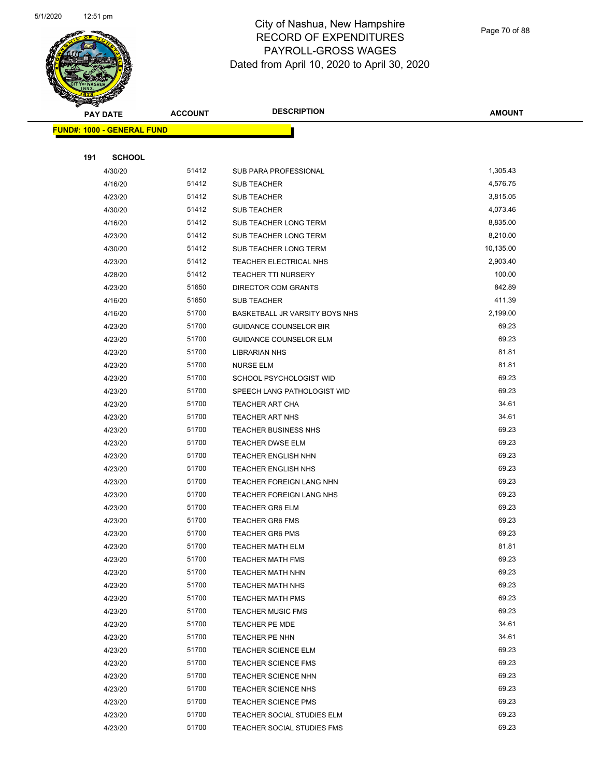

Page 70 of 88

|     | <b>PAY DATE</b>                   | <b>ACCOUNT</b> | <b>DESCRIPTION</b>                                | <b>AMOUNT</b>  |
|-----|-----------------------------------|----------------|---------------------------------------------------|----------------|
|     | <b>FUND#: 1000 - GENERAL FUND</b> |                |                                                   |                |
|     |                                   |                |                                                   |                |
| 191 | <b>SCHOOL</b>                     |                |                                                   |                |
|     | 4/30/20                           | 51412          | SUB PARA PROFESSIONAL                             | 1,305.43       |
|     | 4/16/20                           | 51412          | SUB TEACHER                                       | 4,576.75       |
|     | 4/23/20                           | 51412          | SUB TEACHER                                       | 3,815.05       |
|     | 4/30/20                           | 51412          | SUB TEACHER                                       | 4,073.46       |
|     | 4/16/20                           | 51412          | SUB TEACHER LONG TERM                             | 8,835.00       |
|     | 4/23/20                           | 51412          | SUB TEACHER LONG TERM                             | 8,210.00       |
|     | 4/30/20                           | 51412          | SUB TEACHER LONG TERM                             | 10,135.00      |
|     | 4/23/20                           | 51412          | TEACHER ELECTRICAL NHS                            | 2,903.40       |
|     | 4/28/20                           | 51412          | <b>TEACHER TTI NURSERY</b>                        | 100.00         |
|     | 4/23/20                           | 51650          | <b>DIRECTOR COM GRANTS</b>                        | 842.89         |
|     | 4/16/20                           | 51650          | SUB TEACHER                                       | 411.39         |
|     | 4/16/20                           | 51700          | BASKETBALL JR VARSITY BOYS NHS                    | 2,199.00       |
|     | 4/23/20                           | 51700          | <b>GUIDANCE COUNSELOR BIR</b>                     | 69.23          |
|     | 4/23/20                           | 51700          | GUIDANCE COUNSELOR ELM                            | 69.23          |
|     | 4/23/20                           | 51700          | <b>LIBRARIAN NHS</b>                              | 81.81          |
|     | 4/23/20                           | 51700          | <b>NURSE ELM</b>                                  | 81.81          |
|     | 4/23/20                           | 51700          | SCHOOL PSYCHOLOGIST WID                           | 69.23          |
|     | 4/23/20                           | 51700          | SPEECH LANG PATHOLOGIST WID                       | 69.23          |
|     | 4/23/20                           | 51700          | <b>TEACHER ART CHA</b>                            | 34.61          |
|     | 4/23/20                           | 51700          | <b>TEACHER ART NHS</b>                            | 34.61          |
|     | 4/23/20                           | 51700          | <b>TEACHER BUSINESS NHS</b>                       | 69.23          |
|     | 4/23/20                           | 51700          | <b>TEACHER DWSE ELM</b>                           | 69.23          |
|     | 4/23/20                           | 51700          | <b>TEACHER ENGLISH NHN</b>                        | 69.23          |
|     | 4/23/20                           | 51700          | <b>TEACHER ENGLISH NHS</b>                        | 69.23          |
|     | 4/23/20                           | 51700          | TEACHER FOREIGN LANG NHN                          | 69.23          |
|     | 4/23/20                           | 51700          | TEACHER FOREIGN LANG NHS                          | 69.23          |
|     | 4/23/20                           | 51700          | <b>TEACHER GR6 ELM</b>                            | 69.23          |
|     | 4/23/20                           | 51700          | <b>TEACHER GR6 FMS</b>                            | 69.23          |
|     | 4/23/20                           | 51700          | <b>TEACHER GR6 PMS</b>                            | 69.23          |
|     | 4/23/20                           | 51700          | TEACHER MATH ELM                                  | 81.81          |
|     | 4/23/20                           | 51700          | <b>TEACHER MATH FMS</b>                           | 69.23          |
|     | 4/23/20                           | 51700          | <b>TEACHER MATH NHN</b>                           | 69.23          |
|     | 4/23/20                           | 51700          | <b>TEACHER MATH NHS</b>                           | 69.23          |
|     | 4/23/20                           | 51700          | <b>TEACHER MATH PMS</b>                           | 69.23          |
|     | 4/23/20                           | 51700          | <b>TEACHER MUSIC FMS</b>                          | 69.23<br>34.61 |
|     | 4/23/20                           | 51700          | TEACHER PE MDE                                    | 34.61          |
|     | 4/23/20                           | 51700          | TEACHER PE NHN                                    | 69.23          |
|     | 4/23/20                           | 51700          | <b>TEACHER SCIENCE ELM</b>                        | 69.23          |
|     | 4/23/20                           | 51700          | <b>TEACHER SCIENCE FMS</b>                        |                |
|     | 4/23/20<br>4/23/20                | 51700<br>51700 | <b>TEACHER SCIENCE NHN</b>                        | 69.23<br>69.23 |
|     | 4/23/20                           | 51700          | TEACHER SCIENCE NHS<br><b>TEACHER SCIENCE PMS</b> | 69.23          |
|     | 4/23/20                           | 51700          | TEACHER SOCIAL STUDIES ELM                        | 69.23          |
|     | 4/23/20                           | 51700          | TEACHER SOCIAL STUDIES FMS                        | 69.23          |
|     |                                   |                |                                                   |                |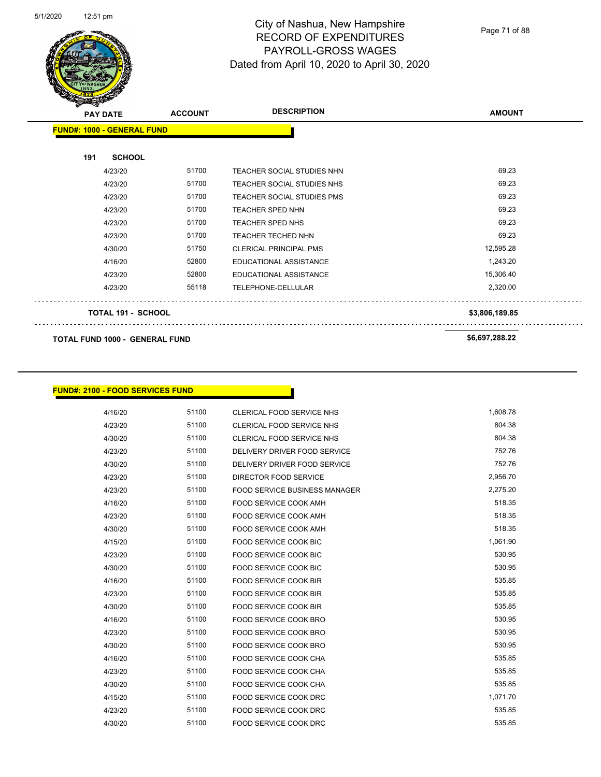

Page 71 of 88

| $\boldsymbol{z}$<br><b>PAY DATE</b>   |                           | <b>ACCOUNT</b> | <b>DESCRIPTION</b>                | <b>AMOUNT</b>  |
|---------------------------------------|---------------------------|----------------|-----------------------------------|----------------|
| <b>FUND#: 1000 - GENERAL FUND</b>     |                           |                |                                   |                |
| 191                                   | <b>SCHOOL</b>             |                |                                   |                |
|                                       | 4/23/20                   | 51700          | <b>TEACHER SOCIAL STUDIES NHN</b> | 69.23          |
|                                       | 4/23/20                   | 51700          | TEACHER SOCIAL STUDIES NHS        | 69.23          |
|                                       | 4/23/20                   | 51700          | <b>TEACHER SOCIAL STUDIES PMS</b> | 69.23          |
|                                       | 4/23/20                   | 51700          | <b>TEACHER SPED NHN</b>           | 69.23          |
|                                       | 4/23/20                   | 51700          | <b>TEACHER SPED NHS</b>           | 69.23          |
|                                       | 4/23/20                   | 51700          | <b>TEACHER TECHED NHN</b>         | 69.23          |
|                                       | 4/30/20                   | 51750          | <b>CLERICAL PRINCIPAL PMS</b>     | 12,595.28      |
|                                       | 4/16/20                   | 52800          | <b>EDUCATIONAL ASSISTANCE</b>     | 1,243.20       |
|                                       | 4/23/20                   | 52800          | <b>EDUCATIONAL ASSISTANCE</b>     | 15,306.40      |
|                                       | 4/23/20                   | 55118          | TELEPHONE-CELLULAR                | 2,320.00       |
|                                       | <b>TOTAL 191 - SCHOOL</b> |                |                                   | \$3,806,189.85 |
| <b>TOTAL FUND 1000 - GENERAL FUND</b> |                           |                | \$6,697,288.22                    |                |

**FUND#: 2100 - FOOD SERVICES FUND**

| 4/16/20 | 51100 | CLERICAL FOOD SERVICE NHS            | 1,608.78 |
|---------|-------|--------------------------------------|----------|
| 4/23/20 | 51100 | <b>CLERICAL FOOD SERVICE NHS</b>     | 804.38   |
| 4/30/20 | 51100 | CLERICAL FOOD SERVICE NHS            | 804.38   |
| 4/23/20 | 51100 | DELIVERY DRIVER FOOD SERVICE         | 752.76   |
| 4/30/20 | 51100 | DELIVERY DRIVER FOOD SERVICE         | 752.76   |
| 4/23/20 | 51100 | <b>DIRECTOR FOOD SERVICE</b>         | 2,956.70 |
| 4/23/20 | 51100 | <b>FOOD SERVICE BUSINESS MANAGER</b> | 2,275.20 |
| 4/16/20 | 51100 | FOOD SERVICE COOK AMH                | 518.35   |
| 4/23/20 | 51100 | <b>FOOD SERVICE COOK AMH</b>         | 518.35   |
| 4/30/20 | 51100 | <b>FOOD SERVICE COOK AMH</b>         | 518.35   |
| 4/15/20 | 51100 | <b>FOOD SERVICE COOK BIC</b>         | 1,061.90 |
| 4/23/20 | 51100 | <b>FOOD SERVICE COOK BIC</b>         | 530.95   |
| 4/30/20 | 51100 | <b>FOOD SERVICE COOK BIC</b>         | 530.95   |
| 4/16/20 | 51100 | <b>FOOD SERVICE COOK BIR</b>         | 535.85   |
| 4/23/20 | 51100 | <b>FOOD SERVICE COOK BIR</b>         | 535.85   |
| 4/30/20 | 51100 | <b>FOOD SERVICE COOK BIR</b>         | 535.85   |
| 4/16/20 | 51100 | <b>FOOD SERVICE COOK BRO</b>         | 530.95   |
| 4/23/20 | 51100 | <b>FOOD SERVICE COOK BRO</b>         | 530.95   |
| 4/30/20 | 51100 | <b>FOOD SERVICE COOK BRO</b>         | 530.95   |
| 4/16/20 | 51100 | <b>FOOD SERVICE COOK CHA</b>         | 535.85   |
| 4/23/20 | 51100 | <b>FOOD SERVICE COOK CHA</b>         | 535.85   |
| 4/30/20 | 51100 | <b>FOOD SERVICE COOK CHA</b>         | 535.85   |
| 4/15/20 | 51100 | <b>FOOD SERVICE COOK DRC</b>         | 1,071.70 |
| 4/23/20 | 51100 | <b>FOOD SERVICE COOK DRC</b>         | 535.85   |
| 4/30/20 | 51100 | <b>FOOD SERVICE COOK DRC</b>         | 535.85   |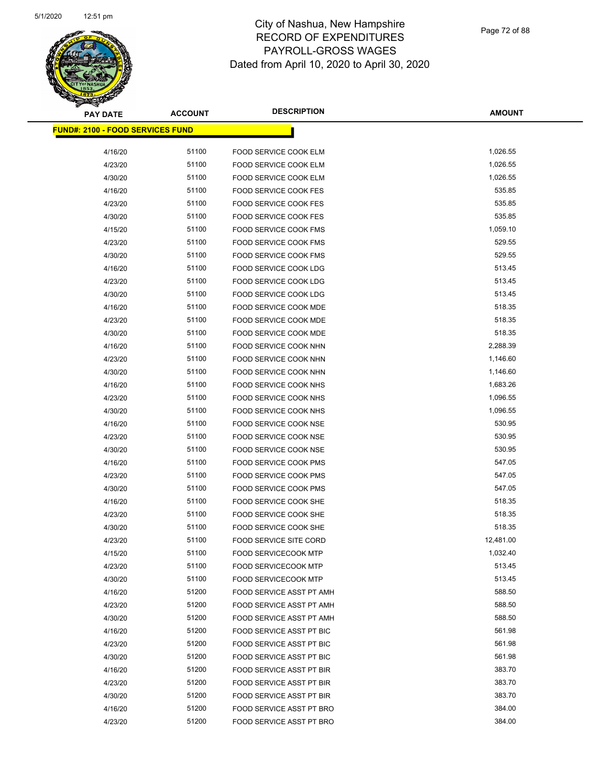

| <b>PAY DATE</b>                          | <b>ACCOUNT</b> | <b>DESCRIPTION</b>              | <b>AMOUNT</b>    |
|------------------------------------------|----------------|---------------------------------|------------------|
| <u> FUND#: 2100 - FOOD SERVICES FUND</u> |                |                                 |                  |
| 4/16/20                                  | 51100          |                                 | 1,026.55         |
| 4/23/20                                  | 51100          | FOOD SERVICE COOK ELM           | 1,026.55         |
|                                          | 51100          | FOOD SERVICE COOK ELM           | 1,026.55         |
| 4/30/20                                  |                | <b>FOOD SERVICE COOK ELM</b>    |                  |
| 4/16/20                                  | 51100          | FOOD SERVICE COOK FES           | 535.85<br>535.85 |
| 4/23/20                                  | 51100          | <b>FOOD SERVICE COOK FES</b>    |                  |
| 4/30/20                                  | 51100          | FOOD SERVICE COOK FES           | 535.85           |
| 4/15/20                                  | 51100          | <b>FOOD SERVICE COOK FMS</b>    | 1,059.10         |
| 4/23/20                                  | 51100          | FOOD SERVICE COOK FMS           | 529.55           |
| 4/30/20                                  | 51100          | <b>FOOD SERVICE COOK FMS</b>    | 529.55           |
| 4/16/20                                  | 51100          | FOOD SERVICE COOK LDG           | 513.45           |
| 4/23/20                                  | 51100          | <b>FOOD SERVICE COOK LDG</b>    | 513.45           |
| 4/30/20                                  | 51100          | FOOD SERVICE COOK LDG           | 513.45           |
| 4/16/20                                  | 51100          | FOOD SERVICE COOK MDE           | 518.35           |
| 4/23/20                                  | 51100          | FOOD SERVICE COOK MDE           | 518.35           |
| 4/30/20                                  | 51100          | FOOD SERVICE COOK MDE           | 518.35           |
| 4/16/20                                  | 51100          | FOOD SERVICE COOK NHN           | 2,288.39         |
| 4/23/20                                  | 51100          | FOOD SERVICE COOK NHN           | 1,146.60         |
| 4/30/20                                  | 51100          | FOOD SERVICE COOK NHN           | 1,146.60         |
| 4/16/20                                  | 51100          | <b>FOOD SERVICE COOK NHS</b>    | 1,683.26         |
| 4/23/20                                  | 51100          | FOOD SERVICE COOK NHS           | 1,096.55         |
| 4/30/20                                  | 51100          | FOOD SERVICE COOK NHS           | 1,096.55         |
| 4/16/20                                  | 51100          | <b>FOOD SERVICE COOK NSE</b>    | 530.95           |
| 4/23/20                                  | 51100          | FOOD SERVICE COOK NSE           | 530.95           |
| 4/30/20                                  | 51100          | <b>FOOD SERVICE COOK NSE</b>    | 530.95           |
| 4/16/20                                  | 51100          | FOOD SERVICE COOK PMS           | 547.05           |
| 4/23/20                                  | 51100          | FOOD SERVICE COOK PMS           | 547.05           |
| 4/30/20                                  | 51100          | FOOD SERVICE COOK PMS           | 547.05           |
| 4/16/20                                  | 51100          | FOOD SERVICE COOK SHE           | 518.35           |
| 4/23/20                                  | 51100          | FOOD SERVICE COOK SHE           | 518.35           |
| 4/30/20                                  | 51100          | FOOD SERVICE COOK SHE           | 518.35           |
| 4/23/20                                  | 51100          | <b>FOOD SERVICE SITE CORD</b>   | 12,481.00        |
| 4/15/20                                  | 51100          | <b>FOOD SERVICECOOK MTP</b>     | 1,032.40         |
| 4/23/20                                  | 51100          | <b>FOOD SERVICECOOK MTP</b>     | 513.45           |
| 4/30/20                                  | 51100          | <b>FOOD SERVICECOOK MTP</b>     | 513.45           |
| 4/16/20                                  | 51200          | FOOD SERVICE ASST PT AMH        | 588.50           |
| 4/23/20                                  | 51200          | FOOD SERVICE ASST PT AMH        | 588.50           |
| 4/30/20                                  | 51200          | FOOD SERVICE ASST PT AMH        | 588.50           |
| 4/16/20                                  | 51200          | FOOD SERVICE ASST PT BIC        | 561.98           |
| 4/23/20                                  | 51200          | FOOD SERVICE ASST PT BIC        | 561.98           |
| 4/30/20                                  | 51200          | FOOD SERVICE ASST PT BIC        | 561.98           |
| 4/16/20                                  | 51200          | <b>FOOD SERVICE ASST PT BIR</b> | 383.70           |
| 4/23/20                                  | 51200          | FOOD SERVICE ASST PT BIR        | 383.70           |
| 4/30/20                                  | 51200          | FOOD SERVICE ASST PT BIR        | 383.70           |
| 4/16/20                                  | 51200          | FOOD SERVICE ASST PT BRO        | 384.00           |
| 4/23/20                                  | 51200          | FOOD SERVICE ASST PT BRO        | 384.00           |
|                                          |                |                                 |                  |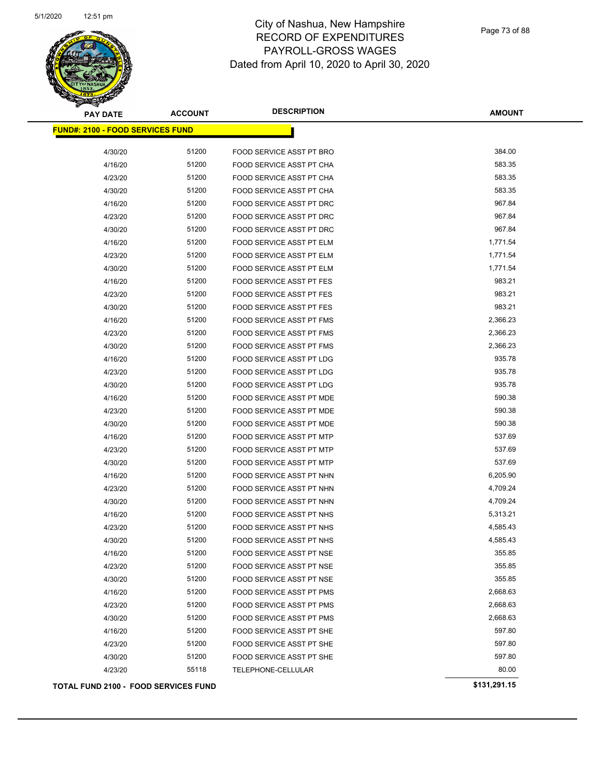

Page 73 of 88

| <b>PAY DATE</b>                             | <b>ACCOUNT</b> | <b>DESCRIPTION</b>              | <b>AMOUNT</b> |
|---------------------------------------------|----------------|---------------------------------|---------------|
| <b>FUND#: 2100 - FOOD SERVICES FUND</b>     |                |                                 |               |
| 4/30/20                                     | 51200          | FOOD SERVICE ASST PT BRO        | 384.00        |
| 4/16/20                                     | 51200          | FOOD SERVICE ASST PT CHA        | 583.35        |
| 4/23/20                                     | 51200          | FOOD SERVICE ASST PT CHA        | 583.35        |
| 4/30/20                                     | 51200          | FOOD SERVICE ASST PT CHA        | 583.35        |
| 4/16/20                                     | 51200          | <b>FOOD SERVICE ASST PT DRC</b> | 967.84        |
| 4/23/20                                     | 51200          | FOOD SERVICE ASST PT DRC        | 967.84        |
| 4/30/20                                     | 51200          | FOOD SERVICE ASST PT DRC        | 967.84        |
| 4/16/20                                     | 51200          | FOOD SERVICE ASST PT ELM        | 1,771.54      |
| 4/23/20                                     | 51200          | FOOD SERVICE ASST PT ELM        | 1,771.54      |
| 4/30/20                                     | 51200          | FOOD SERVICE ASST PT ELM        | 1,771.54      |
| 4/16/20                                     | 51200          | FOOD SERVICE ASST PT FES        | 983.21        |
| 4/23/20                                     | 51200          | FOOD SERVICE ASST PT FES        | 983.21        |
| 4/30/20                                     | 51200          | <b>FOOD SERVICE ASST PT FES</b> | 983.21        |
| 4/16/20                                     | 51200          | <b>FOOD SERVICE ASST PT FMS</b> | 2,366.23      |
| 4/23/20                                     | 51200          | FOOD SERVICE ASST PT FMS        | 2,366.23      |
| 4/30/20                                     | 51200          | FOOD SERVICE ASST PT FMS        | 2,366.23      |
| 4/16/20                                     | 51200          | FOOD SERVICE ASST PT LDG        | 935.78        |
| 4/23/20                                     | 51200          | FOOD SERVICE ASST PT LDG        | 935.78        |
| 4/30/20                                     | 51200          | FOOD SERVICE ASST PT LDG        | 935.78        |
| 4/16/20                                     | 51200          | FOOD SERVICE ASST PT MDE        | 590.38        |
| 4/23/20                                     | 51200          | FOOD SERVICE ASST PT MDE        | 590.38        |
| 4/30/20                                     | 51200          | FOOD SERVICE ASST PT MDE        | 590.38        |
| 4/16/20                                     | 51200          | FOOD SERVICE ASST PT MTP        | 537.69        |
| 4/23/20                                     | 51200          | FOOD SERVICE ASST PT MTP        | 537.69        |
| 4/30/20                                     | 51200          | FOOD SERVICE ASST PT MTP        | 537.69        |
| 4/16/20                                     | 51200          | FOOD SERVICE ASST PT NHN        | 6,205.90      |
| 4/23/20                                     | 51200          | FOOD SERVICE ASST PT NHN        | 4,709.24      |
| 4/30/20                                     | 51200          | <b>FOOD SERVICE ASST PT NHN</b> | 4,709.24      |
| 4/16/20                                     | 51200          | <b>FOOD SERVICE ASST PT NHS</b> | 5,313.21      |
| 4/23/20                                     | 51200          | FOOD SERVICE ASST PT NHS        | 4,585.43      |
| 4/30/20                                     | 51200          | FOOD SERVICE ASST PT NHS        | 4,585.43      |
| 4/16/20                                     | 51200          | FOOD SERVICE ASST PT NSE        | 355.85        |
| 4/23/20                                     | 51200          | <b>FOOD SERVICE ASST PT NSE</b> | 355.85        |
| 4/30/20                                     | 51200          | FOOD SERVICE ASST PT NSE        | 355.85        |
| 4/16/20                                     | 51200          | FOOD SERVICE ASST PT PMS        | 2,668.63      |
| 4/23/20                                     | 51200          | FOOD SERVICE ASST PT PMS        | 2,668.63      |
| 4/30/20                                     | 51200          | FOOD SERVICE ASST PT PMS        | 2,668.63      |
| 4/16/20                                     | 51200          | FOOD SERVICE ASST PT SHE        | 597.80        |
| 4/23/20                                     | 51200          | <b>FOOD SERVICE ASST PT SHE</b> | 597.80        |
| 4/30/20                                     | 51200          | FOOD SERVICE ASST PT SHE        | 597.80        |
| 4/23/20                                     | 55118          | TELEPHONE-CELLULAR              | 80.00         |
| <b>TOTAL FUND 2100 - FOOD SERVICES FUND</b> |                |                                 | \$131,291.15  |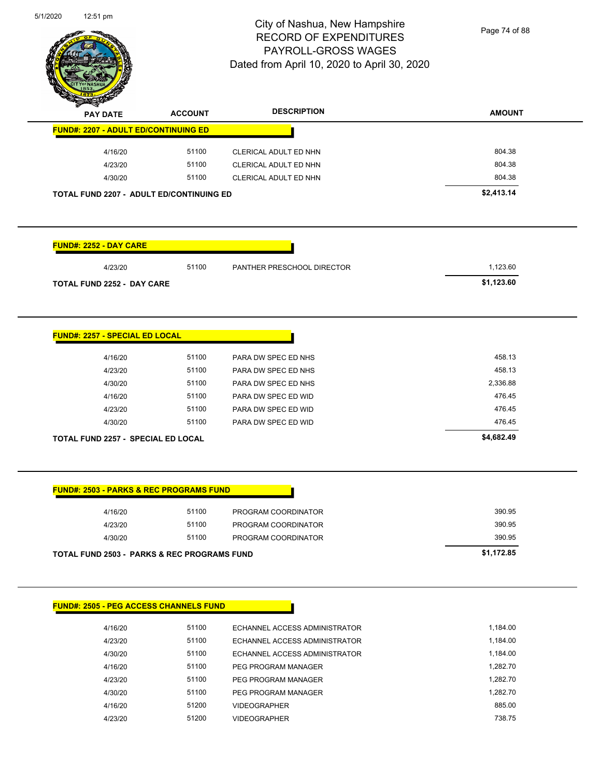

Page 74 of 88

| <b>PAY DATE</b>                                        | <b>ACCOUNT</b> | <b>DESCRIPTION</b>            | <b>AMOUNT</b> |
|--------------------------------------------------------|----------------|-------------------------------|---------------|
| <b>FUND#: 2207 - ADULT ED/CONTINUING ED</b>            |                |                               |               |
| 4/16/20                                                | 51100          | CLERICAL ADULT ED NHN         | 804.38        |
| 4/23/20                                                | 51100          | CLERICAL ADULT ED NHN         | 804.38        |
| 4/30/20                                                | 51100          | CLERICAL ADULT ED NHN         | 804.38        |
| TOTAL FUND 2207 - ADULT ED/CONTINUING ED               |                |                               | \$2,413.14    |
|                                                        |                |                               |               |
| <b>FUND#: 2252 - DAY CARE</b>                          |                |                               |               |
| 4/23/20                                                | 51100          | PANTHER PRESCHOOL DIRECTOR    | 1,123.60      |
| <b>TOTAL FUND 2252 - DAY CARE</b>                      |                |                               | \$1,123.60    |
|                                                        |                |                               |               |
| <b>FUND#: 2257 - SPECIAL ED LOCAL</b>                  |                |                               |               |
| 4/16/20                                                | 51100          | PARA DW SPEC ED NHS           | 458.13        |
| 4/23/20                                                | 51100          | PARA DW SPEC ED NHS           | 458.13        |
| 4/30/20                                                | 51100          | PARA DW SPEC ED NHS           | 2,336.88      |
| 4/16/20                                                | 51100          | PARA DW SPEC ED WID           | 476.45        |
| 4/23/20                                                | 51100          | PARA DW SPEC ED WID           | 476.45        |
| 4/30/20                                                | 51100          | PARA DW SPEC ED WID           | 476.45        |
| <b>TOTAL FUND 2257 - SPECIAL ED LOCAL</b>              |                |                               | \$4,682.49    |
| <b>FUND#: 2503 - PARKS &amp; REC PROGRAMS FUND</b>     |                |                               |               |
| 4/16/20                                                | 51100          | PROGRAM COORDINATOR           | 390.95        |
| 4/23/20                                                | 51100          | PROGRAM COORDINATOR           | 390.95        |
| 4/30/20                                                | 51100          | PROGRAM COORDINATOR           | 390.95        |
| <b>TOTAL FUND 2503 - PARKS &amp; REC PROGRAMS FUND</b> |                |                               | \$1,172.85    |
|                                                        |                |                               |               |
| <b>FUND#: 2505 - PEG ACCESS CHANNELS FUND</b>          |                |                               |               |
| 4/16/20                                                | 51100          | ECHANNEL ACCESS ADMINISTRATOR | 1,184.00      |
| 4/23/20                                                | 51100          | ECHANNEL ACCESS ADMINISTRATOR | 1,184.00      |
| 4/30/20                                                | 51100          | ECHANNEL ACCESS ADMINISTRATOR | 1,184.00      |
| 4/16/20                                                | 51100          | PEG PROGRAM MANAGER           | 1,282.70      |
| 4/23/20                                                | 51100          | PEG PROGRAM MANAGER           | 1,282.70      |
| 4/30/20                                                | 51100          | PEG PROGRAM MANAGER           | 1,282.70      |
| 4/16/20                                                | 51200          | <b>VIDEOGRAPHER</b>           | 885.00        |
| 4/23/20                                                | 51200          | VIDEOGRAPHER                  | 738.75        |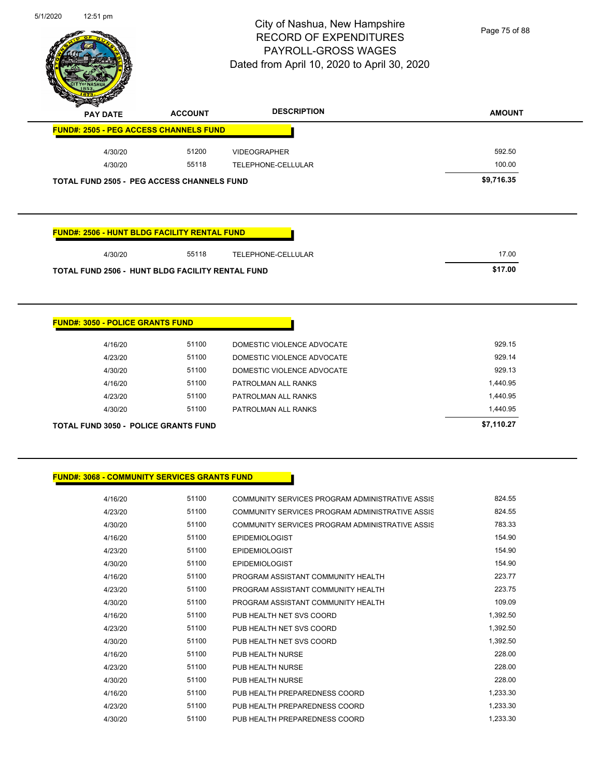

Page 75 of 88

| <b>PAY DATE</b>                                     | <b>ACCOUNT</b> | <b>DESCRIPTION</b>                              | <b>AMOUNT</b>        |
|-----------------------------------------------------|----------------|-------------------------------------------------|----------------------|
| <b>FUND#: 2505 - PEG ACCESS CHANNELS FUND</b>       |                |                                                 |                      |
| 4/30/20                                             | 51200          | <b>VIDEOGRAPHER</b>                             | 592.50               |
| 4/30/20                                             | 55118          | TELEPHONE-CELLULAR                              | 100.00               |
| <b>TOTAL FUND 2505 - PEG ACCESS CHANNELS FUND</b>   |                |                                                 | \$9,716.35           |
| <b>FUND#: 2506 - HUNT BLDG FACILITY RENTAL FUND</b> |                |                                                 |                      |
| 4/30/20                                             | 55118          | TELEPHONE-CELLULAR                              | 17.00                |
| TOTAL FUND 2506 - HUNT BLDG FACILITY RENTAL FUND    |                |                                                 | \$17.00              |
|                                                     |                |                                                 |                      |
| <b>FUND#: 3050 - POLICE GRANTS FUND</b>             |                |                                                 |                      |
| 4/16/20                                             | 51100          | DOMESTIC VIOLENCE ADVOCATE                      | 929.15               |
| 4/23/20                                             | 51100          | DOMESTIC VIOLENCE ADVOCATE                      | 929.14               |
| 4/30/20                                             | 51100          | DOMESTIC VIOLENCE ADVOCATE                      | 929.13               |
| 4/16/20                                             | 51100<br>51100 | PATROLMAN ALL RANKS                             | 1,440.95             |
| 4/23/20<br>4/30/20                                  | 51100          | PATROLMAN ALL RANKS<br>PATROLMAN ALL RANKS      | 1,440.95<br>1,440.95 |
|                                                     |                |                                                 |                      |
| <b>TOTAL FUND 3050 - POLICE GRANTS FUND</b>         |                |                                                 | \$7,110.27           |
|                                                     |                |                                                 |                      |
| <b>FUND#: 3068 - COMMUNITY SERVICES GRANTS FUND</b> |                |                                                 |                      |
| 4/16/20                                             | 51100          | COMMUNITY SERVICES PROGRAM ADMINISTRATIVE ASSIS | 824.55               |

| 4/23/20 | 51100 | COMMUNITY SERVICES PROGRAM ADMINISTRATIVE ASSIS | 824.55   |
|---------|-------|-------------------------------------------------|----------|
| 4/30/20 | 51100 | COMMUNITY SERVICES PROGRAM ADMINISTRATIVE ASSIS | 783.33   |
| 4/16/20 | 51100 | <b>EPIDEMIOLOGIST</b>                           | 154.90   |
| 4/23/20 | 51100 | <b>EPIDEMIOLOGIST</b>                           | 154.90   |
| 4/30/20 | 51100 | <b>EPIDEMIOLOGIST</b>                           | 154.90   |
| 4/16/20 | 51100 | PROGRAM ASSISTANT COMMUNITY HEALTH              | 223.77   |
| 4/23/20 | 51100 | PROGRAM ASSISTANT COMMUNITY HEALTH              | 223.75   |
| 4/30/20 | 51100 | PROGRAM ASSISTANT COMMUNITY HEALTH              | 109.09   |
| 4/16/20 | 51100 | PUB HEALTH NET SVS COORD                        | 1,392.50 |
| 4/23/20 | 51100 | PUB HEALTH NET SVS COORD                        | 1,392.50 |
| 4/30/20 | 51100 | PUB HEALTH NET SVS COORD                        | 1,392.50 |
| 4/16/20 | 51100 | PUB HEALTH NURSE                                | 228.00   |
| 4/23/20 | 51100 | PUB HEALTH NURSE                                | 228.00   |
| 4/30/20 | 51100 | PUB HEALTH NURSE                                | 228.00   |
| 4/16/20 | 51100 | PUB HEALTH PREPAREDNESS COORD                   | 1,233.30 |
| 4/23/20 | 51100 | PUB HEALTH PREPAREDNESS COORD                   | 1,233.30 |
| 4/30/20 | 51100 | PUB HEALTH PREPAREDNESS COORD                   | 1,233.30 |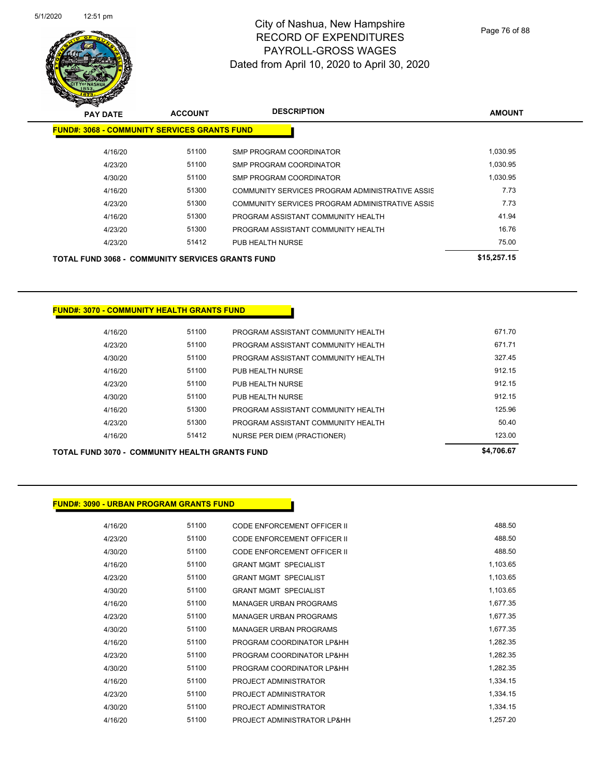

Page 76 of 88

| <b>PAY DATE</b>                                         | <b>ACCOUNT</b> | <b>DESCRIPTION</b>                              | <b>AMOUNT</b> |
|---------------------------------------------------------|----------------|-------------------------------------------------|---------------|
| <b>FUND#: 3068 - COMMUNITY SERVICES GRANTS FUND</b>     |                |                                                 |               |
| 4/16/20                                                 | 51100          | SMP PROGRAM COORDINATOR                         | 1,030.95      |
| 4/23/20                                                 | 51100          | SMP PROGRAM COORDINATOR                         | 1.030.95      |
| 4/30/20                                                 | 51100          | SMP PROGRAM COORDINATOR                         | 1,030.95      |
| 4/16/20                                                 | 51300          | COMMUNITY SERVICES PROGRAM ADMINISTRATIVE ASSIS | 7.73          |
| 4/23/20                                                 | 51300          | COMMUNITY SERVICES PROGRAM ADMINISTRATIVE ASSIS | 7.73          |
| 4/16/20                                                 | 51300          | PROGRAM ASSISTANT COMMUNITY HEALTH              | 41.94         |
| 4/23/20                                                 | 51300          | PROGRAM ASSISTANT COMMUNITY HEALTH              | 16.76         |
| 4/23/20                                                 | 51412          | PUB HEALTH NURSE                                | 75.00         |
| <b>TOTAL FUND 3068 - COMMUNITY SERVICES GRANTS FUND</b> |                |                                                 | \$15,257.15   |

#### **FUND#: 3070 - COMMUNITY HEALTH GRANTS FUND**

| 4/16/20 | 51100 | PROGRAM ASSISTANT COMMUNITY HEALTH | 671.70 |
|---------|-------|------------------------------------|--------|
| 4/23/20 | 51100 | PROGRAM ASSISTANT COMMUNITY HEALTH | 671.71 |
| 4/30/20 | 51100 | PROGRAM ASSISTANT COMMUNITY HEALTH | 327.45 |
| 4/16/20 | 51100 | PUB HEALTH NURSE                   | 912.15 |
| 4/23/20 | 51100 | PUB HEALTH NURSE                   | 912.15 |
| 4/30/20 | 51100 | PUB HEALTH NURSE                   | 912.15 |
| 4/16/20 | 51300 | PROGRAM ASSISTANT COMMUNITY HEALTH | 125.96 |
| 4/23/20 | 51300 | PROGRAM ASSISTANT COMMUNITY HEALTH | 50.40  |
| 4/16/20 | 51412 | NURSE PER DIEM (PRACTIONER)        | 123.00 |
|         |       |                                    |        |

**TOTAL FUND 3070 - COMMUNITY HEALTH GRANTS FUND \$4,706.67** 

#### **FUND#: 3090 - URBAN PROGRAM GRANTS FUND**

| 4/16/20 | 51100 | CODE ENFORCEMENT OFFICER II   | 488.50   |
|---------|-------|-------------------------------|----------|
| 4/23/20 | 51100 | CODE ENFORCEMENT OFFICER II   | 488.50   |
| 4/30/20 | 51100 | CODE ENFORCEMENT OFFICER II   | 488.50   |
| 4/16/20 | 51100 | <b>GRANT MGMT SPECIALIST</b>  | 1,103.65 |
| 4/23/20 | 51100 | <b>GRANT MGMT SPECIALIST</b>  | 1,103.65 |
| 4/30/20 | 51100 | <b>GRANT MGMT SPECIALIST</b>  | 1,103.65 |
| 4/16/20 | 51100 | <b>MANAGER URBAN PROGRAMS</b> | 1,677.35 |
| 4/23/20 | 51100 | <b>MANAGER URBAN PROGRAMS</b> | 1,677.35 |
| 4/30/20 | 51100 | <b>MANAGER URBAN PROGRAMS</b> | 1,677.35 |
| 4/16/20 | 51100 | PROGRAM COORDINATOR LP&HH     | 1,282.35 |
| 4/23/20 | 51100 | PROGRAM COORDINATOR LP&HH     | 1,282.35 |
| 4/30/20 | 51100 | PROGRAM COORDINATOR LP&HH     | 1,282.35 |
| 4/16/20 | 51100 | PROJECT ADMINISTRATOR         | 1,334.15 |
| 4/23/20 | 51100 | PROJECT ADMINISTRATOR         | 1,334.15 |
| 4/30/20 | 51100 | PROJECT ADMINISTRATOR         | 1,334.15 |
| 4/16/20 | 51100 | PROJECT ADMINISTRATOR LP&HH   | 1.257.20 |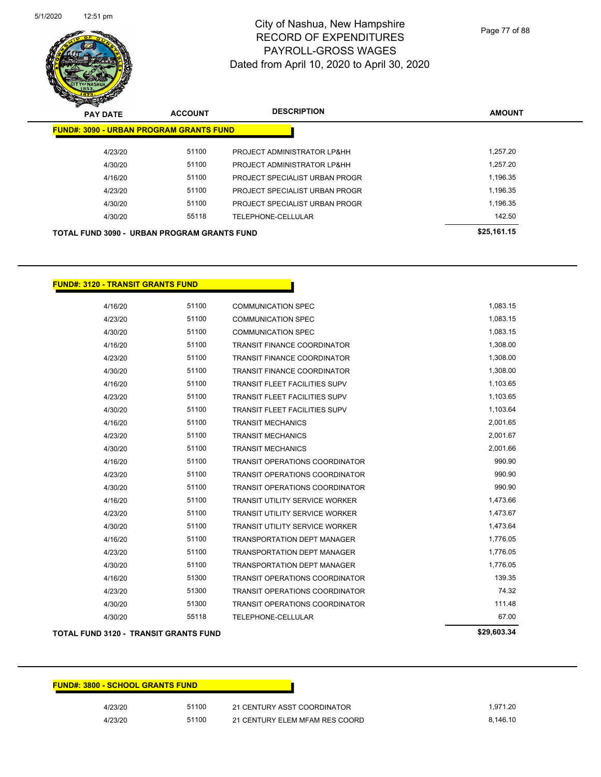

Page 77 of 88

| $\mathscr{D} \curvearrowright$<br><b>PAY DATE</b>  | <b>ACCOUNT</b> | <b>DESCRIPTION</b>             | <b>AMOUNT</b> |
|----------------------------------------------------|----------------|--------------------------------|---------------|
| <b>FUND#: 3090 - URBAN PROGRAM GRANTS FUND</b>     |                |                                |               |
| 4/23/20                                            | 51100          | PROJECT ADMINISTRATOR LP&HH    | 1.257.20      |
| 4/30/20                                            | 51100          | PROJECT ADMINISTRATOR LP&HH    | 1.257.20      |
| 4/16/20                                            | 51100          | PROJECT SPECIALIST URBAN PROGR | 1,196.35      |
| 4/23/20                                            | 51100          | PROJECT SPECIALIST URBAN PROGR | 1.196.35      |
| 4/30/20                                            | 51100          | PROJECT SPECIALIST URBAN PROGR | 1.196.35      |
| 4/30/20                                            | 55118          | TELEPHONE-CELLULAR             | 142.50        |
| <b>TOTAL FUND 3090 - URBAN PROGRAM GRANTS FUND</b> |                |                                | \$25,161.15   |

#### **FUND#: 3120 - TRANSIT GRANTS FUND**

| TOTAL FUND 3120 - TRANSIT GRANTS FUND |       |                                       | \$29,603.34 |
|---------------------------------------|-------|---------------------------------------|-------------|
| 4/30/20                               | 55118 | <b>TELEPHONE-CELLULAR</b>             | 67.00       |
| 4/30/20                               | 51300 | <b>TRANSIT OPERATIONS COORDINATOR</b> | 111.48      |
| 4/23/20                               | 51300 | <b>TRANSIT OPERATIONS COORDINATOR</b> | 74.32       |
| 4/16/20                               | 51300 | <b>TRANSIT OPERATIONS COORDINATOR</b> | 139.35      |
| 4/30/20                               | 51100 | <b>TRANSPORTATION DEPT MANAGER</b>    | 1,776.05    |
| 4/23/20                               | 51100 | <b>TRANSPORTATION DEPT MANAGER</b>    | 1,776.05    |
| 4/16/20                               | 51100 | <b>TRANSPORTATION DEPT MANAGER</b>    | 1,776.05    |
| 4/30/20                               | 51100 | <b>TRANSIT UTILITY SERVICE WORKER</b> | 1,473.64    |
| 4/23/20                               | 51100 | <b>TRANSIT UTILITY SERVICE WORKER</b> | 1,473.67    |
| 4/16/20                               | 51100 | <b>TRANSIT UTILITY SERVICE WORKER</b> | 1,473.66    |
| 4/30/20                               | 51100 | <b>TRANSIT OPERATIONS COORDINATOR</b> | 990.90      |
| 4/23/20                               | 51100 | <b>TRANSIT OPERATIONS COORDINATOR</b> | 990.90      |
| 4/16/20                               | 51100 | <b>TRANSIT OPERATIONS COORDINATOR</b> | 990.90      |
| 4/30/20                               | 51100 | <b>TRANSIT MECHANICS</b>              | 2,001.66    |
| 4/23/20                               | 51100 | <b>TRANSIT MECHANICS</b>              | 2,001.67    |
| 4/16/20                               | 51100 | <b>TRANSIT MECHANICS</b>              | 2,001.65    |
| 4/30/20                               | 51100 | <b>TRANSIT FLEET FACILITIES SUPV</b>  | 1,103.64    |
| 4/23/20                               | 51100 | <b>TRANSIT FLEET FACILITIES SUPV</b>  | 1,103.65    |
| 4/16/20                               | 51100 | <b>TRANSIT FLEET FACILITIES SUPV</b>  | 1,103.65    |
| 4/30/20                               | 51100 | <b>TRANSIT FINANCE COORDINATOR</b>    | 1,308.00    |
| 4/23/20                               | 51100 | <b>TRANSIT FINANCE COORDINATOR</b>    | 1,308.00    |
| 4/16/20                               | 51100 | <b>TRANSIT FINANCE COORDINATOR</b>    | 1,308.00    |
| 4/30/20                               | 51100 | <b>COMMUNICATION SPEC</b>             | 1,083.15    |
| 4/23/20                               | 51100 | <b>COMMUNICATION SPEC</b>             | 1,083.15    |
| 4/16/20                               | 51100 | <b>COMMUNICATION SPEC</b>             | 1,083.15    |

| <b>FUND#: 3800 - SCHOOL GRANTS FUND</b> |       |                                |          |
|-----------------------------------------|-------|--------------------------------|----------|
| 4/23/20                                 | 51100 | 21 CENTURY ASST COORDINATOR    | 1.971.20 |
| 4/23/20                                 | 51100 | 21 CENTURY ELEM MFAM RES COORD | 8.146.10 |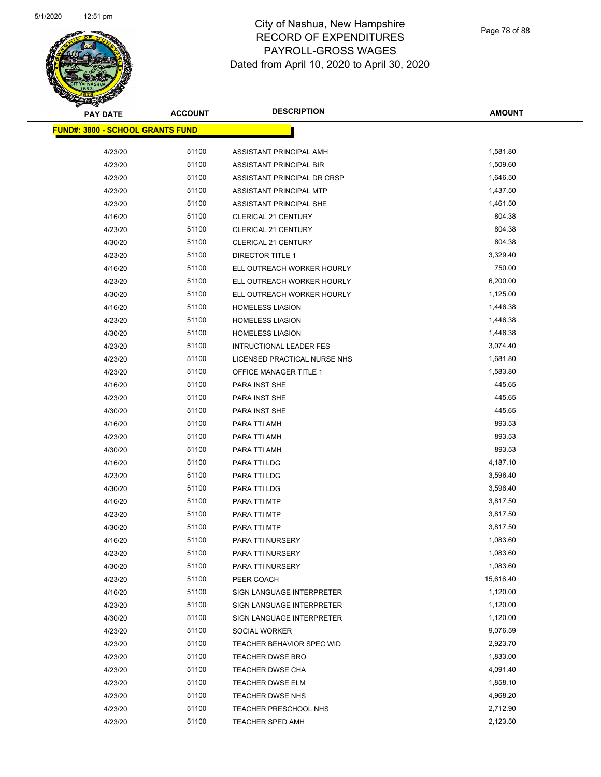

| <b>PAY DATE</b>                          | <b>ACCOUNT</b> | <b>DESCRIPTION</b>                                       | AMOUNT               |
|------------------------------------------|----------------|----------------------------------------------------------|----------------------|
| <u> FUND#: 3800 - SCHOOL GRANTS FUND</u> |                |                                                          |                      |
| 4/23/20                                  | 51100          | ASSISTANT PRINCIPAL AMH                                  | 1,581.80             |
| 4/23/20                                  | 51100          | <b>ASSISTANT PRINCIPAL BIR</b>                           | 1,509.60             |
| 4/23/20                                  | 51100          | ASSISTANT PRINCIPAL DR CRSP                              | 1,646.50             |
| 4/23/20                                  | 51100          | ASSISTANT PRINCIPAL MTP                                  | 1,437.50             |
| 4/23/20                                  | 51100          | ASSISTANT PRINCIPAL SHE                                  | 1,461.50             |
| 4/16/20                                  | 51100          | <b>CLERICAL 21 CENTURY</b>                               | 804.38               |
| 4/23/20                                  | 51100          | CLERICAL 21 CENTURY                                      | 804.38               |
|                                          | 51100          |                                                          | 804.38               |
| 4/30/20                                  | 51100          | <b>CLERICAL 21 CENTURY</b>                               | 3,329.40             |
| 4/23/20<br>4/16/20                       | 51100          | DIRECTOR TITLE 1                                         | 750.00               |
| 4/23/20                                  | 51100          | ELL OUTREACH WORKER HOURLY<br>ELL OUTREACH WORKER HOURLY | 6,200.00             |
| 4/30/20                                  | 51100          | ELL OUTREACH WORKER HOURLY                               | 1,125.00             |
|                                          |                |                                                          |                      |
| 4/16/20                                  | 51100          | <b>HOMELESS LIASION</b>                                  | 1,446.38             |
| 4/23/20                                  | 51100          | <b>HOMELESS LIASION</b>                                  | 1,446.38<br>1,446.38 |
| 4/30/20                                  | 51100          | <b>HOMELESS LIASION</b>                                  |                      |
| 4/23/20                                  | 51100          | <b>INTRUCTIONAL LEADER FES</b>                           | 3,074.40             |
| 4/23/20                                  | 51100          | LICENSED PRACTICAL NURSE NHS                             | 1,681.80             |
| 4/23/20                                  | 51100          | OFFICE MANAGER TITLE 1                                   | 1,583.80             |
| 4/16/20                                  | 51100          | PARA INST SHE                                            | 445.65               |
| 4/23/20                                  | 51100          | PARA INST SHE                                            | 445.65               |
| 4/30/20                                  | 51100          | PARA INST SHE                                            | 445.65               |
| 4/16/20                                  | 51100          | PARA TTI AMH                                             | 893.53               |
| 4/23/20                                  | 51100          | PARA TTI AMH                                             | 893.53               |
| 4/30/20                                  | 51100          | PARA TTI AMH                                             | 893.53               |
| 4/16/20                                  | 51100          | PARA TTI LDG                                             | 4,187.10             |
| 4/23/20                                  | 51100          | PARA TTI LDG                                             | 3,596.40             |
| 4/30/20                                  | 51100          | PARA TTI LDG                                             | 3,596.40             |
| 4/16/20                                  | 51100          | PARA TTI MTP                                             | 3,817.50             |
| 4/23/20                                  | 51100          | PARA TTI MTP                                             | 3,817.50             |
| 4/30/20                                  | 51100          | PARA TTI MTP                                             | 3,817.50             |
| 4/16/20                                  | 51100          | PARA TTI NURSERY                                         | 1,083.60             |
| 4/23/20                                  | 51100          | PARA TTI NURSERY                                         | 1,083.60             |
| 4/30/20                                  | 51100          | PARA TTI NURSERY                                         | 1,083.60             |
| 4/23/20                                  | 51100          | PEER COACH                                               | 15,616.40            |
| 4/16/20                                  | 51100          | SIGN LANGUAGE INTERPRETER                                | 1,120.00             |
| 4/23/20                                  | 51100          | SIGN LANGUAGE INTERPRETER                                | 1,120.00             |
| 4/30/20                                  | 51100          | SIGN LANGUAGE INTERPRETER                                | 1,120.00             |
| 4/23/20                                  | 51100          | SOCIAL WORKER                                            | 9,076.59             |
| 4/23/20                                  | 51100          | TEACHER BEHAVIOR SPEC WID                                | 2,923.70             |
| 4/23/20                                  | 51100          | <b>TEACHER DWSE BRO</b>                                  | 1,833.00             |
| 4/23/20                                  | 51100          | TEACHER DWSE CHA                                         | 4,091.40             |
| 4/23/20                                  | 51100          | <b>TEACHER DWSE ELM</b>                                  | 1,858.10             |
| 4/23/20                                  | 51100          | <b>TEACHER DWSE NHS</b>                                  | 4,968.20             |
| 4/23/20                                  | 51100          | <b>TEACHER PRESCHOOL NHS</b>                             | 2,712.90             |
| 4/23/20                                  | 51100          | <b>TEACHER SPED AMH</b>                                  | 2,123.50             |
|                                          |                |                                                          |                      |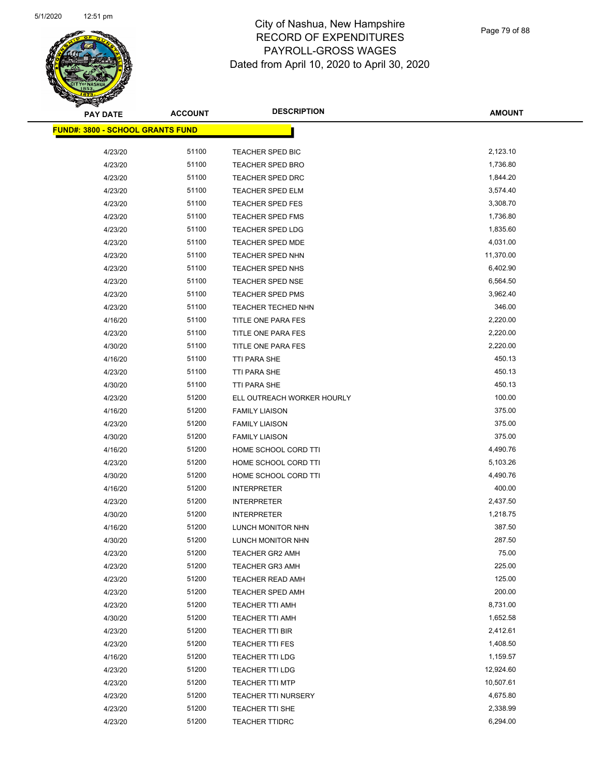

Page 79 of 88

| <b>PAY DATE</b>                  | <b>ACCOUNT</b> | <b>DESCRIPTION</b>         | <b>AMOUNT</b> |
|----------------------------------|----------------|----------------------------|---------------|
| FUND#: 3800 - SCHOOL GRANTS FUND |                |                            |               |
| 4/23/20                          | 51100          | TEACHER SPED BIC           | 2,123.10      |
| 4/23/20                          | 51100          | <b>TEACHER SPED BRO</b>    | 1,736.80      |
| 4/23/20                          | 51100          | TEACHER SPED DRC           | 1,844.20      |
| 4/23/20                          | 51100          | TEACHER SPED ELM           | 3,574.40      |
| 4/23/20                          | 51100          | TEACHER SPED FES           | 3,308.70      |
| 4/23/20                          | 51100          | <b>TEACHER SPED FMS</b>    | 1,736.80      |
| 4/23/20                          | 51100          | <b>TEACHER SPED LDG</b>    | 1,835.60      |
| 4/23/20                          | 51100          | <b>TEACHER SPED MDE</b>    | 4,031.00      |
| 4/23/20                          | 51100          | TEACHER SPED NHN           | 11,370.00     |
| 4/23/20                          | 51100          | TEACHER SPED NHS           | 6,402.90      |
| 4/23/20                          | 51100          | <b>TEACHER SPED NSE</b>    | 6,564.50      |
| 4/23/20                          | 51100          | <b>TEACHER SPED PMS</b>    | 3,962.40      |
| 4/23/20                          | 51100          | <b>TEACHER TECHED NHN</b>  | 346.00        |
| 4/16/20                          | 51100          | TITLE ONE PARA FES         | 2,220.00      |
| 4/23/20                          | 51100          | TITLE ONE PARA FES         | 2,220.00      |
| 4/30/20                          | 51100          | TITLE ONE PARA FES         | 2,220.00      |
| 4/16/20                          | 51100          | <b>TTI PARA SHE</b>        | 450.13        |
| 4/23/20                          | 51100          | TTI PARA SHE               | 450.13        |
| 4/30/20                          | 51100          | TTI PARA SHE               | 450.13        |
| 4/23/20                          | 51200          | ELL OUTREACH WORKER HOURLY | 100.00        |
| 4/16/20                          | 51200          | <b>FAMILY LIAISON</b>      | 375.00        |
| 4/23/20                          | 51200          | <b>FAMILY LIAISON</b>      | 375.00        |
| 4/30/20                          | 51200          | <b>FAMILY LIAISON</b>      | 375.00        |
| 4/16/20                          | 51200          | HOME SCHOOL CORD TTI       | 4,490.76      |
| 4/23/20                          | 51200          | HOME SCHOOL CORD TTI       | 5,103.26      |
| 4/30/20                          | 51200          | HOME SCHOOL CORD TTI       | 4,490.76      |
| 4/16/20                          | 51200          | <b>INTERPRETER</b>         | 400.00        |
| 4/23/20                          | 51200          | <b>INTERPRETER</b>         | 2,437.50      |
| 4/30/20                          | 51200          | <b>INTERPRETER</b>         | 1,218.75      |
| 4/16/20                          | 51200          | LUNCH MONITOR NHN          | 387.50        |
| 4/30/20                          | 51200          | LUNCH MONITOR NHN          | 287.50        |
| 4/23/20                          | 51200          | <b>TEACHER GR2 AMH</b>     | 75.00         |
| 4/23/20                          | 51200          | <b>TEACHER GR3 AMH</b>     | 225.00        |
| 4/23/20                          | 51200          | TEACHER READ AMH           | 125.00        |
| 4/23/20                          | 51200          | <b>TEACHER SPED AMH</b>    | 200.00        |
| 4/23/20                          | 51200          | TEACHER TTI AMH            | 8,731.00      |
| 4/30/20                          | 51200          | <b>TEACHER TTI AMH</b>     | 1,652.58      |
| 4/23/20                          | 51200          | <b>TEACHER TTI BIR</b>     | 2,412.61      |
| 4/23/20                          | 51200          | <b>TEACHER TTI FES</b>     | 1,408.50      |
| 4/16/20                          | 51200          | TEACHER TTI LDG            | 1,159.57      |
| 4/23/20                          | 51200          | <b>TEACHER TTI LDG</b>     | 12,924.60     |
| 4/23/20                          | 51200          | <b>TEACHER TTI MTP</b>     | 10,507.61     |
| 4/23/20                          | 51200          | <b>TEACHER TTI NURSERY</b> | 4,675.80      |
| 4/23/20                          | 51200          | TEACHER TTI SHE            | 2,338.99      |
| 4/23/20                          | 51200          | <b>TEACHER TTIDRC</b>      | 6,294.00      |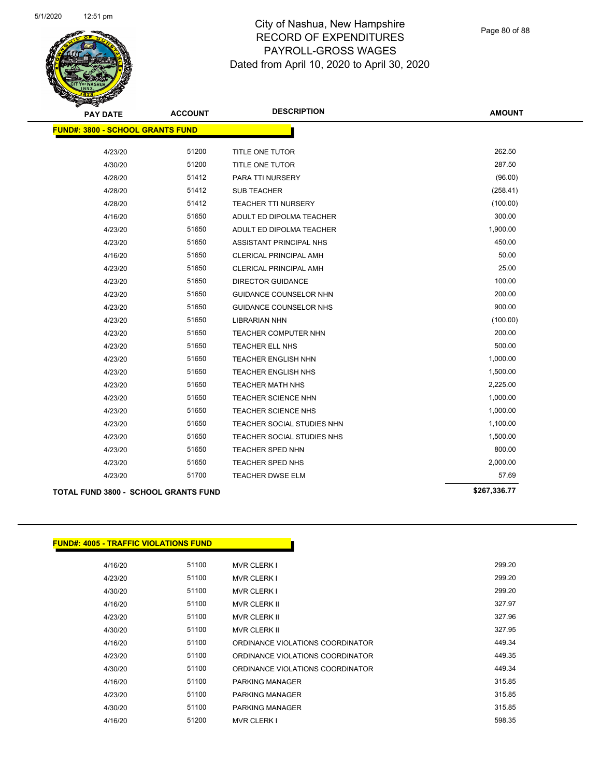

Page 80 of 88

| <b>PAY DATE</b>                         | <b>ACCOUNT</b> | <b>DESCRIPTION</b>                | <b>AMOUNT</b> |
|-----------------------------------------|----------------|-----------------------------------|---------------|
| <b>FUND#: 3800 - SCHOOL GRANTS FUND</b> |                |                                   |               |
| 4/23/20                                 | 51200          | TITLE ONE TUTOR                   | 262.50        |
| 4/30/20                                 | 51200          | TITLE ONE TUTOR                   | 287.50        |
| 4/28/20                                 | 51412          | <b>PARA TTI NURSERY</b>           | (96.00)       |
| 4/28/20                                 | 51412          | <b>SUB TEACHER</b>                | (258.41)      |
| 4/28/20                                 | 51412          | TEACHER TTI NURSERY               | (100.00)      |
| 4/16/20                                 | 51650          | ADULT ED DIPOLMA TEACHER          | 300.00        |
| 4/23/20                                 | 51650          | ADULT ED DIPOLMA TEACHER          | 1,900.00      |
| 4/23/20                                 | 51650          | ASSISTANT PRINCIPAL NHS           | 450.00        |
| 4/16/20                                 | 51650          | CLERICAL PRINCIPAL AMH            | 50.00         |
| 4/23/20                                 | 51650          | <b>CLERICAL PRINCIPAL AMH</b>     | 25.00         |
| 4/23/20                                 | 51650          | <b>DIRECTOR GUIDANCE</b>          | 100.00        |
| 4/23/20                                 | 51650          | GUIDANCE COUNSELOR NHN            | 200.00        |
| 4/23/20                                 | 51650          | <b>GUIDANCE COUNSELOR NHS</b>     | 900.00        |
| 4/23/20                                 | 51650          | <b>LIBRARIAN NHN</b>              | (100.00)      |
| 4/23/20                                 | 51650          | TEACHER COMPUTER NHN              | 200.00        |
| 4/23/20                                 | 51650          | TEACHER ELL NHS                   | 500.00        |
| 4/23/20                                 | 51650          | <b>TEACHER ENGLISH NHN</b>        | 1,000.00      |
| 4/23/20                                 | 51650          | <b>TEACHER ENGLISH NHS</b>        | 1,500.00      |
| 4/23/20                                 | 51650          | <b>TEACHER MATH NHS</b>           | 2,225.00      |
| 4/23/20                                 | 51650          | TEACHER SCIENCE NHN               | 1,000.00      |
| 4/23/20                                 | 51650          | <b>TEACHER SCIENCE NHS</b>        | 1,000.00      |
| 4/23/20                                 | 51650          | TEACHER SOCIAL STUDIES NHN        | 1,100.00      |
| 4/23/20                                 | 51650          | <b>TEACHER SOCIAL STUDIES NHS</b> | 1,500.00      |
| 4/23/20                                 | 51650          | TEACHER SPED NHN                  | 800.00        |
| 4/23/20                                 | 51650          | TEACHER SPED NHS                  | 2,000.00      |
| 4/23/20                                 | 51700          | <b>TEACHER DWSE ELM</b>           | 57.69         |
| TOTAL FUND 3800 - SCHOOL GRANTS FUND    |                |                                   | \$267,336.77  |

**FUND#: 4005 - TRAFFIC VIOLATIONS FUND** 4/16/20 51100 MVR CLERK I 299.20 4/23/20 51100 MVR CLERK I 299.20 4/30/20 51100 MVR CLERK I 299.20 4/16/20 51100 MVR CLERK II 327.97 4/23/20 51100 MVR CLERK II 327.96 4/30/20 51100 MVR CLERK II 327.95 4/16/20 51100 ORDINANCE VIOLATIONS COORDINATOR 449.34 4/23/20 51100 ORDINANCE VIOLATIONS COORDINATOR 449.35 4/30/20 51100 ORDINANCE VIOLATIONS COORDINATOR 449.34 4/16/20 51100 PARKING MANAGER 315.85 4/23/20 51100 PARKING MANAGER 315.85 4/30/20 51100 PARKING MANAGER 315.85 4/16/20 51200 MVR CLERK I 598.35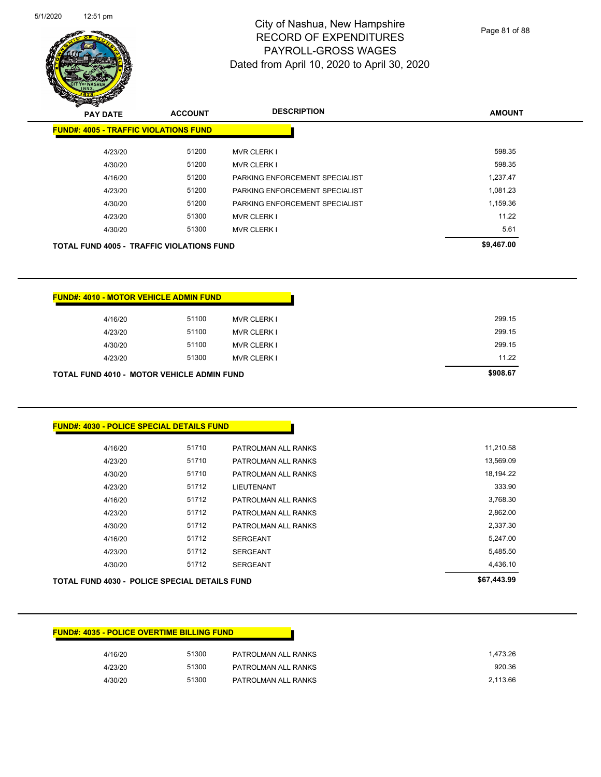

Page 81 of 88

| <b>PAY DATE</b>                                  | <b>ACCOUNT</b> | <b>DESCRIPTION</b>             | <b>AMOUNT</b> |
|--------------------------------------------------|----------------|--------------------------------|---------------|
| <b>FUND#: 4005 - TRAFFIC VIOLATIONS FUND</b>     |                |                                |               |
| 4/23/20                                          | 51200          | <b>MVR CLERK I</b>             | 598.35        |
| 4/30/20                                          | 51200          | <b>MVR CLERK I</b>             | 598.35        |
| 4/16/20                                          | 51200          | PARKING ENFORCEMENT SPECIALIST | 1,237.47      |
| 4/23/20                                          | 51200          | PARKING ENFORCEMENT SPECIALIST | 1,081.23      |
| 4/30/20                                          | 51200          | PARKING ENFORCEMENT SPECIALIST | 1,159.36      |
| 4/23/20                                          | 51300          | <b>MVR CLERK I</b>             | 11.22         |
| 4/30/20                                          | 51300          | <b>MVR CLERK I</b>             | 5.61          |
| <b>TOTAL FUND 4005 - TRAFFIC VIOLATIONS FUND</b> |                |                                | \$9,467.00    |
|                                                  |                |                                |               |

| <b>TOTAL FUND 4010 - MOTOR VEHICLE ADMIN FUND</b> | \$908.67 |                    |        |
|---------------------------------------------------|----------|--------------------|--------|
| 4/23/20                                           | 51300    | <b>MVR CLERK I</b> | 11.22  |
| 4/30/20                                           | 51100    | <b>MVR CLERK I</b> | 299.15 |
| 4/23/20                                           | 51100    | MVR CLERK I        | 299.15 |
| 4/16/20                                           | 51100    | MVR CLERK I        | 299.15 |
|                                                   |          |                    |        |

| <b>FUND#: 4030 - POLICE SPECIAL DETAILS FUND</b>     |       |                     |             |
|------------------------------------------------------|-------|---------------------|-------------|
| 4/16/20                                              | 51710 | PATROLMAN ALL RANKS | 11,210.58   |
| 4/23/20                                              | 51710 | PATROLMAN ALL RANKS | 13,569.09   |
| 4/30/20                                              | 51710 | PATROLMAN ALL RANKS | 18,194.22   |
| 4/23/20                                              | 51712 | <b>LIEUTENANT</b>   |             |
| 4/16/20                                              | 51712 | PATROLMAN ALL RANKS | 3,768.30    |
| 4/23/20                                              | 51712 | PATROLMAN ALL RANKS | 2,862.00    |
| 4/30/20                                              | 51712 | PATROLMAN ALL RANKS | 2,337.30    |
| 4/16/20                                              | 51712 | <b>SERGEANT</b>     | 5,247.00    |
| 4/23/20                                              | 51712 | <b>SERGEANT</b>     | 5,485.50    |
| 4/30/20                                              | 51712 | <b>SERGEANT</b>     | 4,436.10    |
| <b>TOTAL FUND 4030 - POLICE SPECIAL DETAILS FUND</b> |       |                     | \$67,443.99 |

| <b>FUND#: 4035 - POLICE OVERTIME BILLING FUND</b> |       |                     |
|---------------------------------------------------|-------|---------------------|
| 4/16/20                                           | 51300 | PATROLMAN ALL RANKS |
| 4/23/20                                           | 51300 | PATROLMAN ALL RANKS |
| 4/30/20                                           | 51300 | PATROLMAN ALL RANKS |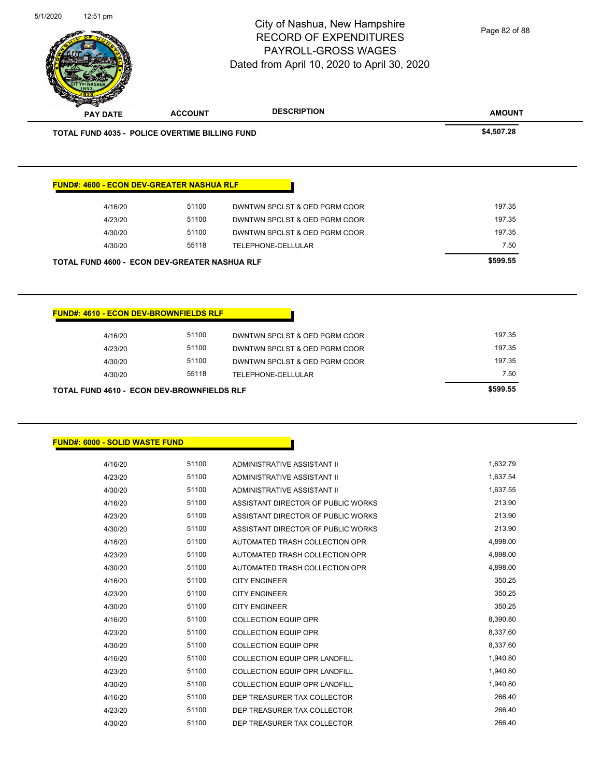| <b>PAY DATE</b>                                  | <b>ACCOUNT</b> | <b>DESCRIPTION</b>                                                       | <b>AMOUNT</b>    |
|--------------------------------------------------|----------------|--------------------------------------------------------------------------|------------------|
| TOTAL FUND 4035 - POLICE OVERTIME BILLING FUND   |                |                                                                          | \$4,507.28       |
| <b>FUND#: 4600 - ECON DEV-GREATER NASHUA RLF</b> |                |                                                                          |                  |
| 4/16/20                                          | 51100          | DWNTWN SPCLST & OED PGRM COOR                                            | 197.35           |
| 4/23/20                                          | 51100          | DWNTWN SPCLST & OED PGRM COOR                                            | 197.35           |
| 4/30/20                                          | 51100          | DWNTWN SPCLST & OED PGRM COOR                                            | 197.35           |
| 4/30/20                                          | 55118          | TELEPHONE-CELLULAR                                                       | 7.50             |
| TOTAL FUND 4600 - ECON DEV-GREATER NASHUA RLF    |                |                                                                          | \$599.55         |
|                                                  |                |                                                                          |                  |
| <b>FUND#: 4610 - ECON DEV-BROWNFIELDS RLF</b>    |                |                                                                          |                  |
| 4/16/20                                          | 51100          | DWNTWN SPCLST & OED PGRM COOR                                            | 197.35           |
| 4/23/20                                          | 51100          | DWNTWN SPCLST & OED PGRM COOR                                            | 197.35           |
| 4/30/20                                          | 51100          | DWNTWN SPCLST & OED PGRM COOR                                            | 197.35           |
|                                                  |                |                                                                          |                  |
| 4/30/20                                          | 55118          | TELEPHONE-CELLULAR                                                       | 7.50<br>\$599.55 |
| TOTAL FUND 4610 - ECON DEV-BROWNFIELDS RLF       |                |                                                                          |                  |
|                                                  |                |                                                                          |                  |
|                                                  |                |                                                                          |                  |
| 4/16/20                                          | 51100          | ADMINISTRATIVE ASSISTANT II                                              | 1,632.79         |
| <b>FUND#: 6000 - SOLID WASTE FUND</b><br>4/23/20 | 51100          | ADMINISTRATIVE ASSISTANT II                                              | 1,637.54         |
| 4/30/20                                          | 51100          | ADMINISTRATIVE ASSISTANT II                                              | 1,637.55         |
| 4/16/20                                          | 51100          | ASSISTANT DIRECTOR OF PUBLIC WORKS                                       | 213.90           |
| 4/23/20<br>4/30/20                               | 51100<br>51100 | ASSISTANT DIRECTOR OF PUBLIC WORKS<br>ASSISTANT DIRECTOR OF PUBLIC WORKS | 213.90<br>213.90 |
| 4/16/20                                          | 51100          | AUTOMATED TRASH COLLECTION OPR                                           | 4,898.00         |
| 4/23/20                                          | 51100          | AUTOMATED TRASH COLLECTION OPR                                           | 4,898.00         |
| 4/30/20                                          | 51100          | AUTOMATED TRASH COLLECTION OPR                                           | 4,898.00         |
| 4/16/20                                          | 51100          | <b>CITY ENGINEER</b>                                                     | 350.25           |
| 4/23/20                                          | 51100          | <b>CITY ENGINEER</b>                                                     | 350.25           |
| 4/30/20                                          | 51100          | <b>CITY ENGINEER</b>                                                     | 350.25           |
| 4/16/20                                          | 51100          | <b>COLLECTION EQUIP OPR</b>                                              | 8,390.80         |
| 4/23/20                                          | 51100          | <b>COLLECTION EQUIP OPR</b>                                              | 8,337.60         |
| 4/30/20                                          | 51100          | <b>COLLECTION EQUIP OPR</b>                                              | 8,337.60         |
| 4/16/20                                          | 51100          | COLLECTION EQUIP OPR LANDFILL                                            | 1,940.80         |
| 4/23/20                                          | 51100          | COLLECTION EQUIP OPR LANDFILL                                            | 1,940.80         |
| 4/30/20                                          | 51100          | COLLECTION EQUIP OPR LANDFILL                                            | 1,940.80         |
| 4/16/20                                          | 51100          | DEP TREASURER TAX COLLECTOR                                              | 266.40           |

City of Nashua, New Hampshire RECORD OF EXPENDITURES PAYROLL-GROSS WAGES

Page 82 of 88

5/1/2020 12:51 pm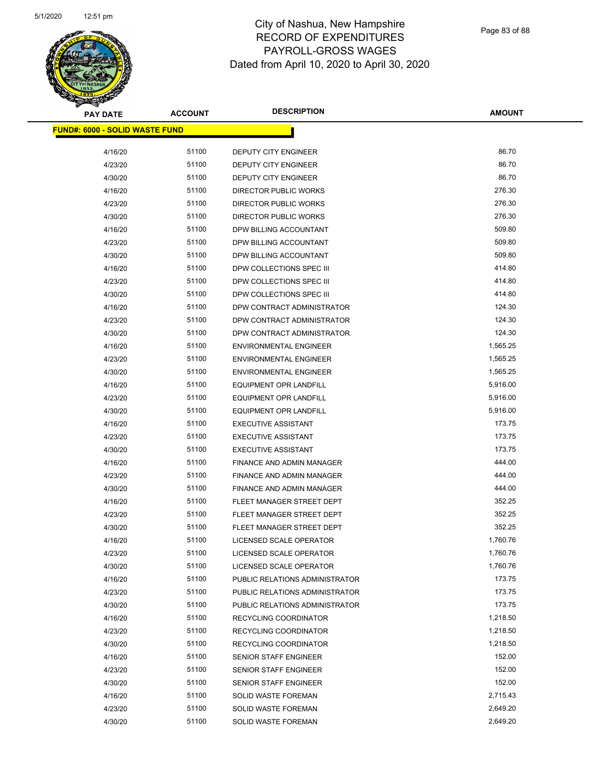

Page 83 of 88

| <b>PAY DATE</b>                       | <b>ACCOUNT</b> | <b>DESCRIPTION</b>             | <b>AMOUNT</b> |
|---------------------------------------|----------------|--------------------------------|---------------|
| <b>FUND#: 6000 - SOLID WASTE FUND</b> |                |                                |               |
| 4/16/20                               | 51100          | DEPUTY CITY ENGINEER           | 86.70         |
| 4/23/20                               | 51100          | DEPUTY CITY ENGINEER           | 86.70         |
| 4/30/20                               | 51100          | <b>DEPUTY CITY ENGINEER</b>    | 86.70         |
| 4/16/20                               | 51100          | <b>DIRECTOR PUBLIC WORKS</b>   | 276.30        |
| 4/23/20                               | 51100          | <b>DIRECTOR PUBLIC WORKS</b>   | 276.30        |
| 4/30/20                               | 51100          | <b>DIRECTOR PUBLIC WORKS</b>   | 276.30        |
| 4/16/20                               | 51100          | DPW BILLING ACCOUNTANT         | 509.80        |
| 4/23/20                               | 51100          | DPW BILLING ACCOUNTANT         | 509.80        |
| 4/30/20                               | 51100          | DPW BILLING ACCOUNTANT         | 509.80        |
| 4/16/20                               | 51100          | DPW COLLECTIONS SPEC III       | 414.80        |
| 4/23/20                               | 51100          | DPW COLLECTIONS SPEC III       | 414.80        |
| 4/30/20                               | 51100          | DPW COLLECTIONS SPEC III       | 414.80        |
| 4/16/20                               | 51100          | DPW CONTRACT ADMINISTRATOR     | 124.30        |
| 4/23/20                               | 51100          | DPW CONTRACT ADMINISTRATOR     | 124.30        |
| 4/30/20                               | 51100          | DPW CONTRACT ADMINISTRATOR     | 124.30        |
| 4/16/20                               | 51100          | <b>ENVIRONMENTAL ENGINEER</b>  | 1,565.25      |
| 4/23/20                               | 51100          | <b>ENVIRONMENTAL ENGINEER</b>  | 1,565.25      |
| 4/30/20                               | 51100          | <b>ENVIRONMENTAL ENGINEER</b>  | 1,565.25      |
| 4/16/20                               | 51100          | <b>EQUIPMENT OPR LANDFILL</b>  | 5,916.00      |
| 4/23/20                               | 51100          | <b>EQUIPMENT OPR LANDFILL</b>  | 5,916.00      |
| 4/30/20                               | 51100          | <b>EQUIPMENT OPR LANDFILL</b>  | 5,916.00      |
| 4/16/20                               | 51100          | <b>EXECUTIVE ASSISTANT</b>     | 173.75        |
|                                       | 51100          | <b>EXECUTIVE ASSISTANT</b>     | 173.75        |
| 4/23/20<br>4/30/20                    | 51100          | <b>EXECUTIVE ASSISTANT</b>     | 173.75        |
| 4/16/20                               | 51100          | FINANCE AND ADMIN MANAGER      | 444.00        |
| 4/23/20                               | 51100          | FINANCE AND ADMIN MANAGER      | 444.00        |
| 4/30/20                               | 51100          | FINANCE AND ADMIN MANAGER      | 444.00        |
| 4/16/20                               | 51100          | FLEET MANAGER STREET DEPT      | 352.25        |
| 4/23/20                               | 51100          | FLEET MANAGER STREET DEPT      | 352.25        |
| 4/30/20                               | 51100          | FLEET MANAGER STREET DEPT      | 352.25        |
| 4/16/20                               | 51100          | LICENSED SCALE OPERATOR        | 1,760.76      |
| 4/23/20                               | 51100          | LICENSED SCALE OPERATOR        | 1,760.76      |
| 4/30/20                               | 51100          | LICENSED SCALE OPERATOR        | 1,760.76      |
| 4/16/20                               | 51100          | PUBLIC RELATIONS ADMINISTRATOR | 173.75        |
| 4/23/20                               | 51100          | PUBLIC RELATIONS ADMINISTRATOR | 173.75        |
| 4/30/20                               | 51100          | PUBLIC RELATIONS ADMINISTRATOR | 173.75        |
| 4/16/20                               | 51100          | RECYCLING COORDINATOR          | 1,218.50      |
| 4/23/20                               | 51100          | RECYCLING COORDINATOR          | 1,218.50      |
| 4/30/20                               | 51100          | RECYCLING COORDINATOR          | 1,218.50      |
| 4/16/20                               | 51100          | SENIOR STAFF ENGINEER          | 152.00        |
| 4/23/20                               | 51100          | <b>SENIOR STAFF ENGINEER</b>   | 152.00        |
| 4/30/20                               | 51100          | SENIOR STAFF ENGINEER          | 152.00        |
| 4/16/20                               | 51100          | SOLID WASTE FOREMAN            | 2,715.43      |
| 4/23/20                               | 51100          | SOLID WASTE FOREMAN            | 2,649.20      |
| 4/30/20                               | 51100          | <b>SOLID WASTE FOREMAN</b>     | 2,649.20      |
|                                       |                |                                |               |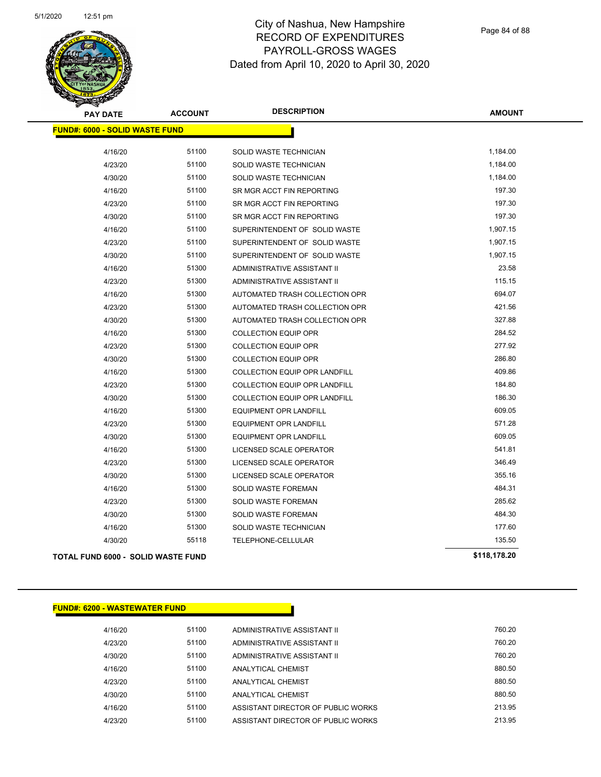

Page 84 of 88

| <b>PAY DATE</b>                           | <b>ACCOUNT</b> | <b>DESCRIPTION</b>                   | <b>AMOUNT</b> |
|-------------------------------------------|----------------|--------------------------------------|---------------|
| <b>FUND#: 6000 - SOLID WASTE FUND</b>     |                |                                      |               |
| 4/16/20                                   | 51100          | SOLID WASTE TECHNICIAN               | 1,184.00      |
| 4/23/20                                   | 51100          | SOLID WASTE TECHNICIAN               | 1,184.00      |
| 4/30/20                                   | 51100          | SOLID WASTE TECHNICIAN               | 1,184.00      |
| 4/16/20                                   | 51100          | SR MGR ACCT FIN REPORTING            | 197.30        |
| 4/23/20                                   | 51100          | SR MGR ACCT FIN REPORTING            | 197.30        |
| 4/30/20                                   | 51100          | SR MGR ACCT FIN REPORTING            | 197.30        |
| 4/16/20                                   | 51100          | SUPERINTENDENT OF SOLID WASTE        | 1,907.15      |
| 4/23/20                                   | 51100          | SUPERINTENDENT OF SOLID WASTE        | 1,907.15      |
| 4/30/20                                   | 51100          | SUPERINTENDENT OF SOLID WASTE        | 1,907.15      |
| 4/16/20                                   | 51300          | ADMINISTRATIVE ASSISTANT II          | 23.58         |
| 4/23/20                                   | 51300          | ADMINISTRATIVE ASSISTANT II          | 115.15        |
| 4/16/20                                   | 51300          | AUTOMATED TRASH COLLECTION OPR       | 694.07        |
| 4/23/20                                   | 51300          | AUTOMATED TRASH COLLECTION OPR       | 421.56        |
| 4/30/20                                   | 51300          | AUTOMATED TRASH COLLECTION OPR       | 327.88        |
| 4/16/20                                   | 51300          | <b>COLLECTION EQUIP OPR</b>          | 284.52        |
| 4/23/20                                   | 51300          | <b>COLLECTION EQUIP OPR</b>          | 277.92        |
| 4/30/20                                   | 51300          | <b>COLLECTION EQUIP OPR</b>          | 286.80        |
| 4/16/20                                   | 51300          | <b>COLLECTION EQUIP OPR LANDFILL</b> | 409.86        |
| 4/23/20                                   | 51300          | COLLECTION EQUIP OPR LANDFILL        | 184.80        |
| 4/30/20                                   | 51300          | <b>COLLECTION EQUIP OPR LANDFILL</b> | 186.30        |
| 4/16/20                                   | 51300          | EQUIPMENT OPR LANDFILL               | 609.05        |
| 4/23/20                                   | 51300          | <b>EQUIPMENT OPR LANDFILL</b>        | 571.28        |
| 4/30/20                                   | 51300          | <b>EQUIPMENT OPR LANDFILL</b>        | 609.05        |
| 4/16/20                                   | 51300          | LICENSED SCALE OPERATOR              | 541.81        |
| 4/23/20                                   | 51300          | LICENSED SCALE OPERATOR              | 346.49        |
| 4/30/20                                   | 51300          | LICENSED SCALE OPERATOR              | 355.16        |
| 4/16/20                                   | 51300          | SOLID WASTE FOREMAN                  | 484.31        |
| 4/23/20                                   | 51300          | <b>SOLID WASTE FOREMAN</b>           | 285.62        |
| 4/30/20                                   | 51300          | <b>SOLID WASTE FOREMAN</b>           | 484.30        |
| 4/16/20                                   | 51300          | SOLID WASTE TECHNICIAN               | 177.60        |
| 4/30/20                                   | 55118          | TELEPHONE-CELLULAR                   | 135.50        |
| <b>TOTAL FUND 6000 - SOLID WASTE FUND</b> |                |                                      | \$118,178.20  |

| 51100 | ADMINISTRATIVE ASSISTANT II          | 760.20 |
|-------|--------------------------------------|--------|
| 51100 | ADMINISTRATIVE ASSISTANT II          | 760.20 |
| 51100 | ADMINISTRATIVE ASSISTANT II          | 760.20 |
| 51100 | ANALYTICAL CHEMIST                   | 880.50 |
| 51100 | ANALYTICAL CHEMIST                   | 880.50 |
| 51100 | ANALYTICAL CHEMIST                   | 880.50 |
| 51100 | ASSISTANT DIRECTOR OF PUBLIC WORKS   | 213.95 |
| 51100 | ASSISTANT DIRECTOR OF PUBLIC WORKS   | 213.95 |
|       | <b>FUND#: 6200 - WASTEWATER FUND</b> |        |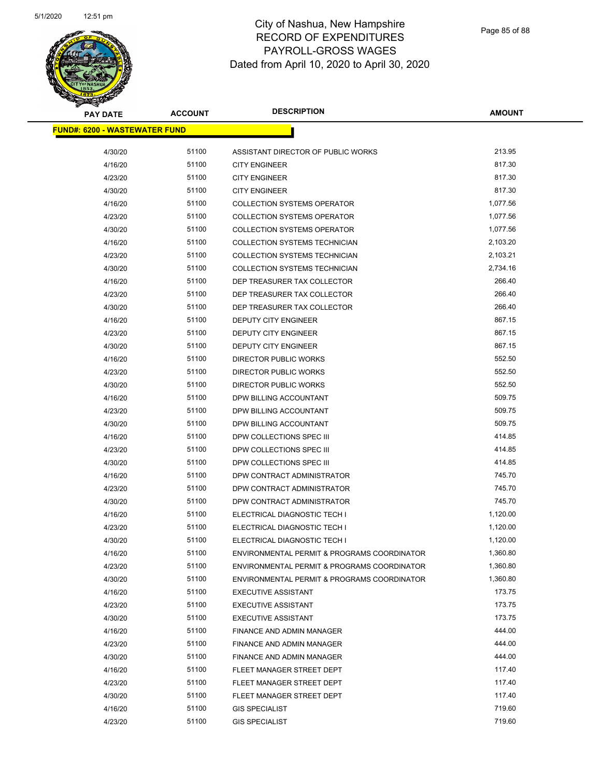

| <b>PAY DATE</b>                      | <b>ACCOUNT</b> | <b>DESCRIPTION</b>                          | <b>AMOUNT</b> |  |
|--------------------------------------|----------------|---------------------------------------------|---------------|--|
| <b>FUND#: 6200 - WASTEWATER FUND</b> |                |                                             |               |  |
| 4/30/20                              | 51100          | ASSISTANT DIRECTOR OF PUBLIC WORKS          | 213.95        |  |
| 4/16/20                              | 51100          | <b>CITY ENGINEER</b>                        | 817.30        |  |
| 4/23/20                              | 51100          | <b>CITY ENGINEER</b>                        | 817.30        |  |
| 4/30/20                              | 51100          | <b>CITY ENGINEER</b>                        | 817.30        |  |
| 4/16/20                              | 51100          | <b>COLLECTION SYSTEMS OPERATOR</b>          | 1,077.56      |  |
| 4/23/20                              | 51100          | <b>COLLECTION SYSTEMS OPERATOR</b>          | 1,077.56      |  |
| 4/30/20                              | 51100          | <b>COLLECTION SYSTEMS OPERATOR</b>          | 1,077.56      |  |
| 4/16/20                              | 51100          | COLLECTION SYSTEMS TECHNICIAN               | 2,103.20      |  |
| 4/23/20                              | 51100          | COLLECTION SYSTEMS TECHNICIAN               | 2,103.21      |  |
| 4/30/20                              | 51100          | COLLECTION SYSTEMS TECHNICIAN               | 2,734.16      |  |
| 4/16/20                              | 51100          | DEP TREASURER TAX COLLECTOR                 | 266.40        |  |
| 4/23/20                              | 51100          | DEP TREASURER TAX COLLECTOR                 | 266.40        |  |
| 4/30/20                              | 51100          | DEP TREASURER TAX COLLECTOR                 | 266.40        |  |
| 4/16/20                              | 51100          | <b>DEPUTY CITY ENGINEER</b>                 | 867.15        |  |
| 4/23/20                              | 51100          | DEPUTY CITY ENGINEER                        | 867.15        |  |
| 4/30/20                              | 51100          | <b>DEPUTY CITY ENGINEER</b>                 | 867.15        |  |
| 4/16/20                              | 51100          | DIRECTOR PUBLIC WORKS                       | 552.50        |  |
| 4/23/20                              | 51100          | DIRECTOR PUBLIC WORKS                       | 552.50        |  |
| 4/30/20                              | 51100          | <b>DIRECTOR PUBLIC WORKS</b>                | 552.50        |  |
| 4/16/20                              | 51100          | DPW BILLING ACCOUNTANT                      | 509.75        |  |
| 4/23/20                              | 51100          | DPW BILLING ACCOUNTANT                      | 509.75        |  |
| 4/30/20                              | 51100          | DPW BILLING ACCOUNTANT                      | 509.75        |  |
| 4/16/20                              | 51100          | DPW COLLECTIONS SPEC III                    | 414.85        |  |
| 4/23/20                              | 51100          | DPW COLLECTIONS SPEC III                    | 414.85        |  |
| 4/30/20                              | 51100          | DPW COLLECTIONS SPEC III                    | 414.85        |  |
| 4/16/20                              | 51100          | DPW CONTRACT ADMINISTRATOR                  | 745.70        |  |
| 4/23/20                              | 51100          | DPW CONTRACT ADMINISTRATOR                  | 745.70        |  |
| 4/30/20                              | 51100          | DPW CONTRACT ADMINISTRATOR                  | 745.70        |  |
| 4/16/20                              | 51100          | ELECTRICAL DIAGNOSTIC TECH I                | 1,120.00      |  |
| 4/23/20                              | 51100          | ELECTRICAL DIAGNOSTIC TECH I                | 1,120.00      |  |
| 4/30/20                              | 51100          | ELECTRICAL DIAGNOSTIC TECH I                | 1,120.00      |  |
| 4/16/20                              | 51100          | ENVIRONMENTAL PERMIT & PROGRAMS COORDINATOR | 1,360.80      |  |
| 4/23/20                              | 51100          | ENVIRONMENTAL PERMIT & PROGRAMS COORDINATOR | 1,360.80      |  |
| 4/30/20                              | 51100          | ENVIRONMENTAL PERMIT & PROGRAMS COORDINATOR | 1,360.80      |  |
| 4/16/20                              | 51100          | <b>EXECUTIVE ASSISTANT</b>                  | 173.75        |  |
| 4/23/20                              | 51100          | <b>EXECUTIVE ASSISTANT</b>                  | 173.75        |  |
| 4/30/20                              | 51100          | <b>EXECUTIVE ASSISTANT</b>                  | 173.75        |  |
| 4/16/20                              | 51100          | FINANCE AND ADMIN MANAGER                   | 444.00        |  |
| 4/23/20                              | 51100          | <b>FINANCE AND ADMIN MANAGER</b>            | 444.00        |  |
| 4/30/20                              | 51100          | FINANCE AND ADMIN MANAGER                   | 444.00        |  |
| 4/16/20                              | 51100          | FLEET MANAGER STREET DEPT                   | 117.40        |  |
| 4/23/20                              | 51100          | FLEET MANAGER STREET DEPT                   | 117.40        |  |
| 4/30/20                              | 51100          | FLEET MANAGER STREET DEPT                   | 117.40        |  |
| 4/16/20                              | 51100          | <b>GIS SPECIALIST</b>                       | 719.60        |  |
| 4/23/20                              | 51100          | <b>GIS SPECIALIST</b>                       | 719.60        |  |
|                                      |                |                                             |               |  |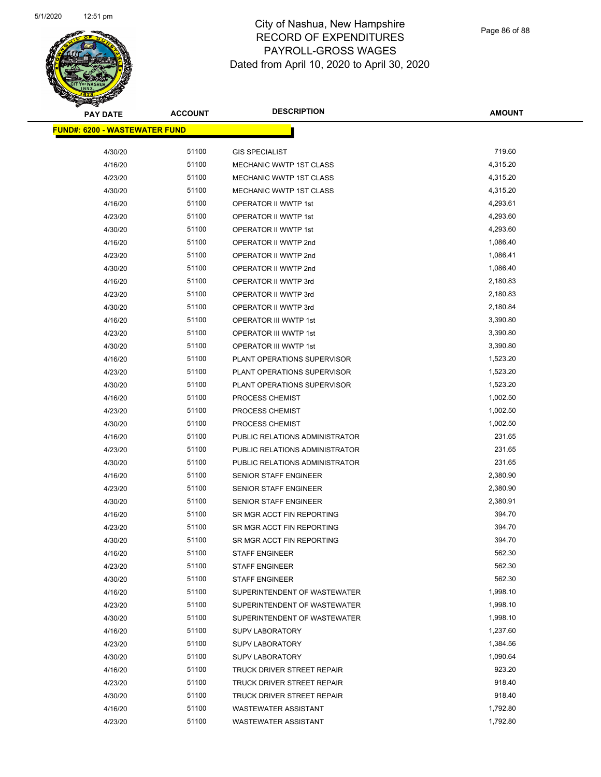

| <b>PAY DATE</b>                      | <b>ACCOUNT</b> | <b>DESCRIPTION</b>             | <b>AMOUNT</b> |
|--------------------------------------|----------------|--------------------------------|---------------|
| <b>FUND#: 6200 - WASTEWATER FUND</b> |                |                                |               |
| 4/30/20                              | 51100          | <b>GIS SPECIALIST</b>          | 719.60        |
| 4/16/20                              | 51100          | MECHANIC WWTP 1ST CLASS        | 4,315.20      |
| 4/23/20                              | 51100          | MECHANIC WWTP 1ST CLASS        | 4,315.20      |
| 4/30/20                              | 51100          | MECHANIC WWTP 1ST CLASS        | 4,315.20      |
| 4/16/20                              | 51100          | OPERATOR II WWTP 1st           | 4,293.61      |
| 4/23/20                              | 51100          | OPERATOR II WWTP 1st           | 4,293.60      |
| 4/30/20                              | 51100          | OPERATOR II WWTP 1st           | 4,293.60      |
| 4/16/20                              | 51100          | OPERATOR II WWTP 2nd           | 1,086.40      |
| 4/23/20                              | 51100          | OPERATOR II WWTP 2nd           | 1,086.41      |
| 4/30/20                              | 51100          | OPERATOR II WWTP 2nd           | 1,086.40      |
| 4/16/20                              | 51100          | OPERATOR II WWTP 3rd           | 2,180.83      |
| 4/23/20                              | 51100          | OPERATOR II WWTP 3rd           | 2,180.83      |
| 4/30/20                              | 51100          | OPERATOR II WWTP 3rd           | 2,180.84      |
| 4/16/20                              | 51100          | <b>OPERATOR III WWTP 1st</b>   | 3,390.80      |
| 4/23/20                              | 51100          | OPERATOR III WWTP 1st          | 3,390.80      |
| 4/30/20                              | 51100          | OPERATOR III WWTP 1st          | 3,390.80      |
| 4/16/20                              | 51100          | PLANT OPERATIONS SUPERVISOR    | 1,523.20      |
| 4/23/20                              | 51100          | PLANT OPERATIONS SUPERVISOR    | 1,523.20      |
| 4/30/20                              | 51100          | PLANT OPERATIONS SUPERVISOR    | 1,523.20      |
| 4/16/20                              | 51100          | PROCESS CHEMIST                | 1,002.50      |
| 4/23/20                              | 51100          | PROCESS CHEMIST                | 1,002.50      |
| 4/30/20                              | 51100          | PROCESS CHEMIST                | 1,002.50      |
| 4/16/20                              | 51100          | PUBLIC RELATIONS ADMINISTRATOR | 231.65        |
| 4/23/20                              | 51100          | PUBLIC RELATIONS ADMINISTRATOR | 231.65        |
| 4/30/20                              | 51100          | PUBLIC RELATIONS ADMINISTRATOR | 231.65        |
| 4/16/20                              | 51100          | <b>SENIOR STAFF ENGINEER</b>   | 2,380.90      |
| 4/23/20                              | 51100          | SENIOR STAFF ENGINEER          | 2,380.90      |
| 4/30/20                              | 51100          | SENIOR STAFF ENGINEER          | 2,380.91      |
| 4/16/20                              | 51100          | SR MGR ACCT FIN REPORTING      | 394.70        |
| 4/23/20                              | 51100          | SR MGR ACCT FIN REPORTING      | 394.70        |
| 4/30/20                              | 51100          | SR MGR ACCT FIN REPORTING      | 394.70        |
| 4/16/20                              | 51100          | <b>STAFF ENGINEER</b>          | 562.30        |
| 4/23/20                              | 51100          | <b>STAFF ENGINEER</b>          | 562.30        |
| 4/30/20                              | 51100          | <b>STAFF ENGINEER</b>          | 562.30        |
| 4/16/20                              | 51100          | SUPERINTENDENT OF WASTEWATER   | 1,998.10      |
| 4/23/20                              | 51100          | SUPERINTENDENT OF WASTEWATER   | 1,998.10      |
| 4/30/20                              | 51100          | SUPERINTENDENT OF WASTEWATER   | 1,998.10      |
| 4/16/20                              | 51100          | <b>SUPV LABORATORY</b>         | 1,237.60      |
| 4/23/20                              | 51100          | <b>SUPV LABORATORY</b>         | 1,384.56      |
| 4/30/20                              | 51100          | <b>SUPV LABORATORY</b>         | 1,090.64      |
| 4/16/20                              | 51100          | TRUCK DRIVER STREET REPAIR     | 923.20        |
| 4/23/20                              | 51100          | TRUCK DRIVER STREET REPAIR     | 918.40        |
| 4/30/20                              | 51100          | TRUCK DRIVER STREET REPAIR     | 918.40        |
| 4/16/20                              | 51100          | <b>WASTEWATER ASSISTANT</b>    | 1,792.80      |
| 4/23/20                              | 51100          | <b>WASTEWATER ASSISTANT</b>    | 1,792.80      |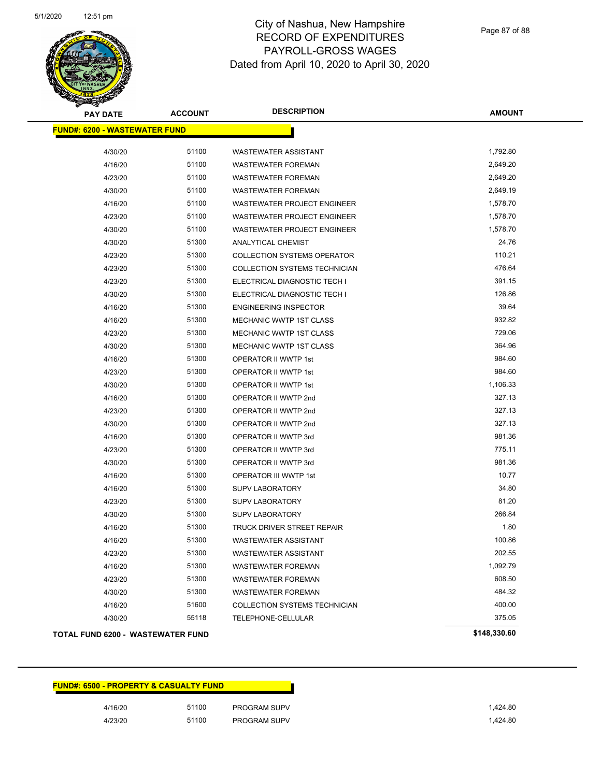

Page 87 of 88

| <b>PAY DATE</b>                          | <b>ACCOUNT</b> | <b>DESCRIPTION</b>                 | <b>AMOUNT</b> |
|------------------------------------------|----------------|------------------------------------|---------------|
| <b>FUND#: 6200 - WASTEWATER FUND</b>     |                |                                    |               |
| 4/30/20                                  | 51100          | <b>WASTEWATER ASSISTANT</b>        | 1,792.80      |
| 4/16/20                                  | 51100          | <b>WASTEWATER FOREMAN</b>          | 2,649.20      |
| 4/23/20                                  | 51100          | <b>WASTEWATER FOREMAN</b>          | 2,649.20      |
| 4/30/20                                  | 51100          | <b>WASTEWATER FOREMAN</b>          | 2,649.19      |
| 4/16/20                                  | 51100          | WASTEWATER PROJECT ENGINEER        | 1,578.70      |
| 4/23/20                                  | 51100          | WASTEWATER PROJECT ENGINEER        | 1,578.70      |
| 4/30/20                                  | 51100          | <b>WASTEWATER PROJECT ENGINEER</b> | 1,578.70      |
| 4/30/20                                  | 51300          | <b>ANALYTICAL CHEMIST</b>          | 24.76         |
| 4/23/20                                  | 51300          | <b>COLLECTION SYSTEMS OPERATOR</b> | 110.21        |
| 4/23/20                                  | 51300          | COLLECTION SYSTEMS TECHNICIAN      | 476.64        |
| 4/23/20                                  | 51300          | ELECTRICAL DIAGNOSTIC TECH I       | 391.15        |
| 4/30/20                                  | 51300          | ELECTRICAL DIAGNOSTIC TECH I       | 126.86        |
| 4/16/20                                  | 51300          | <b>ENGINEERING INSPECTOR</b>       | 39.64         |
| 4/16/20                                  | 51300          | <b>MECHANIC WWTP 1ST CLASS</b>     | 932.82        |
| 4/23/20                                  | 51300          | MECHANIC WWTP 1ST CLASS            | 729.06        |
| 4/30/20                                  | 51300          | MECHANIC WWTP 1ST CLASS            | 364.96        |
| 4/16/20                                  | 51300          | OPERATOR II WWTP 1st               | 984.60        |
| 4/23/20                                  | 51300          | OPERATOR II WWTP 1st               | 984.60        |
| 4/30/20                                  | 51300          | OPERATOR II WWTP 1st               | 1,106.33      |
| 4/16/20                                  | 51300          | OPERATOR II WWTP 2nd               | 327.13        |
| 4/23/20                                  | 51300          | OPERATOR II WWTP 2nd               | 327.13        |
| 4/30/20                                  | 51300          | OPERATOR II WWTP 2nd               | 327.13        |
| 4/16/20                                  | 51300          | OPERATOR II WWTP 3rd               | 981.36        |
| 4/23/20                                  | 51300          | OPERATOR II WWTP 3rd               | 775.11        |
| 4/30/20                                  | 51300          | OPERATOR II WWTP 3rd               | 981.36        |
| 4/16/20                                  | 51300          | OPERATOR III WWTP 1st              | 10.77         |
| 4/16/20                                  | 51300          | <b>SUPV LABORATORY</b>             | 34.80         |
| 4/23/20                                  | 51300          | <b>SUPV LABORATORY</b>             | 81.20         |
| 4/30/20                                  | 51300          | <b>SUPV LABORATORY</b>             | 266.84        |
| 4/16/20                                  | 51300          | TRUCK DRIVER STREET REPAIR         | 1.80          |
| 4/16/20                                  | 51300          | <b>WASTEWATER ASSISTANT</b>        | 100.86        |
| 4/23/20                                  | 51300          | WASTEWATER ASSISTANT               | 202.55        |
| 4/16/20                                  | 51300          | <b>WASTEWATER FOREMAN</b>          | 1,092.79      |
| 4/23/20                                  | 51300          | <b>WASTEWATER FOREMAN</b>          | 608.50        |
| 4/30/20                                  | 51300          | <b>WASTEWATER FOREMAN</b>          | 484.32        |
| 4/16/20                                  | 51600          | COLLECTION SYSTEMS TECHNICIAN      | 400.00        |
| 4/30/20                                  | 55118          | TELEPHONE-CELLULAR                 | 375.05        |
| <b>TOTAL FUND 6200 - WASTEWATER FUND</b> |                |                                    | \$148,330.60  |

| <b>FUND#: 6500 - PROPERTY &amp; CASUALTY FUND</b> |       |                     |
|---------------------------------------------------|-------|---------------------|
| 4/16/20                                           | 51100 | <b>PROGRAM SUPV</b> |
| 4/23/20                                           | 51100 | PROGRAM SUPV        |